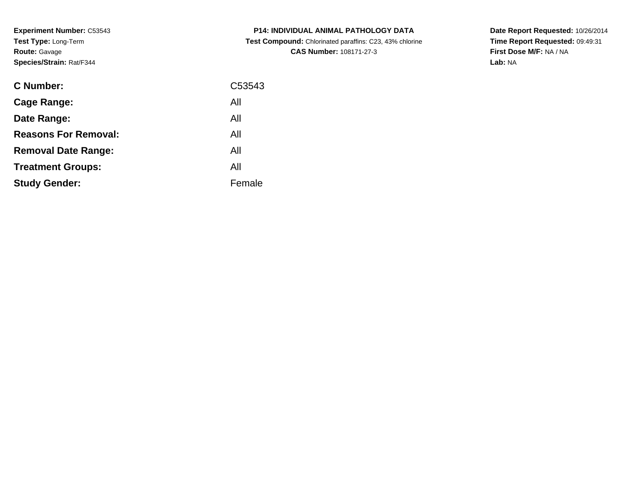**Experiment Number:** C53543**Test Type:** Long-Term**Route:** Gavage**Species/Strain:** Rat/F344

| <b>C Number:</b>            | C53543 |
|-----------------------------|--------|
| Cage Range:                 | All    |
| Date Range:                 | All    |
| <b>Reasons For Removal:</b> | All    |
| <b>Removal Date Range:</b>  | All    |
| <b>Treatment Groups:</b>    | All    |
| <b>Study Gender:</b>        | Female |
|                             |        |

**P14: INDIVIDUAL ANIMAL PATHOLOGY DATA Test Compound:** Chlorinated paraffins: C23, 43% chlorine**CAS Number:** 108171-27-3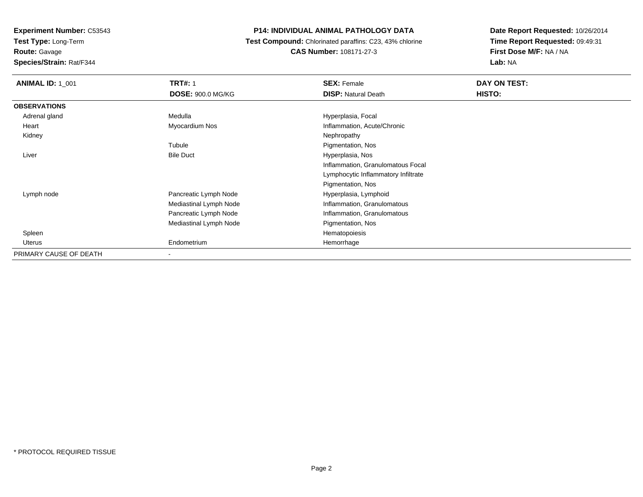**Test Type:** Long-Term

**Route:** Gavage

**Species/Strain:** Rat/F344

# **P14: INDIVIDUAL ANIMAL PATHOLOGY DATA**

 **Test Compound:** Chlorinated paraffins: C23, 43% chlorine**CAS Number:** 108171-27-3

| <b>ANIMAL ID: 1 001</b> | <b>TRT#: 1</b>           | <b>SEX: Female</b>                  | DAY ON TEST: |
|-------------------------|--------------------------|-------------------------------------|--------------|
|                         | <b>DOSE: 900.0 MG/KG</b> | <b>DISP: Natural Death</b>          | HISTO:       |
| <b>OBSERVATIONS</b>     |                          |                                     |              |
| Adrenal gland           | Medulla                  | Hyperplasia, Focal                  |              |
| Heart                   | Myocardium Nos           | Inflammation, Acute/Chronic         |              |
| Kidney                  |                          | Nephropathy                         |              |
|                         | Tubule                   | Pigmentation, Nos                   |              |
| Liver                   | <b>Bile Duct</b>         | Hyperplasia, Nos                    |              |
|                         |                          | Inflammation, Granulomatous Focal   |              |
|                         |                          | Lymphocytic Inflammatory Infiltrate |              |
|                         |                          | Pigmentation, Nos                   |              |
| Lymph node              | Pancreatic Lymph Node    | Hyperplasia, Lymphoid               |              |
|                         | Mediastinal Lymph Node   | Inflammation, Granulomatous         |              |
|                         | Pancreatic Lymph Node    | Inflammation, Granulomatous         |              |
|                         | Mediastinal Lymph Node   | Pigmentation, Nos                   |              |
| Spleen                  |                          | Hematopoiesis                       |              |
| <b>Uterus</b>           | Endometrium              | Hemorrhage                          |              |
| PRIMARY CAUSE OF DEATH  | -                        |                                     |              |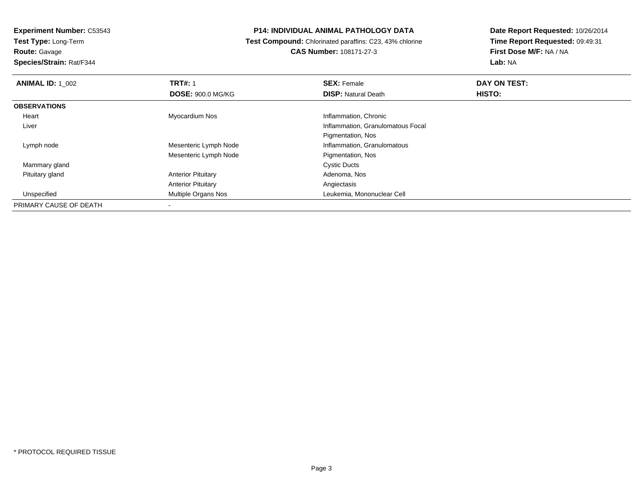**Route:** Gavage

**Species/Strain:** Rat/F344

#### **P14: INDIVIDUAL ANIMAL PATHOLOGY DATA**

 **Test Compound:** Chlorinated paraffins: C23, 43% chlorine**CAS Number:** 108171-27-3

| <b>ANIMAL ID: 1 002</b> | <b>TRT#: 1</b>            | <b>SEX: Female</b>                | DAY ON TEST: |
|-------------------------|---------------------------|-----------------------------------|--------------|
|                         | <b>DOSE: 900.0 MG/KG</b>  | <b>DISP: Natural Death</b>        | HISTO:       |
| <b>OBSERVATIONS</b>     |                           |                                   |              |
| Heart                   | Myocardium Nos            | Inflammation, Chronic             |              |
| Liver                   |                           | Inflammation, Granulomatous Focal |              |
|                         |                           | Pigmentation, Nos                 |              |
| Lymph node              | Mesenteric Lymph Node     | Inflammation, Granulomatous       |              |
|                         | Mesenteric Lymph Node     | Pigmentation, Nos                 |              |
| Mammary gland           |                           | <b>Cystic Ducts</b>               |              |
| Pituitary gland         | <b>Anterior Pituitary</b> | Adenoma, Nos                      |              |
|                         | <b>Anterior Pituitary</b> | Angiectasis                       |              |
| Unspecified             | Multiple Organs Nos       | Leukemia, Mononuclear Cell        |              |
| PRIMARY CAUSE OF DEATH  |                           |                                   |              |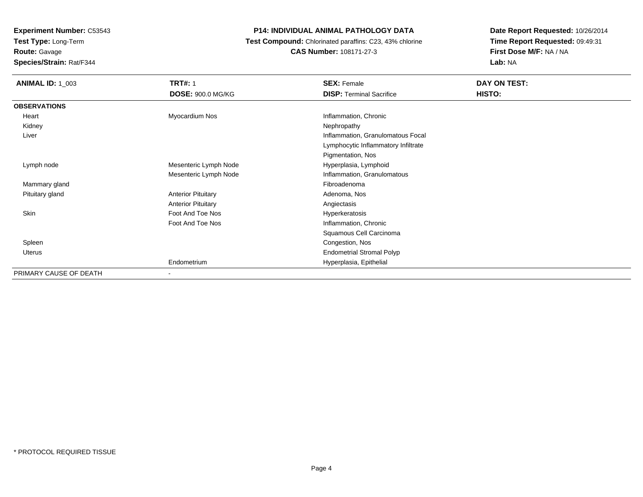**Route:** Gavage

**Species/Strain:** Rat/F344

# **P14: INDIVIDUAL ANIMAL PATHOLOGY DATA**

 **Test Compound:** Chlorinated paraffins: C23, 43% chlorine**CAS Number:** 108171-27-3

| <b>ANIMAL ID: 1_003</b> | <b>TRT#: 1</b><br><b>DOSE: 900.0 MG/KG</b> | <b>SEX: Female</b><br><b>DISP: Terminal Sacrifice</b> | DAY ON TEST:<br>HISTO: |
|-------------------------|--------------------------------------------|-------------------------------------------------------|------------------------|
| <b>OBSERVATIONS</b>     |                                            |                                                       |                        |
| Heart                   | Myocardium Nos                             | Inflammation, Chronic                                 |                        |
| Kidney                  |                                            | Nephropathy                                           |                        |
| Liver                   |                                            | Inflammation, Granulomatous Focal                     |                        |
|                         |                                            | Lymphocytic Inflammatory Infiltrate                   |                        |
|                         |                                            | Pigmentation, Nos                                     |                        |
| Lymph node              | Mesenteric Lymph Node                      | Hyperplasia, Lymphoid                                 |                        |
|                         | Mesenteric Lymph Node                      | Inflammation, Granulomatous                           |                        |
| Mammary gland           |                                            | Fibroadenoma                                          |                        |
| Pituitary gland         | <b>Anterior Pituitary</b>                  | Adenoma, Nos                                          |                        |
|                         | <b>Anterior Pituitary</b>                  | Angiectasis                                           |                        |
| Skin                    | Foot And Toe Nos                           | Hyperkeratosis                                        |                        |
|                         | Foot And Toe Nos                           | Inflammation, Chronic                                 |                        |
|                         |                                            | Squamous Cell Carcinoma                               |                        |
| Spleen                  |                                            | Congestion, Nos                                       |                        |
| <b>Uterus</b>           |                                            | <b>Endometrial Stromal Polyp</b>                      |                        |
|                         | Endometrium                                | Hyperplasia, Epithelial                               |                        |
| PRIMARY CAUSE OF DEATH  | $\blacksquare$                             |                                                       |                        |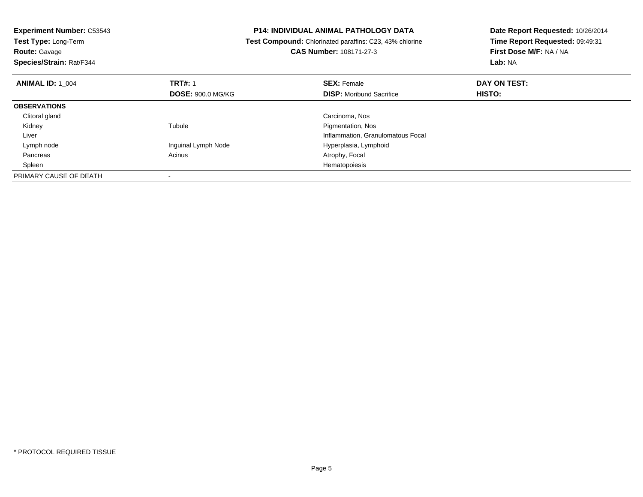| <b>Experiment Number: C53543</b> | <b>P14: INDIVIDUAL ANIMAL PATHOLOGY DATA</b> |                                                         | Date Report Requested: 10/26/2014 |  |
|----------------------------------|----------------------------------------------|---------------------------------------------------------|-----------------------------------|--|
| Test Type: Long-Term             |                                              | Test Compound: Chlorinated paraffins: C23, 43% chlorine | Time Report Requested: 09:49:31   |  |
| <b>Route: Gavage</b>             |                                              | <b>CAS Number: 108171-27-3</b>                          | First Dose M/F: NA / NA           |  |
| Species/Strain: Rat/F344         |                                              |                                                         | Lab: NA                           |  |
| <b>ANIMAL ID: 1 004</b>          | <b>TRT#: 1</b>                               | <b>SEX: Female</b>                                      | DAY ON TEST:                      |  |
|                                  | <b>DOSE: 900.0 MG/KG</b>                     | <b>DISP:</b> Moribund Sacrifice                         | <b>HISTO:</b>                     |  |
| <b>OBSERVATIONS</b>              |                                              |                                                         |                                   |  |
| Clitoral gland                   |                                              | Carcinoma, Nos                                          |                                   |  |
| Kidney                           | Tubule                                       | Pigmentation, Nos                                       |                                   |  |
| Liver                            |                                              | Inflammation, Granulomatous Focal                       |                                   |  |
| Lymph node                       | Inguinal Lymph Node                          | Hyperplasia, Lymphoid                                   |                                   |  |
| Pancreas                         | Acinus                                       | Atrophy, Focal                                          |                                   |  |
| Spleen                           |                                              | Hematopoiesis                                           |                                   |  |
| PRIMARY CAUSE OF DEATH           |                                              |                                                         |                                   |  |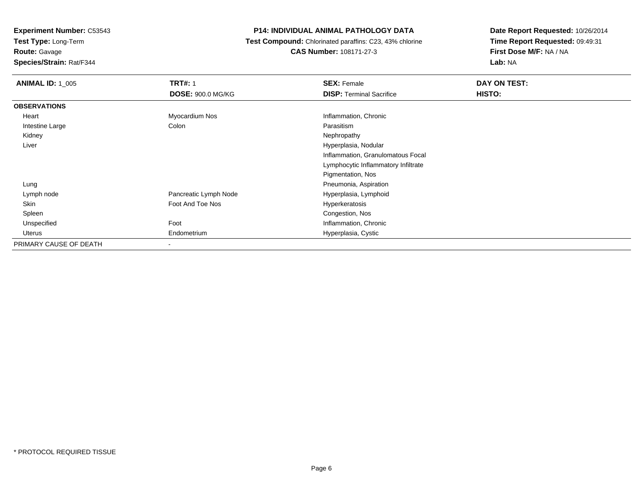**Test Type:** Long-Term

**Route:** Gavage

**Species/Strain:** Rat/F344

# **P14: INDIVIDUAL ANIMAL PATHOLOGY DATA**

 **Test Compound:** Chlorinated paraffins: C23, 43% chlorine**CAS Number:** 108171-27-3

| <b>ANIMAL ID: 1_005</b> | <b>TRT#: 1</b>           | <b>SEX: Female</b>                  | DAY ON TEST: |
|-------------------------|--------------------------|-------------------------------------|--------------|
|                         | <b>DOSE: 900.0 MG/KG</b> | <b>DISP: Terminal Sacrifice</b>     | HISTO:       |
| <b>OBSERVATIONS</b>     |                          |                                     |              |
| Heart                   | Myocardium Nos           | Inflammation, Chronic               |              |
| Intestine Large         | Colon                    | Parasitism                          |              |
| Kidney                  |                          | Nephropathy                         |              |
| Liver                   |                          | Hyperplasia, Nodular                |              |
|                         |                          | Inflammation, Granulomatous Focal   |              |
|                         |                          | Lymphocytic Inflammatory Infiltrate |              |
|                         |                          | Pigmentation, Nos                   |              |
| Lung                    |                          | Pneumonia, Aspiration               |              |
| Lymph node              | Pancreatic Lymph Node    | Hyperplasia, Lymphoid               |              |
| Skin                    | Foot And Toe Nos         | Hyperkeratosis                      |              |
| Spleen                  |                          | Congestion, Nos                     |              |
| Unspecified             | Foot                     | Inflammation, Chronic               |              |
| Uterus                  | Endometrium              | Hyperplasia, Cystic                 |              |
| PRIMARY CAUSE OF DEATH  |                          |                                     |              |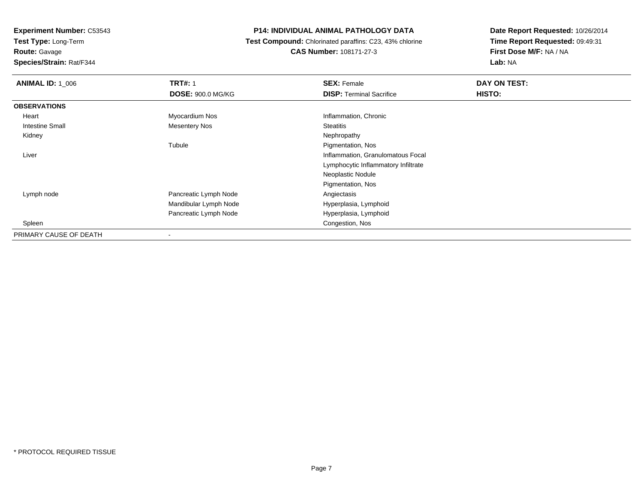**Test Type:** Long-Term**Route:** Gavage

**Species/Strain:** Rat/F344

### **P14: INDIVIDUAL ANIMAL PATHOLOGY DATA**

 **Test Compound:** Chlorinated paraffins: C23, 43% chlorine**CAS Number:** 108171-27-3

| <b>ANIMAL ID: 1_006</b> | <b>TRT#: 1</b>           | <b>SEX: Female</b>                  | DAY ON TEST:  |
|-------------------------|--------------------------|-------------------------------------|---------------|
|                         | <b>DOSE: 900.0 MG/KG</b> | <b>DISP: Terminal Sacrifice</b>     | <b>HISTO:</b> |
| <b>OBSERVATIONS</b>     |                          |                                     |               |
| Heart                   | Myocardium Nos           | Inflammation, Chronic               |               |
| Intestine Small         | <b>Mesentery Nos</b>     | <b>Steatitis</b>                    |               |
| Kidney                  |                          | Nephropathy                         |               |
|                         | Tubule                   | Pigmentation, Nos                   |               |
| Liver                   |                          | Inflammation, Granulomatous Focal   |               |
|                         |                          | Lymphocytic Inflammatory Infiltrate |               |
|                         |                          | Neoplastic Nodule                   |               |
|                         |                          | Pigmentation, Nos                   |               |
| Lymph node              | Pancreatic Lymph Node    | Angiectasis                         |               |
|                         | Mandibular Lymph Node    | Hyperplasia, Lymphoid               |               |
|                         | Pancreatic Lymph Node    | Hyperplasia, Lymphoid               |               |
| Spleen                  |                          | Congestion, Nos                     |               |
| PRIMARY CAUSE OF DEATH  |                          |                                     |               |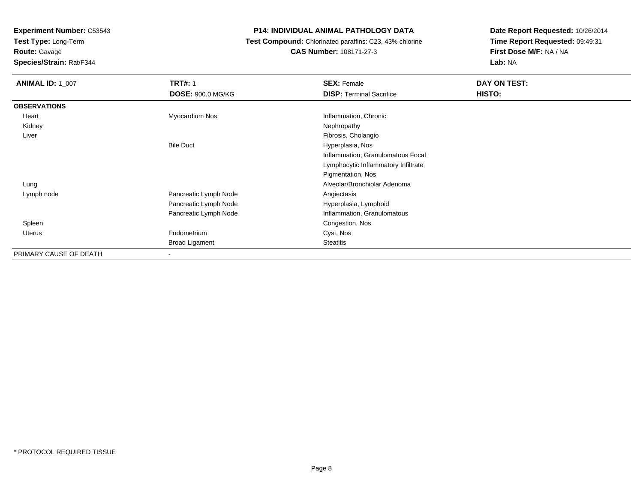**Test Type:** Long-Term

**Route:** Gavage

**Species/Strain:** Rat/F344

# **P14: INDIVIDUAL ANIMAL PATHOLOGY DATA**

 **Test Compound:** Chlorinated paraffins: C23, 43% chlorine**CAS Number:** 108171-27-3

| <b>ANIMAL ID: 1 007</b> | <b>TRT#: 1</b>           | <b>SEX: Female</b>                  | DAY ON TEST:  |
|-------------------------|--------------------------|-------------------------------------|---------------|
|                         | <b>DOSE: 900.0 MG/KG</b> | <b>DISP: Terminal Sacrifice</b>     | <b>HISTO:</b> |
| <b>OBSERVATIONS</b>     |                          |                                     |               |
| Heart                   | Myocardium Nos           | Inflammation, Chronic               |               |
| Kidney                  |                          | Nephropathy                         |               |
| Liver                   |                          | Fibrosis, Cholangio                 |               |
|                         | <b>Bile Duct</b>         | Hyperplasia, Nos                    |               |
|                         |                          | Inflammation, Granulomatous Focal   |               |
|                         |                          | Lymphocytic Inflammatory Infiltrate |               |
|                         |                          | Pigmentation, Nos                   |               |
| Lung                    |                          | Alveolar/Bronchiolar Adenoma        |               |
| Lymph node              | Pancreatic Lymph Node    | Angiectasis                         |               |
|                         | Pancreatic Lymph Node    | Hyperplasia, Lymphoid               |               |
|                         | Pancreatic Lymph Node    | Inflammation, Granulomatous         |               |
| Spleen                  |                          | Congestion, Nos                     |               |
| <b>Uterus</b>           | Endometrium              | Cyst, Nos                           |               |
|                         | <b>Broad Ligament</b>    | Steatitis                           |               |
| PRIMARY CAUSE OF DEATH  | ٠                        |                                     |               |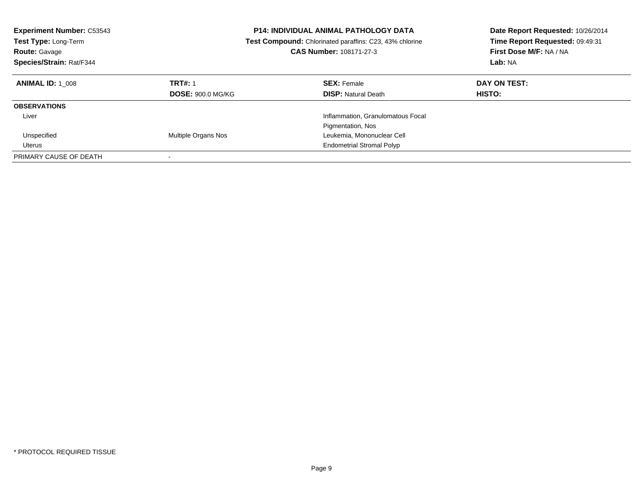| <b>Experiment Number: C53543</b><br><b>Test Type: Long-Term</b><br><b>Route: Gavage</b><br>Species/Strain: Rat/F344 |                                            | <b>P14: INDIVIDUAL ANIMAL PATHOLOGY DATA</b><br><b>Test Compound:</b> Chlorinated paraffins: C23, 43% chlorine<br>CAS Number: 108171-27-3 | Date Report Requested: 10/26/2014<br>Time Report Requested: 09:49:31<br>First Dose M/F: NA / NA<br>Lab: NA |
|---------------------------------------------------------------------------------------------------------------------|--------------------------------------------|-------------------------------------------------------------------------------------------------------------------------------------------|------------------------------------------------------------------------------------------------------------|
| <b>ANIMAL ID: 1 008</b>                                                                                             | <b>TRT#: 1</b><br><b>DOSE: 900.0 MG/KG</b> | <b>SEX: Female</b><br><b>DISP: Natural Death</b>                                                                                          | DAY ON TEST:<br>HISTO:                                                                                     |
| <b>OBSERVATIONS</b>                                                                                                 |                                            |                                                                                                                                           |                                                                                                            |
| Liver                                                                                                               |                                            | Inflammation, Granulomatous Focal<br>Pigmentation, Nos                                                                                    |                                                                                                            |
| Unspecified                                                                                                         | Multiple Organs Nos                        | Leukemia, Mononuclear Cell                                                                                                                |                                                                                                            |
| Uterus                                                                                                              |                                            | <b>Endometrial Stromal Polyp</b>                                                                                                          |                                                                                                            |
| PRIMARY CAUSE OF DEATH                                                                                              |                                            |                                                                                                                                           |                                                                                                            |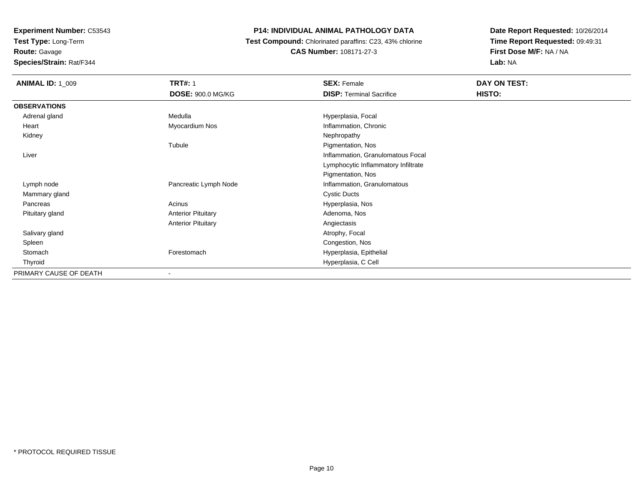**Test Type:** Long-Term

**Route:** Gavage

**Species/Strain:** Rat/F344

# **P14: INDIVIDUAL ANIMAL PATHOLOGY DATA**

 **Test Compound:** Chlorinated paraffins: C23, 43% chlorine**CAS Number:** 108171-27-3

| <b>ANIMAL ID: 1_009</b> | <b>TRT#: 1</b>            | <b>SEX: Female</b>                  | DAY ON TEST: |
|-------------------------|---------------------------|-------------------------------------|--------------|
|                         | <b>DOSE: 900.0 MG/KG</b>  | <b>DISP: Terminal Sacrifice</b>     | HISTO:       |
| <b>OBSERVATIONS</b>     |                           |                                     |              |
| Adrenal gland           | Medulla                   | Hyperplasia, Focal                  |              |
| Heart                   | Myocardium Nos            | Inflammation, Chronic               |              |
| Kidney                  |                           | Nephropathy                         |              |
|                         | Tubule                    | Pigmentation, Nos                   |              |
| Liver                   |                           | Inflammation, Granulomatous Focal   |              |
|                         |                           | Lymphocytic Inflammatory Infiltrate |              |
|                         |                           | Pigmentation, Nos                   |              |
| Lymph node              | Pancreatic Lymph Node     | Inflammation, Granulomatous         |              |
| Mammary gland           |                           | <b>Cystic Ducts</b>                 |              |
| Pancreas                | Acinus                    | Hyperplasia, Nos                    |              |
| Pituitary gland         | <b>Anterior Pituitary</b> | Adenoma, Nos                        |              |
|                         | <b>Anterior Pituitary</b> | Angiectasis                         |              |
| Salivary gland          |                           | Atrophy, Focal                      |              |
| Spleen                  |                           | Congestion, Nos                     |              |
| Stomach                 | Forestomach               | Hyperplasia, Epithelial             |              |
| Thyroid                 |                           | Hyperplasia, C Cell                 |              |
| PRIMARY CAUSE OF DEATH  | $\overline{\phantom{a}}$  |                                     |              |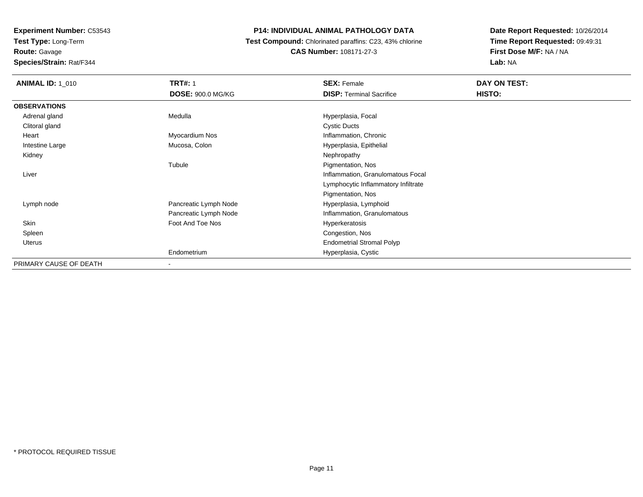**Route:** Gavage

**Species/Strain:** Rat/F344

# **P14: INDIVIDUAL ANIMAL PATHOLOGY DATA**

 **Test Compound:** Chlorinated paraffins: C23, 43% chlorine**CAS Number:** 108171-27-3

| <b>ANIMAL ID: 1_010</b> | <b>TRT#: 1</b>           | <b>SEX: Female</b>                  | DAY ON TEST: |
|-------------------------|--------------------------|-------------------------------------|--------------|
|                         | <b>DOSE: 900.0 MG/KG</b> | <b>DISP: Terminal Sacrifice</b>     | HISTO:       |
| <b>OBSERVATIONS</b>     |                          |                                     |              |
| Adrenal gland           | Medulla                  | Hyperplasia, Focal                  |              |
| Clitoral gland          |                          | <b>Cystic Ducts</b>                 |              |
| Heart                   | Myocardium Nos           | Inflammation, Chronic               |              |
| Intestine Large         | Mucosa, Colon            | Hyperplasia, Epithelial             |              |
| Kidney                  |                          | Nephropathy                         |              |
|                         | Tubule                   | Pigmentation, Nos                   |              |
| Liver                   |                          | Inflammation, Granulomatous Focal   |              |
|                         |                          | Lymphocytic Inflammatory Infiltrate |              |
|                         |                          | Pigmentation, Nos                   |              |
| Lymph node              | Pancreatic Lymph Node    | Hyperplasia, Lymphoid               |              |
|                         | Pancreatic Lymph Node    | Inflammation, Granulomatous         |              |
| Skin                    | Foot And Toe Nos         | Hyperkeratosis                      |              |
| Spleen                  |                          | Congestion, Nos                     |              |
| <b>Uterus</b>           |                          | <b>Endometrial Stromal Polyp</b>    |              |
|                         | Endometrium              | Hyperplasia, Cystic                 |              |
| PRIMARY CAUSE OF DEATH  |                          |                                     |              |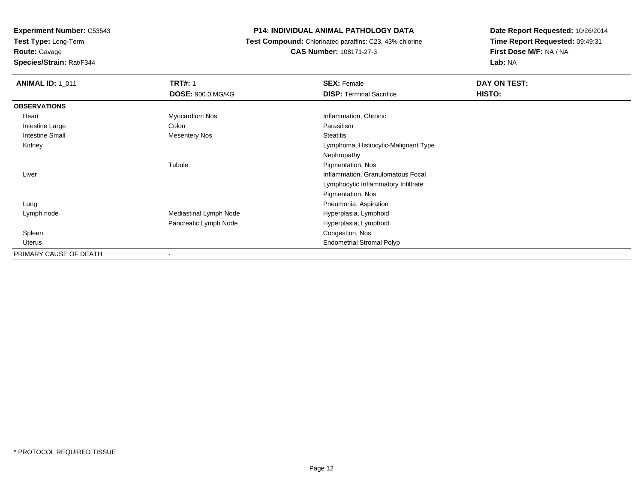**Test Type:** Long-Term**Route:** Gavage

**Species/Strain:** Rat/F344

#### **P14: INDIVIDUAL ANIMAL PATHOLOGY DATA**

 **Test Compound:** Chlorinated paraffins: C23, 43% chlorine**CAS Number:** 108171-27-3

| <b>ANIMAL ID: 1_011</b> | <b>TRT#: 1</b>           | <b>SEX: Female</b>                   | DAY ON TEST: |  |
|-------------------------|--------------------------|--------------------------------------|--------------|--|
|                         | <b>DOSE: 900.0 MG/KG</b> | <b>DISP: Terminal Sacrifice</b>      | HISTO:       |  |
| <b>OBSERVATIONS</b>     |                          |                                      |              |  |
| Heart                   | Myocardium Nos           | Inflammation, Chronic                |              |  |
| Intestine Large         | Colon                    | Parasitism                           |              |  |
| <b>Intestine Small</b>  | Mesentery Nos            | <b>Steatitis</b>                     |              |  |
| Kidney                  |                          | Lymphoma, Histiocytic-Malignant Type |              |  |
|                         |                          | Nephropathy                          |              |  |
|                         | Tubule                   | Pigmentation, Nos                    |              |  |
| Liver                   |                          | Inflammation, Granulomatous Focal    |              |  |
|                         |                          | Lymphocytic Inflammatory Infiltrate  |              |  |
|                         |                          | Pigmentation, Nos                    |              |  |
| Lung                    |                          | Pneumonia, Aspiration                |              |  |
| Lymph node              | Mediastinal Lymph Node   | Hyperplasia, Lymphoid                |              |  |
|                         | Pancreatic Lymph Node    | Hyperplasia, Lymphoid                |              |  |
| Spleen                  |                          | Congestion, Nos                      |              |  |
| Uterus                  |                          | <b>Endometrial Stromal Polyp</b>     |              |  |
| PRIMARY CAUSE OF DEATH  | ٠                        |                                      |              |  |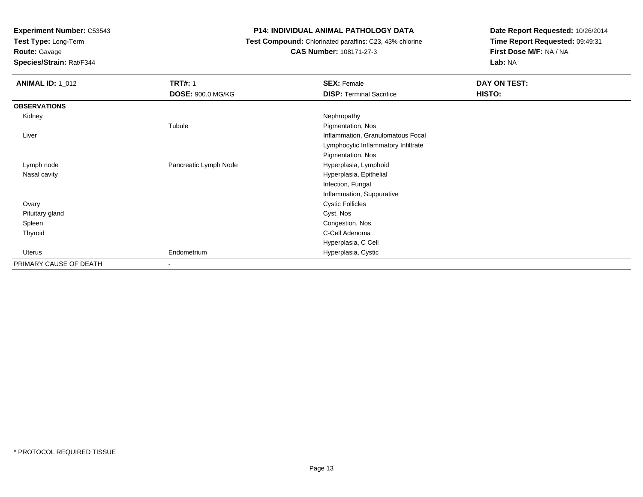**Test Type:** Long-Term

**Route:** Gavage

**Species/Strain:** Rat/F344

# **P14: INDIVIDUAL ANIMAL PATHOLOGY DATA**

#### **Test Compound:** Chlorinated paraffins: C23, 43% chlorine**CAS Number:** 108171-27-3

| <b>ANIMAL ID: 1_012</b> | <b>TRT#: 1</b>           | <b>SEX: Female</b>                  | DAY ON TEST: |
|-------------------------|--------------------------|-------------------------------------|--------------|
|                         | <b>DOSE: 900.0 MG/KG</b> | <b>DISP: Terminal Sacrifice</b>     | HISTO:       |
| <b>OBSERVATIONS</b>     |                          |                                     |              |
| Kidney                  |                          | Nephropathy                         |              |
|                         | Tubule                   | Pigmentation, Nos                   |              |
| Liver                   |                          | Inflammation, Granulomatous Focal   |              |
|                         |                          | Lymphocytic Inflammatory Infiltrate |              |
|                         |                          | Pigmentation, Nos                   |              |
| Lymph node              | Pancreatic Lymph Node    | Hyperplasia, Lymphoid               |              |
| Nasal cavity            |                          | Hyperplasia, Epithelial             |              |
|                         |                          | Infection, Fungal                   |              |
|                         |                          | Inflammation, Suppurative           |              |
| Ovary                   |                          | <b>Cystic Follicles</b>             |              |
| Pituitary gland         |                          | Cyst, Nos                           |              |
| Spleen                  |                          | Congestion, Nos                     |              |
| Thyroid                 |                          | C-Cell Adenoma                      |              |
|                         |                          | Hyperplasia, C Cell                 |              |
| Uterus                  | Endometrium              | Hyperplasia, Cystic                 |              |
| PRIMARY CAUSE OF DEATH  | $\sim$                   |                                     |              |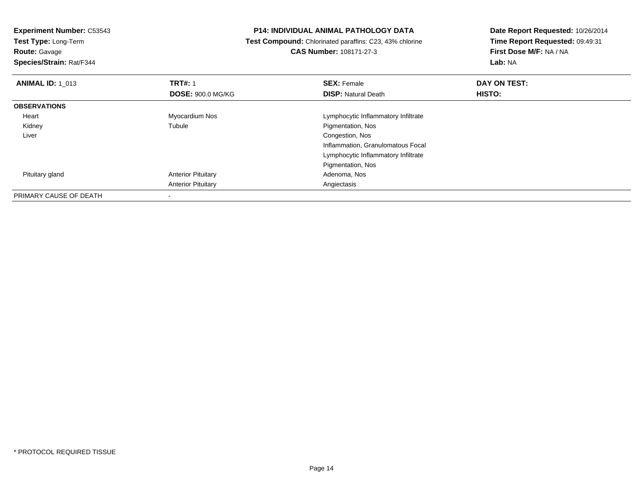**Route:** Gavage

**Species/Strain:** Rat/F344

### **P14: INDIVIDUAL ANIMAL PATHOLOGY DATA**

 **Test Compound:** Chlorinated paraffins: C23, 43% chlorine**CAS Number:** 108171-27-3

| <b>ANIMAL ID: 1 013</b> | <b>TRT#: 1</b>            | <b>SEX: Female</b>                  | DAY ON TEST: |  |
|-------------------------|---------------------------|-------------------------------------|--------------|--|
|                         | <b>DOSE: 900.0 MG/KG</b>  | <b>DISP: Natural Death</b>          | HISTO:       |  |
| <b>OBSERVATIONS</b>     |                           |                                     |              |  |
| Heart                   | Myocardium Nos            | Lymphocytic Inflammatory Infiltrate |              |  |
| Kidney                  | Tubule                    | Pigmentation, Nos                   |              |  |
| Liver                   |                           | Congestion, Nos                     |              |  |
|                         |                           | Inflammation, Granulomatous Focal   |              |  |
|                         |                           | Lymphocytic Inflammatory Infiltrate |              |  |
|                         |                           | Pigmentation, Nos                   |              |  |
| Pituitary gland         | <b>Anterior Pituitary</b> | Adenoma, Nos                        |              |  |
|                         | <b>Anterior Pituitary</b> | Angiectasis                         |              |  |
| PRIMARY CAUSE OF DEATH  |                           |                                     |              |  |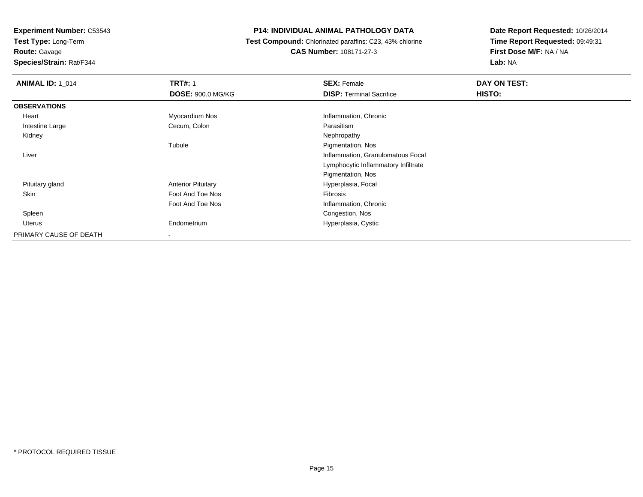**Test Type:** Long-Term**Route:** Gavage

**Species/Strain:** Rat/F344

### **P14: INDIVIDUAL ANIMAL PATHOLOGY DATA**

 **Test Compound:** Chlorinated paraffins: C23, 43% chlorine**CAS Number:** 108171-27-3

| <b>ANIMAL ID: 1 014</b> | <b>TRT#: 1</b>            | <b>SEX: Female</b>                  | DAY ON TEST: |  |
|-------------------------|---------------------------|-------------------------------------|--------------|--|
|                         | <b>DOSE: 900.0 MG/KG</b>  | <b>DISP:</b> Terminal Sacrifice     | HISTO:       |  |
| <b>OBSERVATIONS</b>     |                           |                                     |              |  |
| Heart                   | Myocardium Nos            | Inflammation, Chronic               |              |  |
| Intestine Large         | Cecum, Colon              | Parasitism                          |              |  |
| Kidney                  |                           | Nephropathy                         |              |  |
|                         | Tubule                    | Pigmentation, Nos                   |              |  |
| Liver                   |                           | Inflammation, Granulomatous Focal   |              |  |
|                         |                           | Lymphocytic Inflammatory Infiltrate |              |  |
|                         |                           | Pigmentation, Nos                   |              |  |
| Pituitary gland         | <b>Anterior Pituitary</b> | Hyperplasia, Focal                  |              |  |
| Skin                    | Foot And Toe Nos          | Fibrosis                            |              |  |
|                         | Foot And Toe Nos          | Inflammation, Chronic               |              |  |
| Spleen                  |                           | Congestion, Nos                     |              |  |
| Uterus                  | Endometrium               | Hyperplasia, Cystic                 |              |  |
| PRIMARY CAUSE OF DEATH  |                           |                                     |              |  |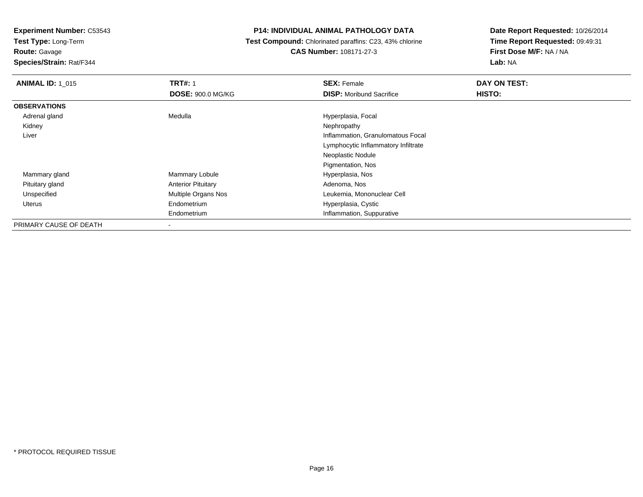**Test Type:** Long-Term

# **Route:** Gavage

**Species/Strain:** Rat/F344

#### **P14: INDIVIDUAL ANIMAL PATHOLOGY DATA**

# **Test Compound:** Chlorinated paraffins: C23, 43% chlorine**CAS Number:** 108171-27-3

| <b>ANIMAL ID: 1 015</b> | <b>TRT#: 1</b>            | <b>SEX: Female</b>                  | DAY ON TEST: |  |
|-------------------------|---------------------------|-------------------------------------|--------------|--|
|                         | <b>DOSE: 900.0 MG/KG</b>  | <b>DISP:</b> Moribund Sacrifice     | HISTO:       |  |
| <b>OBSERVATIONS</b>     |                           |                                     |              |  |
| Adrenal gland           | Medulla                   | Hyperplasia, Focal                  |              |  |
| Kidney                  |                           | Nephropathy                         |              |  |
| Liver                   |                           | Inflammation, Granulomatous Focal   |              |  |
|                         |                           | Lymphocytic Inflammatory Infiltrate |              |  |
|                         |                           | Neoplastic Nodule                   |              |  |
|                         |                           | Pigmentation, Nos                   |              |  |
| Mammary gland           | Mammary Lobule            | Hyperplasia, Nos                    |              |  |
| Pituitary gland         | <b>Anterior Pituitary</b> | Adenoma, Nos                        |              |  |
| Unspecified             | Multiple Organs Nos       | Leukemia, Mononuclear Cell          |              |  |
| Uterus                  | Endometrium               | Hyperplasia, Cystic                 |              |  |
|                         | Endometrium               | Inflammation, Suppurative           |              |  |
| PRIMARY CAUSE OF DEATH  | ۰                         |                                     |              |  |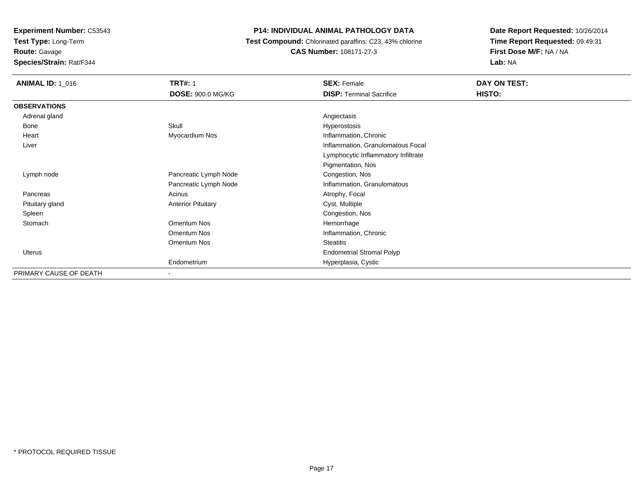**Test Type:** Long-Term

**Route:** Gavage

**Species/Strain:** Rat/F344

# **P14: INDIVIDUAL ANIMAL PATHOLOGY DATA**

 **Test Compound:** Chlorinated paraffins: C23, 43% chlorine**CAS Number:** 108171-27-3

| <b>ANIMAL ID: 1_016</b> | <b>TRT#: 1</b>            | <b>SEX: Female</b>                  | DAY ON TEST: |
|-------------------------|---------------------------|-------------------------------------|--------------|
|                         | <b>DOSE: 900.0 MG/KG</b>  | <b>DISP: Terminal Sacrifice</b>     | HISTO:       |
| <b>OBSERVATIONS</b>     |                           |                                     |              |
| Adrenal gland           |                           | Angiectasis                         |              |
| Bone                    | Skull                     | Hyperostosis                        |              |
| Heart                   | Myocardium Nos            | Inflammation, Chronic               |              |
| Liver                   |                           | Inflammation, Granulomatous Focal   |              |
|                         |                           | Lymphocytic Inflammatory Infiltrate |              |
|                         |                           | Pigmentation, Nos                   |              |
| Lymph node              | Pancreatic Lymph Node     | Congestion, Nos                     |              |
|                         | Pancreatic Lymph Node     | Inflammation, Granulomatous         |              |
| Pancreas                | Acinus                    | Atrophy, Focal                      |              |
| Pituitary gland         | <b>Anterior Pituitary</b> | Cyst, Multiple                      |              |
| Spleen                  |                           | Congestion, Nos                     |              |
| Stomach                 | Omentum Nos               | Hemorrhage                          |              |
|                         | Omentum Nos               | Inflammation, Chronic               |              |
|                         | Omentum Nos               | <b>Steatitis</b>                    |              |
| <b>Uterus</b>           |                           | <b>Endometrial Stromal Polyp</b>    |              |
|                         | Endometrium               | Hyperplasia, Cystic                 |              |
| PRIMARY CAUSE OF DEATH  | $\,$                      |                                     |              |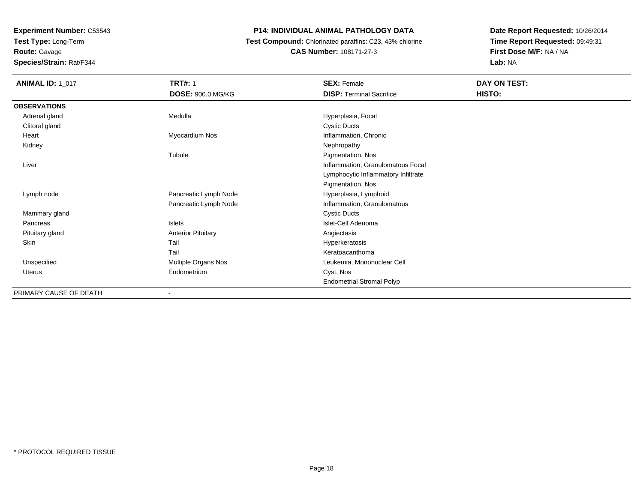**Test Type:** Long-Term**Route:** Gavage

**Species/Strain:** Rat/F344

# **P14: INDIVIDUAL ANIMAL PATHOLOGY DATA**

 **Test Compound:** Chlorinated paraffins: C23, 43% chlorine**CAS Number:** 108171-27-3

| <b>ANIMAL ID: 1_017</b> | <b>TRT#: 1</b>            | <b>SEX: Female</b>                  | DAY ON TEST: |  |
|-------------------------|---------------------------|-------------------------------------|--------------|--|
|                         | DOSE: 900.0 MG/KG         | <b>DISP: Terminal Sacrifice</b>     | HISTO:       |  |
| <b>OBSERVATIONS</b>     |                           |                                     |              |  |
| Adrenal gland           | Medulla                   | Hyperplasia, Focal                  |              |  |
| Clitoral gland          |                           | <b>Cystic Ducts</b>                 |              |  |
| Heart                   | Myocardium Nos            | Inflammation, Chronic               |              |  |
| Kidney                  |                           | Nephropathy                         |              |  |
|                         | Tubule                    | Pigmentation, Nos                   |              |  |
| Liver                   |                           | Inflammation, Granulomatous Focal   |              |  |
|                         |                           | Lymphocytic Inflammatory Infiltrate |              |  |
|                         |                           | Pigmentation, Nos                   |              |  |
| Lymph node              | Pancreatic Lymph Node     | Hyperplasia, Lymphoid               |              |  |
|                         | Pancreatic Lymph Node     | Inflammation, Granulomatous         |              |  |
| Mammary gland           |                           | <b>Cystic Ducts</b>                 |              |  |
| Pancreas                | Islets                    | Islet-Cell Adenoma                  |              |  |
| Pituitary gland         | <b>Anterior Pituitary</b> | Angiectasis                         |              |  |
| Skin                    | Tail                      | Hyperkeratosis                      |              |  |
|                         | Tail                      | Keratoacanthoma                     |              |  |
| Unspecified             | Multiple Organs Nos       | Leukemia, Mononuclear Cell          |              |  |
| Uterus                  | Endometrium               | Cyst, Nos                           |              |  |
|                         |                           | <b>Endometrial Stromal Polyp</b>    |              |  |
| DDIMADV CALICE AE DEATH |                           |                                     |              |  |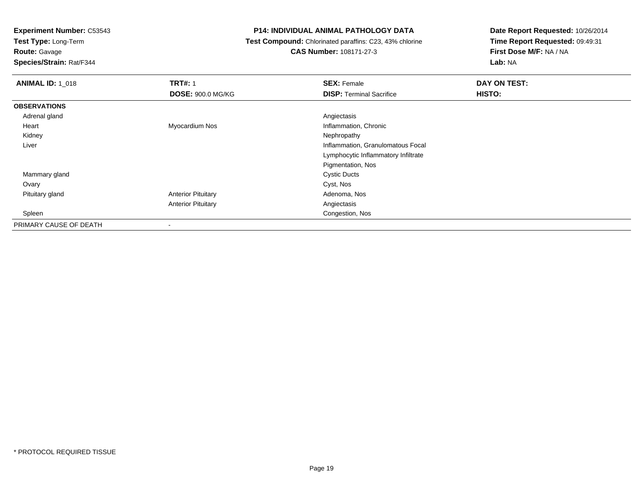**Test Type:** Long-Term

# **Route:** Gavage

**Species/Strain:** Rat/F344

# **P14: INDIVIDUAL ANIMAL PATHOLOGY DATA**

# **Test Compound:** Chlorinated paraffins: C23, 43% chlorine**CAS Number:** 108171-27-3

| <b>ANIMAL ID: 1_018</b> | <b>TRT#: 1</b>            | <b>SEX: Female</b>                  | DAY ON TEST: |
|-------------------------|---------------------------|-------------------------------------|--------------|
|                         | <b>DOSE: 900.0 MG/KG</b>  | <b>DISP: Terminal Sacrifice</b>     | HISTO:       |
| <b>OBSERVATIONS</b>     |                           |                                     |              |
| Adrenal gland           |                           | Angiectasis                         |              |
| Heart                   | Myocardium Nos            | Inflammation, Chronic               |              |
| Kidney                  |                           | Nephropathy                         |              |
| Liver                   |                           | Inflammation, Granulomatous Focal   |              |
|                         |                           | Lymphocytic Inflammatory Infiltrate |              |
|                         |                           | Pigmentation, Nos                   |              |
| Mammary gland           |                           | <b>Cystic Ducts</b>                 |              |
| Ovary                   |                           | Cyst, Nos                           |              |
| Pituitary gland         | <b>Anterior Pituitary</b> | Adenoma, Nos                        |              |
|                         | <b>Anterior Pituitary</b> | Angiectasis                         |              |
| Spleen                  |                           | Congestion, Nos                     |              |
| PRIMARY CAUSE OF DEATH  | $\blacksquare$            |                                     |              |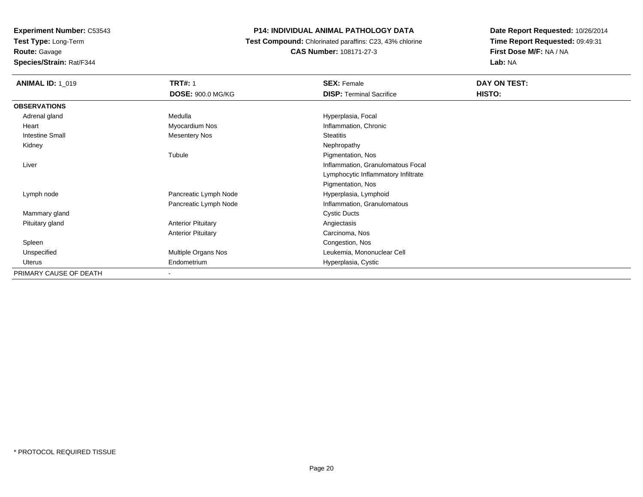**Route:** Gavage

**Species/Strain:** Rat/F344

# **P14: INDIVIDUAL ANIMAL PATHOLOGY DATA**

 **Test Compound:** Chlorinated paraffins: C23, 43% chlorine**CAS Number:** 108171-27-3

| <b>ANIMAL ID: 1_019</b> | <b>TRT#: 1</b>            | <b>SEX: Female</b>                  | DAY ON TEST: |
|-------------------------|---------------------------|-------------------------------------|--------------|
|                         | <b>DOSE: 900.0 MG/KG</b>  | <b>DISP: Terminal Sacrifice</b>     | HISTO:       |
| <b>OBSERVATIONS</b>     |                           |                                     |              |
| Adrenal gland           | Medulla                   | Hyperplasia, Focal                  |              |
| Heart                   | Myocardium Nos            | Inflammation, Chronic               |              |
| <b>Intestine Small</b>  | <b>Mesentery Nos</b>      | <b>Steatitis</b>                    |              |
| Kidney                  |                           | Nephropathy                         |              |
|                         | Tubule                    | Pigmentation, Nos                   |              |
| Liver                   |                           | Inflammation, Granulomatous Focal   |              |
|                         |                           | Lymphocytic Inflammatory Infiltrate |              |
|                         |                           | Pigmentation, Nos                   |              |
| Lymph node              | Pancreatic Lymph Node     | Hyperplasia, Lymphoid               |              |
|                         | Pancreatic Lymph Node     | Inflammation, Granulomatous         |              |
| Mammary gland           |                           | <b>Cystic Ducts</b>                 |              |
| Pituitary gland         | <b>Anterior Pituitary</b> | Angiectasis                         |              |
|                         | <b>Anterior Pituitary</b> | Carcinoma, Nos                      |              |
| Spleen                  |                           | Congestion, Nos                     |              |
| Unspecified             | Multiple Organs Nos       | Leukemia, Mononuclear Cell          |              |
| Uterus                  | Endometrium               | Hyperplasia, Cystic                 |              |
| PRIMARY CAUSE OF DEATH  | ۰                         |                                     |              |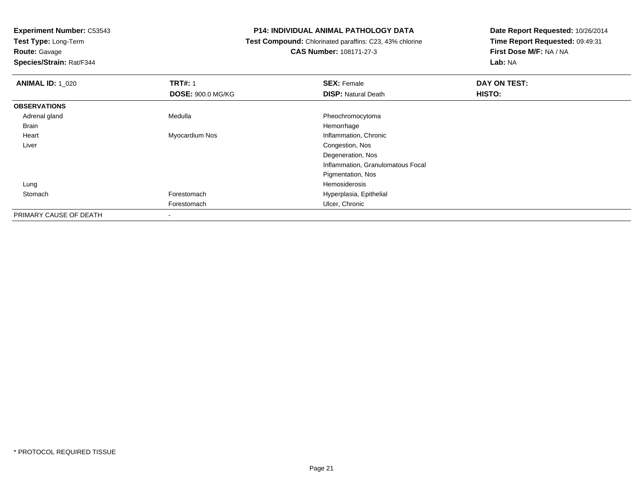**Test Type:** Long-Term

**Route:** Gavage

**Species/Strain:** Rat/F344

#### **P14: INDIVIDUAL ANIMAL PATHOLOGY DATA**

 **Test Compound:** Chlorinated paraffins: C23, 43% chlorine**CAS Number:** 108171-27-3

| <b>ANIMAL ID: 1_020</b> | <b>TRT#: 1</b>           | <b>SEX: Female</b>                | DAY ON TEST: |  |
|-------------------------|--------------------------|-----------------------------------|--------------|--|
|                         | <b>DOSE: 900.0 MG/KG</b> | <b>DISP: Natural Death</b>        | HISTO:       |  |
| <b>OBSERVATIONS</b>     |                          |                                   |              |  |
| Adrenal gland           | Medulla                  | Pheochromocytoma                  |              |  |
| Brain                   |                          | Hemorrhage                        |              |  |
| Heart                   | Myocardium Nos           | Inflammation, Chronic             |              |  |
| Liver                   |                          | Congestion, Nos                   |              |  |
|                         |                          | Degeneration, Nos                 |              |  |
|                         |                          | Inflammation, Granulomatous Focal |              |  |
|                         |                          | Pigmentation, Nos                 |              |  |
| Lung                    |                          | Hemosiderosis                     |              |  |
| Stomach                 | Forestomach              | Hyperplasia, Epithelial           |              |  |
|                         | Forestomach              | Ulcer, Chronic                    |              |  |
| PRIMARY CAUSE OF DEATH  | $\overline{\phantom{a}}$ |                                   |              |  |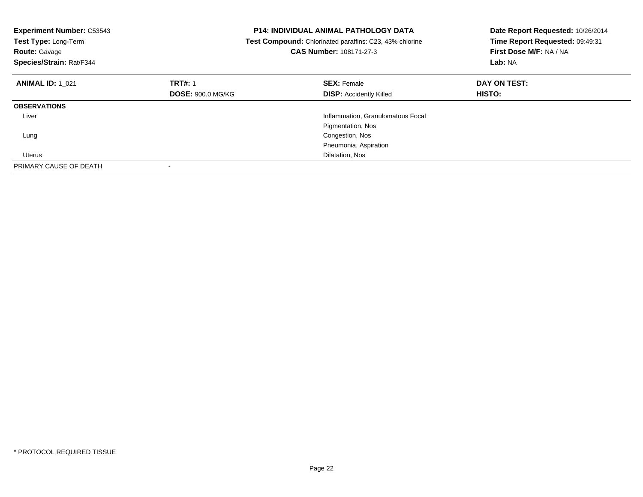| <b>Experiment Number: C53543</b><br>Test Type: Long-Term<br><b>Route: Gavage</b><br>Species/Strain: Rat/F344 |                          | <b>P14: INDIVIDUAL ANIMAL PATHOLOGY DATA</b><br>Date Report Requested: 10/26/2014<br>Time Report Requested: 09:49:31<br>Test Compound: Chlorinated paraffins: C23, 43% chlorine<br>CAS Number: 108171-27-3<br>First Dose M/F: NA / NA<br>Lab: NA |               |
|--------------------------------------------------------------------------------------------------------------|--------------------------|--------------------------------------------------------------------------------------------------------------------------------------------------------------------------------------------------------------------------------------------------|---------------|
| <b>ANIMAL ID: 1 021</b>                                                                                      | <b>TRT#: 1</b>           | <b>SEX: Female</b>                                                                                                                                                                                                                               | DAY ON TEST:  |
|                                                                                                              | <b>DOSE: 900.0 MG/KG</b> | <b>DISP:</b> Accidently Killed                                                                                                                                                                                                                   | <b>HISTO:</b> |
| <b>OBSERVATIONS</b>                                                                                          |                          |                                                                                                                                                                                                                                                  |               |
| Liver                                                                                                        |                          | Inflammation, Granulomatous Focal                                                                                                                                                                                                                |               |
|                                                                                                              |                          | Pigmentation, Nos                                                                                                                                                                                                                                |               |
| Lung                                                                                                         |                          | Congestion, Nos                                                                                                                                                                                                                                  |               |
|                                                                                                              |                          | Pneumonia, Aspiration                                                                                                                                                                                                                            |               |
| Uterus                                                                                                       |                          | Dilatation, Nos                                                                                                                                                                                                                                  |               |
| PRIMARY CAUSE OF DEATH                                                                                       |                          |                                                                                                                                                                                                                                                  |               |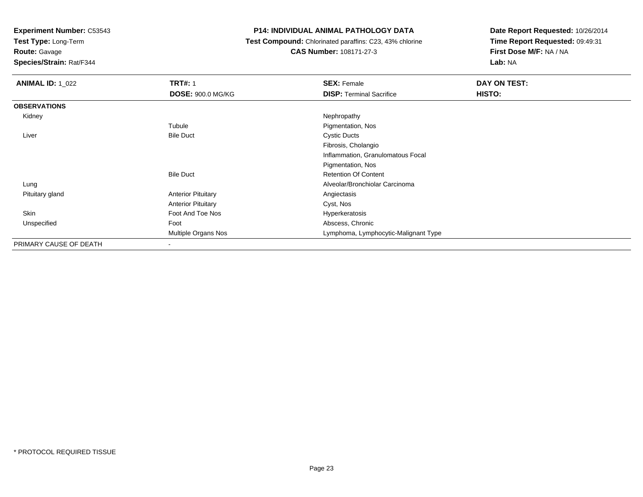**Test Type:** Long-Term

**Route:** Gavage

**Species/Strain:** Rat/F344

### **P14: INDIVIDUAL ANIMAL PATHOLOGY DATA**

 **Test Compound:** Chlorinated paraffins: C23, 43% chlorine**CAS Number:** 108171-27-3

| <b>ANIMAL ID: 1 022</b> | <b>TRT#: 1</b><br><b>DOSE: 900.0 MG/KG</b> | <b>SEX: Female</b><br><b>DISP:</b> Terminal Sacrifice | DAY ON TEST:<br>HISTO: |
|-------------------------|--------------------------------------------|-------------------------------------------------------|------------------------|
| <b>OBSERVATIONS</b>     |                                            |                                                       |                        |
| Kidney                  |                                            | Nephropathy                                           |                        |
|                         | Tubule                                     | Pigmentation, Nos                                     |                        |
| Liver                   | <b>Bile Duct</b>                           | <b>Cystic Ducts</b>                                   |                        |
|                         |                                            | Fibrosis, Cholangio                                   |                        |
|                         |                                            | Inflammation, Granulomatous Focal                     |                        |
|                         |                                            | Pigmentation, Nos                                     |                        |
|                         | <b>Bile Duct</b>                           | <b>Retention Of Content</b>                           |                        |
| Lung                    |                                            | Alveolar/Bronchiolar Carcinoma                        |                        |
| Pituitary gland         | <b>Anterior Pituitary</b>                  | Angiectasis                                           |                        |
|                         | <b>Anterior Pituitary</b>                  | Cyst, Nos                                             |                        |
| Skin                    | Foot And Toe Nos                           | Hyperkeratosis                                        |                        |
| Unspecified             | Foot                                       | Abscess, Chronic                                      |                        |
|                         | Multiple Organs Nos                        | Lymphoma, Lymphocytic-Malignant Type                  |                        |
| PRIMARY CAUSE OF DEATH  |                                            |                                                       |                        |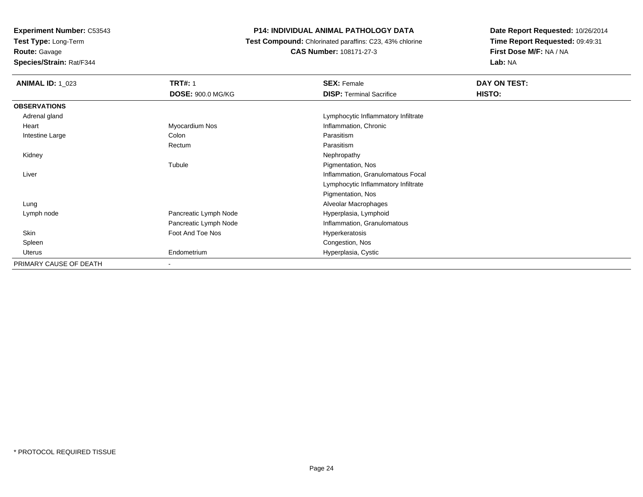**Test Type:** Long-Term

**Route:** Gavage

**Species/Strain:** Rat/F344

# **P14: INDIVIDUAL ANIMAL PATHOLOGY DATA**

 **Test Compound:** Chlorinated paraffins: C23, 43% chlorine**CAS Number:** 108171-27-3

| <b>ANIMAL ID: 1_023</b> | <b>TRT#: 1</b>           | <b>SEX: Female</b>                  | DAY ON TEST: |  |
|-------------------------|--------------------------|-------------------------------------|--------------|--|
|                         | DOSE: 900.0 MG/KG        | <b>DISP: Terminal Sacrifice</b>     | HISTO:       |  |
| <b>OBSERVATIONS</b>     |                          |                                     |              |  |
| Adrenal gland           |                          | Lymphocytic Inflammatory Infiltrate |              |  |
| Heart                   | Myocardium Nos           | Inflammation, Chronic               |              |  |
| Intestine Large         | Colon                    | Parasitism                          |              |  |
|                         | Rectum                   | Parasitism                          |              |  |
| Kidney                  |                          | Nephropathy                         |              |  |
|                         | Tubule                   | Pigmentation, Nos                   |              |  |
| Liver                   |                          | Inflammation, Granulomatous Focal   |              |  |
|                         |                          | Lymphocytic Inflammatory Infiltrate |              |  |
|                         |                          | Pigmentation, Nos                   |              |  |
| Lung                    |                          | Alveolar Macrophages                |              |  |
| Lymph node              | Pancreatic Lymph Node    | Hyperplasia, Lymphoid               |              |  |
|                         | Pancreatic Lymph Node    | Inflammation, Granulomatous         |              |  |
| Skin                    | Foot And Toe Nos         | Hyperkeratosis                      |              |  |
| Spleen                  |                          | Congestion, Nos                     |              |  |
| Uterus                  | Endometrium              | Hyperplasia, Cystic                 |              |  |
| PRIMARY CAUSE OF DEATH  | $\overline{\phantom{a}}$ |                                     |              |  |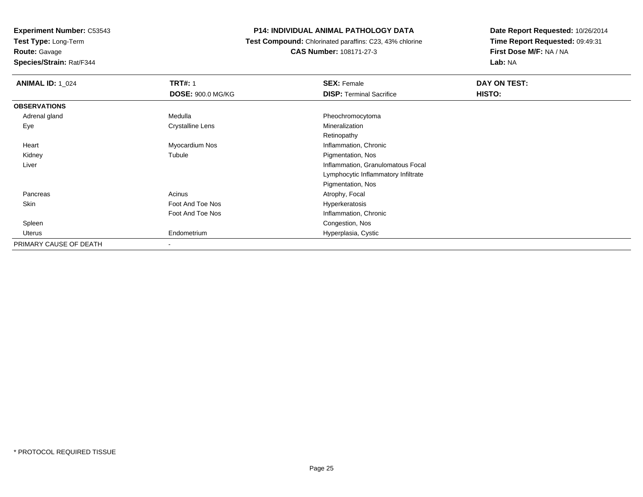**Test Type:** Long-Term

**Route:** Gavage

**Species/Strain:** Rat/F344

# **P14: INDIVIDUAL ANIMAL PATHOLOGY DATA**

 **Test Compound:** Chlorinated paraffins: C23, 43% chlorine**CAS Number:** 108171-27-3

| <b>ANIMAL ID: 1_024</b> | <b>TRT#: 1</b>          | <b>SEX: Female</b>                  | DAY ON TEST: |  |
|-------------------------|-------------------------|-------------------------------------|--------------|--|
|                         | DOSE: 900.0 MG/KG       | <b>DISP: Terminal Sacrifice</b>     | HISTO:       |  |
| <b>OBSERVATIONS</b>     |                         |                                     |              |  |
| Adrenal gland           | Medulla                 | Pheochromocytoma                    |              |  |
| Eye                     | <b>Crystalline Lens</b> | Mineralization                      |              |  |
|                         |                         | Retinopathy                         |              |  |
| Heart                   | Myocardium Nos          | Inflammation, Chronic               |              |  |
| Kidney                  | Tubule                  | Pigmentation, Nos                   |              |  |
| Liver                   |                         | Inflammation, Granulomatous Focal   |              |  |
|                         |                         | Lymphocytic Inflammatory Infiltrate |              |  |
|                         |                         | Pigmentation, Nos                   |              |  |
| Pancreas                | Acinus                  | Atrophy, Focal                      |              |  |
| Skin                    | Foot And Toe Nos        | Hyperkeratosis                      |              |  |
|                         | Foot And Toe Nos        | Inflammation, Chronic               |              |  |
| Spleen                  |                         | Congestion, Nos                     |              |  |
| Uterus                  | Endometrium             | Hyperplasia, Cystic                 |              |  |
| PRIMARY CAUSE OF DEATH  | $\blacksquare$          |                                     |              |  |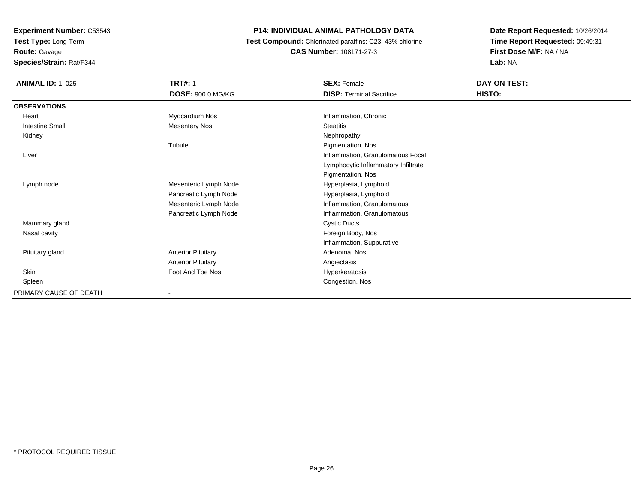**Test Type:** Long-Term

**Route:** Gavage

**Species/Strain:** Rat/F344

# **P14: INDIVIDUAL ANIMAL PATHOLOGY DATA**

 **Test Compound:** Chlorinated paraffins: C23, 43% chlorine**CAS Number:** 108171-27-3

| <b>ANIMAL ID: 1_025</b> | <b>TRT#: 1</b>            | <b>SEX: Female</b>                  | DAY ON TEST: |
|-------------------------|---------------------------|-------------------------------------|--------------|
|                         | <b>DOSE: 900.0 MG/KG</b>  | <b>DISP: Terminal Sacrifice</b>     | HISTO:       |
| <b>OBSERVATIONS</b>     |                           |                                     |              |
| Heart                   | Myocardium Nos            | Inflammation, Chronic               |              |
| <b>Intestine Small</b>  | <b>Mesentery Nos</b>      | <b>Steatitis</b>                    |              |
| Kidney                  |                           | Nephropathy                         |              |
|                         | Tubule                    | Pigmentation, Nos                   |              |
| Liver                   |                           | Inflammation, Granulomatous Focal   |              |
|                         |                           | Lymphocytic Inflammatory Infiltrate |              |
|                         |                           | Pigmentation, Nos                   |              |
| Lymph node              | Mesenteric Lymph Node     | Hyperplasia, Lymphoid               |              |
|                         | Pancreatic Lymph Node     | Hyperplasia, Lymphoid               |              |
|                         | Mesenteric Lymph Node     | Inflammation, Granulomatous         |              |
|                         | Pancreatic Lymph Node     | Inflammation, Granulomatous         |              |
| Mammary gland           |                           | <b>Cystic Ducts</b>                 |              |
| Nasal cavity            |                           | Foreign Body, Nos                   |              |
|                         |                           | Inflammation, Suppurative           |              |
| Pituitary gland         | <b>Anterior Pituitary</b> | Adenoma, Nos                        |              |
|                         | <b>Anterior Pituitary</b> | Angiectasis                         |              |
| Skin                    | Foot And Toe Nos          | Hyperkeratosis                      |              |
| Spleen                  |                           | Congestion, Nos                     |              |
| PRIMARY CAUSE OF DEATH  |                           |                                     |              |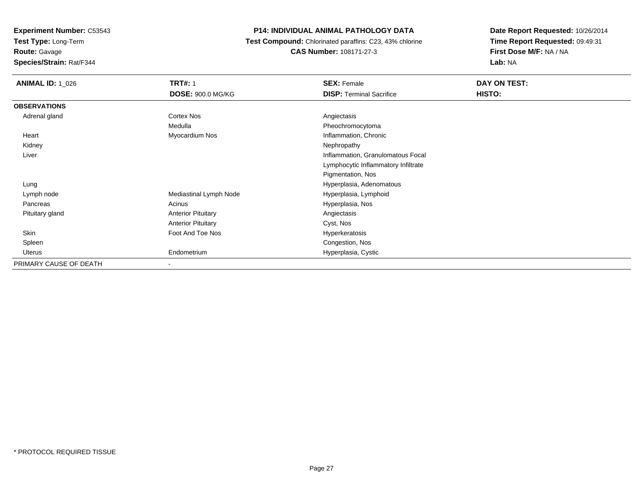**Test Type:** Long-Term

**Route:** Gavage

**Species/Strain:** Rat/F344

# **P14: INDIVIDUAL ANIMAL PATHOLOGY DATA**

 **Test Compound:** Chlorinated paraffins: C23, 43% chlorine**CAS Number:** 108171-27-3

| <b>ANIMAL ID: 1 026</b> | <b>TRT#: 1</b>            | <b>SEX: Female</b>                  | DAY ON TEST: |
|-------------------------|---------------------------|-------------------------------------|--------------|
|                         | <b>DOSE: 900.0 MG/KG</b>  | <b>DISP: Terminal Sacrifice</b>     | HISTO:       |
| <b>OBSERVATIONS</b>     |                           |                                     |              |
| Adrenal gland           | Cortex Nos                | Angiectasis                         |              |
|                         | Medulla                   | Pheochromocytoma                    |              |
| Heart                   | Myocardium Nos            | Inflammation, Chronic               |              |
| Kidney                  |                           | Nephropathy                         |              |
| Liver                   |                           | Inflammation, Granulomatous Focal   |              |
|                         |                           | Lymphocytic Inflammatory Infiltrate |              |
|                         |                           | Pigmentation, Nos                   |              |
| Lung                    |                           | Hyperplasia, Adenomatous            |              |
| Lymph node              | Mediastinal Lymph Node    | Hyperplasia, Lymphoid               |              |
| Pancreas                | Acinus                    | Hyperplasia, Nos                    |              |
| Pituitary gland         | <b>Anterior Pituitary</b> | Angiectasis                         |              |
|                         | <b>Anterior Pituitary</b> | Cyst, Nos                           |              |
| Skin                    | Foot And Toe Nos          | Hyperkeratosis                      |              |
| Spleen                  |                           | Congestion, Nos                     |              |
| Uterus                  | Endometrium               | Hyperplasia, Cystic                 |              |
| PRIMARY CAUSE OF DEATH  | ٠                         |                                     |              |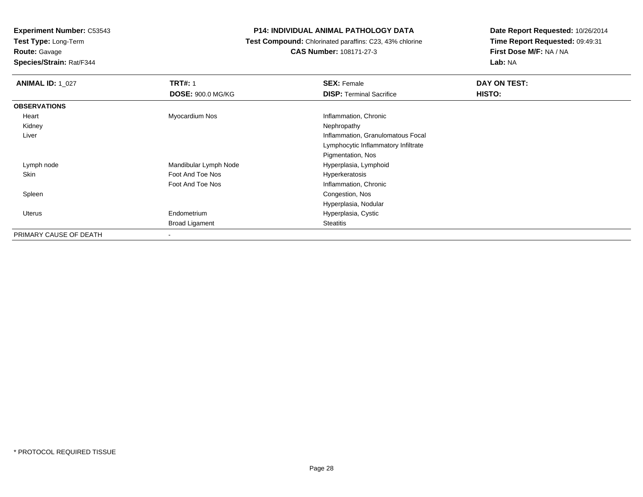**Test Type:** Long-Term

**Route:** Gavage

**Species/Strain:** Rat/F344

# **P14: INDIVIDUAL ANIMAL PATHOLOGY DATA**

 **Test Compound:** Chlorinated paraffins: C23, 43% chlorine**CAS Number:** 108171-27-3

| <b>ANIMAL ID: 1 027</b> | <b>TRT#: 1</b>           | <b>SEX: Female</b>                  | DAY ON TEST: |
|-------------------------|--------------------------|-------------------------------------|--------------|
|                         | <b>DOSE: 900.0 MG/KG</b> | <b>DISP: Terminal Sacrifice</b>     | HISTO:       |
| <b>OBSERVATIONS</b>     |                          |                                     |              |
| Heart                   | Myocardium Nos           | Inflammation, Chronic               |              |
| Kidney                  |                          | Nephropathy                         |              |
| Liver                   |                          | Inflammation, Granulomatous Focal   |              |
|                         |                          | Lymphocytic Inflammatory Infiltrate |              |
|                         |                          | Pigmentation, Nos                   |              |
| Lymph node              | Mandibular Lymph Node    | Hyperplasia, Lymphoid               |              |
| Skin                    | Foot And Toe Nos         | Hyperkeratosis                      |              |
|                         | Foot And Toe Nos         | Inflammation, Chronic               |              |
| Spleen                  |                          | Congestion, Nos                     |              |
|                         |                          | Hyperplasia, Nodular                |              |
| Uterus                  | Endometrium              | Hyperplasia, Cystic                 |              |
|                         | <b>Broad Ligament</b>    | <b>Steatitis</b>                    |              |
| PRIMARY CAUSE OF DEATH  | $\overline{\phantom{a}}$ |                                     |              |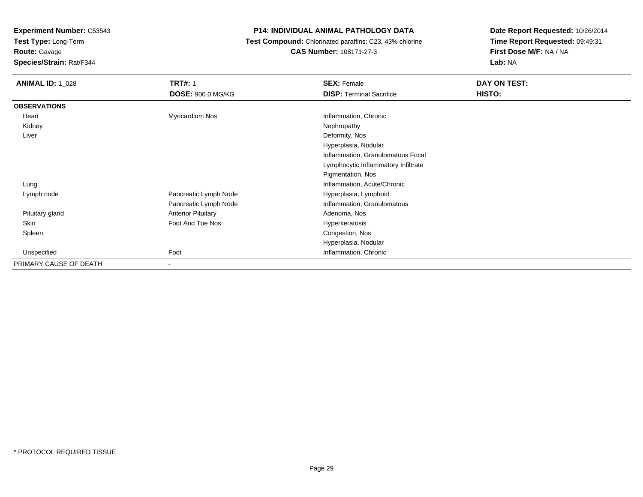**Test Type:** Long-Term

**Route:** Gavage

**Species/Strain:** Rat/F344

# **P14: INDIVIDUAL ANIMAL PATHOLOGY DATA**

 **Test Compound:** Chlorinated paraffins: C23, 43% chlorine**CAS Number:** 108171-27-3

| <b>ANIMAL ID: 1_028</b> | <b>TRT#: 1</b>            | <b>SEX: Female</b>                  | DAY ON TEST: |
|-------------------------|---------------------------|-------------------------------------|--------------|
|                         | <b>DOSE: 900.0 MG/KG</b>  | <b>DISP: Terminal Sacrifice</b>     | HISTO:       |
| <b>OBSERVATIONS</b>     |                           |                                     |              |
| Heart                   | Myocardium Nos            | Inflammation, Chronic               |              |
| Kidney                  |                           | Nephropathy                         |              |
| Liver                   |                           | Deformity, Nos                      |              |
|                         |                           | Hyperplasia, Nodular                |              |
|                         |                           | Inflammation, Granulomatous Focal   |              |
|                         |                           | Lymphocytic Inflammatory Infiltrate |              |
|                         |                           | Pigmentation, Nos                   |              |
| Lung                    |                           | Inflammation, Acute/Chronic         |              |
| Lymph node              | Pancreatic Lymph Node     | Hyperplasia, Lymphoid               |              |
|                         | Pancreatic Lymph Node     | Inflammation, Granulomatous         |              |
| Pituitary gland         | <b>Anterior Pituitary</b> | Adenoma, Nos                        |              |
| Skin                    | Foot And Toe Nos          | Hyperkeratosis                      |              |
| Spleen                  |                           | Congestion, Nos                     |              |
|                         |                           | Hyperplasia, Nodular                |              |
| Unspecified             | Foot                      | Inflammation, Chronic               |              |
| PRIMARY CAUSE OF DEATH  | ٠                         |                                     |              |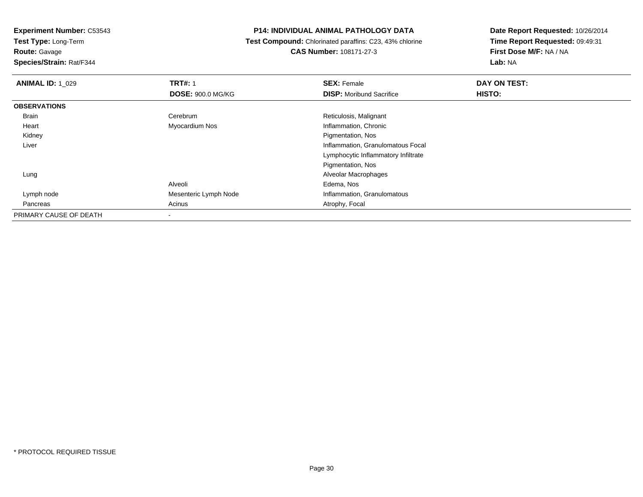**Test Type:** Long-Term

**Route:** Gavage

**Species/Strain:** Rat/F344

#### **P14: INDIVIDUAL ANIMAL PATHOLOGY DATA**

 **Test Compound:** Chlorinated paraffins: C23, 43% chlorine**CAS Number:** 108171-27-3

| <b>ANIMAL ID: 1 029</b> | <b>TRT#: 1</b>           | <b>SEX: Female</b>                  | DAY ON TEST: |  |
|-------------------------|--------------------------|-------------------------------------|--------------|--|
|                         | <b>DOSE: 900.0 MG/KG</b> | <b>DISP:</b> Moribund Sacrifice     | HISTO:       |  |
| <b>OBSERVATIONS</b>     |                          |                                     |              |  |
| Brain                   | Cerebrum                 | Reticulosis, Malignant              |              |  |
| Heart                   | Myocardium Nos           | Inflammation, Chronic               |              |  |
| Kidney                  |                          | Pigmentation, Nos                   |              |  |
| Liver                   |                          | Inflammation, Granulomatous Focal   |              |  |
|                         |                          | Lymphocytic Inflammatory Infiltrate |              |  |
|                         |                          | Pigmentation, Nos                   |              |  |
| Lung                    |                          | Alveolar Macrophages                |              |  |
|                         | Alveoli                  | Edema, Nos                          |              |  |
| Lymph node              | Mesenteric Lymph Node    | Inflammation, Granulomatous         |              |  |
| Pancreas                | Acinus                   | Atrophy, Focal                      |              |  |
| PRIMARY CAUSE OF DEATH  |                          |                                     |              |  |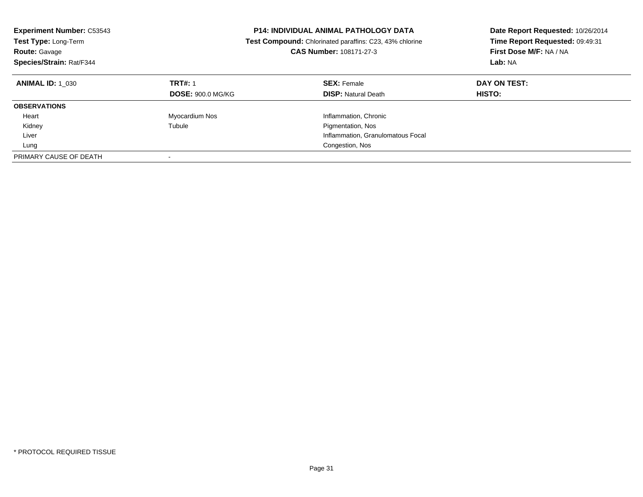| <b>Experiment Number: C53543</b><br>Test Type: Long-Term<br><b>Route: Gavage</b><br>Species/Strain: Rat/F344 |                                            | <b>P14: INDIVIDUAL ANIMAL PATHOLOGY DATA</b><br>Test Compound: Chlorinated paraffins: C23, 43% chlorine<br>CAS Number: 108171-27-3 | Date Report Requested: 10/26/2014<br>Time Report Requested: 09:49:31<br>First Dose M/F: NA / NA<br>Lab: NA |
|--------------------------------------------------------------------------------------------------------------|--------------------------------------------|------------------------------------------------------------------------------------------------------------------------------------|------------------------------------------------------------------------------------------------------------|
| <b>ANIMAL ID: 1 030</b>                                                                                      | <b>TRT#: 1</b><br><b>DOSE: 900.0 MG/KG</b> | <b>SEX: Female</b><br><b>DISP:</b> Natural Death                                                                                   | DAY ON TEST:<br>HISTO:                                                                                     |
| <b>OBSERVATIONS</b>                                                                                          |                                            |                                                                                                                                    |                                                                                                            |
| Heart                                                                                                        | Myocardium Nos                             | Inflammation, Chronic                                                                                                              |                                                                                                            |
| Kidney                                                                                                       | Tubule                                     | Pigmentation, Nos                                                                                                                  |                                                                                                            |
| Liver                                                                                                        |                                            | Inflammation, Granulomatous Focal                                                                                                  |                                                                                                            |
| Lung                                                                                                         |                                            | Congestion, Nos                                                                                                                    |                                                                                                            |
| PRIMARY CAUSE OF DEATH                                                                                       |                                            |                                                                                                                                    |                                                                                                            |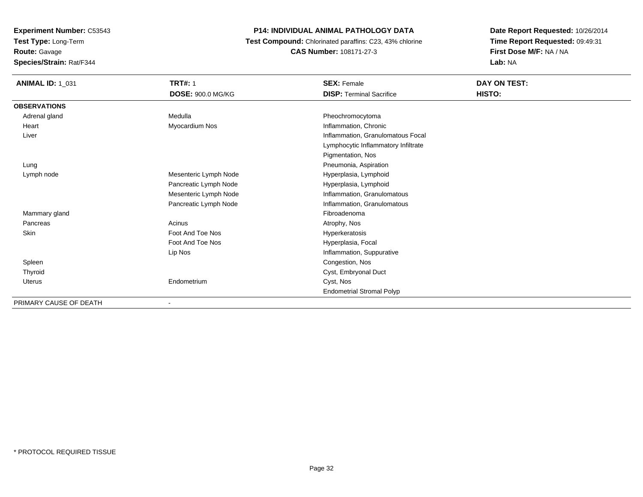**Test Type:** Long-Term

**Route:** Gavage

**Species/Strain:** Rat/F344

# **P14: INDIVIDUAL ANIMAL PATHOLOGY DATA**

 **Test Compound:** Chlorinated paraffins: C23, 43% chlorine**CAS Number:** 108171-27-3

| <b>ANIMAL ID: 1_031</b> | <b>TRT#: 1</b>           | <b>SEX: Female</b>                  | DAY ON TEST: |  |
|-------------------------|--------------------------|-------------------------------------|--------------|--|
|                         | <b>DOSE: 900.0 MG/KG</b> | <b>DISP: Terminal Sacrifice</b>     | HISTO:       |  |
| <b>OBSERVATIONS</b>     |                          |                                     |              |  |
| Adrenal gland           | Medulla                  | Pheochromocytoma                    |              |  |
| Heart                   | Myocardium Nos           | Inflammation, Chronic               |              |  |
| Liver                   |                          | Inflammation, Granulomatous Focal   |              |  |
|                         |                          | Lymphocytic Inflammatory Infiltrate |              |  |
|                         |                          | Pigmentation, Nos                   |              |  |
| Lung                    |                          | Pneumonia, Aspiration               |              |  |
| Lymph node              | Mesenteric Lymph Node    | Hyperplasia, Lymphoid               |              |  |
|                         | Pancreatic Lymph Node    | Hyperplasia, Lymphoid               |              |  |
|                         | Mesenteric Lymph Node    | Inflammation, Granulomatous         |              |  |
|                         | Pancreatic Lymph Node    | Inflammation, Granulomatous         |              |  |
| Mammary gland           |                          | Fibroadenoma                        |              |  |
| Pancreas                | Acinus                   | Atrophy, Nos                        |              |  |
| Skin                    | Foot And Toe Nos         | Hyperkeratosis                      |              |  |
|                         | Foot And Toe Nos         | Hyperplasia, Focal                  |              |  |
|                         | Lip Nos                  | Inflammation, Suppurative           |              |  |
| Spleen                  |                          | Congestion, Nos                     |              |  |
| Thyroid                 |                          | Cyst, Embryonal Duct                |              |  |
| Uterus                  | Endometrium              | Cyst, Nos                           |              |  |
|                         |                          | <b>Endometrial Stromal Polyp</b>    |              |  |
| PRIMARY CAUSE OF DEATH  |                          |                                     |              |  |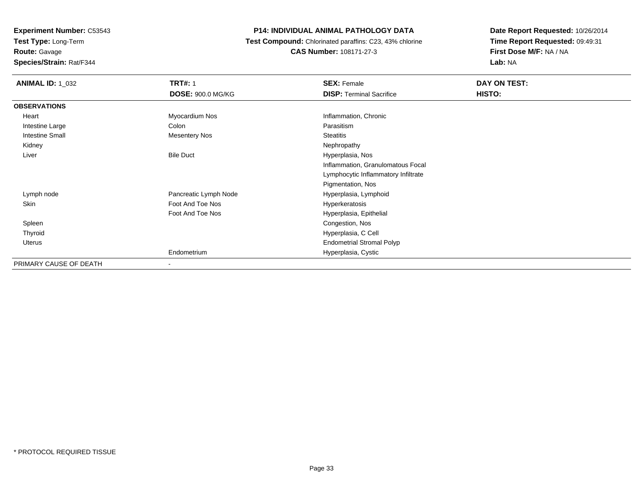**Experiment Number:** C53543**Test Type:** Long-Term**Route:** Gavage

**Species/Strain:** Rat/F344

#### **P14: INDIVIDUAL ANIMAL PATHOLOGY DATA**

 **Test Compound:** Chlorinated paraffins: C23, 43% chlorine**CAS Number:** 108171-27-3

| <b>ANIMAL ID: 1 032</b> | <b>TRT#: 1</b>           | <b>SEX: Female</b>                  | DAY ON TEST: |
|-------------------------|--------------------------|-------------------------------------|--------------|
|                         | <b>DOSE: 900.0 MG/KG</b> | <b>DISP: Terminal Sacrifice</b>     | HISTO:       |
| <b>OBSERVATIONS</b>     |                          |                                     |              |
| Heart                   | Myocardium Nos           | Inflammation, Chronic               |              |
| Intestine Large         | Colon                    | Parasitism                          |              |
| <b>Intestine Small</b>  | <b>Mesentery Nos</b>     | <b>Steatitis</b>                    |              |
| Kidney                  |                          | Nephropathy                         |              |
| Liver                   | <b>Bile Duct</b>         | Hyperplasia, Nos                    |              |
|                         |                          | Inflammation, Granulomatous Focal   |              |
|                         |                          | Lymphocytic Inflammatory Infiltrate |              |
|                         |                          | Pigmentation, Nos                   |              |
| Lymph node              | Pancreatic Lymph Node    | Hyperplasia, Lymphoid               |              |
| Skin                    | Foot And Toe Nos         | Hyperkeratosis                      |              |
|                         | Foot And Toe Nos         | Hyperplasia, Epithelial             |              |
| Spleen                  |                          | Congestion, Nos                     |              |
| Thyroid                 |                          | Hyperplasia, C Cell                 |              |
| Uterus                  |                          | <b>Endometrial Stromal Polyp</b>    |              |
|                         | Endometrium              | Hyperplasia, Cystic                 |              |
| PRIMARY CAUSE OF DEATH  | $\,$                     |                                     |              |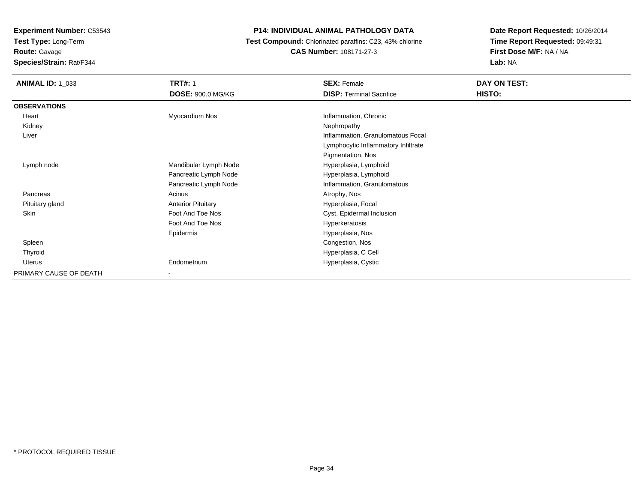**Route:** Gavage

**Species/Strain:** Rat/F344

# **P14: INDIVIDUAL ANIMAL PATHOLOGY DATA**

 **Test Compound:** Chlorinated paraffins: C23, 43% chlorine**CAS Number:** 108171-27-3

| <b>ANIMAL ID: 1_033</b> | <b>TRT#: 1</b><br><b>DOSE: 900.0 MG/KG</b> | <b>SEX: Female</b><br><b>DISP: Terminal Sacrifice</b> | DAY ON TEST:<br>HISTO: |
|-------------------------|--------------------------------------------|-------------------------------------------------------|------------------------|
| <b>OBSERVATIONS</b>     |                                            |                                                       |                        |
| Heart                   | Myocardium Nos                             | Inflammation, Chronic                                 |                        |
| Kidney                  |                                            | Nephropathy                                           |                        |
| Liver                   |                                            | Inflammation, Granulomatous Focal                     |                        |
|                         |                                            | Lymphocytic Inflammatory Infiltrate                   |                        |
|                         |                                            | Pigmentation, Nos                                     |                        |
| Lymph node              | Mandibular Lymph Node                      | Hyperplasia, Lymphoid                                 |                        |
|                         | Pancreatic Lymph Node                      | Hyperplasia, Lymphoid                                 |                        |
|                         | Pancreatic Lymph Node                      | Inflammation, Granulomatous                           |                        |
| Pancreas                | Acinus                                     | Atrophy, Nos                                          |                        |
| Pituitary gland         | <b>Anterior Pituitary</b>                  | Hyperplasia, Focal                                    |                        |
| <b>Skin</b>             | Foot And Toe Nos                           | Cyst, Epidermal Inclusion                             |                        |
|                         | Foot And Toe Nos                           | Hyperkeratosis                                        |                        |
|                         | Epidermis                                  | Hyperplasia, Nos                                      |                        |
| Spleen                  |                                            | Congestion, Nos                                       |                        |
| Thyroid                 |                                            | Hyperplasia, C Cell                                   |                        |
| Uterus                  | Endometrium                                | Hyperplasia, Cystic                                   |                        |
| PRIMARY CAUSE OF DEATH  | $\blacksquare$                             |                                                       |                        |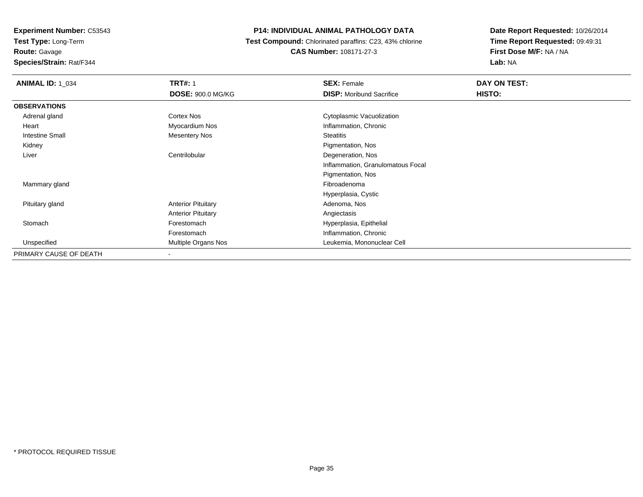**Route:** Gavage

**Species/Strain:** Rat/F344

# **P14: INDIVIDUAL ANIMAL PATHOLOGY DATA**

 **Test Compound:** Chlorinated paraffins: C23, 43% chlorine**CAS Number:** 108171-27-3

| <b>ANIMAL ID: 1_034</b> | <b>TRT#: 1</b>            | <b>SEX: Female</b>                | DAY ON TEST: |
|-------------------------|---------------------------|-----------------------------------|--------------|
|                         | <b>DOSE: 900.0 MG/KG</b>  | <b>DISP:</b> Moribund Sacrifice   | HISTO:       |
| <b>OBSERVATIONS</b>     |                           |                                   |              |
| Adrenal gland           | Cortex Nos                | Cytoplasmic Vacuolization         |              |
| Heart                   | Myocardium Nos            | Inflammation, Chronic             |              |
| Intestine Small         | Mesentery Nos             | <b>Steatitis</b>                  |              |
| Kidney                  |                           | Pigmentation, Nos                 |              |
| Liver                   | Centrilobular             | Degeneration, Nos                 |              |
|                         |                           | Inflammation, Granulomatous Focal |              |
|                         |                           | Pigmentation, Nos                 |              |
| Mammary gland           |                           | Fibroadenoma                      |              |
|                         |                           | Hyperplasia, Cystic               |              |
| Pituitary gland         | <b>Anterior Pituitary</b> | Adenoma, Nos                      |              |
|                         | <b>Anterior Pituitary</b> | Angiectasis                       |              |
| Stomach                 | Forestomach               | Hyperplasia, Epithelial           |              |
|                         | Forestomach               | Inflammation, Chronic             |              |
| Unspecified             | Multiple Organs Nos       | Leukemia, Mononuclear Cell        |              |
| PRIMARY CAUSE OF DEATH  | $\overline{\phantom{a}}$  |                                   |              |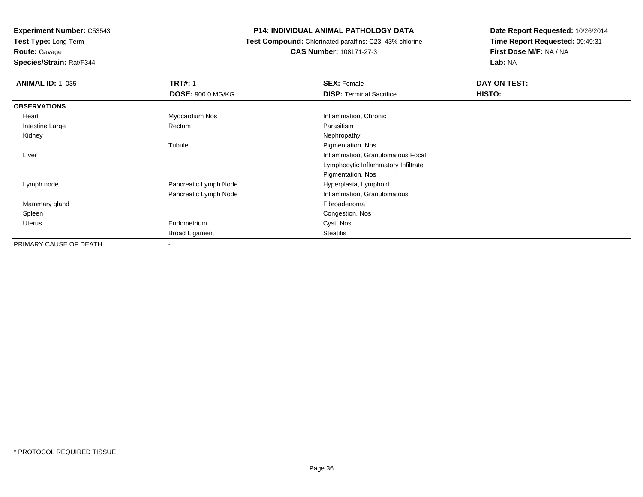**Test Type:** Long-Term

**Route:** Gavage

**Species/Strain:** Rat/F344

# **P14: INDIVIDUAL ANIMAL PATHOLOGY DATA**

 **Test Compound:** Chlorinated paraffins: C23, 43% chlorine**CAS Number:** 108171-27-3

| <b>ANIMAL ID: 1_035</b> | <b>TRT#: 1</b><br><b>DOSE: 900.0 MG/KG</b> | <b>SEX: Female</b><br><b>DISP: Terminal Sacrifice</b> | DAY ON TEST:<br>HISTO: |
|-------------------------|--------------------------------------------|-------------------------------------------------------|------------------------|
| <b>OBSERVATIONS</b>     |                                            |                                                       |                        |
| Heart                   | Myocardium Nos                             | Inflammation, Chronic                                 |                        |
| Intestine Large         | Rectum                                     | Parasitism                                            |                        |
| Kidney                  |                                            | Nephropathy                                           |                        |
|                         | Tubule                                     | Pigmentation, Nos                                     |                        |
| Liver                   |                                            | Inflammation, Granulomatous Focal                     |                        |
|                         |                                            | Lymphocytic Inflammatory Infiltrate                   |                        |
|                         |                                            | Pigmentation, Nos                                     |                        |
| Lymph node              | Pancreatic Lymph Node                      | Hyperplasia, Lymphoid                                 |                        |
|                         | Pancreatic Lymph Node                      | Inflammation, Granulomatous                           |                        |
| Mammary gland           |                                            | Fibroadenoma                                          |                        |
| Spleen                  |                                            | Congestion, Nos                                       |                        |
| <b>Uterus</b>           | Endometrium                                | Cyst, Nos                                             |                        |
|                         | <b>Broad Ligament</b>                      | <b>Steatitis</b>                                      |                        |
| PRIMARY CAUSE OF DEATH  | $\overline{\phantom{a}}$                   |                                                       |                        |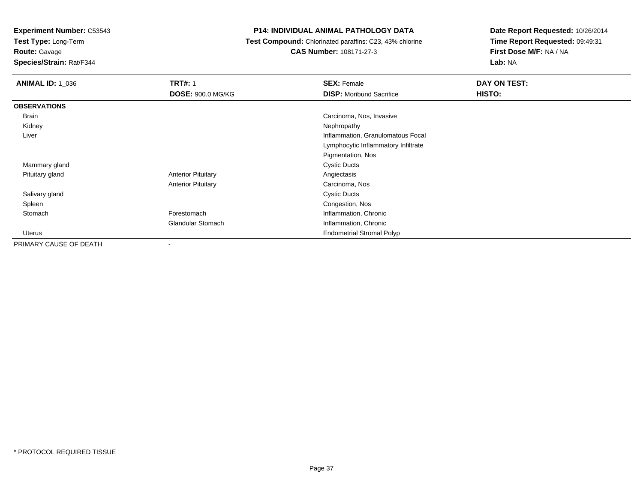**Test Type:** Long-Term

# **Route:** Gavage

**Species/Strain:** Rat/F344

#### **P14: INDIVIDUAL ANIMAL PATHOLOGY DATA**

#### **Test Compound:** Chlorinated paraffins: C23, 43% chlorine**CAS Number:** 108171-27-3

| <b>ANIMAL ID: 1_036</b> | <b>TRT#: 1</b>            | <b>SEX: Female</b>                  | DAY ON TEST: |
|-------------------------|---------------------------|-------------------------------------|--------------|
|                         | <b>DOSE: 900.0 MG/KG</b>  | <b>DISP:</b> Moribund Sacrifice     | HISTO:       |
| <b>OBSERVATIONS</b>     |                           |                                     |              |
| Brain                   |                           | Carcinoma, Nos, Invasive            |              |
| Kidney                  |                           | Nephropathy                         |              |
| Liver                   |                           | Inflammation, Granulomatous Focal   |              |
|                         |                           | Lymphocytic Inflammatory Infiltrate |              |
|                         |                           | Pigmentation, Nos                   |              |
| Mammary gland           |                           | <b>Cystic Ducts</b>                 |              |
| Pituitary gland         | <b>Anterior Pituitary</b> | Angiectasis                         |              |
|                         | <b>Anterior Pituitary</b> | Carcinoma, Nos                      |              |
| Salivary gland          |                           | <b>Cystic Ducts</b>                 |              |
| Spleen                  |                           | Congestion, Nos                     |              |
| Stomach                 | Forestomach               | Inflammation, Chronic               |              |
|                         | <b>Glandular Stomach</b>  | Inflammation, Chronic               |              |
| Uterus                  |                           | <b>Endometrial Stromal Polyp</b>    |              |
| PRIMARY CAUSE OF DEATH  |                           |                                     |              |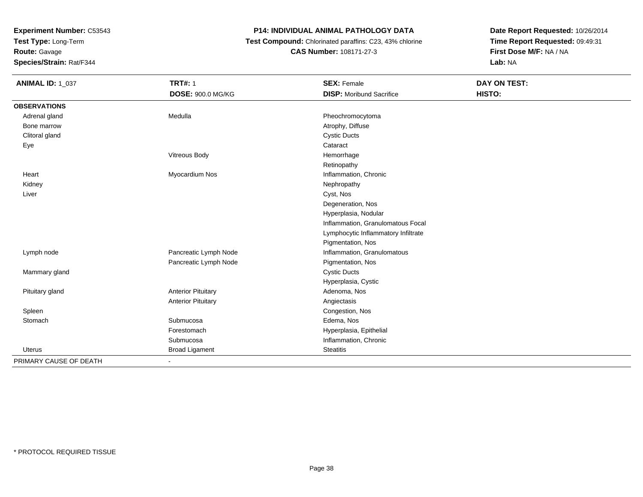**Test Type:** Long-Term

**Route:** Gavage

**Species/Strain:** Rat/F344

#### **P14: INDIVIDUAL ANIMAL PATHOLOGY DATA**

 **Test Compound:** Chlorinated paraffins: C23, 43% chlorine**CAS Number:** 108171-27-3

| <b>ANIMAL ID: 1_037</b> | <b>TRT#: 1</b>            | <b>SEX: Female</b>                  | <b>DAY ON TEST:</b> |
|-------------------------|---------------------------|-------------------------------------|---------------------|
|                         | DOSE: 900.0 MG/KG         | <b>DISP:</b> Moribund Sacrifice     | HISTO:              |
| <b>OBSERVATIONS</b>     |                           |                                     |                     |
| Adrenal gland           | Medulla                   | Pheochromocytoma                    |                     |
| Bone marrow             |                           | Atrophy, Diffuse                    |                     |
| Clitoral gland          |                           | <b>Cystic Ducts</b>                 |                     |
| Eye                     |                           | Cataract                            |                     |
|                         | Vitreous Body             | Hemorrhage                          |                     |
|                         |                           | Retinopathy                         |                     |
| Heart                   | Myocardium Nos            | Inflammation, Chronic               |                     |
| Kidney                  |                           | Nephropathy                         |                     |
| Liver                   |                           | Cyst, Nos                           |                     |
|                         |                           | Degeneration, Nos                   |                     |
|                         |                           | Hyperplasia, Nodular                |                     |
|                         |                           | Inflammation, Granulomatous Focal   |                     |
|                         |                           | Lymphocytic Inflammatory Infiltrate |                     |
|                         |                           | Pigmentation, Nos                   |                     |
| Lymph node              | Pancreatic Lymph Node     | Inflammation, Granulomatous         |                     |
|                         | Pancreatic Lymph Node     | Pigmentation, Nos                   |                     |
| Mammary gland           |                           | <b>Cystic Ducts</b>                 |                     |
|                         |                           | Hyperplasia, Cystic                 |                     |
| Pituitary gland         | <b>Anterior Pituitary</b> | Adenoma, Nos                        |                     |
|                         | <b>Anterior Pituitary</b> | Angiectasis                         |                     |
| Spleen                  |                           | Congestion, Nos                     |                     |
| Stomach                 | Submucosa                 | Edema, Nos                          |                     |
|                         | Forestomach               | Hyperplasia, Epithelial             |                     |
|                         | Submucosa                 | Inflammation, Chronic               |                     |
| Uterus                  | <b>Broad Ligament</b>     | <b>Steatitis</b>                    |                     |
| PRIMARY CAUSE OF DEATH  |                           |                                     |                     |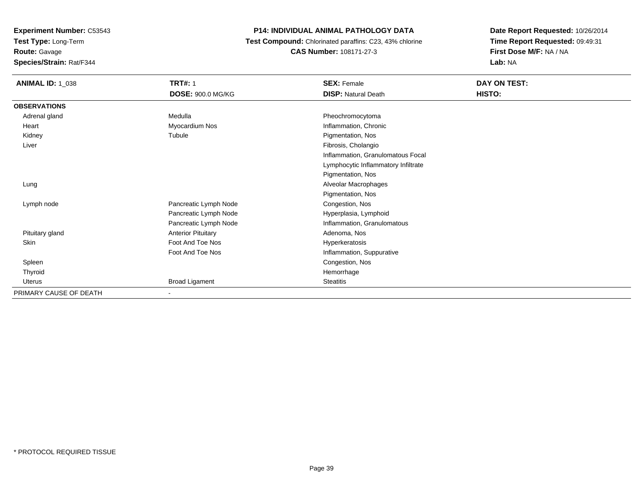**Test Type:** Long-Term

**Route:** Gavage

**Species/Strain:** Rat/F344

#### **P14: INDIVIDUAL ANIMAL PATHOLOGY DATA**

 **Test Compound:** Chlorinated paraffins: C23, 43% chlorine**CAS Number:** 108171-27-3

| <b>ANIMAL ID: 1_038</b> | <b>TRT#: 1</b>            | <b>SEX: Female</b>                  | DAY ON TEST: |  |
|-------------------------|---------------------------|-------------------------------------|--------------|--|
|                         | <b>DOSE: 900.0 MG/KG</b>  | <b>DISP: Natural Death</b>          | HISTO:       |  |
| <b>OBSERVATIONS</b>     |                           |                                     |              |  |
| Adrenal gland           | Medulla                   | Pheochromocytoma                    |              |  |
| Heart                   | Myocardium Nos            | Inflammation, Chronic               |              |  |
| Kidney                  | Tubule                    | Pigmentation, Nos                   |              |  |
| Liver                   |                           | Fibrosis, Cholangio                 |              |  |
|                         |                           | Inflammation, Granulomatous Focal   |              |  |
|                         |                           | Lymphocytic Inflammatory Infiltrate |              |  |
|                         |                           | Pigmentation, Nos                   |              |  |
| Lung                    |                           | Alveolar Macrophages                |              |  |
|                         |                           | Pigmentation, Nos                   |              |  |
| Lymph node              | Pancreatic Lymph Node     | Congestion, Nos                     |              |  |
|                         | Pancreatic Lymph Node     | Hyperplasia, Lymphoid               |              |  |
|                         | Pancreatic Lymph Node     | Inflammation, Granulomatous         |              |  |
| Pituitary gland         | <b>Anterior Pituitary</b> | Adenoma, Nos                        |              |  |
| Skin                    | Foot And Toe Nos          | Hyperkeratosis                      |              |  |
|                         | Foot And Toe Nos          | Inflammation, Suppurative           |              |  |
| Spleen                  |                           | Congestion, Nos                     |              |  |
| Thyroid                 |                           | Hemorrhage                          |              |  |
| Uterus                  | <b>Broad Ligament</b>     | Steatitis                           |              |  |
| PRIMARY CAUSE OF DEATH  |                           |                                     |              |  |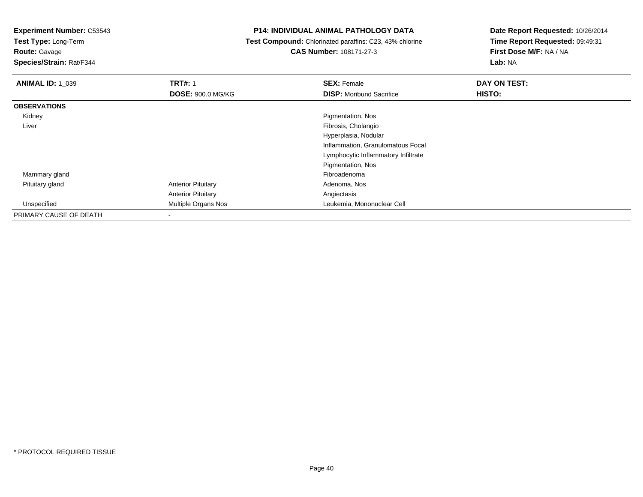**Test Type:** Long-Term

# **Route:** Gavage

**Species/Strain:** Rat/F344

#### **P14: INDIVIDUAL ANIMAL PATHOLOGY DATA**

#### **Test Compound:** Chlorinated paraffins: C23, 43% chlorine**CAS Number:** 108171-27-3

| <b>ANIMAL ID: 1 039</b> | <b>TRT#: 1</b>            | <b>SEX: Female</b>                  | DAY ON TEST:  |  |
|-------------------------|---------------------------|-------------------------------------|---------------|--|
|                         | <b>DOSE: 900.0 MG/KG</b>  | <b>DISP:</b> Moribund Sacrifice     | <b>HISTO:</b> |  |
| <b>OBSERVATIONS</b>     |                           |                                     |               |  |
| Kidney                  |                           | Pigmentation, Nos                   |               |  |
| Liver                   |                           | Fibrosis, Cholangio                 |               |  |
|                         |                           | Hyperplasia, Nodular                |               |  |
|                         |                           | Inflammation, Granulomatous Focal   |               |  |
|                         |                           | Lymphocytic Inflammatory Infiltrate |               |  |
|                         |                           | Pigmentation, Nos                   |               |  |
| Mammary gland           |                           | Fibroadenoma                        |               |  |
| Pituitary gland         | <b>Anterior Pituitary</b> | Adenoma, Nos                        |               |  |
|                         | <b>Anterior Pituitary</b> | Angiectasis                         |               |  |
| Unspecified             | Multiple Organs Nos       | Leukemia, Mononuclear Cell          |               |  |
| PRIMARY CAUSE OF DEATH  | $\overline{\phantom{0}}$  |                                     |               |  |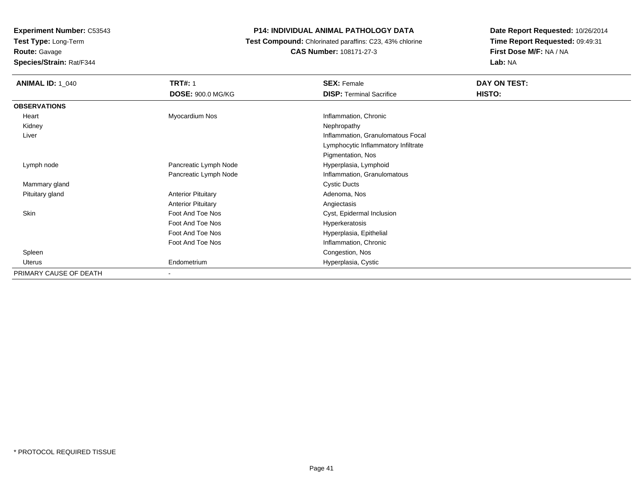**Test Type:** Long-Term**Route:** Gavage

**Species/Strain:** Rat/F344

#### **P14: INDIVIDUAL ANIMAL PATHOLOGY DATA**

 **Test Compound:** Chlorinated paraffins: C23, 43% chlorine**CAS Number:** 108171-27-3

| <b>ANIMAL ID: 1_040</b> | <b>TRT#: 1</b><br><b>DOSE: 900.0 MG/KG</b> | <b>SEX: Female</b><br><b>DISP: Terminal Sacrifice</b> | DAY ON TEST:<br>HISTO: |
|-------------------------|--------------------------------------------|-------------------------------------------------------|------------------------|
| <b>OBSERVATIONS</b>     |                                            |                                                       |                        |
| Heart                   | Myocardium Nos                             | Inflammation, Chronic                                 |                        |
| Kidney                  |                                            | Nephropathy                                           |                        |
| Liver                   |                                            | Inflammation, Granulomatous Focal                     |                        |
|                         |                                            | Lymphocytic Inflammatory Infiltrate                   |                        |
|                         |                                            | Pigmentation, Nos                                     |                        |
| Lymph node              | Pancreatic Lymph Node                      | Hyperplasia, Lymphoid                                 |                        |
|                         | Pancreatic Lymph Node                      | Inflammation, Granulomatous                           |                        |
| Mammary gland           |                                            | <b>Cystic Ducts</b>                                   |                        |
| Pituitary gland         | <b>Anterior Pituitary</b>                  | Adenoma, Nos                                          |                        |
|                         | <b>Anterior Pituitary</b>                  | Angiectasis                                           |                        |
| Skin                    | Foot And Toe Nos                           | Cyst, Epidermal Inclusion                             |                        |
|                         | Foot And Toe Nos                           | Hyperkeratosis                                        |                        |
|                         | Foot And Toe Nos                           | Hyperplasia, Epithelial                               |                        |
|                         | Foot And Toe Nos                           | Inflammation, Chronic                                 |                        |
| Spleen                  |                                            | Congestion, Nos                                       |                        |
| Uterus                  | Endometrium                                | Hyperplasia, Cystic                                   |                        |
| PRIMARY CAUSE OF DEATH  |                                            |                                                       |                        |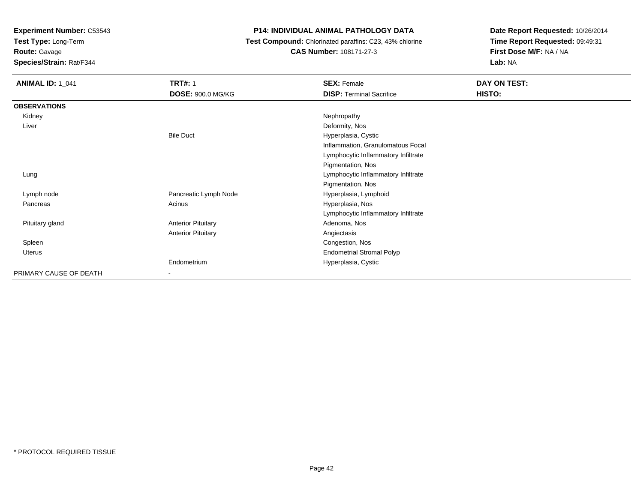**Test Type:** Long-Term

# **Route:** Gavage

**Species/Strain:** Rat/F344

#### **P14: INDIVIDUAL ANIMAL PATHOLOGY DATA**

#### **Test Compound:** Chlorinated paraffins: C23, 43% chlorine**CAS Number:** 108171-27-3

| <b>ANIMAL ID: 1_041</b> | <b>TRT#: 1</b>            | <b>SEX: Female</b>                  | DAY ON TEST: |
|-------------------------|---------------------------|-------------------------------------|--------------|
|                         | <b>DOSE: 900.0 MG/KG</b>  | <b>DISP: Terminal Sacrifice</b>     | HISTO:       |
| <b>OBSERVATIONS</b>     |                           |                                     |              |
| Kidney                  |                           | Nephropathy                         |              |
| Liver                   |                           | Deformity, Nos                      |              |
|                         | <b>Bile Duct</b>          | Hyperplasia, Cystic                 |              |
|                         |                           | Inflammation, Granulomatous Focal   |              |
|                         |                           | Lymphocytic Inflammatory Infiltrate |              |
|                         |                           | Pigmentation, Nos                   |              |
| Lung                    |                           | Lymphocytic Inflammatory Infiltrate |              |
|                         |                           | Pigmentation, Nos                   |              |
| Lymph node              | Pancreatic Lymph Node     | Hyperplasia, Lymphoid               |              |
| Pancreas                | Acinus                    | Hyperplasia, Nos                    |              |
|                         |                           | Lymphocytic Inflammatory Infiltrate |              |
| Pituitary gland         | <b>Anterior Pituitary</b> | Adenoma, Nos                        |              |
|                         | <b>Anterior Pituitary</b> | Angiectasis                         |              |
| Spleen                  |                           | Congestion, Nos                     |              |
| <b>Uterus</b>           |                           | <b>Endometrial Stromal Polyp</b>    |              |
|                         | Endometrium               | Hyperplasia, Cystic                 |              |
| PRIMARY CAUSE OF DEATH  | $\blacksquare$            |                                     |              |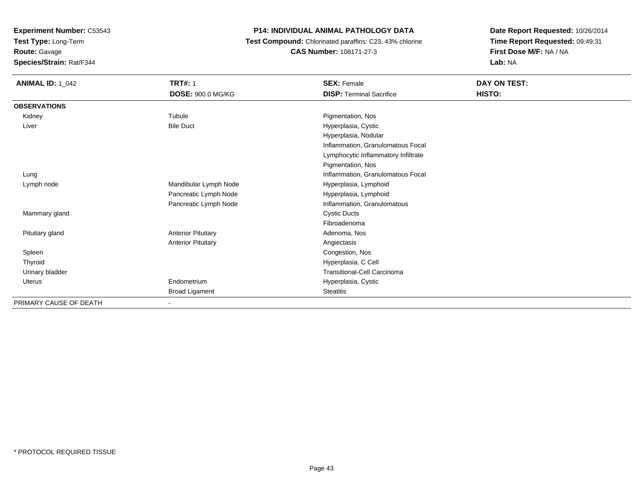**Test Type:** Long-Term

**Route:** Gavage

**Species/Strain:** Rat/F344

#### **P14: INDIVIDUAL ANIMAL PATHOLOGY DATA**

 **Test Compound:** Chlorinated paraffins: C23, 43% chlorine**CAS Number:** 108171-27-3

| <b>ANIMAL ID: 1_042</b> | <b>TRT#: 1</b>            | <b>SEX: Female</b>                  | DAY ON TEST: |  |
|-------------------------|---------------------------|-------------------------------------|--------------|--|
|                         | DOSE: 900.0 MG/KG         | <b>DISP: Terminal Sacrifice</b>     | HISTO:       |  |
| <b>OBSERVATIONS</b>     |                           |                                     |              |  |
| Kidney                  | Tubule                    | Pigmentation, Nos                   |              |  |
| Liver                   | <b>Bile Duct</b>          | Hyperplasia, Cystic                 |              |  |
|                         |                           | Hyperplasia, Nodular                |              |  |
|                         |                           | Inflammation, Granulomatous Focal   |              |  |
|                         |                           | Lymphocytic Inflammatory Infiltrate |              |  |
|                         |                           | Pigmentation, Nos                   |              |  |
| Lung                    |                           | Inflammation, Granulomatous Focal   |              |  |
| Lymph node              | Mandibular Lymph Node     | Hyperplasia, Lymphoid               |              |  |
|                         | Pancreatic Lymph Node     | Hyperplasia, Lymphoid               |              |  |
|                         | Pancreatic Lymph Node     | Inflammation, Granulomatous         |              |  |
| Mammary gland           |                           | <b>Cystic Ducts</b>                 |              |  |
|                         |                           | Fibroadenoma                        |              |  |
| Pituitary gland         | <b>Anterior Pituitary</b> | Adenoma, Nos                        |              |  |
|                         | <b>Anterior Pituitary</b> | Angiectasis                         |              |  |
| Spleen                  |                           | Congestion, Nos                     |              |  |
| Thyroid                 |                           | Hyperplasia, C Cell                 |              |  |
| Urinary bladder         |                           | <b>Transitional-Cell Carcinoma</b>  |              |  |
| <b>Uterus</b>           | Endometrium               | Hyperplasia, Cystic                 |              |  |
|                         | <b>Broad Ligament</b>     | <b>Steatitis</b>                    |              |  |
| PRIMARY CAUSE OF DEATH  |                           |                                     |              |  |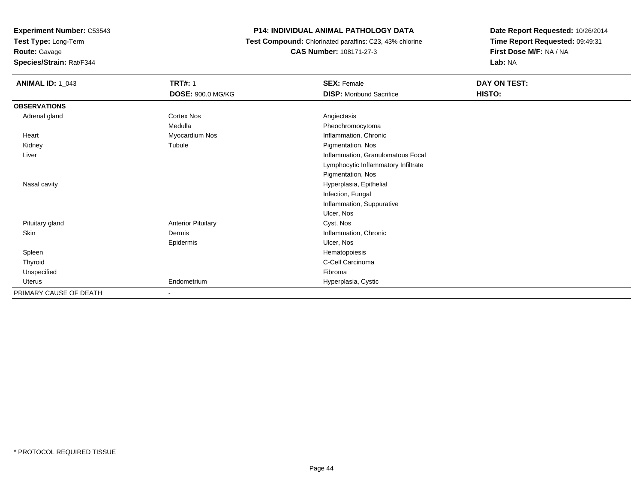**Test Type:** Long-Term

### **Route:** Gavage

**Species/Strain:** Rat/F344

#### **P14: INDIVIDUAL ANIMAL PATHOLOGY DATA**

#### **Test Compound:** Chlorinated paraffins: C23, 43% chlorine**CAS Number:** 108171-27-3

| <b>ANIMAL ID: 1_043</b> | <b>TRT#: 1</b>            | <b>SEX: Female</b>                  | DAY ON TEST: |  |
|-------------------------|---------------------------|-------------------------------------|--------------|--|
|                         | <b>DOSE: 900.0 MG/KG</b>  | <b>DISP:</b> Moribund Sacrifice     | HISTO:       |  |
| <b>OBSERVATIONS</b>     |                           |                                     |              |  |
| Adrenal gland           | <b>Cortex Nos</b>         | Angiectasis                         |              |  |
|                         | Medulla                   | Pheochromocytoma                    |              |  |
| Heart                   | Myocardium Nos            | Inflammation, Chronic               |              |  |
| Kidney                  | Tubule                    | Pigmentation, Nos                   |              |  |
| Liver                   |                           | Inflammation, Granulomatous Focal   |              |  |
|                         |                           | Lymphocytic Inflammatory Infiltrate |              |  |
|                         |                           | Pigmentation, Nos                   |              |  |
| Nasal cavity            |                           | Hyperplasia, Epithelial             |              |  |
|                         |                           | Infection, Fungal                   |              |  |
|                         |                           | Inflammation, Suppurative           |              |  |
|                         |                           | Ulcer, Nos                          |              |  |
| Pituitary gland         | <b>Anterior Pituitary</b> | Cyst, Nos                           |              |  |
| Skin                    | Dermis                    | Inflammation, Chronic               |              |  |
|                         | Epidermis                 | Ulcer, Nos                          |              |  |
| Spleen                  |                           | Hematopoiesis                       |              |  |
| Thyroid                 |                           | C-Cell Carcinoma                    |              |  |
| Unspecified             |                           | Fibroma                             |              |  |
| Uterus                  | Endometrium               | Hyperplasia, Cystic                 |              |  |
| PRIMARY CAUSE OF DEATH  | $\blacksquare$            |                                     |              |  |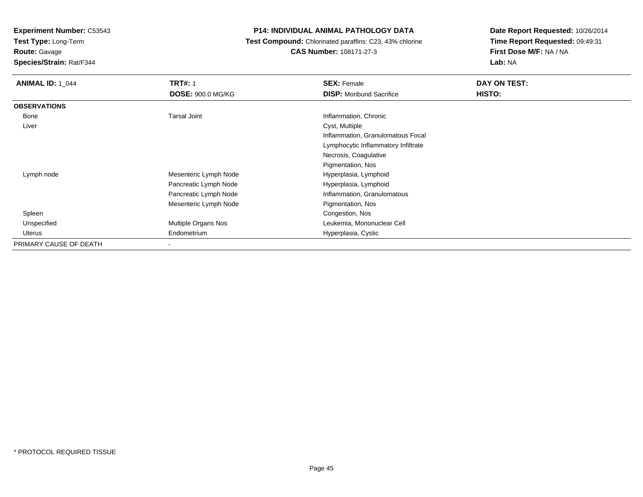**Test Type:** Long-Term

**Route:** Gavage

**Species/Strain:** Rat/F344

#### **P14: INDIVIDUAL ANIMAL PATHOLOGY DATA**

 **Test Compound:** Chlorinated paraffins: C23, 43% chlorine**CAS Number:** 108171-27-3

| <b>ANIMAL ID: 1 044</b> | <b>TRT#: 1</b>           | <b>SEX: Female</b>                  | DAY ON TEST: |
|-------------------------|--------------------------|-------------------------------------|--------------|
|                         | <b>DOSE: 900.0 MG/KG</b> | <b>DISP:</b> Moribund Sacrifice     | HISTO:       |
| <b>OBSERVATIONS</b>     |                          |                                     |              |
| Bone                    | <b>Tarsal Joint</b>      | Inflammation, Chronic               |              |
| Liver                   |                          | Cyst, Multiple                      |              |
|                         |                          | Inflammation, Granulomatous Focal   |              |
|                         |                          | Lymphocytic Inflammatory Infiltrate |              |
|                         |                          | Necrosis, Coagulative               |              |
|                         |                          | Pigmentation, Nos                   |              |
| Lymph node              | Mesenteric Lymph Node    | Hyperplasia, Lymphoid               |              |
|                         | Pancreatic Lymph Node    | Hyperplasia, Lymphoid               |              |
|                         | Pancreatic Lymph Node    | Inflammation, Granulomatous         |              |
|                         | Mesenteric Lymph Node    | Pigmentation, Nos                   |              |
| Spleen                  |                          | Congestion, Nos                     |              |
| Unspecified             | Multiple Organs Nos      | Leukemia, Mononuclear Cell          |              |
| Uterus                  | Endometrium              | Hyperplasia, Cystic                 |              |
| PRIMARY CAUSE OF DEATH  |                          |                                     |              |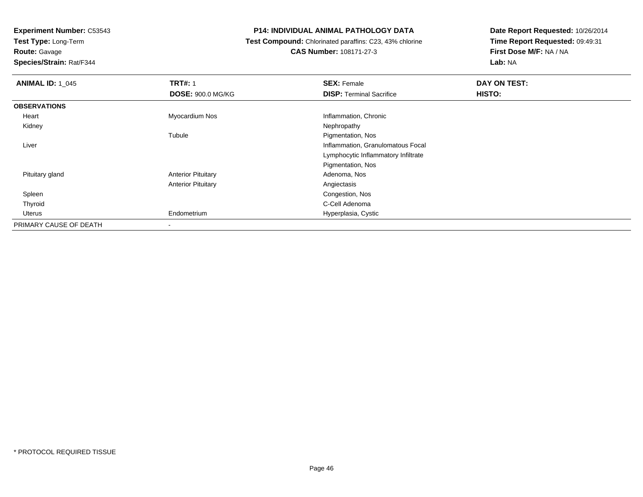**Test Type:** Long-Term

**Route:** Gavage

**Species/Strain:** Rat/F344

#### **P14: INDIVIDUAL ANIMAL PATHOLOGY DATA**

 **Test Compound:** Chlorinated paraffins: C23, 43% chlorine**CAS Number:** 108171-27-3

| <b>ANIMAL ID: 1_045</b> | <b>TRT#: 1</b>            | <b>SEX: Female</b>                  | DAY ON TEST: |  |
|-------------------------|---------------------------|-------------------------------------|--------------|--|
|                         | <b>DOSE: 900.0 MG/KG</b>  | <b>DISP: Terminal Sacrifice</b>     | HISTO:       |  |
| <b>OBSERVATIONS</b>     |                           |                                     |              |  |
| Heart                   | Myocardium Nos            | Inflammation, Chronic               |              |  |
| Kidney                  |                           | Nephropathy                         |              |  |
|                         | Tubule                    | Pigmentation, Nos                   |              |  |
| Liver                   |                           | Inflammation, Granulomatous Focal   |              |  |
|                         |                           | Lymphocytic Inflammatory Infiltrate |              |  |
|                         |                           | Pigmentation, Nos                   |              |  |
| Pituitary gland         | <b>Anterior Pituitary</b> | Adenoma, Nos                        |              |  |
|                         | <b>Anterior Pituitary</b> | Angiectasis                         |              |  |
| Spleen                  |                           | Congestion, Nos                     |              |  |
| Thyroid                 |                           | C-Cell Adenoma                      |              |  |
| Uterus                  | Endometrium               | Hyperplasia, Cystic                 |              |  |
| PRIMARY CAUSE OF DEATH  | $\,$                      |                                     |              |  |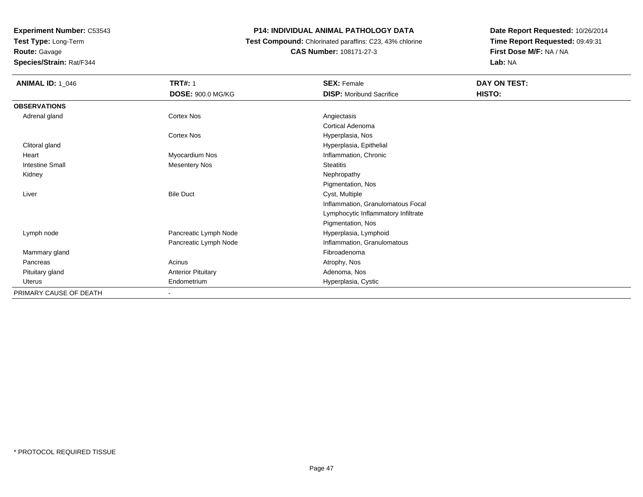**Test Type:** Long-Term

**Route:** Gavage

**Species/Strain:** Rat/F344

#### **P14: INDIVIDUAL ANIMAL PATHOLOGY DATA**

 **Test Compound:** Chlorinated paraffins: C23, 43% chlorine**CAS Number:** 108171-27-3

| <b>ANIMAL ID: 1_046</b> | <b>TRT#: 1</b>            | <b>SEX: Female</b>                  | DAY ON TEST: |
|-------------------------|---------------------------|-------------------------------------|--------------|
|                         | DOSE: 900.0 MG/KG         | <b>DISP:</b> Moribund Sacrifice     | HISTO:       |
| <b>OBSERVATIONS</b>     |                           |                                     |              |
| Adrenal gland           | Cortex Nos                | Angiectasis                         |              |
|                         |                           | Cortical Adenoma                    |              |
|                         | Cortex Nos                | Hyperplasia, Nos                    |              |
| Clitoral gland          |                           | Hyperplasia, Epithelial             |              |
| Heart                   | Myocardium Nos            | Inflammation, Chronic               |              |
| <b>Intestine Small</b>  | <b>Mesentery Nos</b>      | <b>Steatitis</b>                    |              |
| Kidney                  |                           | Nephropathy                         |              |
|                         |                           | Pigmentation, Nos                   |              |
| Liver                   | <b>Bile Duct</b>          | Cyst, Multiple                      |              |
|                         |                           | Inflammation, Granulomatous Focal   |              |
|                         |                           | Lymphocytic Inflammatory Infiltrate |              |
|                         |                           | Pigmentation, Nos                   |              |
| Lymph node              | Pancreatic Lymph Node     | Hyperplasia, Lymphoid               |              |
|                         | Pancreatic Lymph Node     | Inflammation, Granulomatous         |              |
| Mammary gland           |                           | Fibroadenoma                        |              |
| Pancreas                | Acinus                    | Atrophy, Nos                        |              |
| Pituitary gland         | <b>Anterior Pituitary</b> | Adenoma, Nos                        |              |
| Uterus                  | Endometrium               | Hyperplasia, Cystic                 |              |
| PRIMARY CAUSE OF DEATH  | $\overline{\phantom{a}}$  |                                     |              |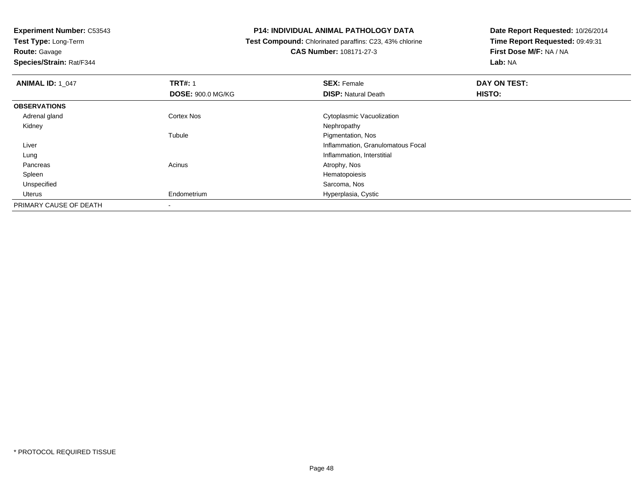**Test Type:** Long-Term**Route:** Gavage

**Species/Strain:** Rat/F344

#### **P14: INDIVIDUAL ANIMAL PATHOLOGY DATA**

 **Test Compound:** Chlorinated paraffins: C23, 43% chlorine**CAS Number:** 108171-27-3

| <b>ANIMAL ID: 1 047</b> | <b>TRT#: 1</b>           | <b>SEX: Female</b>                | DAY ON TEST: |  |
|-------------------------|--------------------------|-----------------------------------|--------------|--|
|                         | <b>DOSE: 900.0 MG/KG</b> | <b>DISP: Natural Death</b>        | HISTO:       |  |
| <b>OBSERVATIONS</b>     |                          |                                   |              |  |
| Adrenal gland           | <b>Cortex Nos</b>        | Cytoplasmic Vacuolization         |              |  |
| Kidney                  |                          | Nephropathy                       |              |  |
|                         | Tubule                   | Pigmentation, Nos                 |              |  |
| Liver                   |                          | Inflammation, Granulomatous Focal |              |  |
| Lung                    |                          | Inflammation, Interstitial        |              |  |
| Pancreas                | Acinus                   | Atrophy, Nos                      |              |  |
| Spleen                  |                          | Hematopoiesis                     |              |  |
| Unspecified             |                          | Sarcoma, Nos                      |              |  |
| Uterus                  | Endometrium              | Hyperplasia, Cystic               |              |  |
| PRIMARY CAUSE OF DEATH  |                          |                                   |              |  |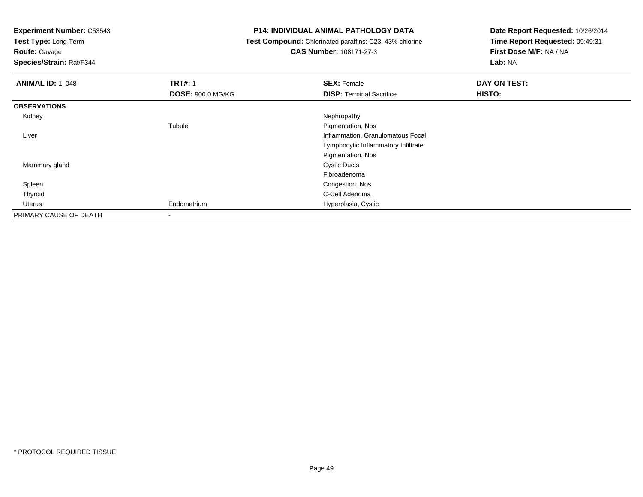**Test Type:** Long-Term

**Route:** Gavage

**Species/Strain:** Rat/F344

#### **P14: INDIVIDUAL ANIMAL PATHOLOGY DATA**

 **Test Compound:** Chlorinated paraffins: C23, 43% chlorine**CAS Number:** 108171-27-3

| <b>ANIMAL ID: 1_048</b> | <b>TRT#: 1</b>           | <b>SEX: Female</b>                  | DAY ON TEST: |
|-------------------------|--------------------------|-------------------------------------|--------------|
|                         | <b>DOSE: 900.0 MG/KG</b> | <b>DISP: Terminal Sacrifice</b>     | HISTO:       |
| <b>OBSERVATIONS</b>     |                          |                                     |              |
| Kidney                  |                          | Nephropathy                         |              |
|                         | Tubule                   | Pigmentation, Nos                   |              |
| Liver                   |                          | Inflammation, Granulomatous Focal   |              |
|                         |                          | Lymphocytic Inflammatory Infiltrate |              |
|                         |                          | Pigmentation, Nos                   |              |
| Mammary gland           |                          | <b>Cystic Ducts</b>                 |              |
|                         |                          | Fibroadenoma                        |              |
| Spleen                  |                          | Congestion, Nos                     |              |
| Thyroid                 |                          | C-Cell Adenoma                      |              |
| Uterus                  | Endometrium              | Hyperplasia, Cystic                 |              |
| PRIMARY CAUSE OF DEATH  | ٠                        |                                     |              |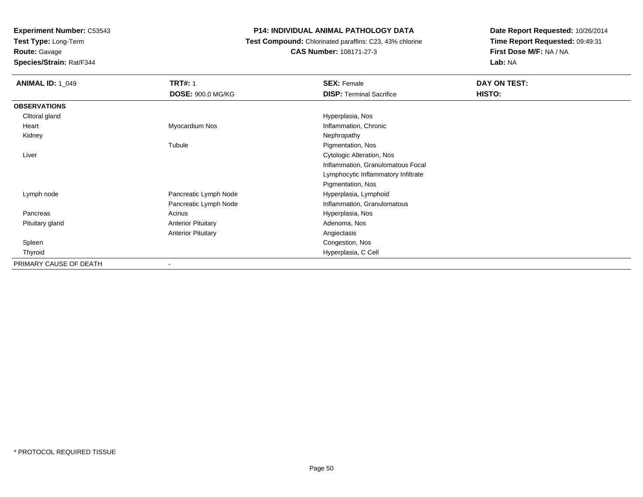**Test Type:** Long-Term

**Route:** Gavage

**Species/Strain:** Rat/F344

#### **P14: INDIVIDUAL ANIMAL PATHOLOGY DATA**

 **Test Compound:** Chlorinated paraffins: C23, 43% chlorine**CAS Number:** 108171-27-3

| <b>ANIMAL ID: 1_049</b> | <b>TRT#: 1</b>            | <b>SEX: Female</b>                  | DAY ON TEST: |  |
|-------------------------|---------------------------|-------------------------------------|--------------|--|
|                         | <b>DOSE: 900.0 MG/KG</b>  | <b>DISP:</b> Terminal Sacrifice     | HISTO:       |  |
| <b>OBSERVATIONS</b>     |                           |                                     |              |  |
| Clitoral gland          |                           | Hyperplasia, Nos                    |              |  |
| Heart                   | Myocardium Nos            | Inflammation, Chronic               |              |  |
| Kidney                  |                           | Nephropathy                         |              |  |
|                         | Tubule                    | Pigmentation, Nos                   |              |  |
| Liver                   |                           | Cytologic Alteration, Nos           |              |  |
|                         |                           | Inflammation, Granulomatous Focal   |              |  |
|                         |                           | Lymphocytic Inflammatory Infiltrate |              |  |
|                         |                           | Pigmentation, Nos                   |              |  |
| Lymph node              | Pancreatic Lymph Node     | Hyperplasia, Lymphoid               |              |  |
|                         | Pancreatic Lymph Node     | Inflammation, Granulomatous         |              |  |
| Pancreas                | Acinus                    | Hyperplasia, Nos                    |              |  |
| Pituitary gland         | <b>Anterior Pituitary</b> | Adenoma, Nos                        |              |  |
|                         | <b>Anterior Pituitary</b> | Angiectasis                         |              |  |
| Spleen                  |                           | Congestion, Nos                     |              |  |
| Thyroid                 |                           | Hyperplasia, C Cell                 |              |  |
| PRIMARY CAUSE OF DEATH  | $\blacksquare$            |                                     |              |  |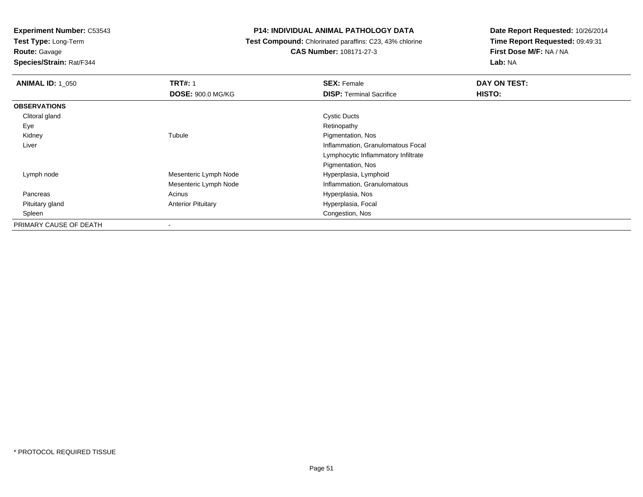**Test Type:** Long-Term

**Route:** Gavage

**Species/Strain:** Rat/F344

#### **P14: INDIVIDUAL ANIMAL PATHOLOGY DATA**

 **Test Compound:** Chlorinated paraffins: C23, 43% chlorine**CAS Number:** 108171-27-3

| <b>ANIMAL ID: 1 050</b> | <b>TRT#: 1</b>            | <b>SEX: Female</b>                  | DAY ON TEST: |  |
|-------------------------|---------------------------|-------------------------------------|--------------|--|
|                         | <b>DOSE: 900.0 MG/KG</b>  | <b>DISP: Terminal Sacrifice</b>     | HISTO:       |  |
| <b>OBSERVATIONS</b>     |                           |                                     |              |  |
| Clitoral gland          |                           | <b>Cystic Ducts</b>                 |              |  |
| Eye                     |                           | Retinopathy                         |              |  |
| Kidney                  | Tubule                    | Pigmentation, Nos                   |              |  |
| Liver                   |                           | Inflammation, Granulomatous Focal   |              |  |
|                         |                           | Lymphocytic Inflammatory Infiltrate |              |  |
|                         |                           | Pigmentation, Nos                   |              |  |
| Lymph node              | Mesenteric Lymph Node     | Hyperplasia, Lymphoid               |              |  |
|                         | Mesenteric Lymph Node     | Inflammation, Granulomatous         |              |  |
| Pancreas                | Acinus                    | Hyperplasia, Nos                    |              |  |
| Pituitary gland         | <b>Anterior Pituitary</b> | Hyperplasia, Focal                  |              |  |
| Spleen                  |                           | Congestion, Nos                     |              |  |
| PRIMARY CAUSE OF DEATH  | ۰                         |                                     |              |  |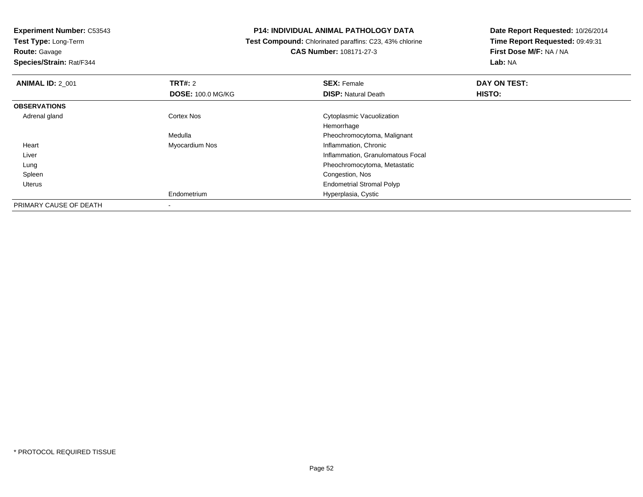**Test Type:** Long-Term**Route:** Gavage

**Species/Strain:** Rat/F344

#### **P14: INDIVIDUAL ANIMAL PATHOLOGY DATA**

 **Test Compound:** Chlorinated paraffins: C23, 43% chlorine**CAS Number:** 108171-27-3

| <b>ANIMAL ID: 2 001</b> | TRT#: 2                  | <b>SEX: Female</b>                | DAY ON TEST: |  |
|-------------------------|--------------------------|-----------------------------------|--------------|--|
|                         | <b>DOSE: 100.0 MG/KG</b> | <b>DISP: Natural Death</b>        | HISTO:       |  |
| <b>OBSERVATIONS</b>     |                          |                                   |              |  |
| Adrenal gland           | <b>Cortex Nos</b>        | Cytoplasmic Vacuolization         |              |  |
|                         |                          | Hemorrhage                        |              |  |
|                         | Medulla                  | Pheochromocytoma, Malignant       |              |  |
| Heart                   | Myocardium Nos           | Inflammation, Chronic             |              |  |
| Liver                   |                          | Inflammation, Granulomatous Focal |              |  |
| Lung                    |                          | Pheochromocytoma, Metastatic      |              |  |
| Spleen                  |                          | Congestion, Nos                   |              |  |
| Uterus                  |                          | <b>Endometrial Stromal Polyp</b>  |              |  |
|                         | Endometrium              | Hyperplasia, Cystic               |              |  |
| PRIMARY CAUSE OF DEATH  |                          |                                   |              |  |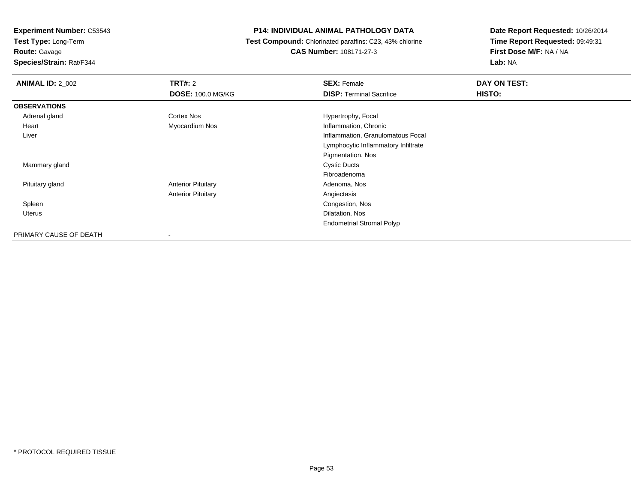**Test Type:** Long-Term

**Route:** Gavage

**Species/Strain:** Rat/F344

#### **P14: INDIVIDUAL ANIMAL PATHOLOGY DATA**

 **Test Compound:** Chlorinated paraffins: C23, 43% chlorine**CAS Number:** 108171-27-3

| <b>ANIMAL ID: 2 002</b> | TRT#: 2                   | <b>SEX: Female</b>                  | DAY ON TEST: |
|-------------------------|---------------------------|-------------------------------------|--------------|
|                         | <b>DOSE: 100.0 MG/KG</b>  | <b>DISP: Terminal Sacrifice</b>     | HISTO:       |
| <b>OBSERVATIONS</b>     |                           |                                     |              |
| Adrenal gland           | Cortex Nos                | Hypertrophy, Focal                  |              |
| Heart                   | Myocardium Nos            | Inflammation, Chronic               |              |
| Liver                   |                           | Inflammation, Granulomatous Focal   |              |
|                         |                           | Lymphocytic Inflammatory Infiltrate |              |
|                         |                           | Pigmentation, Nos                   |              |
| Mammary gland           |                           | <b>Cystic Ducts</b>                 |              |
|                         |                           | Fibroadenoma                        |              |
| Pituitary gland         | <b>Anterior Pituitary</b> | Adenoma, Nos                        |              |
|                         | <b>Anterior Pituitary</b> | Angiectasis                         |              |
| Spleen                  |                           | Congestion, Nos                     |              |
| Uterus                  |                           | Dilatation, Nos                     |              |
|                         |                           | <b>Endometrial Stromal Polyp</b>    |              |
| PRIMARY CAUSE OF DEATH  |                           |                                     |              |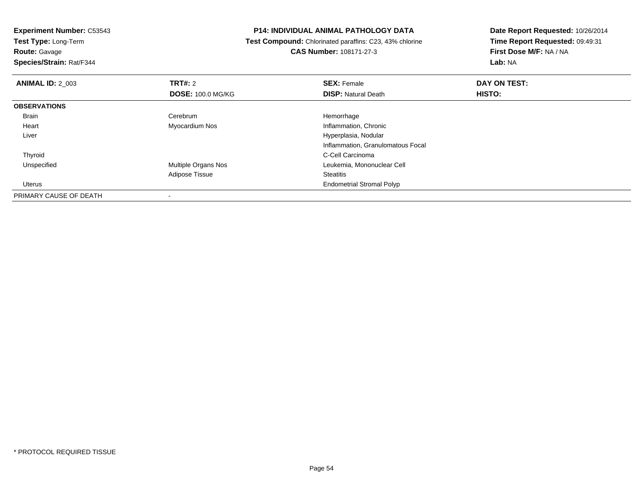**Test Type:** Long-Term**Route:** Gavage

### **Species/Strain:** Rat/F344

#### **P14: INDIVIDUAL ANIMAL PATHOLOGY DATA**

 **Test Compound:** Chlorinated paraffins: C23, 43% chlorine**CAS Number:** 108171-27-3

| <b>ANIMAL ID: 2 003</b> | TRT#: 2                  | <b>SEX: Female</b>                | DAY ON TEST: |  |
|-------------------------|--------------------------|-----------------------------------|--------------|--|
|                         | <b>DOSE: 100.0 MG/KG</b> | <b>DISP: Natural Death</b>        | HISTO:       |  |
| <b>OBSERVATIONS</b>     |                          |                                   |              |  |
| Brain                   | Cerebrum                 | Hemorrhage                        |              |  |
| Heart                   | Myocardium Nos           | Inflammation, Chronic             |              |  |
| Liver                   |                          | Hyperplasia, Nodular              |              |  |
|                         |                          | Inflammation, Granulomatous Focal |              |  |
| Thyroid                 |                          | C-Cell Carcinoma                  |              |  |
| Unspecified             | Multiple Organs Nos      | Leukemia, Mononuclear Cell        |              |  |
|                         | Adipose Tissue           | <b>Steatitis</b>                  |              |  |
| Uterus                  |                          | <b>Endometrial Stromal Polyp</b>  |              |  |
| PRIMARY CAUSE OF DEATH  |                          |                                   |              |  |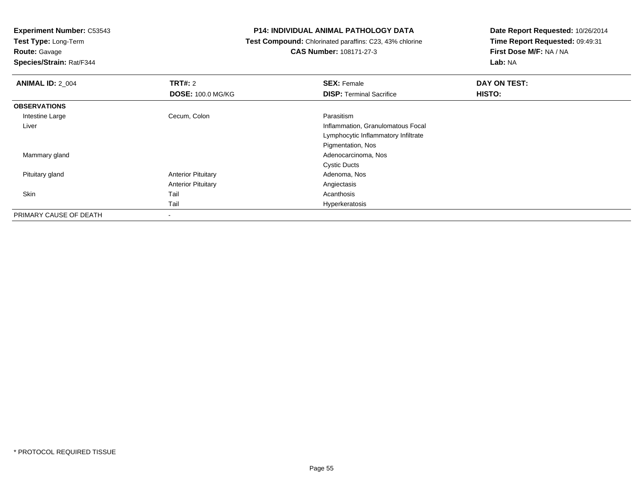**Test Type:** Long-Term

**Route:** Gavage

**Species/Strain:** Rat/F344

#### **P14: INDIVIDUAL ANIMAL PATHOLOGY DATA**

 **Test Compound:** Chlorinated paraffins: C23, 43% chlorine**CAS Number:** 108171-27-3

| <b>ANIMAL ID: 2 004</b> | TRT#: 2                   | <b>SEX: Female</b>                  | DAY ON TEST: |  |
|-------------------------|---------------------------|-------------------------------------|--------------|--|
|                         | <b>DOSE: 100.0 MG/KG</b>  | <b>DISP: Terminal Sacrifice</b>     | HISTO:       |  |
| <b>OBSERVATIONS</b>     |                           |                                     |              |  |
| Intestine Large         | Cecum, Colon              | Parasitism                          |              |  |
| Liver                   |                           | Inflammation, Granulomatous Focal   |              |  |
|                         |                           | Lymphocytic Inflammatory Infiltrate |              |  |
|                         |                           | Pigmentation, Nos                   |              |  |
| Mammary gland           |                           | Adenocarcinoma, Nos                 |              |  |
|                         |                           | <b>Cystic Ducts</b>                 |              |  |
| Pituitary gland         | <b>Anterior Pituitary</b> | Adenoma, Nos                        |              |  |
|                         | <b>Anterior Pituitary</b> | Angiectasis                         |              |  |
| Skin                    | Tail                      | Acanthosis                          |              |  |
|                         | Tail                      | Hyperkeratosis                      |              |  |
| PRIMARY CAUSE OF DEATH  | -                         |                                     |              |  |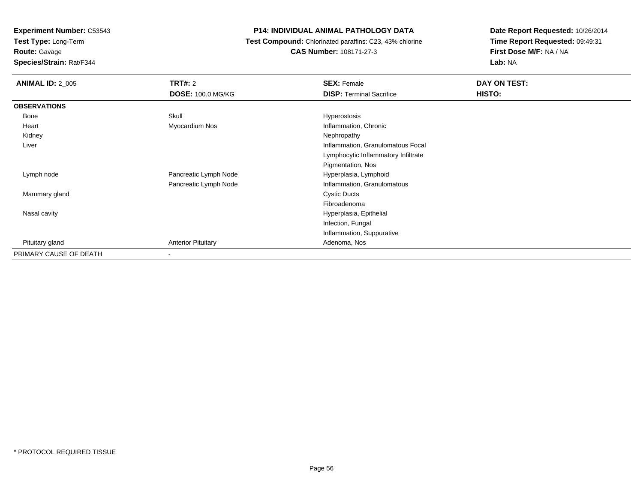**Test Type:** Long-Term

**Route:** Gavage

**Species/Strain:** Rat/F344

#### **P14: INDIVIDUAL ANIMAL PATHOLOGY DATA**

 **Test Compound:** Chlorinated paraffins: C23, 43% chlorine**CAS Number:** 108171-27-3

| <b>ANIMAL ID: 2 005</b> | TRT#: 2                   | <b>SEX: Female</b>                  | DAY ON TEST: |
|-------------------------|---------------------------|-------------------------------------|--------------|
|                         | <b>DOSE: 100.0 MG/KG</b>  | <b>DISP: Terminal Sacrifice</b>     | HISTO:       |
| <b>OBSERVATIONS</b>     |                           |                                     |              |
| Bone                    | Skull                     | Hyperostosis                        |              |
| Heart                   | Myocardium Nos            | Inflammation, Chronic               |              |
| Kidney                  |                           | Nephropathy                         |              |
| Liver                   |                           | Inflammation, Granulomatous Focal   |              |
|                         |                           | Lymphocytic Inflammatory Infiltrate |              |
|                         |                           | Pigmentation, Nos                   |              |
| Lymph node              | Pancreatic Lymph Node     | Hyperplasia, Lymphoid               |              |
|                         | Pancreatic Lymph Node     | Inflammation, Granulomatous         |              |
| Mammary gland           |                           | <b>Cystic Ducts</b>                 |              |
|                         |                           | Fibroadenoma                        |              |
| Nasal cavity            |                           | Hyperplasia, Epithelial             |              |
|                         |                           | Infection, Fungal                   |              |
|                         |                           | Inflammation, Suppurative           |              |
| Pituitary gland         | <b>Anterior Pituitary</b> | Adenoma, Nos                        |              |
| PRIMARY CAUSE OF DEATH  | ۰                         |                                     |              |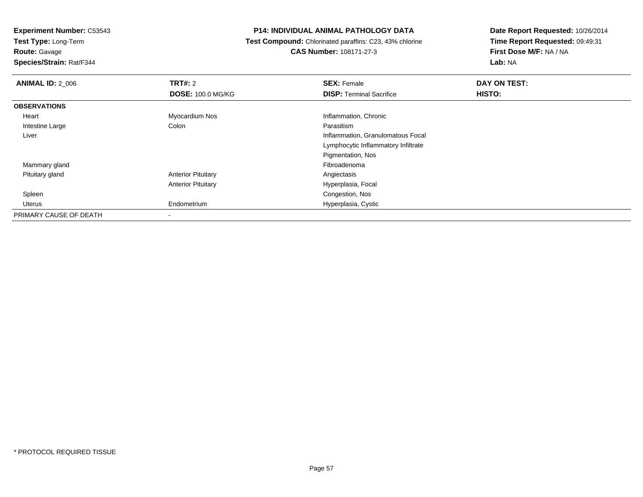**Test Type:** Long-Term

**Route:** Gavage

**Species/Strain:** Rat/F344

#### **P14: INDIVIDUAL ANIMAL PATHOLOGY DATA**

 **Test Compound:** Chlorinated paraffins: C23, 43% chlorine**CAS Number:** 108171-27-3

| <b>ANIMAL ID: 2_006</b> | TRT#: 2                   | <b>SEX: Female</b>                  | DAY ON TEST: |
|-------------------------|---------------------------|-------------------------------------|--------------|
|                         | <b>DOSE: 100.0 MG/KG</b>  | <b>DISP: Terminal Sacrifice</b>     | HISTO:       |
| <b>OBSERVATIONS</b>     |                           |                                     |              |
| Heart                   | Myocardium Nos            | Inflammation, Chronic               |              |
| Intestine Large         | Colon                     | Parasitism                          |              |
| Liver                   |                           | Inflammation, Granulomatous Focal   |              |
|                         |                           | Lymphocytic Inflammatory Infiltrate |              |
|                         |                           | Pigmentation, Nos                   |              |
| Mammary gland           |                           | Fibroadenoma                        |              |
| Pituitary gland         | <b>Anterior Pituitary</b> | Angiectasis                         |              |
|                         | <b>Anterior Pituitary</b> | Hyperplasia, Focal                  |              |
| Spleen                  |                           | Congestion, Nos                     |              |
| Uterus                  | Endometrium               | Hyperplasia, Cystic                 |              |
| PRIMARY CAUSE OF DEATH  | ٠                         |                                     |              |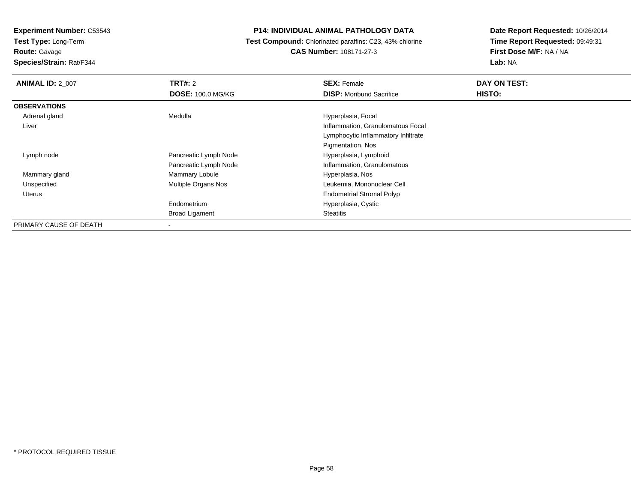**Test Type:** Long-Term

**Route:** Gavage

**Species/Strain:** Rat/F344

#### **P14: INDIVIDUAL ANIMAL PATHOLOGY DATA**

 **Test Compound:** Chlorinated paraffins: C23, 43% chlorine**CAS Number:** 108171-27-3

| <b>ANIMAL ID: 2 007</b> | TRT#: 2                  | <b>SEX: Female</b>                  | DAY ON TEST: |
|-------------------------|--------------------------|-------------------------------------|--------------|
|                         | <b>DOSE: 100.0 MG/KG</b> | <b>DISP:</b> Moribund Sacrifice     | HISTO:       |
| <b>OBSERVATIONS</b>     |                          |                                     |              |
| Adrenal gland           | Medulla                  | Hyperplasia, Focal                  |              |
| Liver                   |                          | Inflammation, Granulomatous Focal   |              |
|                         |                          | Lymphocytic Inflammatory Infiltrate |              |
|                         |                          | Pigmentation, Nos                   |              |
| Lymph node              | Pancreatic Lymph Node    | Hyperplasia, Lymphoid               |              |
|                         | Pancreatic Lymph Node    | Inflammation, Granulomatous         |              |
| Mammary gland           | Mammary Lobule           | Hyperplasia, Nos                    |              |
| Unspecified             | Multiple Organs Nos      | Leukemia, Mononuclear Cell          |              |
| Uterus                  |                          | <b>Endometrial Stromal Polyp</b>    |              |
|                         | Endometrium              | Hyperplasia, Cystic                 |              |
|                         | <b>Broad Ligament</b>    | Steatitis                           |              |
| PRIMARY CAUSE OF DEATH  | -                        |                                     |              |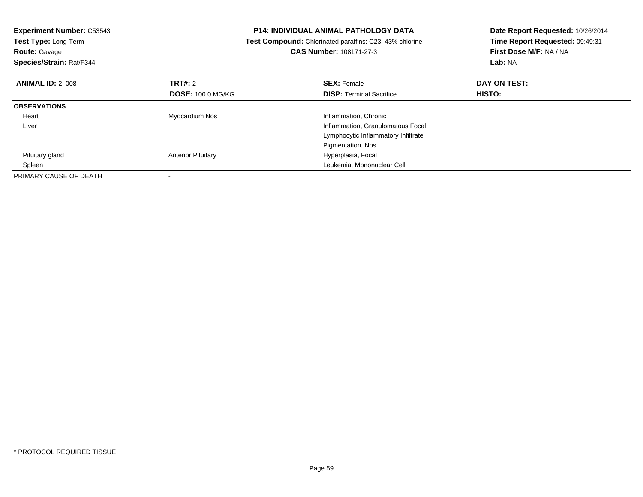| <b>Experiment Number: C53543</b><br>Test Type: Long-Term<br><b>Route: Gavage</b><br>Species/Strain: Rat/F344 |                           | <b>P14: INDIVIDUAL ANIMAL PATHOLOGY DATA</b><br>Test Compound: Chlorinated paraffins: C23, 43% chlorine<br>CAS Number: 108171-27-3 | Date Report Requested: 10/26/2014<br>Time Report Requested: 09:49:31<br>First Dose M/F: NA / NA<br>Lab: NA |
|--------------------------------------------------------------------------------------------------------------|---------------------------|------------------------------------------------------------------------------------------------------------------------------------|------------------------------------------------------------------------------------------------------------|
| <b>ANIMAL ID: 2 008</b>                                                                                      | TRT#: 2                   | <b>SEX: Female</b>                                                                                                                 | DAY ON TEST:                                                                                               |
|                                                                                                              | <b>DOSE: 100.0 MG/KG</b>  | <b>DISP:</b> Terminal Sacrifice                                                                                                    | <b>HISTO:</b>                                                                                              |
| <b>OBSERVATIONS</b>                                                                                          |                           |                                                                                                                                    |                                                                                                            |
| Heart                                                                                                        | Myocardium Nos            | Inflammation, Chronic                                                                                                              |                                                                                                            |
| Liver                                                                                                        |                           | Inflammation, Granulomatous Focal                                                                                                  |                                                                                                            |
|                                                                                                              |                           | Lymphocytic Inflammatory Infiltrate                                                                                                |                                                                                                            |
|                                                                                                              |                           | Pigmentation, Nos                                                                                                                  |                                                                                                            |
| Pituitary gland                                                                                              | <b>Anterior Pituitary</b> | Hyperplasia, Focal                                                                                                                 |                                                                                                            |
| Spleen                                                                                                       |                           | Leukemia, Mononuclear Cell                                                                                                         |                                                                                                            |
| PRIMARY CAUSE OF DEATH                                                                                       |                           |                                                                                                                                    |                                                                                                            |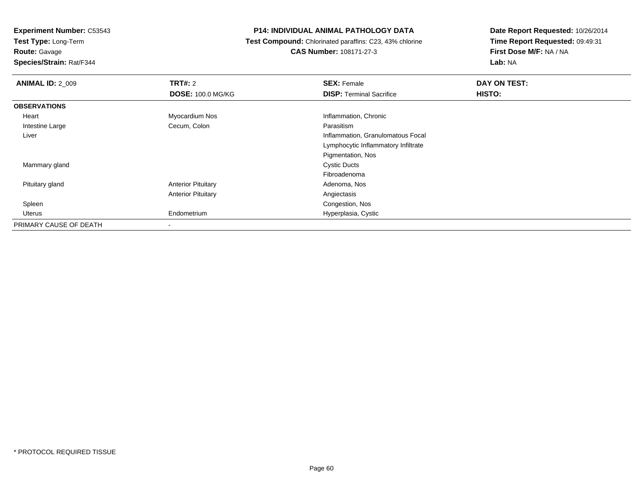**Test Type:** Long-Term

**Route:** Gavage

**Species/Strain:** Rat/F344

#### **P14: INDIVIDUAL ANIMAL PATHOLOGY DATA**

 **Test Compound:** Chlorinated paraffins: C23, 43% chlorine**CAS Number:** 108171-27-3

| <b>ANIMAL ID: 2 009</b> | TRT#: 2                   | <b>SEX: Female</b>                  | DAY ON TEST: |  |
|-------------------------|---------------------------|-------------------------------------|--------------|--|
|                         | <b>DOSE: 100.0 MG/KG</b>  | <b>DISP: Terminal Sacrifice</b>     | HISTO:       |  |
| <b>OBSERVATIONS</b>     |                           |                                     |              |  |
| Heart                   | Myocardium Nos            | Inflammation, Chronic               |              |  |
| Intestine Large         | Cecum, Colon              | Parasitism                          |              |  |
| Liver                   |                           | Inflammation, Granulomatous Focal   |              |  |
|                         |                           | Lymphocytic Inflammatory Infiltrate |              |  |
|                         |                           | Pigmentation, Nos                   |              |  |
| Mammary gland           |                           | <b>Cystic Ducts</b>                 |              |  |
|                         |                           | Fibroadenoma                        |              |  |
| Pituitary gland         | <b>Anterior Pituitary</b> | Adenoma, Nos                        |              |  |
|                         | <b>Anterior Pituitary</b> | Angiectasis                         |              |  |
| Spleen                  |                           | Congestion, Nos                     |              |  |
| Uterus                  | Endometrium               | Hyperplasia, Cystic                 |              |  |
| PRIMARY CAUSE OF DEATH  | ۰                         |                                     |              |  |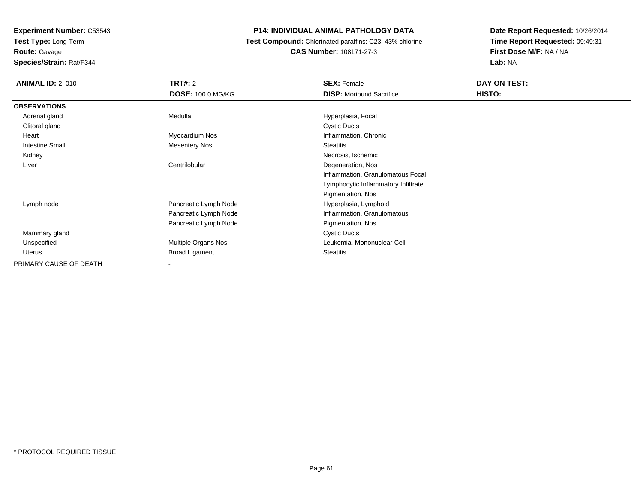**Experiment Number:** C53543**Test Type:** Long-Term

**Route:** Gavage

**Species/Strain:** Rat/F344

#### **P14: INDIVIDUAL ANIMAL PATHOLOGY DATA**

 **Test Compound:** Chlorinated paraffins: C23, 43% chlorine**CAS Number:** 108171-27-3

| <b>ANIMAL ID: 2_010</b> | <b>TRT#:</b> 2           | <b>SEX: Female</b>                  | DAY ON TEST: |  |
|-------------------------|--------------------------|-------------------------------------|--------------|--|
|                         | <b>DOSE: 100.0 MG/KG</b> | <b>DISP:</b> Moribund Sacrifice     | HISTO:       |  |
| <b>OBSERVATIONS</b>     |                          |                                     |              |  |
| Adrenal gland           | Medulla                  | Hyperplasia, Focal                  |              |  |
| Clitoral gland          |                          | Cystic Ducts                        |              |  |
| Heart                   | Myocardium Nos           | Inflammation, Chronic               |              |  |
| <b>Intestine Small</b>  | <b>Mesentery Nos</b>     | <b>Steatitis</b>                    |              |  |
| Kidney                  |                          | Necrosis, Ischemic                  |              |  |
| Liver                   | Centrilobular            | Degeneration, Nos                   |              |  |
|                         |                          | Inflammation, Granulomatous Focal   |              |  |
|                         |                          | Lymphocytic Inflammatory Infiltrate |              |  |
|                         |                          | Pigmentation, Nos                   |              |  |
| Lymph node              | Pancreatic Lymph Node    | Hyperplasia, Lymphoid               |              |  |
|                         | Pancreatic Lymph Node    | Inflammation, Granulomatous         |              |  |
|                         | Pancreatic Lymph Node    | Pigmentation, Nos                   |              |  |
| Mammary gland           |                          | <b>Cystic Ducts</b>                 |              |  |
| Unspecified             | Multiple Organs Nos      | Leukemia, Mononuclear Cell          |              |  |
| Uterus                  | <b>Broad Ligament</b>    | <b>Steatitis</b>                    |              |  |
| PRIMARY CAUSE OF DEATH  |                          |                                     |              |  |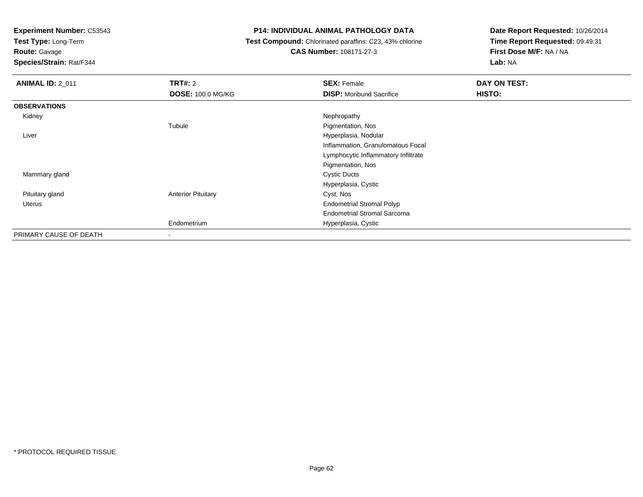**Test Type:** Long-Term

**Route:** Gavage

**Species/Strain:** Rat/F344

#### **P14: INDIVIDUAL ANIMAL PATHOLOGY DATA**

 **Test Compound:** Chlorinated paraffins: C23, 43% chlorine**CAS Number:** 108171-27-3

| <b>ANIMAL ID: 2 011</b> | TRT#: 2                   | <b>SEX: Female</b>                  | DAY ON TEST:  |
|-------------------------|---------------------------|-------------------------------------|---------------|
|                         | <b>DOSE: 100.0 MG/KG</b>  | <b>DISP:</b> Moribund Sacrifice     | <b>HISTO:</b> |
| <b>OBSERVATIONS</b>     |                           |                                     |               |
| Kidney                  |                           | Nephropathy                         |               |
|                         | Tubule                    | Pigmentation, Nos                   |               |
| Liver                   |                           | Hyperplasia, Nodular                |               |
|                         |                           | Inflammation, Granulomatous Focal   |               |
|                         |                           | Lymphocytic Inflammatory Infiltrate |               |
|                         |                           | Pigmentation, Nos                   |               |
| Mammary gland           |                           | <b>Cystic Ducts</b>                 |               |
|                         |                           | Hyperplasia, Cystic                 |               |
| Pituitary gland         | <b>Anterior Pituitary</b> | Cyst, Nos                           |               |
| Uterus                  |                           | <b>Endometrial Stromal Polyp</b>    |               |
|                         |                           | <b>Endometrial Stromal Sarcoma</b>  |               |
|                         | Endometrium               | Hyperplasia, Cystic                 |               |
| PRIMARY CAUSE OF DEATH  |                           |                                     |               |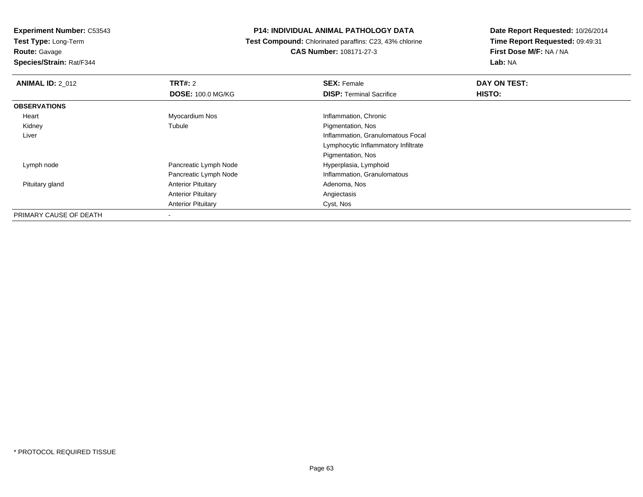**Test Type:** Long-Term**Route:** Gavage

**Species/Strain:** Rat/F344

#### **P14: INDIVIDUAL ANIMAL PATHOLOGY DATA**

 **Test Compound:** Chlorinated paraffins: C23, 43% chlorine**CAS Number:** 108171-27-3

| <b>ANIMAL ID: 2_012</b> | <b>TRT#: 2</b>            | <b>SEX: Female</b>                  | DAY ON TEST:  |  |
|-------------------------|---------------------------|-------------------------------------|---------------|--|
|                         | <b>DOSE: 100.0 MG/KG</b>  | <b>DISP: Terminal Sacrifice</b>     | <b>HISTO:</b> |  |
| <b>OBSERVATIONS</b>     |                           |                                     |               |  |
| Heart                   | Myocardium Nos            | Inflammation, Chronic               |               |  |
| Kidney                  | Tubule                    | Pigmentation, Nos                   |               |  |
| Liver                   |                           | Inflammation, Granulomatous Focal   |               |  |
|                         |                           | Lymphocytic Inflammatory Infiltrate |               |  |
|                         |                           | Pigmentation, Nos                   |               |  |
| Lymph node              | Pancreatic Lymph Node     | Hyperplasia, Lymphoid               |               |  |
|                         | Pancreatic Lymph Node     | Inflammation, Granulomatous         |               |  |
| Pituitary gland         | <b>Anterior Pituitary</b> | Adenoma, Nos                        |               |  |
|                         | <b>Anterior Pituitary</b> | Angiectasis                         |               |  |
|                         | <b>Anterior Pituitary</b> | Cyst, Nos                           |               |  |
| PRIMARY CAUSE OF DEATH  |                           |                                     |               |  |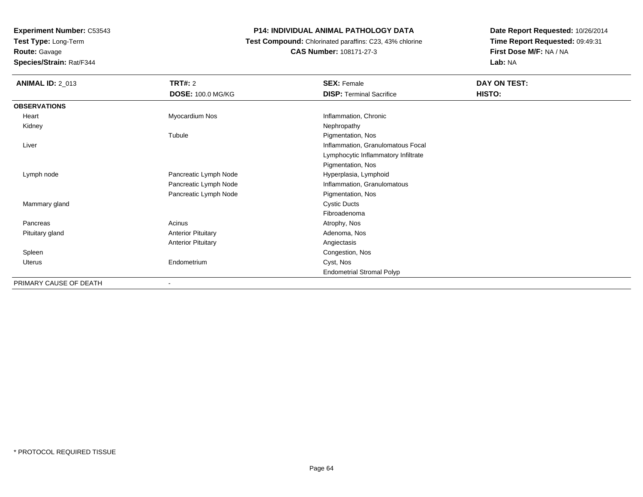**Test Type:** Long-Term

**Route:** Gavage

**Species/Strain:** Rat/F344

#### **P14: INDIVIDUAL ANIMAL PATHOLOGY DATA**

 **Test Compound:** Chlorinated paraffins: C23, 43% chlorine**CAS Number:** 108171-27-3

| <b>ANIMAL ID: 2_013</b> | <b>TRT#: 2</b>            | <b>SEX: Female</b>                  | DAY ON TEST: |
|-------------------------|---------------------------|-------------------------------------|--------------|
|                         | <b>DOSE: 100.0 MG/KG</b>  | <b>DISP: Terminal Sacrifice</b>     | HISTO:       |
| <b>OBSERVATIONS</b>     |                           |                                     |              |
| Heart                   | Myocardium Nos            | Inflammation, Chronic               |              |
| Kidney                  |                           | Nephropathy                         |              |
|                         | Tubule                    | Pigmentation, Nos                   |              |
| Liver                   |                           | Inflammation, Granulomatous Focal   |              |
|                         |                           | Lymphocytic Inflammatory Infiltrate |              |
|                         |                           | Pigmentation, Nos                   |              |
| Lymph node              | Pancreatic Lymph Node     | Hyperplasia, Lymphoid               |              |
|                         | Pancreatic Lymph Node     | Inflammation, Granulomatous         |              |
|                         | Pancreatic Lymph Node     | Pigmentation, Nos                   |              |
| Mammary gland           |                           | <b>Cystic Ducts</b>                 |              |
|                         |                           | Fibroadenoma                        |              |
| Pancreas                | Acinus                    | Atrophy, Nos                        |              |
| Pituitary gland         | <b>Anterior Pituitary</b> | Adenoma, Nos                        |              |
|                         | <b>Anterior Pituitary</b> | Angiectasis                         |              |
| Spleen                  |                           | Congestion, Nos                     |              |
| <b>Uterus</b>           | Endometrium               | Cyst, Nos                           |              |
|                         |                           | <b>Endometrial Stromal Polyp</b>    |              |
| PRIMARY CAUSE OF DEATH  |                           |                                     |              |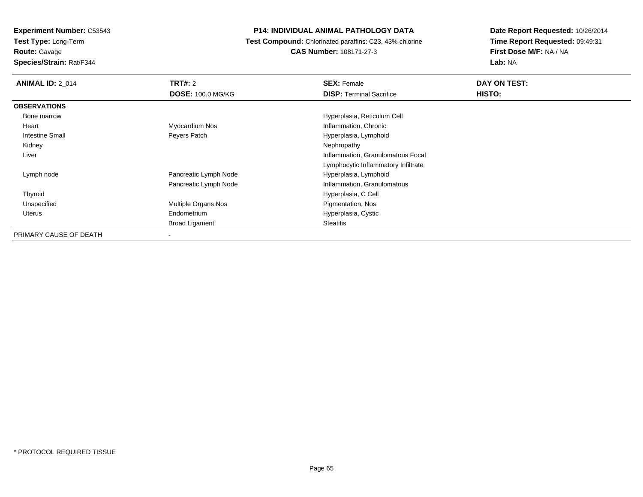**Test Type:** Long-Term

**Route:** Gavage

**Species/Strain:** Rat/F344

#### **P14: INDIVIDUAL ANIMAL PATHOLOGY DATA**

 **Test Compound:** Chlorinated paraffins: C23, 43% chlorine**CAS Number:** 108171-27-3

| <b>ANIMAL ID: 2 014</b> | TRT#: 2                  | <b>SEX: Female</b>                  | DAY ON TEST: |  |
|-------------------------|--------------------------|-------------------------------------|--------------|--|
|                         | <b>DOSE: 100.0 MG/KG</b> | <b>DISP:</b> Terminal Sacrifice     | HISTO:       |  |
| <b>OBSERVATIONS</b>     |                          |                                     |              |  |
| Bone marrow             |                          | Hyperplasia, Reticulum Cell         |              |  |
| Heart                   | Myocardium Nos           | Inflammation, Chronic               |              |  |
| <b>Intestine Small</b>  | Peyers Patch             | Hyperplasia, Lymphoid               |              |  |
| Kidney                  |                          | Nephropathy                         |              |  |
| Liver                   |                          | Inflammation, Granulomatous Focal   |              |  |
|                         |                          | Lymphocytic Inflammatory Infiltrate |              |  |
| Lymph node              | Pancreatic Lymph Node    | Hyperplasia, Lymphoid               |              |  |
|                         | Pancreatic Lymph Node    | Inflammation, Granulomatous         |              |  |
| Thyroid                 |                          | Hyperplasia, C Cell                 |              |  |
| Unspecified             | Multiple Organs Nos      | Pigmentation, Nos                   |              |  |
| <b>Uterus</b>           | Endometrium              | Hyperplasia, Cystic                 |              |  |
|                         | <b>Broad Ligament</b>    | <b>Steatitis</b>                    |              |  |
| PRIMARY CAUSE OF DEATH  | $\,$                     |                                     |              |  |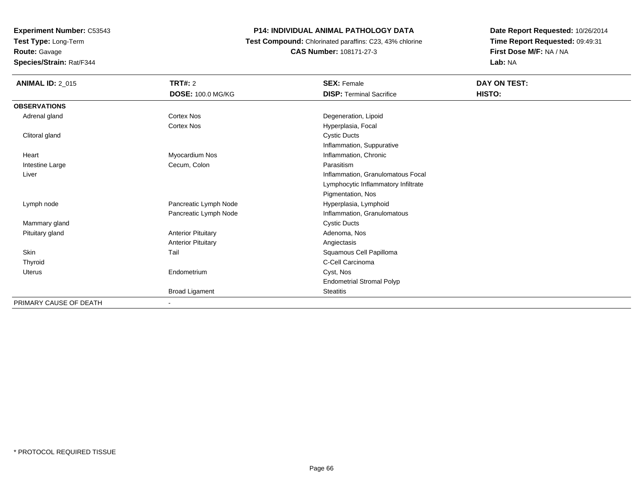**Test Type:** Long-Term

**Route:** Gavage

**Species/Strain:** Rat/F344

#### **P14: INDIVIDUAL ANIMAL PATHOLOGY DATA**

 **Test Compound:** Chlorinated paraffins: C23, 43% chlorine**CAS Number:** 108171-27-3

| <b>ANIMAL ID: 2_015</b> | TRT#: 2                   | <b>SEX: Female</b>                  | DAY ON TEST: |  |
|-------------------------|---------------------------|-------------------------------------|--------------|--|
|                         | DOSE: 100.0 MG/KG         | <b>DISP: Terminal Sacrifice</b>     | HISTO:       |  |
| <b>OBSERVATIONS</b>     |                           |                                     |              |  |
| Adrenal gland           | <b>Cortex Nos</b>         | Degeneration, Lipoid                |              |  |
|                         | <b>Cortex Nos</b>         | Hyperplasia, Focal                  |              |  |
| Clitoral gland          |                           | <b>Cystic Ducts</b>                 |              |  |
|                         |                           | Inflammation, Suppurative           |              |  |
| Heart                   | Myocardium Nos            | Inflammation, Chronic               |              |  |
| Intestine Large         | Cecum, Colon              | Parasitism                          |              |  |
| Liver                   |                           | Inflammation, Granulomatous Focal   |              |  |
|                         |                           | Lymphocytic Inflammatory Infiltrate |              |  |
|                         |                           | Pigmentation, Nos                   |              |  |
| Lymph node              | Pancreatic Lymph Node     | Hyperplasia, Lymphoid               |              |  |
|                         | Pancreatic Lymph Node     | Inflammation, Granulomatous         |              |  |
| Mammary gland           |                           | <b>Cystic Ducts</b>                 |              |  |
| Pituitary gland         | <b>Anterior Pituitary</b> | Adenoma, Nos                        |              |  |
|                         | <b>Anterior Pituitary</b> | Angiectasis                         |              |  |
| Skin                    | Tail                      | Squamous Cell Papilloma             |              |  |
| Thyroid                 |                           | C-Cell Carcinoma                    |              |  |
| <b>Uterus</b>           | Endometrium               | Cyst, Nos                           |              |  |
|                         |                           | <b>Endometrial Stromal Polyp</b>    |              |  |
|                         | <b>Broad Ligament</b>     | <b>Steatitis</b>                    |              |  |
| PRIMARY CAUSE OF DEATH  |                           |                                     |              |  |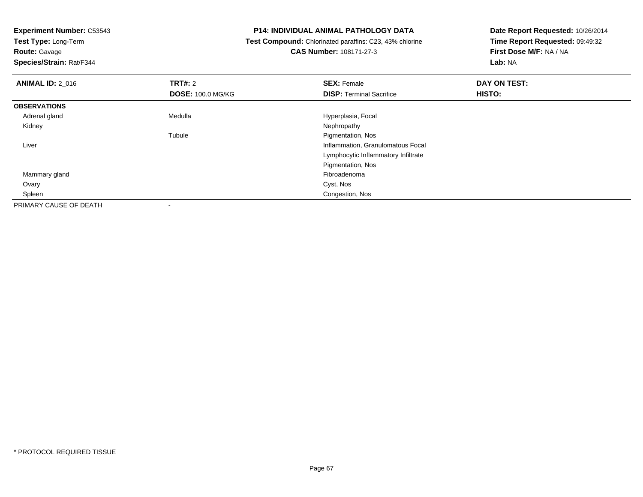**Test Type:** Long-Term

**Route:** Gavage

**Species/Strain:** Rat/F344

#### **P14: INDIVIDUAL ANIMAL PATHOLOGY DATA**

 **Test Compound:** Chlorinated paraffins: C23, 43% chlorine**CAS Number:** 108171-27-3

| <b>ANIMAL ID: 2 016</b> | TRT#: 2                  | <b>SEX: Female</b>                  | DAY ON TEST: |  |
|-------------------------|--------------------------|-------------------------------------|--------------|--|
|                         | <b>DOSE: 100.0 MG/KG</b> | <b>DISP: Terminal Sacrifice</b>     | HISTO:       |  |
| <b>OBSERVATIONS</b>     |                          |                                     |              |  |
| Adrenal gland           | Medulla                  | Hyperplasia, Focal                  |              |  |
| Kidney                  |                          | Nephropathy                         |              |  |
|                         | Tubule                   | Pigmentation, Nos                   |              |  |
| Liver                   |                          | Inflammation, Granulomatous Focal   |              |  |
|                         |                          | Lymphocytic Inflammatory Infiltrate |              |  |
|                         |                          | Pigmentation, Nos                   |              |  |
| Mammary gland           |                          | Fibroadenoma                        |              |  |
| Ovary                   |                          | Cyst, Nos                           |              |  |
| Spleen                  |                          | Congestion, Nos                     |              |  |
| PRIMARY CAUSE OF DEATH  |                          |                                     |              |  |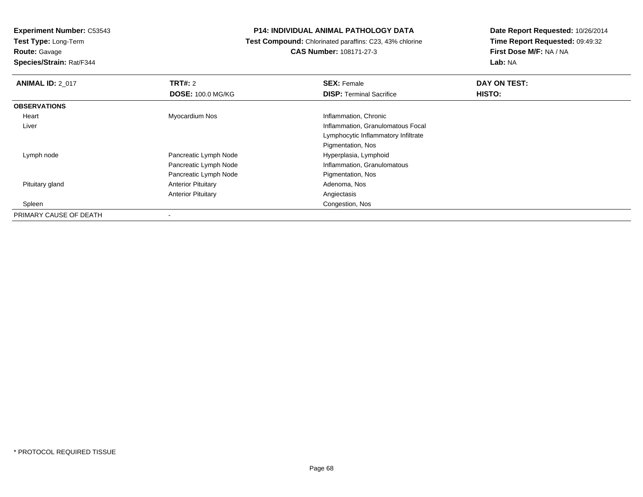**Test Type:** Long-Term

**Route:** Gavage

**Species/Strain:** Rat/F344

#### **P14: INDIVIDUAL ANIMAL PATHOLOGY DATA**

 **Test Compound:** Chlorinated paraffins: C23, 43% chlorine**CAS Number:** 108171-27-3

| <b>ANIMAL ID: 2 017</b> | <b>TRT#: 2</b>            | <b>SEX: Female</b>                  | DAY ON TEST: |  |
|-------------------------|---------------------------|-------------------------------------|--------------|--|
|                         | <b>DOSE: 100.0 MG/KG</b>  | <b>DISP: Terminal Sacrifice</b>     | HISTO:       |  |
| <b>OBSERVATIONS</b>     |                           |                                     |              |  |
| Heart                   | Myocardium Nos            | Inflammation, Chronic               |              |  |
| Liver                   |                           | Inflammation, Granulomatous Focal   |              |  |
|                         |                           | Lymphocytic Inflammatory Infiltrate |              |  |
|                         |                           | Pigmentation, Nos                   |              |  |
| Lymph node              | Pancreatic Lymph Node     | Hyperplasia, Lymphoid               |              |  |
|                         | Pancreatic Lymph Node     | Inflammation, Granulomatous         |              |  |
|                         | Pancreatic Lymph Node     | Pigmentation, Nos                   |              |  |
| Pituitary gland         | <b>Anterior Pituitary</b> | Adenoma, Nos                        |              |  |
|                         | <b>Anterior Pituitary</b> | Angiectasis                         |              |  |
| Spleen                  |                           | Congestion, Nos                     |              |  |
| PRIMARY CAUSE OF DEATH  |                           |                                     |              |  |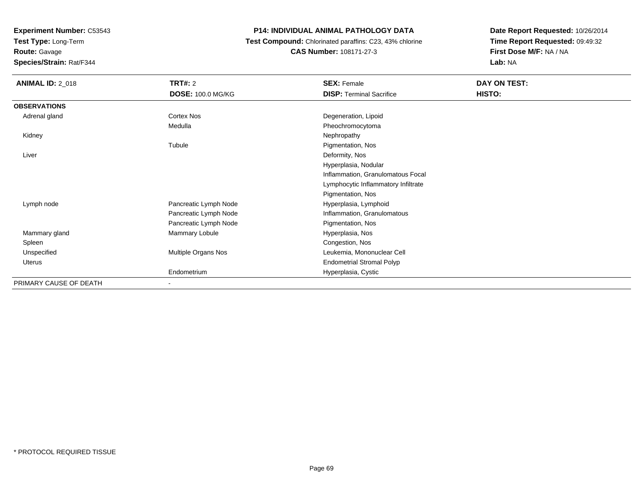**Test Type:** Long-Term

**Route:** Gavage

**Species/Strain:** Rat/F344

#### **P14: INDIVIDUAL ANIMAL PATHOLOGY DATA**

 **Test Compound:** Chlorinated paraffins: C23, 43% chlorine**CAS Number:** 108171-27-3

| <b>ANIMAL ID: 2_018</b> | <b>TRT#: 2</b>           | <b>SEX: Female</b>                  | DAY ON TEST: |  |
|-------------------------|--------------------------|-------------------------------------|--------------|--|
|                         | <b>DOSE: 100.0 MG/KG</b> | <b>DISP: Terminal Sacrifice</b>     | HISTO:       |  |
| <b>OBSERVATIONS</b>     |                          |                                     |              |  |
| Adrenal gland           | Cortex Nos               | Degeneration, Lipoid                |              |  |
|                         | Medulla                  | Pheochromocytoma                    |              |  |
| Kidney                  |                          | Nephropathy                         |              |  |
|                         | Tubule                   | Pigmentation, Nos                   |              |  |
| Liver                   |                          | Deformity, Nos                      |              |  |
|                         |                          | Hyperplasia, Nodular                |              |  |
|                         |                          | Inflammation, Granulomatous Focal   |              |  |
|                         |                          | Lymphocytic Inflammatory Infiltrate |              |  |
|                         |                          | Pigmentation, Nos                   |              |  |
| Lymph node              | Pancreatic Lymph Node    | Hyperplasia, Lymphoid               |              |  |
|                         | Pancreatic Lymph Node    | Inflammation, Granulomatous         |              |  |
|                         | Pancreatic Lymph Node    | Pigmentation, Nos                   |              |  |
| Mammary gland           | Mammary Lobule           | Hyperplasia, Nos                    |              |  |
| Spleen                  |                          | Congestion, Nos                     |              |  |
| Unspecified             | Multiple Organs Nos      | Leukemia, Mononuclear Cell          |              |  |
| Uterus                  |                          | <b>Endometrial Stromal Polyp</b>    |              |  |
|                         | Endometrium              | Hyperplasia, Cystic                 |              |  |
| PRIMARY CAUSE OF DEATH  | $\overline{\phantom{0}}$ |                                     |              |  |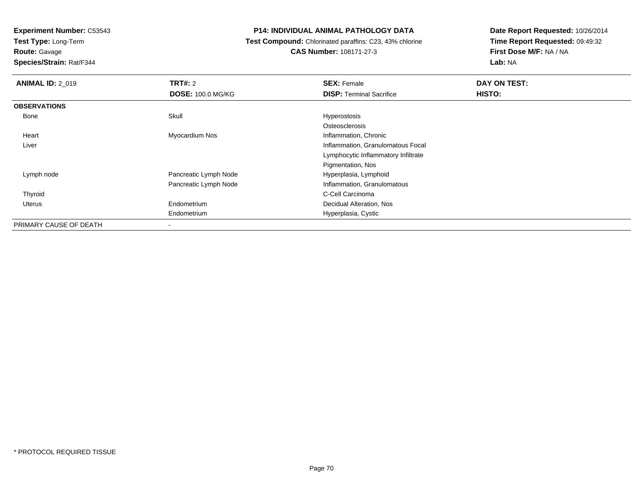**Test Type:** Long-Term

### **Route:** Gavage

**Species/Strain:** Rat/F344

#### **P14: INDIVIDUAL ANIMAL PATHOLOGY DATA**

#### **Test Compound:** Chlorinated paraffins: C23, 43% chlorine**CAS Number:** 108171-27-3

| <b>ANIMAL ID: 2 019</b> | TRT#: 2                  | <b>SEX: Female</b>                  | DAY ON TEST: |
|-------------------------|--------------------------|-------------------------------------|--------------|
|                         | <b>DOSE: 100.0 MG/KG</b> | <b>DISP: Terminal Sacrifice</b>     | HISTO:       |
| <b>OBSERVATIONS</b>     |                          |                                     |              |
| Bone                    | Skull                    | Hyperostosis                        |              |
|                         |                          | Osteosclerosis                      |              |
| Heart                   | Myocardium Nos           | Inflammation, Chronic               |              |
| Liver                   |                          | Inflammation, Granulomatous Focal   |              |
|                         |                          | Lymphocytic Inflammatory Infiltrate |              |
|                         |                          | Pigmentation, Nos                   |              |
| Lymph node              | Pancreatic Lymph Node    | Hyperplasia, Lymphoid               |              |
|                         | Pancreatic Lymph Node    | Inflammation, Granulomatous         |              |
| Thyroid                 |                          | C-Cell Carcinoma                    |              |
| Uterus                  | Endometrium              | Decidual Alteration, Nos            |              |
|                         | Endometrium              | Hyperplasia, Cystic                 |              |
| PRIMARY CAUSE OF DEATH  | $\blacksquare$           |                                     |              |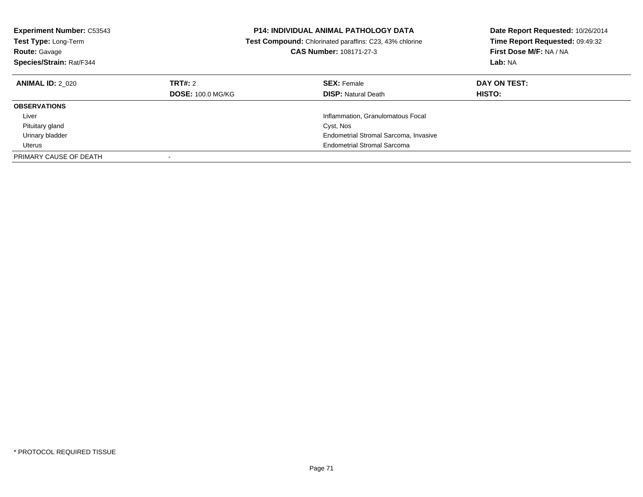| <b>Experiment Number: C53543</b><br>Test Type: Long-Term<br><b>Route: Gavage</b><br>Species/Strain: Rat/F344 |                                            | <b>P14: INDIVIDUAL ANIMAL PATHOLOGY DATA</b><br><b>Test Compound:</b> Chlorinated paraffins: C23, 43% chlorine<br>CAS Number: 108171-27-3 | Date Report Requested: 10/26/2014<br>Time Report Requested: 09:49:32<br>First Dose M/F: NA / NA<br>Lab: NA |
|--------------------------------------------------------------------------------------------------------------|--------------------------------------------|-------------------------------------------------------------------------------------------------------------------------------------------|------------------------------------------------------------------------------------------------------------|
| <b>ANIMAL ID: 2 020</b>                                                                                      | <b>TRT#: 2</b><br><b>DOSE: 100.0 MG/KG</b> | <b>SEX: Female</b><br><b>DISP:</b> Natural Death                                                                                          | DAY ON TEST:<br><b>HISTO:</b>                                                                              |
| <b>OBSERVATIONS</b>                                                                                          |                                            |                                                                                                                                           |                                                                                                            |
| Liver                                                                                                        |                                            | Inflammation, Granulomatous Focal                                                                                                         |                                                                                                            |
| Pituitary gland                                                                                              |                                            | Cyst, Nos                                                                                                                                 |                                                                                                            |
| Urinary bladder                                                                                              |                                            | Endometrial Stromal Sarcoma, Invasive                                                                                                     |                                                                                                            |
|                                                                                                              |                                            |                                                                                                                                           |                                                                                                            |
| Uterus                                                                                                       |                                            | <b>Endometrial Stromal Sarcoma</b>                                                                                                        |                                                                                                            |
| PRIMARY CAUSE OF DEATH                                                                                       |                                            |                                                                                                                                           |                                                                                                            |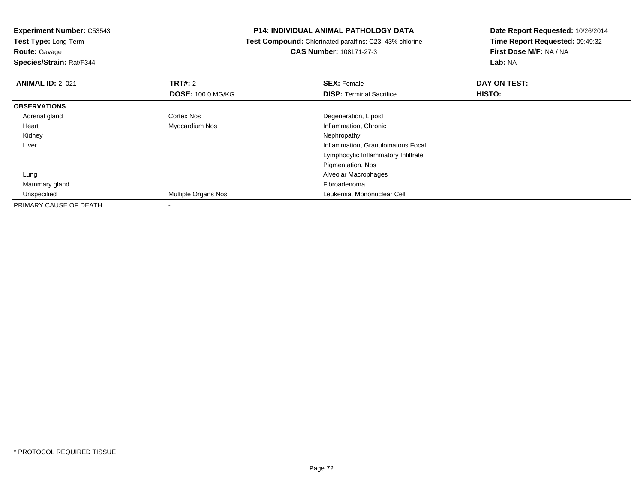**Test Type:** Long-Term**Route:** Gavage

**Species/Strain:** Rat/F344

#### **P14: INDIVIDUAL ANIMAL PATHOLOGY DATA**

 **Test Compound:** Chlorinated paraffins: C23, 43% chlorine**CAS Number:** 108171-27-3

| <b>ANIMAL ID: 2 021</b> | TRT#: 2                    | <b>SEX: Female</b>                  | DAY ON TEST: |  |
|-------------------------|----------------------------|-------------------------------------|--------------|--|
|                         | <b>DOSE: 100.0 MG/KG</b>   | <b>DISP: Terminal Sacrifice</b>     | HISTO:       |  |
| <b>OBSERVATIONS</b>     |                            |                                     |              |  |
| Adrenal gland           | <b>Cortex Nos</b>          | Degeneration, Lipoid                |              |  |
| Heart                   | Myocardium Nos             | Inflammation, Chronic               |              |  |
| Kidney                  |                            | Nephropathy                         |              |  |
| Liver                   |                            | Inflammation, Granulomatous Focal   |              |  |
|                         |                            | Lymphocytic Inflammatory Infiltrate |              |  |
|                         |                            | Pigmentation, Nos                   |              |  |
| Lung                    |                            | Alveolar Macrophages                |              |  |
| Mammary gland           |                            | Fibroadenoma                        |              |  |
| Unspecified             | <b>Multiple Organs Nos</b> | Leukemia, Mononuclear Cell          |              |  |
| PRIMARY CAUSE OF DEATH  | $\overline{\phantom{a}}$   |                                     |              |  |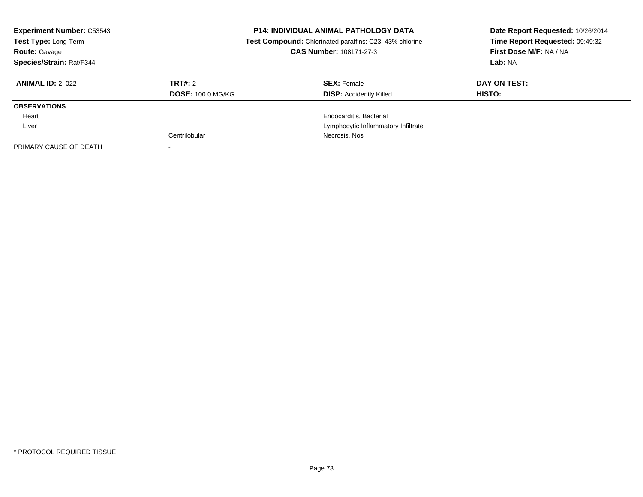| <b>Experiment Number: C53543</b><br>Test Type: Long-Term<br><b>Route: Gavage</b><br>Species/Strain: Rat/F344 |                          | <b>P14: INDIVIDUAL ANIMAL PATHOLOGY DATA</b><br>Test Compound: Chlorinated paraffins: C23, 43% chlorine<br>CAS Number: 108171-27-3 | Date Report Requested: 10/26/2014<br>Time Report Requested: 09:49:32<br>First Dose M/F: NA / NA<br>Lab: NA |
|--------------------------------------------------------------------------------------------------------------|--------------------------|------------------------------------------------------------------------------------------------------------------------------------|------------------------------------------------------------------------------------------------------------|
| <b>ANIMAL ID: 2 022</b>                                                                                      | TRT#: 2                  | <b>SEX: Female</b>                                                                                                                 | DAY ON TEST:                                                                                               |
|                                                                                                              | <b>DOSE: 100.0 MG/KG</b> | <b>DISP:</b> Accidently Killed                                                                                                     | HISTO:                                                                                                     |
| <b>OBSERVATIONS</b>                                                                                          |                          |                                                                                                                                    |                                                                                                            |
| Heart                                                                                                        |                          | Endocarditis, Bacterial                                                                                                            |                                                                                                            |
| Liver                                                                                                        |                          | Lymphocytic Inflammatory Infiltrate                                                                                                |                                                                                                            |
|                                                                                                              | Centrilobular            | Necrosis, Nos                                                                                                                      |                                                                                                            |
| PRIMARY CAUSE OF DEATH                                                                                       |                          |                                                                                                                                    |                                                                                                            |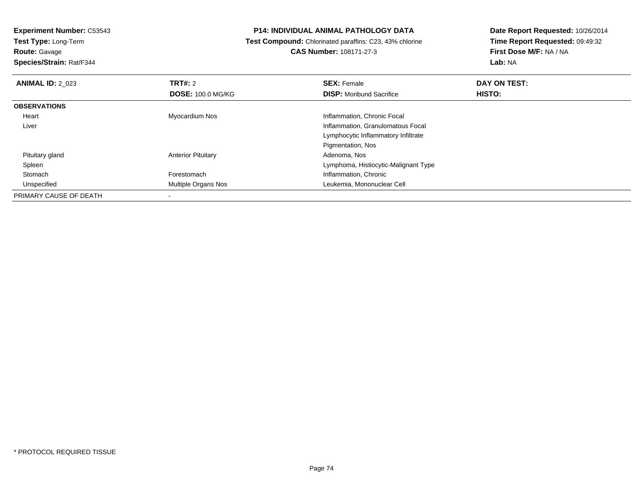**Test Type:** Long-Term**Route:** Gavage

**Species/Strain:** Rat/F344

### **P14: INDIVIDUAL ANIMAL PATHOLOGY DATA**

 **Test Compound:** Chlorinated paraffins: C23, 43% chlorine**CAS Number:** 108171-27-3

| <b>ANIMAL ID: 2 023</b> | TRT#: 2                    | <b>SEX: Female</b>                   | DAY ON TEST:  |  |
|-------------------------|----------------------------|--------------------------------------|---------------|--|
|                         | <b>DOSE: 100.0 MG/KG</b>   | <b>DISP:</b> Moribund Sacrifice      | <b>HISTO:</b> |  |
| <b>OBSERVATIONS</b>     |                            |                                      |               |  |
| Heart                   | Myocardium Nos             | Inflammation, Chronic Focal          |               |  |
| Liver                   |                            | Inflammation, Granulomatous Focal    |               |  |
|                         |                            | Lymphocytic Inflammatory Infiltrate  |               |  |
|                         |                            | Pigmentation, Nos                    |               |  |
| Pituitary gland         | <b>Anterior Pituitary</b>  | Adenoma, Nos                         |               |  |
| Spleen                  |                            | Lymphoma, Histiocytic-Malignant Type |               |  |
| Stomach                 | Forestomach                | Inflammation, Chronic                |               |  |
| Unspecified             | <b>Multiple Organs Nos</b> | Leukemia, Mononuclear Cell           |               |  |
| PRIMARY CAUSE OF DEATH  |                            |                                      |               |  |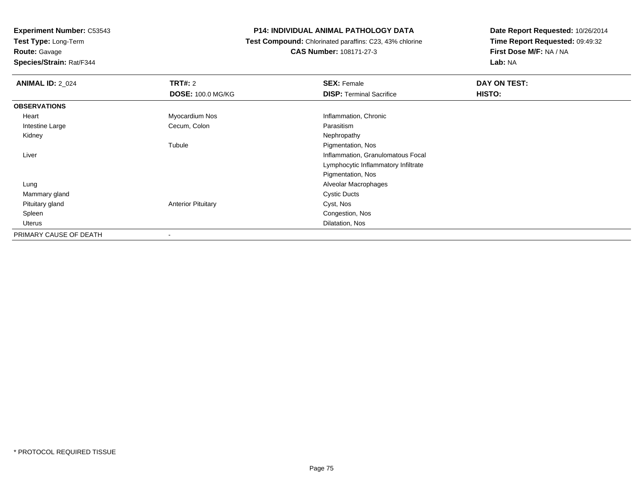**Test Type:** Long-Term

**Route:** Gavage

**Species/Strain:** Rat/F344

### **P14: INDIVIDUAL ANIMAL PATHOLOGY DATA**

 **Test Compound:** Chlorinated paraffins: C23, 43% chlorine**CAS Number:** 108171-27-3

| <b>ANIMAL ID: 2 024</b> | TRT#: 2                   | <b>SEX: Female</b>                  | DAY ON TEST: |  |
|-------------------------|---------------------------|-------------------------------------|--------------|--|
|                         | <b>DOSE: 100.0 MG/KG</b>  | <b>DISP: Terminal Sacrifice</b>     | HISTO:       |  |
| <b>OBSERVATIONS</b>     |                           |                                     |              |  |
| Heart                   | Myocardium Nos            | Inflammation, Chronic               |              |  |
| Intestine Large         | Cecum, Colon              | Parasitism                          |              |  |
| Kidney                  |                           | Nephropathy                         |              |  |
|                         | Tubule                    | Pigmentation, Nos                   |              |  |
| Liver                   |                           | Inflammation, Granulomatous Focal   |              |  |
|                         |                           | Lymphocytic Inflammatory Infiltrate |              |  |
|                         |                           | Pigmentation, Nos                   |              |  |
| Lung                    |                           | Alveolar Macrophages                |              |  |
| Mammary gland           |                           | <b>Cystic Ducts</b>                 |              |  |
| Pituitary gland         | <b>Anterior Pituitary</b> | Cyst, Nos                           |              |  |
| Spleen                  |                           | Congestion, Nos                     |              |  |
| Uterus                  |                           | Dilatation, Nos                     |              |  |
| PRIMARY CAUSE OF DEATH  |                           |                                     |              |  |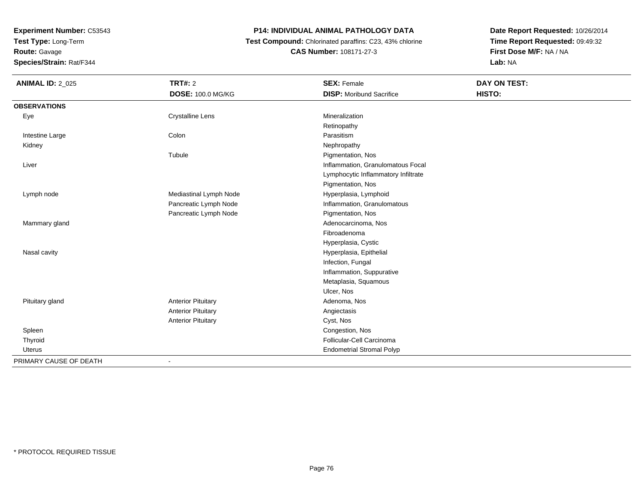**Test Type:** Long-Term

**Route:** Gavage

**Species/Strain:** Rat/F344

### **P14: INDIVIDUAL ANIMAL PATHOLOGY DATA**

 **Test Compound:** Chlorinated paraffins: C23, 43% chlorine**CAS Number:** 108171-27-3

| <b>ANIMAL ID: 2_025</b> | <b>TRT#: 2</b>            | <b>SEX: Female</b>                  | DAY ON TEST: |
|-------------------------|---------------------------|-------------------------------------|--------------|
|                         | <b>DOSE: 100.0 MG/KG</b>  | <b>DISP:</b> Moribund Sacrifice     | HISTO:       |
| <b>OBSERVATIONS</b>     |                           |                                     |              |
| Eye                     | <b>Crystalline Lens</b>   | Mineralization                      |              |
|                         |                           | Retinopathy                         |              |
| Intestine Large         | Colon                     | Parasitism                          |              |
| Kidney                  |                           | Nephropathy                         |              |
|                         | Tubule                    | Pigmentation, Nos                   |              |
| Liver                   |                           | Inflammation, Granulomatous Focal   |              |
|                         |                           | Lymphocytic Inflammatory Infiltrate |              |
|                         |                           | Pigmentation, Nos                   |              |
| Lymph node              | Mediastinal Lymph Node    | Hyperplasia, Lymphoid               |              |
|                         | Pancreatic Lymph Node     | Inflammation, Granulomatous         |              |
|                         | Pancreatic Lymph Node     | Pigmentation, Nos                   |              |
| Mammary gland           |                           | Adenocarcinoma, Nos                 |              |
|                         |                           | Fibroadenoma                        |              |
|                         |                           | Hyperplasia, Cystic                 |              |
| Nasal cavity            |                           | Hyperplasia, Epithelial             |              |
|                         |                           | Infection, Fungal                   |              |
|                         |                           | Inflammation, Suppurative           |              |
|                         |                           | Metaplasia, Squamous                |              |
|                         |                           | Ulcer, Nos                          |              |
| Pituitary gland         | <b>Anterior Pituitary</b> | Adenoma, Nos                        |              |
|                         | <b>Anterior Pituitary</b> | Angiectasis                         |              |
|                         | <b>Anterior Pituitary</b> | Cyst, Nos                           |              |
| Spleen                  |                           | Congestion, Nos                     |              |
| Thyroid                 |                           | Follicular-Cell Carcinoma           |              |
| <b>Uterus</b>           |                           | <b>Endometrial Stromal Polyp</b>    |              |
| PRIMARY CAUSE OF DEATH  |                           |                                     |              |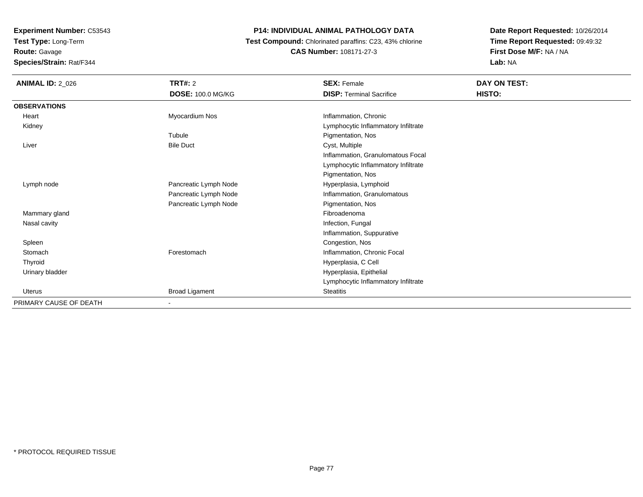**Test Type:** Long-Term**Route:** Gavage

**Species/Strain:** Rat/F344

### **P14: INDIVIDUAL ANIMAL PATHOLOGY DATA**

 **Test Compound:** Chlorinated paraffins: C23, 43% chlorine**CAS Number:** 108171-27-3

| <b>ANIMAL ID: 2 026</b> | TRT#: 2               | <b>SEX: Female</b>                  | DAY ON TEST: |  |
|-------------------------|-----------------------|-------------------------------------|--------------|--|
|                         | DOSE: 100.0 MG/KG     | <b>DISP: Terminal Sacrifice</b>     | HISTO:       |  |
| <b>OBSERVATIONS</b>     |                       |                                     |              |  |
| Heart                   | Myocardium Nos        | Inflammation, Chronic               |              |  |
| Kidney                  |                       | Lymphocytic Inflammatory Infiltrate |              |  |
|                         | Tubule                | Pigmentation, Nos                   |              |  |
| Liver                   | <b>Bile Duct</b>      | Cyst, Multiple                      |              |  |
|                         |                       | Inflammation, Granulomatous Focal   |              |  |
|                         |                       | Lymphocytic Inflammatory Infiltrate |              |  |
|                         |                       | Pigmentation, Nos                   |              |  |
| Lymph node              | Pancreatic Lymph Node | Hyperplasia, Lymphoid               |              |  |
|                         | Pancreatic Lymph Node | Inflammation, Granulomatous         |              |  |
|                         | Pancreatic Lymph Node | Pigmentation, Nos                   |              |  |
| Mammary gland           |                       | Fibroadenoma                        |              |  |
| Nasal cavity            |                       | Infection, Fungal                   |              |  |
|                         |                       | Inflammation, Suppurative           |              |  |
| Spleen                  |                       | Congestion, Nos                     |              |  |
| Stomach                 | Forestomach           | Inflammation, Chronic Focal         |              |  |
| Thyroid                 |                       | Hyperplasia, C Cell                 |              |  |
| Urinary bladder         |                       | Hyperplasia, Epithelial             |              |  |
|                         |                       | Lymphocytic Inflammatory Infiltrate |              |  |
| Uterus                  | <b>Broad Ligament</b> | Steatitis                           |              |  |
| PRIMARY CAUSE OF DEATH  |                       |                                     |              |  |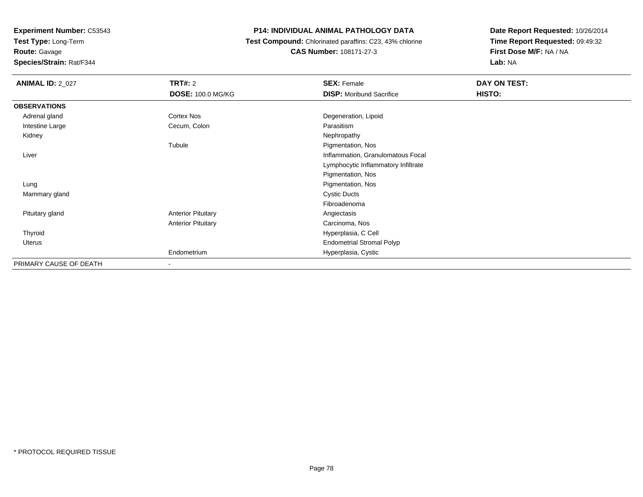**Test Type:** Long-Term

**Route:** Gavage

**Species/Strain:** Rat/F344

### **P14: INDIVIDUAL ANIMAL PATHOLOGY DATA**

 **Test Compound:** Chlorinated paraffins: C23, 43% chlorine**CAS Number:** 108171-27-3

| <b>ANIMAL ID: 2_027</b> | TRT#: 2                   | <b>SEX: Female</b>                  | DAY ON TEST: |
|-------------------------|---------------------------|-------------------------------------|--------------|
|                         | <b>DOSE: 100.0 MG/KG</b>  | <b>DISP:</b> Moribund Sacrifice     | HISTO:       |
| <b>OBSERVATIONS</b>     |                           |                                     |              |
| Adrenal gland           | Cortex Nos                | Degeneration, Lipoid                |              |
| Intestine Large         | Cecum, Colon              | Parasitism                          |              |
| Kidney                  |                           | Nephropathy                         |              |
|                         | Tubule                    | Pigmentation, Nos                   |              |
| Liver                   |                           | Inflammation, Granulomatous Focal   |              |
|                         |                           | Lymphocytic Inflammatory Infiltrate |              |
|                         |                           | Pigmentation, Nos                   |              |
| Lung                    |                           | Pigmentation, Nos                   |              |
| Mammary gland           |                           | <b>Cystic Ducts</b>                 |              |
|                         |                           | Fibroadenoma                        |              |
| Pituitary gland         | <b>Anterior Pituitary</b> | Angiectasis                         |              |
|                         | <b>Anterior Pituitary</b> | Carcinoma, Nos                      |              |
| Thyroid                 |                           | Hyperplasia, C Cell                 |              |
| Uterus                  |                           | <b>Endometrial Stromal Polyp</b>    |              |
|                         | Endometrium               | Hyperplasia, Cystic                 |              |
| PRIMARY CAUSE OF DEATH  | $\overline{\phantom{a}}$  |                                     |              |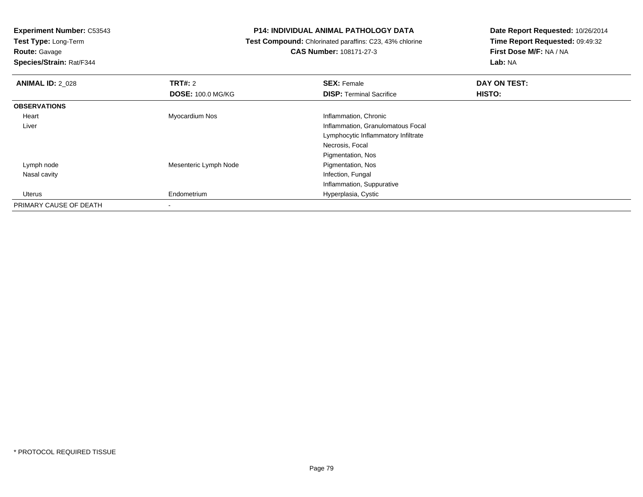**Test Type:** Long-Term

**Route:** Gavage

**Species/Strain:** Rat/F344

#### **P14: INDIVIDUAL ANIMAL PATHOLOGY DATA**

 **Test Compound:** Chlorinated paraffins: C23, 43% chlorine**CAS Number:** 108171-27-3

| <b>ANIMAL ID: 2 028</b> | TRT#: 2                  | <b>SEX: Female</b>                  | DAY ON TEST: |  |
|-------------------------|--------------------------|-------------------------------------|--------------|--|
|                         | <b>DOSE: 100.0 MG/KG</b> | <b>DISP: Terminal Sacrifice</b>     | HISTO:       |  |
| <b>OBSERVATIONS</b>     |                          |                                     |              |  |
| Heart                   | Myocardium Nos           | Inflammation, Chronic               |              |  |
| Liver                   |                          | Inflammation, Granulomatous Focal   |              |  |
|                         |                          | Lymphocytic Inflammatory Infiltrate |              |  |
|                         |                          | Necrosis, Focal                     |              |  |
|                         |                          | Pigmentation, Nos                   |              |  |
| Lymph node              | Mesenteric Lymph Node    | Pigmentation, Nos                   |              |  |
| Nasal cavity            |                          | Infection, Fungal                   |              |  |
|                         |                          | Inflammation, Suppurative           |              |  |
| Uterus                  | Endometrium              | Hyperplasia, Cystic                 |              |  |
| PRIMARY CAUSE OF DEATH  | $\overline{\phantom{a}}$ |                                     |              |  |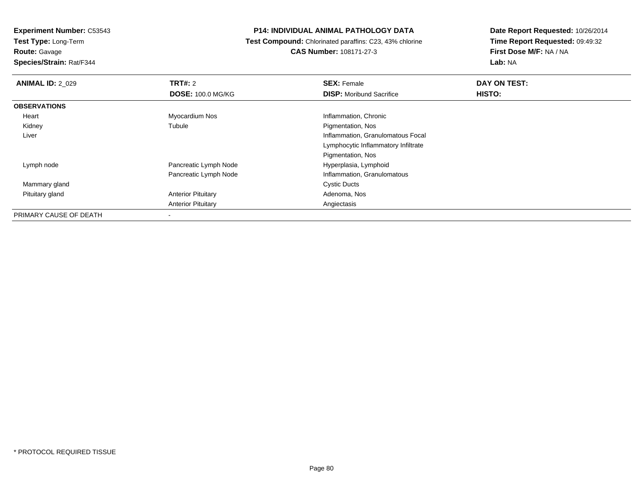**Test Type:** Long-Term**Route:** Gavage

**Species/Strain:** Rat/F344

### **P14: INDIVIDUAL ANIMAL PATHOLOGY DATA**

 **Test Compound:** Chlorinated paraffins: C23, 43% chlorine**CAS Number:** 108171-27-3

| <b>ANIMAL ID: 2 029</b> | TRT#: 2                   | <b>SEX: Female</b>                  | DAY ON TEST: |  |
|-------------------------|---------------------------|-------------------------------------|--------------|--|
|                         | <b>DOSE: 100.0 MG/KG</b>  | <b>DISP:</b> Moribund Sacrifice     | HISTO:       |  |
| <b>OBSERVATIONS</b>     |                           |                                     |              |  |
| Heart                   | Myocardium Nos            | Inflammation, Chronic               |              |  |
| Kidney                  | Tubule                    | Pigmentation, Nos                   |              |  |
| Liver                   |                           | Inflammation, Granulomatous Focal   |              |  |
|                         |                           | Lymphocytic Inflammatory Infiltrate |              |  |
|                         |                           | Pigmentation, Nos                   |              |  |
| Lymph node              | Pancreatic Lymph Node     | Hyperplasia, Lymphoid               |              |  |
|                         | Pancreatic Lymph Node     | Inflammation, Granulomatous         |              |  |
| Mammary gland           |                           | <b>Cystic Ducts</b>                 |              |  |
| Pituitary gland         | <b>Anterior Pituitary</b> | Adenoma, Nos                        |              |  |
|                         | <b>Anterior Pituitary</b> | Angiectasis                         |              |  |
| PRIMARY CAUSE OF DEATH  | ۰                         |                                     |              |  |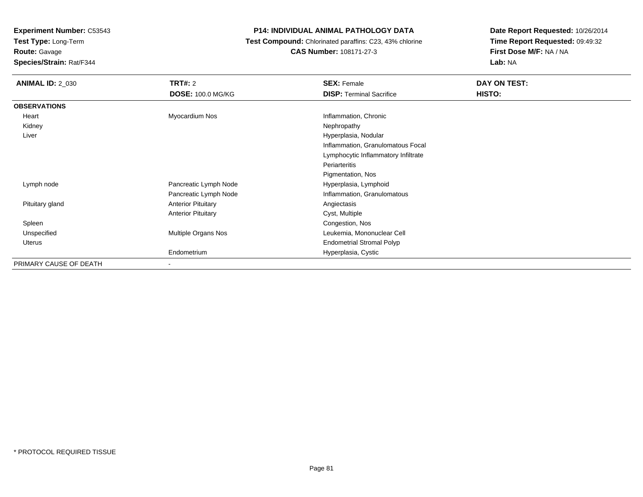**Test Type:** Long-Term**Route:** Gavage

**Species/Strain:** Rat/F344

### **P14: INDIVIDUAL ANIMAL PATHOLOGY DATA**

 **Test Compound:** Chlorinated paraffins: C23, 43% chlorine**CAS Number:** 108171-27-3

| <b>ANIMAL ID: 2_030</b> | <b>TRT#: 2</b><br><b>DOSE: 100.0 MG/KG</b> | <b>SEX: Female</b><br><b>DISP: Terminal Sacrifice</b> | DAY ON TEST:<br>HISTO: |
|-------------------------|--------------------------------------------|-------------------------------------------------------|------------------------|
| <b>OBSERVATIONS</b>     |                                            |                                                       |                        |
| Heart                   | Myocardium Nos                             | Inflammation, Chronic                                 |                        |
| Kidney                  |                                            | Nephropathy                                           |                        |
| Liver                   |                                            | Hyperplasia, Nodular                                  |                        |
|                         |                                            | Inflammation, Granulomatous Focal                     |                        |
|                         |                                            | Lymphocytic Inflammatory Infiltrate                   |                        |
|                         |                                            | Periarteritis                                         |                        |
|                         |                                            | Pigmentation, Nos                                     |                        |
| Lymph node              | Pancreatic Lymph Node                      | Hyperplasia, Lymphoid                                 |                        |
|                         | Pancreatic Lymph Node                      | Inflammation, Granulomatous                           |                        |
| Pituitary gland         | <b>Anterior Pituitary</b>                  | Angiectasis                                           |                        |
|                         | <b>Anterior Pituitary</b>                  | Cyst, Multiple                                        |                        |
| Spleen                  |                                            | Congestion, Nos                                       |                        |
| Unspecified             | Multiple Organs Nos                        | Leukemia, Mononuclear Cell                            |                        |
| Uterus                  |                                            | <b>Endometrial Stromal Polyp</b>                      |                        |
|                         | Endometrium                                | Hyperplasia, Cystic                                   |                        |
| PRIMARY CAUSE OF DEATH  |                                            |                                                       |                        |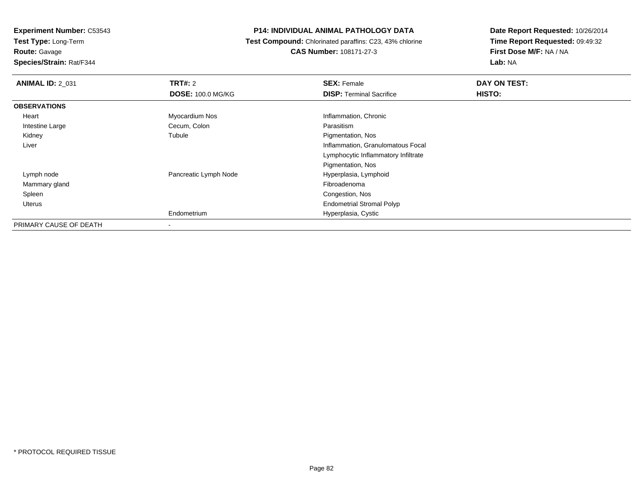**Test Type:** Long-Term**Route:** Gavage

**Species/Strain:** Rat/F344

### **P14: INDIVIDUAL ANIMAL PATHOLOGY DATA**

 **Test Compound:** Chlorinated paraffins: C23, 43% chlorine**CAS Number:** 108171-27-3

| <b>ANIMAL ID: 2_031</b> | TRT#: 2                  | <b>SEX: Female</b>                  | DAY ON TEST: |
|-------------------------|--------------------------|-------------------------------------|--------------|
|                         | <b>DOSE: 100.0 MG/KG</b> | <b>DISP: Terminal Sacrifice</b>     | HISTO:       |
| <b>OBSERVATIONS</b>     |                          |                                     |              |
| Heart                   | Myocardium Nos           | Inflammation, Chronic               |              |
| Intestine Large         | Cecum, Colon             | Parasitism                          |              |
| Kidney                  | Tubule                   | Pigmentation, Nos                   |              |
| Liver                   |                          | Inflammation, Granulomatous Focal   |              |
|                         |                          | Lymphocytic Inflammatory Infiltrate |              |
|                         |                          | Pigmentation, Nos                   |              |
| Lymph node              | Pancreatic Lymph Node    | Hyperplasia, Lymphoid               |              |
| Mammary gland           |                          | Fibroadenoma                        |              |
| Spleen                  |                          | Congestion, Nos                     |              |
| <b>Uterus</b>           |                          | <b>Endometrial Stromal Polyp</b>    |              |
|                         | Endometrium              | Hyperplasia, Cystic                 |              |
| PRIMARY CAUSE OF DEATH  |                          |                                     |              |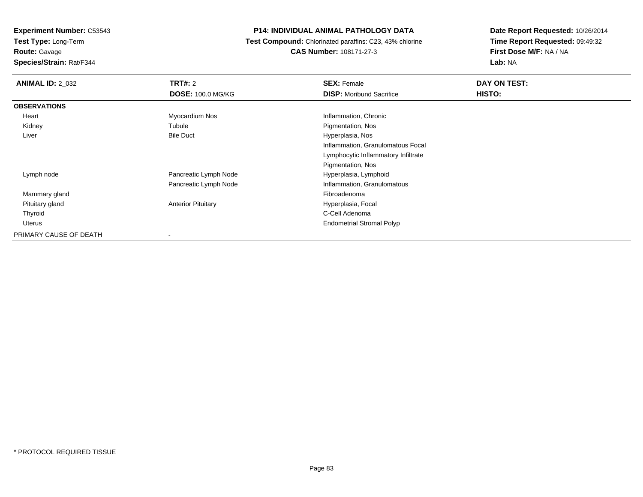**Experiment Number:** C53543**Test Type:** Long-Term

**Route:** Gavage

**Species/Strain:** Rat/F344

### **P14: INDIVIDUAL ANIMAL PATHOLOGY DATA**

 **Test Compound:** Chlorinated paraffins: C23, 43% chlorine**CAS Number:** 108171-27-3

| <b>ANIMAL ID: 2 032</b> | TRT#: 2                   | <b>SEX: Female</b>                  | DAY ON TEST: |
|-------------------------|---------------------------|-------------------------------------|--------------|
|                         | <b>DOSE: 100.0 MG/KG</b>  | <b>DISP:</b> Moribund Sacrifice     | HISTO:       |
| <b>OBSERVATIONS</b>     |                           |                                     |              |
| Heart                   | Myocardium Nos            | Inflammation, Chronic               |              |
| Kidney                  | Tubule                    | Pigmentation, Nos                   |              |
| Liver                   | <b>Bile Duct</b>          | Hyperplasia, Nos                    |              |
|                         |                           | Inflammation, Granulomatous Focal   |              |
|                         |                           | Lymphocytic Inflammatory Infiltrate |              |
|                         |                           | Pigmentation, Nos                   |              |
| Lymph node              | Pancreatic Lymph Node     | Hyperplasia, Lymphoid               |              |
|                         | Pancreatic Lymph Node     | Inflammation, Granulomatous         |              |
| Mammary gland           |                           | Fibroadenoma                        |              |
| Pituitary gland         | <b>Anterior Pituitary</b> | Hyperplasia, Focal                  |              |
| Thyroid                 |                           | C-Cell Adenoma                      |              |
| Uterus                  |                           | <b>Endometrial Stromal Polyp</b>    |              |
| PRIMARY CAUSE OF DEATH  | $\overline{\phantom{a}}$  |                                     |              |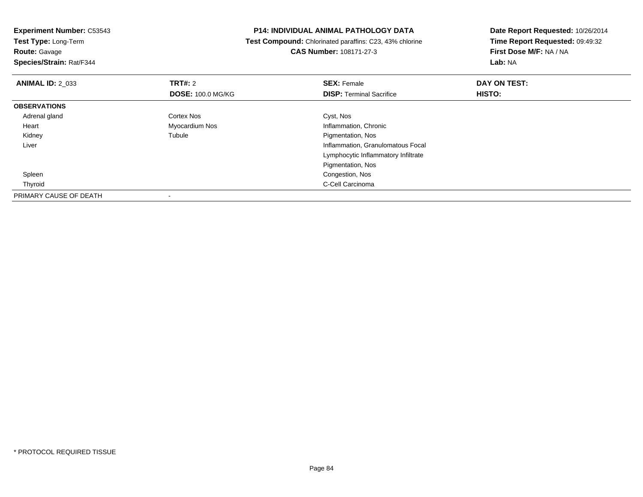| <b>Experiment Number: C53543</b><br>Test Type: Long-Term |                          | <b>P14: INDIVIDUAL ANIMAL PATHOLOGY DATA</b>            | Date Report Requested: 10/26/2014 |
|----------------------------------------------------------|--------------------------|---------------------------------------------------------|-----------------------------------|
|                                                          |                          | Test Compound: Chlorinated paraffins: C23, 43% chlorine | Time Report Requested: 09:49:32   |
| <b>Route: Gavage</b>                                     |                          | <b>CAS Number: 108171-27-3</b>                          | First Dose M/F: NA / NA           |
| Species/Strain: Rat/F344                                 |                          |                                                         | Lab: NA                           |
| <b>ANIMAL ID: 2 033</b>                                  | <b>TRT#:</b> 2           | <b>SEX: Female</b>                                      | DAY ON TEST:                      |
|                                                          | <b>DOSE: 100.0 MG/KG</b> | <b>DISP:</b> Terminal Sacrifice                         | HISTO:                            |
| <b>OBSERVATIONS</b>                                      |                          |                                                         |                                   |
| Adrenal gland                                            | Cortex Nos               | Cyst, Nos                                               |                                   |
| Heart                                                    | Myocardium Nos           | Inflammation, Chronic                                   |                                   |
| Kidney                                                   | Tubule                   | Pigmentation, Nos                                       |                                   |
| Liver                                                    |                          | Inflammation, Granulomatous Focal                       |                                   |
|                                                          |                          | Lymphocytic Inflammatory Infiltrate                     |                                   |
|                                                          |                          | Pigmentation, Nos                                       |                                   |
| Spleen                                                   |                          | Congestion, Nos                                         |                                   |
| Thyroid                                                  |                          | C-Cell Carcinoma                                        |                                   |
| PRIMARY CAUSE OF DEATH                                   |                          |                                                         |                                   |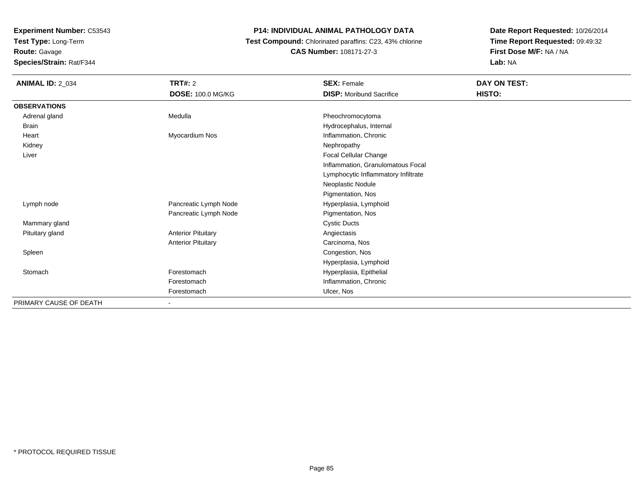**Test Type:** Long-Term

# **Route:** Gavage

**Species/Strain:** Rat/F344

### **P14: INDIVIDUAL ANIMAL PATHOLOGY DATA**

### **Test Compound:** Chlorinated paraffins: C23, 43% chlorine**CAS Number:** 108171-27-3

| <b>ANIMAL ID: 2_034</b> | <b>TRT#: 2</b>            | <b>SEX: Female</b>                  | DAY ON TEST: |  |
|-------------------------|---------------------------|-------------------------------------|--------------|--|
|                         | DOSE: 100.0 MG/KG         | <b>DISP:</b> Moribund Sacrifice     | HISTO:       |  |
| <b>OBSERVATIONS</b>     |                           |                                     |              |  |
| Adrenal gland           | Medulla                   | Pheochromocytoma                    |              |  |
| Brain                   |                           | Hydrocephalus, Internal             |              |  |
| Heart                   | Myocardium Nos            | Inflammation, Chronic               |              |  |
| Kidney                  |                           | Nephropathy                         |              |  |
| Liver                   |                           | Focal Cellular Change               |              |  |
|                         |                           | Inflammation, Granulomatous Focal   |              |  |
|                         |                           | Lymphocytic Inflammatory Infiltrate |              |  |
|                         |                           | Neoplastic Nodule                   |              |  |
|                         |                           | Pigmentation, Nos                   |              |  |
| Lymph node              | Pancreatic Lymph Node     | Hyperplasia, Lymphoid               |              |  |
|                         | Pancreatic Lymph Node     | Pigmentation, Nos                   |              |  |
| Mammary gland           |                           | <b>Cystic Ducts</b>                 |              |  |
| Pituitary gland         | <b>Anterior Pituitary</b> | Angiectasis                         |              |  |
|                         | <b>Anterior Pituitary</b> | Carcinoma, Nos                      |              |  |
| Spleen                  |                           | Congestion, Nos                     |              |  |
|                         |                           | Hyperplasia, Lymphoid               |              |  |
| Stomach                 | Forestomach               | Hyperplasia, Epithelial             |              |  |
|                         | Forestomach               | Inflammation, Chronic               |              |  |
|                         | Forestomach               | Ulcer, Nos                          |              |  |
| PRIMARY CAUSE OF DEATH  |                           |                                     |              |  |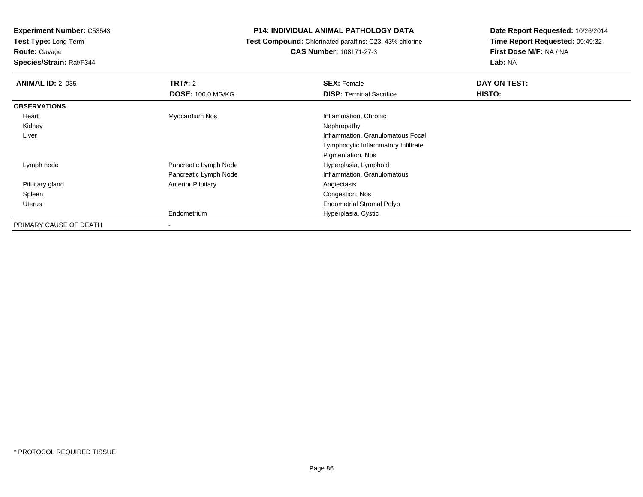**Test Type:** Long-Term

**Route:** Gavage

**Species/Strain:** Rat/F344

### **P14: INDIVIDUAL ANIMAL PATHOLOGY DATA**

 **Test Compound:** Chlorinated paraffins: C23, 43% chlorine**CAS Number:** 108171-27-3

| <b>ANIMAL ID: 2 035</b> | TRT#: 2                   | <b>SEX: Female</b>                  | DAY ON TEST: |
|-------------------------|---------------------------|-------------------------------------|--------------|
|                         | <b>DOSE: 100.0 MG/KG</b>  | <b>DISP: Terminal Sacrifice</b>     | HISTO:       |
| <b>OBSERVATIONS</b>     |                           |                                     |              |
| Heart                   | Myocardium Nos            | Inflammation, Chronic               |              |
| Kidney                  |                           | Nephropathy                         |              |
| Liver                   |                           | Inflammation, Granulomatous Focal   |              |
|                         |                           | Lymphocytic Inflammatory Infiltrate |              |
|                         |                           | Pigmentation, Nos                   |              |
| Lymph node              | Pancreatic Lymph Node     | Hyperplasia, Lymphoid               |              |
|                         | Pancreatic Lymph Node     | Inflammation, Granulomatous         |              |
| Pituitary gland         | <b>Anterior Pituitary</b> | Angiectasis                         |              |
| Spleen                  |                           | Congestion, Nos                     |              |
| Uterus                  |                           | <b>Endometrial Stromal Polyp</b>    |              |
|                         | Endometrium               | Hyperplasia, Cystic                 |              |
| PRIMARY CAUSE OF DEATH  | ۰                         |                                     |              |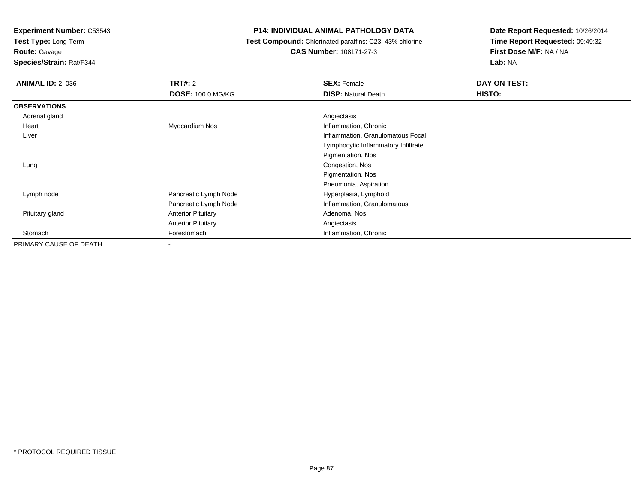**Test Type:** Long-Term

**Route:** Gavage

**Species/Strain:** Rat/F344

### **P14: INDIVIDUAL ANIMAL PATHOLOGY DATA**

 **Test Compound:** Chlorinated paraffins: C23, 43% chlorine**CAS Number:** 108171-27-3

| <b>ANIMAL ID: 2 036</b> | <b>TRT#: 2</b><br><b>DOSE: 100.0 MG/KG</b> | <b>SEX: Female</b><br><b>DISP:</b> Natural Death | DAY ON TEST:<br>HISTO: |
|-------------------------|--------------------------------------------|--------------------------------------------------|------------------------|
| <b>OBSERVATIONS</b>     |                                            |                                                  |                        |
| Adrenal gland           |                                            | Angiectasis                                      |                        |
| Heart                   | Myocardium Nos                             | Inflammation, Chronic                            |                        |
| Liver                   |                                            | Inflammation, Granulomatous Focal                |                        |
|                         |                                            | Lymphocytic Inflammatory Infiltrate              |                        |
|                         |                                            | Pigmentation, Nos                                |                        |
| Lung                    |                                            | Congestion, Nos                                  |                        |
|                         |                                            | Pigmentation, Nos                                |                        |
|                         |                                            | Pneumonia, Aspiration                            |                        |
| Lymph node              | Pancreatic Lymph Node                      | Hyperplasia, Lymphoid                            |                        |
|                         | Pancreatic Lymph Node                      | Inflammation, Granulomatous                      |                        |
| Pituitary gland         | <b>Anterior Pituitary</b>                  | Adenoma, Nos                                     |                        |
|                         | <b>Anterior Pituitary</b>                  | Angiectasis                                      |                        |
| Stomach                 | Forestomach                                | Inflammation, Chronic                            |                        |
| PRIMARY CAUSE OF DEATH  | $\,$                                       |                                                  |                        |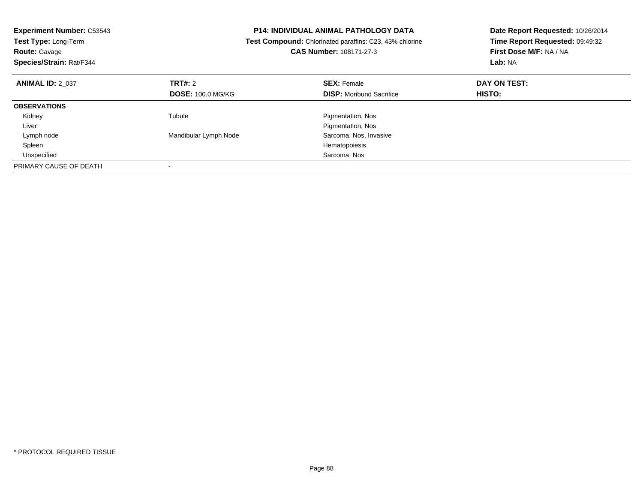| <b>Experiment Number: C53543</b><br><b>Test Type: Long-Term</b><br><b>Route: Gavage</b><br>Species/Strain: Rat/F344 |                          | <b>P14: INDIVIDUAL ANIMAL PATHOLOGY DATA</b><br>Test Compound: Chlorinated paraffins: C23, 43% chlorine<br><b>CAS Number: 108171-27-3</b> | Date Report Requested: 10/26/2014<br>Time Report Requested: 09:49:32<br><b>First Dose M/F: NA / NA</b><br>Lab: NA |
|---------------------------------------------------------------------------------------------------------------------|--------------------------|-------------------------------------------------------------------------------------------------------------------------------------------|-------------------------------------------------------------------------------------------------------------------|
| <b>ANIMAL ID: 2 037</b>                                                                                             | TRT#: 2                  | <b>SEX: Female</b>                                                                                                                        | DAY ON TEST:                                                                                                      |
|                                                                                                                     | <b>DOSE: 100.0 MG/KG</b> | <b>DISP:</b> Moribund Sacrifice                                                                                                           | HISTO:                                                                                                            |
| <b>OBSERVATIONS</b>                                                                                                 |                          |                                                                                                                                           |                                                                                                                   |
| Kidney                                                                                                              | Tubule                   | Pigmentation, Nos                                                                                                                         |                                                                                                                   |
| Liver                                                                                                               |                          | Pigmentation, Nos                                                                                                                         |                                                                                                                   |
| Lymph node                                                                                                          | Mandibular Lymph Node    | Sarcoma, Nos, Invasive                                                                                                                    |                                                                                                                   |
| Spleen                                                                                                              |                          | Hematopoiesis                                                                                                                             |                                                                                                                   |
| Unspecified                                                                                                         |                          | Sarcoma, Nos                                                                                                                              |                                                                                                                   |
| PRIMARY CAUSE OF DEATH                                                                                              |                          |                                                                                                                                           |                                                                                                                   |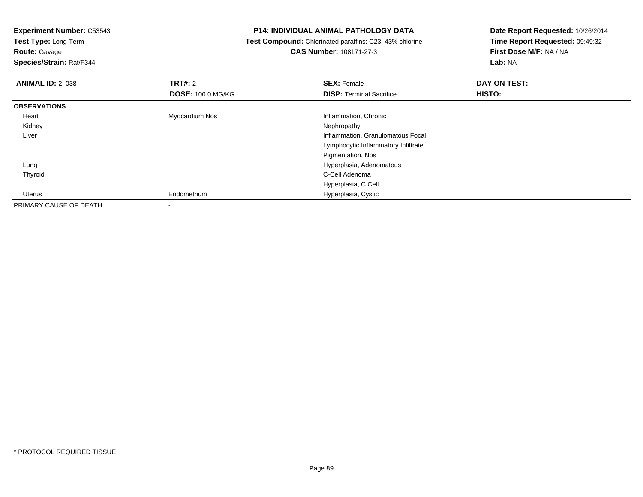**Test Type:** Long-Term

**Route:** Gavage

**Species/Strain:** Rat/F344

#### **P14: INDIVIDUAL ANIMAL PATHOLOGY DATA**

 **Test Compound:** Chlorinated paraffins: C23, 43% chlorine**CAS Number:** 108171-27-3

| <b>ANIMAL ID: 2 038</b> | <b>TRT#: 2</b>           | <b>SEX: Female</b>                  | DAY ON TEST: |  |
|-------------------------|--------------------------|-------------------------------------|--------------|--|
|                         | <b>DOSE: 100.0 MG/KG</b> | <b>DISP: Terminal Sacrifice</b>     | HISTO:       |  |
| <b>OBSERVATIONS</b>     |                          |                                     |              |  |
| Heart                   | Myocardium Nos           | Inflammation, Chronic               |              |  |
| Kidney                  |                          | Nephropathy                         |              |  |
| Liver                   |                          | Inflammation, Granulomatous Focal   |              |  |
|                         |                          | Lymphocytic Inflammatory Infiltrate |              |  |
|                         |                          | Pigmentation, Nos                   |              |  |
| Lung                    |                          | Hyperplasia, Adenomatous            |              |  |
| Thyroid                 |                          | C-Cell Adenoma                      |              |  |
|                         |                          | Hyperplasia, C Cell                 |              |  |
| Uterus                  | Endometrium              | Hyperplasia, Cystic                 |              |  |
| PRIMARY CAUSE OF DEATH  |                          |                                     |              |  |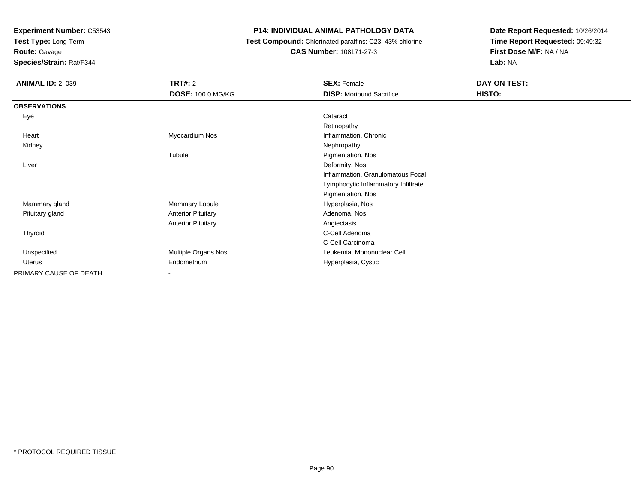**Test Type:** Long-Term

### **Route:** Gavage

**Species/Strain:** Rat/F344

### **P14: INDIVIDUAL ANIMAL PATHOLOGY DATA**

### **Test Compound:** Chlorinated paraffins: C23, 43% chlorine**CAS Number:** 108171-27-3

| <b>ANIMAL ID: 2_039</b> | <b>TRT#: 2</b><br><b>DOSE: 100.0 MG/KG</b> | <b>SEX: Female</b><br><b>DISP:</b> Moribund Sacrifice | DAY ON TEST:<br>HISTO: |
|-------------------------|--------------------------------------------|-------------------------------------------------------|------------------------|
| <b>OBSERVATIONS</b>     |                                            |                                                       |                        |
| Eye                     |                                            | Cataract                                              |                        |
|                         |                                            | Retinopathy                                           |                        |
| Heart                   | Myocardium Nos                             | Inflammation, Chronic                                 |                        |
| Kidney                  |                                            | Nephropathy                                           |                        |
|                         | Tubule                                     | Pigmentation, Nos                                     |                        |
| Liver                   |                                            | Deformity, Nos                                        |                        |
|                         |                                            | Inflammation, Granulomatous Focal                     |                        |
|                         |                                            | Lymphocytic Inflammatory Infiltrate                   |                        |
|                         |                                            | Pigmentation, Nos                                     |                        |
| Mammary gland           | Mammary Lobule                             | Hyperplasia, Nos                                      |                        |
| Pituitary gland         | <b>Anterior Pituitary</b>                  | Adenoma, Nos                                          |                        |
|                         | <b>Anterior Pituitary</b>                  | Angiectasis                                           |                        |
| Thyroid                 |                                            | C-Cell Adenoma                                        |                        |
|                         |                                            | C-Cell Carcinoma                                      |                        |
| Unspecified             | Multiple Organs Nos                        | Leukemia, Mononuclear Cell                            |                        |
| Uterus                  | Endometrium                                | Hyperplasia, Cystic                                   |                        |
| PRIMARY CAUSE OF DEATH  |                                            |                                                       |                        |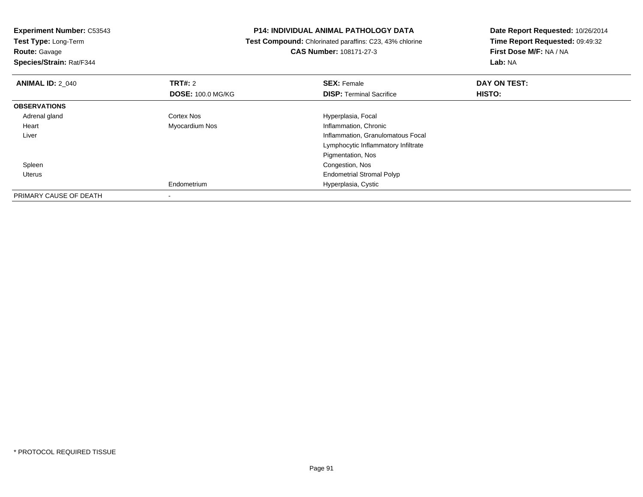| <b>Experiment Number: C53543</b> |                          | P14: INDIVIDUAL ANIMAL PATHOLOGY DATA                   | Date Report Requested: 10/26/2014 |  |
|----------------------------------|--------------------------|---------------------------------------------------------|-----------------------------------|--|
| Test Type: Long-Term             |                          | Test Compound: Chlorinated paraffins: C23, 43% chlorine | Time Report Requested: 09:49:32   |  |
| <b>Route: Gavage</b>             |                          | CAS Number: 108171-27-3                                 | First Dose M/F: NA / NA           |  |
| Species/Strain: Rat/F344         |                          |                                                         | <b>Lab: NA</b>                    |  |
| <b>ANIMAL ID: 2 040</b>          | <b>TRT#:</b> 2           | <b>SEX: Female</b>                                      | DAY ON TEST:                      |  |
|                                  | <b>DOSE: 100.0 MG/KG</b> | <b>DISP:</b> Terminal Sacrifice                         | HISTO:                            |  |
| <b>OBSERVATIONS</b>              |                          |                                                         |                                   |  |
| Adrenal gland                    | Cortex Nos               | Hyperplasia, Focal                                      |                                   |  |
| Heart                            | Myocardium Nos           | Inflammation, Chronic                                   |                                   |  |
| Liver                            |                          | Inflammation, Granulomatous Focal                       |                                   |  |
|                                  |                          | Lymphocytic Inflammatory Infiltrate                     |                                   |  |
|                                  |                          | Pigmentation, Nos                                       |                                   |  |
| Spleen                           |                          | Congestion, Nos                                         |                                   |  |
| Uterus                           |                          | <b>Endometrial Stromal Polyp</b>                        |                                   |  |
|                                  | Endometrium              | Hyperplasia, Cystic                                     |                                   |  |
| PRIMARY CAUSE OF DEATH           |                          |                                                         |                                   |  |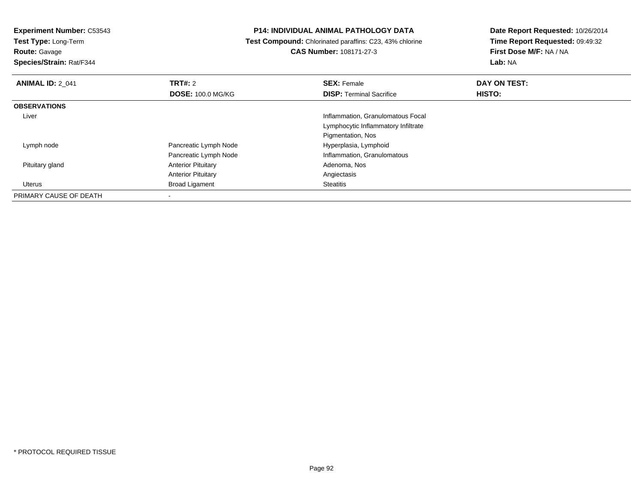**Test Type:** Long-Term

**Route:** Gavage

**Species/Strain:** Rat/F344

### **P14: INDIVIDUAL ANIMAL PATHOLOGY DATA**

 **Test Compound:** Chlorinated paraffins: C23, 43% chlorine**CAS Number:** 108171-27-3

| <b>ANIMAL ID: 2 041</b> | TRT#: 2                   | <b>SEX: Female</b>                  | DAY ON TEST: |  |
|-------------------------|---------------------------|-------------------------------------|--------------|--|
|                         | <b>DOSE: 100.0 MG/KG</b>  | <b>DISP: Terminal Sacrifice</b>     | HISTO:       |  |
| <b>OBSERVATIONS</b>     |                           |                                     |              |  |
| Liver                   |                           | Inflammation, Granulomatous Focal   |              |  |
|                         |                           | Lymphocytic Inflammatory Infiltrate |              |  |
|                         |                           | Pigmentation, Nos                   |              |  |
| Lymph node              | Pancreatic Lymph Node     | Hyperplasia, Lymphoid               |              |  |
|                         | Pancreatic Lymph Node     | Inflammation, Granulomatous         |              |  |
| Pituitary gland         | <b>Anterior Pituitary</b> | Adenoma, Nos                        |              |  |
|                         | <b>Anterior Pituitary</b> | Angiectasis                         |              |  |
| Uterus                  | <b>Broad Ligament</b>     | <b>Steatitis</b>                    |              |  |
| PRIMARY CAUSE OF DEATH  |                           |                                     |              |  |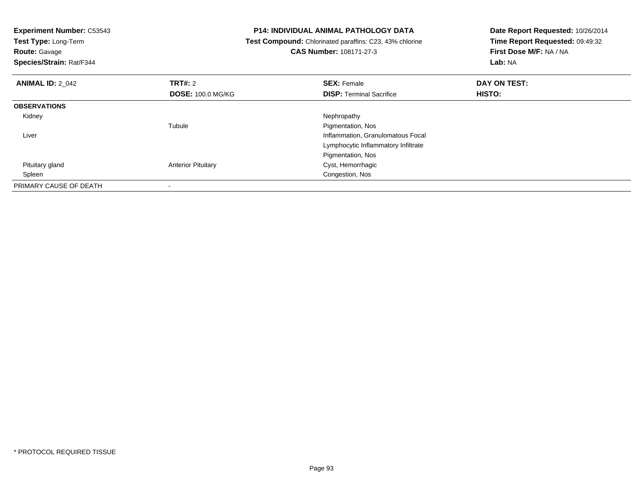| <b>Experiment Number: C53543</b><br>Test Type: Long-Term<br><b>Route: Gavage</b><br>Species/Strain: Rat/F344 |                           | <b>P14: INDIVIDUAL ANIMAL PATHOLOGY DATA</b><br>Test Compound: Chlorinated paraffins: C23, 43% chlorine<br><b>CAS Number: 108171-27-3</b> | Date Report Requested: 10/26/2014<br>Time Report Requested: 09:49:32<br>First Dose M/F: NA / NA<br>Lab: NA |
|--------------------------------------------------------------------------------------------------------------|---------------------------|-------------------------------------------------------------------------------------------------------------------------------------------|------------------------------------------------------------------------------------------------------------|
| <b>ANIMAL ID: 2 042</b>                                                                                      | <b>TRT#: 2</b>            | <b>SEX: Female</b>                                                                                                                        | DAY ON TEST:                                                                                               |
|                                                                                                              | <b>DOSE: 100.0 MG/KG</b>  | <b>DISP:</b> Terminal Sacrifice                                                                                                           | HISTO:                                                                                                     |
| <b>OBSERVATIONS</b>                                                                                          |                           |                                                                                                                                           |                                                                                                            |
| Kidney                                                                                                       |                           | Nephropathy                                                                                                                               |                                                                                                            |
|                                                                                                              | Tubule                    | Pigmentation, Nos                                                                                                                         |                                                                                                            |
| Liver                                                                                                        |                           | Inflammation, Granulomatous Focal                                                                                                         |                                                                                                            |
|                                                                                                              |                           | Lymphocytic Inflammatory Infiltrate                                                                                                       |                                                                                                            |
|                                                                                                              |                           | Pigmentation, Nos                                                                                                                         |                                                                                                            |
| Pituitary gland                                                                                              | <b>Anterior Pituitary</b> | Cyst, Hemorrhagic                                                                                                                         |                                                                                                            |
| Spleen                                                                                                       |                           | Congestion, Nos                                                                                                                           |                                                                                                            |
| PRIMARY CAUSE OF DEATH                                                                                       |                           |                                                                                                                                           |                                                                                                            |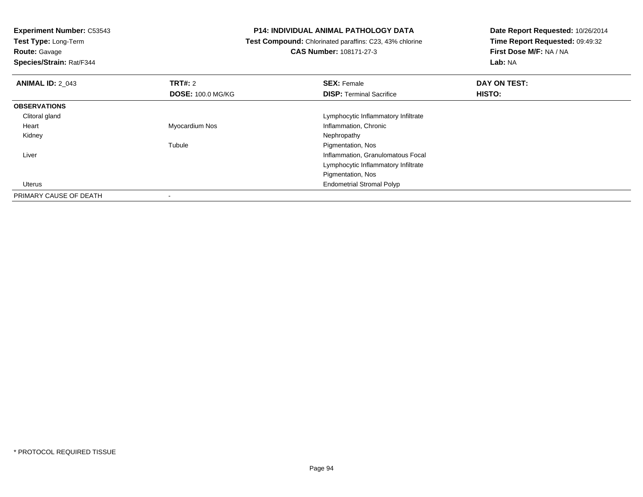**Experiment Number:** C53543**Test Type:** Long-Term**Route:** Gavage **Species/Strain:** Rat/F344**P14: INDIVIDUAL ANIMAL PATHOLOGY DATA Test Compound:** Chlorinated paraffins: C23, 43% chlorine**CAS Number:** 108171-27-3**Date Report Requested:** 10/26/2014**Time Report Requested:** 09:49:32**First Dose M/F:** NA / NA**Lab:** NA**ANIMAL ID:** 2\_043**TRT#:** 2 **SEX:** Female **DAY ON TEST: DOSE:** 100.0 MG/KG**DISP:** Terminal Sacrifice **HISTO: OBSERVATIONS** Clitoral gland Lymphocytic Inflammatory Infiltrate Heart Myocardium NosInflammation, Chronic<br>Nephropathy Kidneyy the control of the control of the control of the control of the control of the control of the control of the control of the control of the control of the control of the control of the control of the control of the contro Tubule Pigmentation, Nos Liver Inflammation, Granulomatous Focal Lymphocytic Inflammatory InfiltratePigmentation, Nos Endometrial Stromal PolypUterus

PRIMARY CAUSE OF DEATH-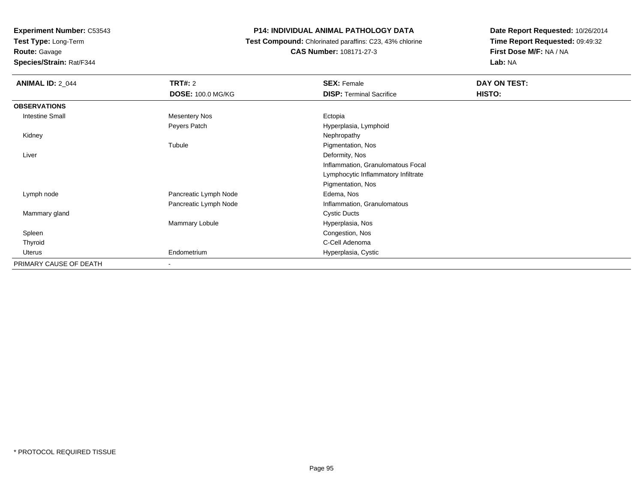**Test Type:** Long-Term

## **Route:** Gavage

**Species/Strain:** Rat/F344

### **P14: INDIVIDUAL ANIMAL PATHOLOGY DATA**

 **Test Compound:** Chlorinated paraffins: C23, 43% chlorine**CAS Number:** 108171-27-3

| <b>ANIMAL ID: 2_044</b> | <b>TRT#: 2</b>           | <b>SEX: Female</b>                  | DAY ON TEST: |  |
|-------------------------|--------------------------|-------------------------------------|--------------|--|
|                         | <b>DOSE: 100.0 MG/KG</b> | <b>DISP: Terminal Sacrifice</b>     | HISTO:       |  |
| <b>OBSERVATIONS</b>     |                          |                                     |              |  |
| <b>Intestine Small</b>  | <b>Mesentery Nos</b>     | Ectopia                             |              |  |
|                         | Peyers Patch             | Hyperplasia, Lymphoid               |              |  |
| Kidney                  |                          | Nephropathy                         |              |  |
|                         | Tubule                   | Pigmentation, Nos                   |              |  |
| Liver                   |                          | Deformity, Nos                      |              |  |
|                         |                          | Inflammation, Granulomatous Focal   |              |  |
|                         |                          | Lymphocytic Inflammatory Infiltrate |              |  |
|                         |                          | Pigmentation, Nos                   |              |  |
| Lymph node              | Pancreatic Lymph Node    | Edema, Nos                          |              |  |
|                         | Pancreatic Lymph Node    | Inflammation, Granulomatous         |              |  |
| Mammary gland           |                          | <b>Cystic Ducts</b>                 |              |  |
|                         | Mammary Lobule           | Hyperplasia, Nos                    |              |  |
| Spleen                  |                          | Congestion, Nos                     |              |  |
| Thyroid                 |                          | C-Cell Adenoma                      |              |  |
| Uterus                  | Endometrium              | Hyperplasia, Cystic                 |              |  |
| PRIMARY CAUSE OF DEATH  |                          |                                     |              |  |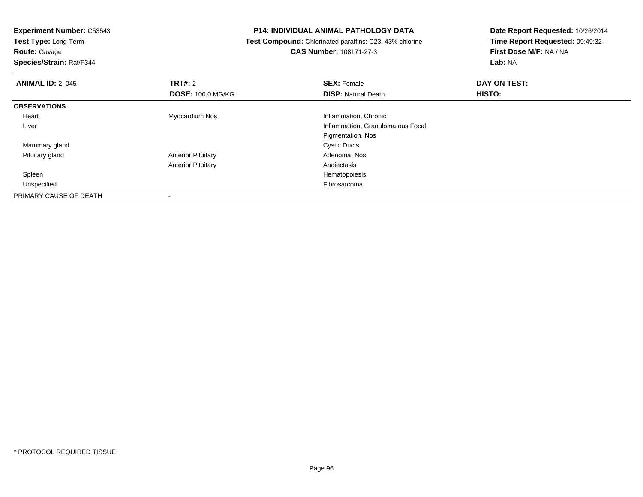**Test Type:** Long-Term

**Route:** Gavage

**Species/Strain:** Rat/F344

### **P14: INDIVIDUAL ANIMAL PATHOLOGY DATA**

 **Test Compound:** Chlorinated paraffins: C23, 43% chlorine**CAS Number:** 108171-27-3

| <b>ANIMAL ID: 2_045</b> | TRT#: 2<br><b>DOSE: 100.0 MG/KG</b> | <b>SEX: Female</b><br><b>DISP: Natural Death</b> | DAY ON TEST:<br>HISTO: |  |
|-------------------------|-------------------------------------|--------------------------------------------------|------------------------|--|
| <b>OBSERVATIONS</b>     |                                     |                                                  |                        |  |
| Heart                   | Myocardium Nos                      | Inflammation, Chronic                            |                        |  |
| Liver                   |                                     | Inflammation, Granulomatous Focal                |                        |  |
|                         |                                     | Pigmentation, Nos                                |                        |  |
| Mammary gland           |                                     | <b>Cystic Ducts</b>                              |                        |  |
| Pituitary gland         | <b>Anterior Pituitary</b>           | Adenoma, Nos                                     |                        |  |
|                         | <b>Anterior Pituitary</b>           | Angiectasis                                      |                        |  |
| Spleen                  |                                     | Hematopoiesis                                    |                        |  |
| Unspecified             |                                     | Fibrosarcoma                                     |                        |  |
| PRIMARY CAUSE OF DEATH  |                                     |                                                  |                        |  |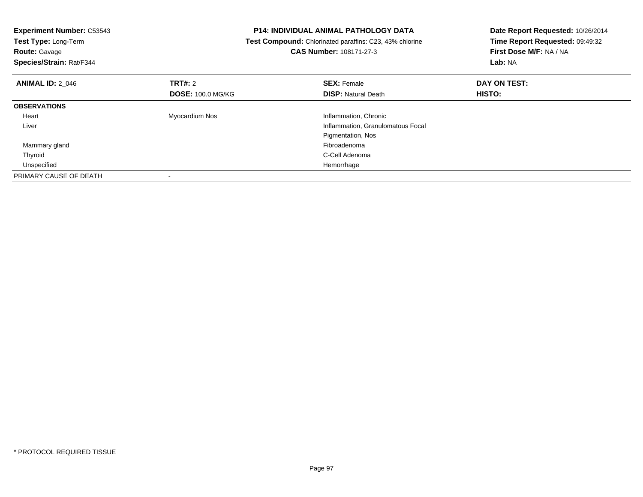| <b>Experiment Number: C53543</b><br>Test Type: Long-Term<br><b>Route: Gavage</b><br>Species/Strain: Rat/F344 |                          | <b>P14: INDIVIDUAL ANIMAL PATHOLOGY DATA</b><br>Test Compound: Chlorinated paraffins: C23, 43% chlorine<br>CAS Number: 108171-27-3 | Date Report Requested: 10/26/2014<br>Time Report Requested: 09:49:32<br>First Dose M/F: NA / NA<br>Lab: NA |
|--------------------------------------------------------------------------------------------------------------|--------------------------|------------------------------------------------------------------------------------------------------------------------------------|------------------------------------------------------------------------------------------------------------|
| <b>ANIMAL ID: 2 046</b>                                                                                      | <b>TRT#: 2</b>           | <b>SEX: Female</b>                                                                                                                 | DAY ON TEST:                                                                                               |
|                                                                                                              | <b>DOSE: 100.0 MG/KG</b> | <b>DISP: Natural Death</b>                                                                                                         | <b>HISTO:</b>                                                                                              |
| <b>OBSERVATIONS</b>                                                                                          |                          |                                                                                                                                    |                                                                                                            |
| Heart                                                                                                        | Myocardium Nos           | Inflammation, Chronic                                                                                                              |                                                                                                            |
| Liver                                                                                                        |                          | Inflammation, Granulomatous Focal                                                                                                  |                                                                                                            |
|                                                                                                              |                          | Pigmentation, Nos                                                                                                                  |                                                                                                            |
| Mammary gland                                                                                                |                          | Fibroadenoma                                                                                                                       |                                                                                                            |
| Thyroid                                                                                                      |                          | C-Cell Adenoma                                                                                                                     |                                                                                                            |
| Unspecified                                                                                                  |                          | Hemorrhage                                                                                                                         |                                                                                                            |
| PRIMARY CAUSE OF DEATH                                                                                       |                          |                                                                                                                                    |                                                                                                            |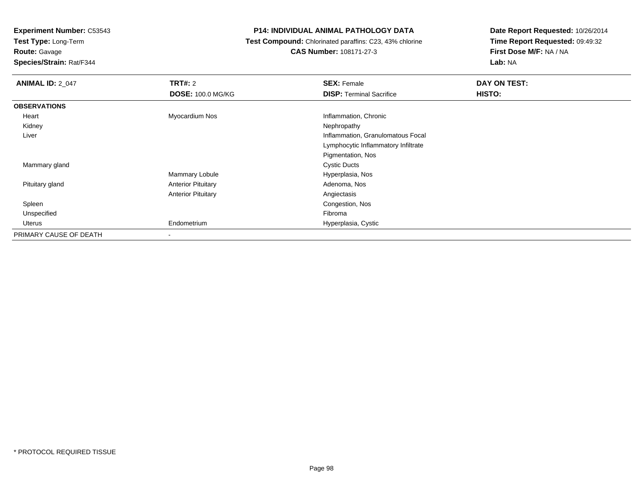**Test Type:** Long-Term

**Route:** Gavage

**Species/Strain:** Rat/F344

### **P14: INDIVIDUAL ANIMAL PATHOLOGY DATA**

 **Test Compound:** Chlorinated paraffins: C23, 43% chlorine**CAS Number:** 108171-27-3

| <b>ANIMAL ID: 2_047</b> | TRT#: 2                   | <b>SEX: Female</b>                  | DAY ON TEST: |
|-------------------------|---------------------------|-------------------------------------|--------------|
|                         | <b>DOSE: 100.0 MG/KG</b>  | <b>DISP: Terminal Sacrifice</b>     | HISTO:       |
| <b>OBSERVATIONS</b>     |                           |                                     |              |
| Heart                   | Myocardium Nos            | Inflammation, Chronic               |              |
| Kidney                  |                           | Nephropathy                         |              |
| Liver                   |                           | Inflammation, Granulomatous Focal   |              |
|                         |                           | Lymphocytic Inflammatory Infiltrate |              |
|                         |                           | Pigmentation, Nos                   |              |
| Mammary gland           |                           | <b>Cystic Ducts</b>                 |              |
|                         | Mammary Lobule            | Hyperplasia, Nos                    |              |
| Pituitary gland         | <b>Anterior Pituitary</b> | Adenoma, Nos                        |              |
|                         | <b>Anterior Pituitary</b> | Angiectasis                         |              |
| Spleen                  |                           | Congestion, Nos                     |              |
| Unspecified             |                           | Fibroma                             |              |
| Uterus                  | Endometrium               | Hyperplasia, Cystic                 |              |
| PRIMARY CAUSE OF DEATH  | $\overline{\phantom{a}}$  |                                     |              |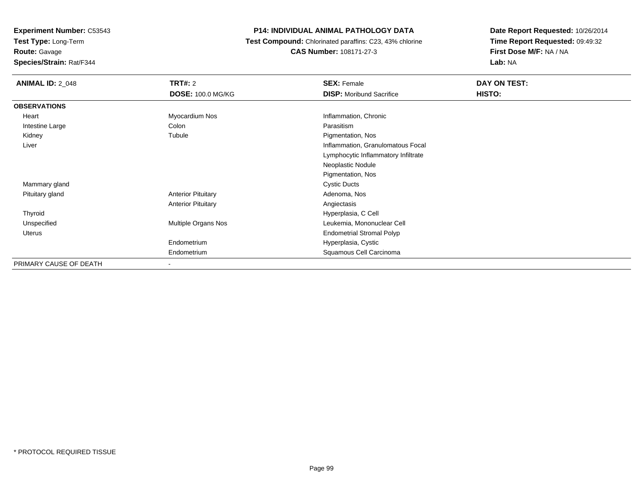**Test Type:** Long-Term

**Route:** Gavage

**Species/Strain:** Rat/F344

### **P14: INDIVIDUAL ANIMAL PATHOLOGY DATA**

 **Test Compound:** Chlorinated paraffins: C23, 43% chlorine**CAS Number:** 108171-27-3

| <b>ANIMAL ID: 2_048</b> | <b>TRT#: 2</b>            | <b>SEX: Female</b>                  | DAY ON TEST: |
|-------------------------|---------------------------|-------------------------------------|--------------|
|                         | <b>DOSE: 100.0 MG/KG</b>  | <b>DISP:</b> Moribund Sacrifice     | HISTO:       |
| <b>OBSERVATIONS</b>     |                           |                                     |              |
| Heart                   | Myocardium Nos            | Inflammation, Chronic               |              |
| Intestine Large         | Colon                     | Parasitism                          |              |
| Kidney                  | Tubule                    | Pigmentation, Nos                   |              |
| Liver                   |                           | Inflammation, Granulomatous Focal   |              |
|                         |                           | Lymphocytic Inflammatory Infiltrate |              |
|                         |                           | Neoplastic Nodule                   |              |
|                         |                           | Pigmentation, Nos                   |              |
| Mammary gland           |                           | <b>Cystic Ducts</b>                 |              |
| Pituitary gland         | <b>Anterior Pituitary</b> | Adenoma, Nos                        |              |
|                         | <b>Anterior Pituitary</b> | Angiectasis                         |              |
| Thyroid                 |                           | Hyperplasia, C Cell                 |              |
| Unspecified             | Multiple Organs Nos       | Leukemia, Mononuclear Cell          |              |
| Uterus                  |                           | <b>Endometrial Stromal Polyp</b>    |              |
|                         | Endometrium               | Hyperplasia, Cystic                 |              |
|                         | Endometrium               | Squamous Cell Carcinoma             |              |
| PRIMARY CAUSE OF DEATH  | $\blacksquare$            |                                     |              |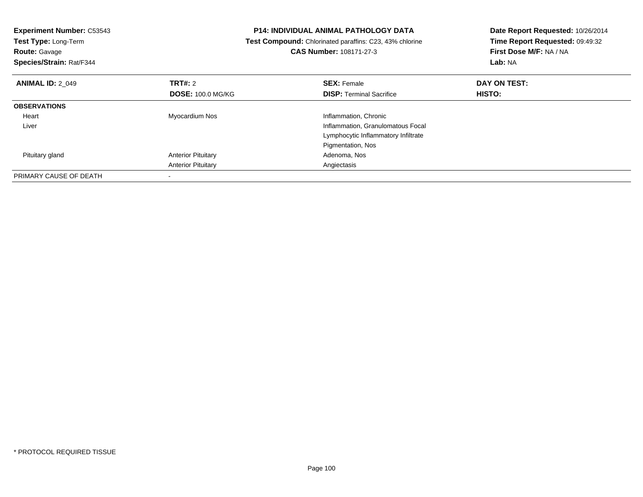| <b>Experiment Number: C53543</b><br><b>Test Type: Long-Term</b><br><b>Route: Gavage</b><br>Species/Strain: Rat/F344 |                           | <b>P14: INDIVIDUAL ANIMAL PATHOLOGY DATA</b><br>Test Compound: Chlorinated paraffins: C23, 43% chlorine<br><b>CAS Number: 108171-27-3</b> | Date Report Requested: 10/26/2014<br>Time Report Requested: 09:49:32<br>First Dose M/F: NA / NA<br>Lab: NA |  |
|---------------------------------------------------------------------------------------------------------------------|---------------------------|-------------------------------------------------------------------------------------------------------------------------------------------|------------------------------------------------------------------------------------------------------------|--|
| <b>ANIMAL ID: 2 049</b>                                                                                             | TRT#: 2                   | <b>SEX: Female</b>                                                                                                                        | DAY ON TEST:                                                                                               |  |
|                                                                                                                     | <b>DOSE: 100.0 MG/KG</b>  | <b>DISP:</b> Terminal Sacrifice                                                                                                           | HISTO:                                                                                                     |  |
| <b>OBSERVATIONS</b>                                                                                                 |                           |                                                                                                                                           |                                                                                                            |  |
| Heart                                                                                                               | Myocardium Nos            | Inflammation, Chronic                                                                                                                     |                                                                                                            |  |
| Liver                                                                                                               |                           | Inflammation, Granulomatous Focal                                                                                                         |                                                                                                            |  |
|                                                                                                                     |                           | Lymphocytic Inflammatory Infiltrate                                                                                                       |                                                                                                            |  |
|                                                                                                                     |                           | Pigmentation, Nos                                                                                                                         |                                                                                                            |  |
| Pituitary gland                                                                                                     | <b>Anterior Pituitary</b> | Adenoma, Nos                                                                                                                              |                                                                                                            |  |
|                                                                                                                     | <b>Anterior Pituitary</b> | Angiectasis                                                                                                                               |                                                                                                            |  |
| PRIMARY CAUSE OF DEATH                                                                                              |                           |                                                                                                                                           |                                                                                                            |  |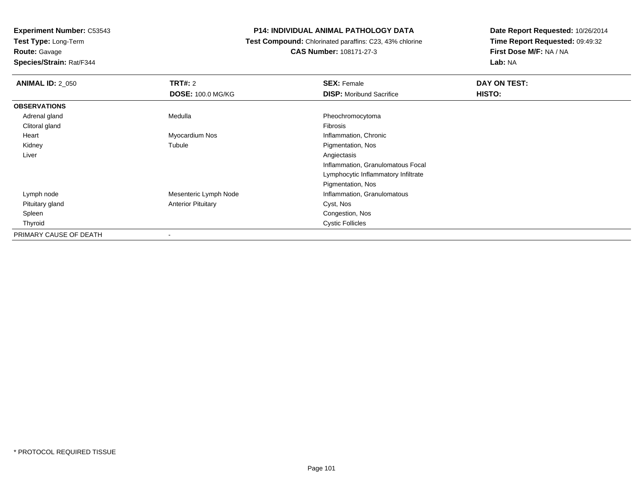**Test Type:** Long-Term

**Route:** Gavage

**Species/Strain:** Rat/F344

### **P14: INDIVIDUAL ANIMAL PATHOLOGY DATA**

 **Test Compound:** Chlorinated paraffins: C23, 43% chlorine**CAS Number:** 108171-27-3

| <b>ANIMAL ID: 2_050</b> | TRT#: 2                   | <b>SEX: Female</b>                  | DAY ON TEST: |  |
|-------------------------|---------------------------|-------------------------------------|--------------|--|
|                         | <b>DOSE: 100.0 MG/KG</b>  | <b>DISP:</b> Moribund Sacrifice     | HISTO:       |  |
| <b>OBSERVATIONS</b>     |                           |                                     |              |  |
| Adrenal gland           | Medulla                   | Pheochromocytoma                    |              |  |
| Clitoral gland          |                           | Fibrosis                            |              |  |
| Heart                   | Myocardium Nos            | Inflammation, Chronic               |              |  |
| Kidney                  | Tubule                    | Pigmentation, Nos                   |              |  |
| Liver                   |                           | Angiectasis                         |              |  |
|                         |                           | Inflammation, Granulomatous Focal   |              |  |
|                         |                           | Lymphocytic Inflammatory Infiltrate |              |  |
|                         |                           | Pigmentation, Nos                   |              |  |
| Lymph node              | Mesenteric Lymph Node     | Inflammation, Granulomatous         |              |  |
| Pituitary gland         | <b>Anterior Pituitary</b> | Cyst, Nos                           |              |  |
| Spleen                  |                           | Congestion, Nos                     |              |  |
| Thyroid                 |                           | <b>Cystic Follicles</b>             |              |  |
| PRIMARY CAUSE OF DEATH  |                           |                                     |              |  |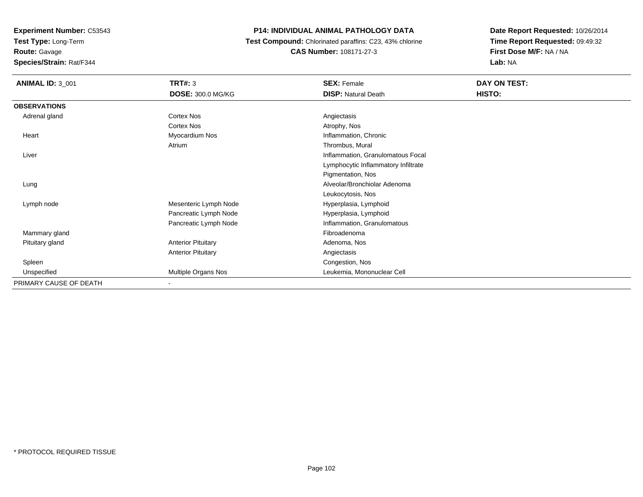**Test Type:** Long-Term

### **Route:** Gavage

**Species/Strain:** Rat/F344

### **P14: INDIVIDUAL ANIMAL PATHOLOGY DATA**

 **Test Compound:** Chlorinated paraffins: C23, 43% chlorine**CAS Number:** 108171-27-3

| <b>ANIMAL ID: 3_001</b> | <b>TRT#: 3</b>            | <b>SEX: Female</b>                  | DAY ON TEST: |
|-------------------------|---------------------------|-------------------------------------|--------------|
|                         | DOSE: 300.0 MG/KG         | <b>DISP: Natural Death</b>          | HISTO:       |
| <b>OBSERVATIONS</b>     |                           |                                     |              |
| Adrenal gland           | <b>Cortex Nos</b>         | Angiectasis                         |              |
|                         | Cortex Nos                | Atrophy, Nos                        |              |
| Heart                   | Myocardium Nos            | Inflammation, Chronic               |              |
|                         | Atrium                    | Thrombus, Mural                     |              |
| Liver                   |                           | Inflammation, Granulomatous Focal   |              |
|                         |                           | Lymphocytic Inflammatory Infiltrate |              |
|                         |                           | Pigmentation, Nos                   |              |
| Lung                    |                           | Alveolar/Bronchiolar Adenoma        |              |
|                         |                           | Leukocytosis, Nos                   |              |
| Lymph node              | Mesenteric Lymph Node     | Hyperplasia, Lymphoid               |              |
|                         | Pancreatic Lymph Node     | Hyperplasia, Lymphoid               |              |
|                         | Pancreatic Lymph Node     | Inflammation, Granulomatous         |              |
| Mammary gland           |                           | Fibroadenoma                        |              |
| Pituitary gland         | <b>Anterior Pituitary</b> | Adenoma, Nos                        |              |
|                         | <b>Anterior Pituitary</b> | Angiectasis                         |              |
| Spleen                  |                           | Congestion, Nos                     |              |
| Unspecified             | Multiple Organs Nos       | Leukemia, Mononuclear Cell          |              |
| PRIMARY CAUSE OF DEATH  |                           |                                     |              |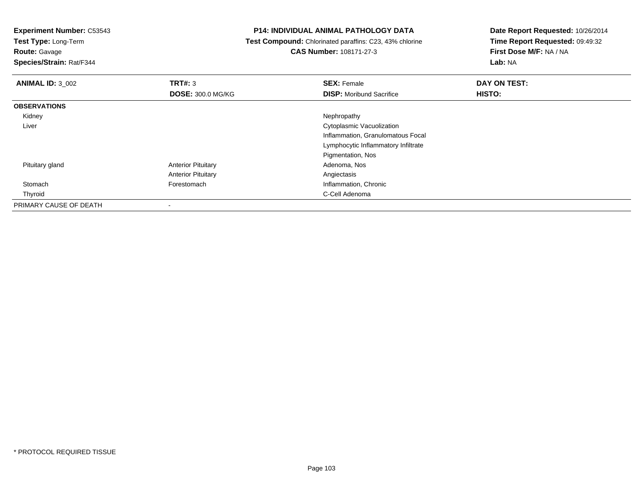**Test Type:** Long-Term

**Route:** Gavage

**Species/Strain:** Rat/F344

### **P14: INDIVIDUAL ANIMAL PATHOLOGY DATA**

 **Test Compound:** Chlorinated paraffins: C23, 43% chlorine**CAS Number:** 108171-27-3

| <b>ANIMAL ID: 3_002</b> | TRT#: 3                   | <b>SEX: Female</b>                  | DAY ON TEST: |  |
|-------------------------|---------------------------|-------------------------------------|--------------|--|
|                         | <b>DOSE: 300.0 MG/KG</b>  | <b>DISP:</b> Moribund Sacrifice     | HISTO:       |  |
| <b>OBSERVATIONS</b>     |                           |                                     |              |  |
| Kidney                  |                           | Nephropathy                         |              |  |
| Liver                   |                           | Cytoplasmic Vacuolization           |              |  |
|                         |                           | Inflammation, Granulomatous Focal   |              |  |
|                         |                           | Lymphocytic Inflammatory Infiltrate |              |  |
|                         |                           | Pigmentation, Nos                   |              |  |
| Pituitary gland         | <b>Anterior Pituitary</b> | Adenoma, Nos                        |              |  |
|                         | <b>Anterior Pituitary</b> | Angiectasis                         |              |  |
| Stomach                 | Forestomach               | Inflammation, Chronic               |              |  |
| Thyroid                 |                           | C-Cell Adenoma                      |              |  |
| PRIMARY CAUSE OF DEATH  |                           |                                     |              |  |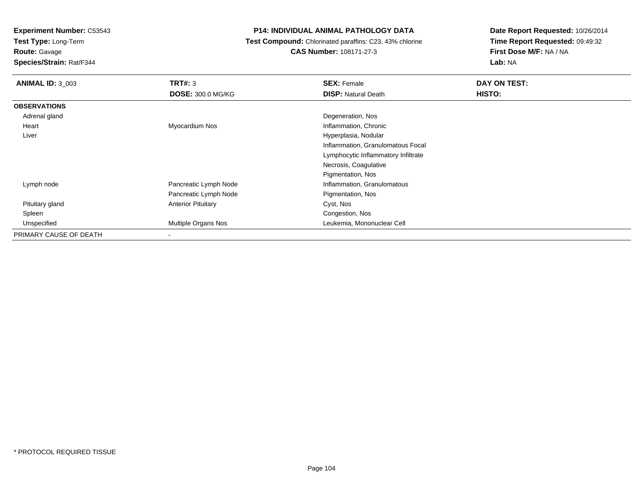**Test Type:** Long-Term

**Route:** Gavage

**Species/Strain:** Rat/F344

### **P14: INDIVIDUAL ANIMAL PATHOLOGY DATA**

 **Test Compound:** Chlorinated paraffins: C23, 43% chlorine**CAS Number:** 108171-27-3

| <b>ANIMAL ID: 3 003</b> | TRT#: 3                   | <b>SEX: Female</b>                  | DAY ON TEST: |
|-------------------------|---------------------------|-------------------------------------|--------------|
|                         | <b>DOSE: 300.0 MG/KG</b>  | <b>DISP: Natural Death</b>          | HISTO:       |
| <b>OBSERVATIONS</b>     |                           |                                     |              |
| Adrenal gland           |                           | Degeneration, Nos                   |              |
| Heart                   | Myocardium Nos            | Inflammation, Chronic               |              |
| Liver                   |                           | Hyperplasia, Nodular                |              |
|                         |                           | Inflammation, Granulomatous Focal   |              |
|                         |                           | Lymphocytic Inflammatory Infiltrate |              |
|                         |                           | Necrosis, Coagulative               |              |
|                         |                           | Pigmentation, Nos                   |              |
| Lymph node              | Pancreatic Lymph Node     | Inflammation, Granulomatous         |              |
|                         | Pancreatic Lymph Node     | Pigmentation, Nos                   |              |
| Pituitary gland         | <b>Anterior Pituitary</b> | Cyst, Nos                           |              |
| Spleen                  |                           | Congestion, Nos                     |              |
| Unspecified             | Multiple Organs Nos       | Leukemia, Mononuclear Cell          |              |
| PRIMARY CAUSE OF DEATH  |                           |                                     |              |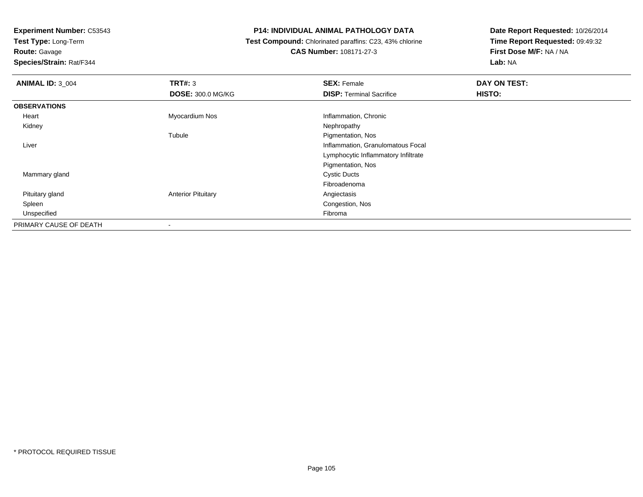**Test Type:** Long-Term

**Route:** Gavage

**Species/Strain:** Rat/F344

### **P14: INDIVIDUAL ANIMAL PATHOLOGY DATA**

 **Test Compound:** Chlorinated paraffins: C23, 43% chlorine**CAS Number:** 108171-27-3

| <b>ANIMAL ID: 3_004</b> | TRT#: 3                   | <b>SEX: Female</b>                  | DAY ON TEST: |  |
|-------------------------|---------------------------|-------------------------------------|--------------|--|
|                         | <b>DOSE: 300.0 MG/KG</b>  | <b>DISP: Terminal Sacrifice</b>     | HISTO:       |  |
| <b>OBSERVATIONS</b>     |                           |                                     |              |  |
| Heart                   | Myocardium Nos            | Inflammation, Chronic               |              |  |
| Kidney                  |                           | Nephropathy                         |              |  |
|                         | Tubule                    | Pigmentation, Nos                   |              |  |
| Liver                   |                           | Inflammation, Granulomatous Focal   |              |  |
|                         |                           | Lymphocytic Inflammatory Infiltrate |              |  |
|                         |                           | Pigmentation, Nos                   |              |  |
| Mammary gland           |                           | <b>Cystic Ducts</b>                 |              |  |
|                         |                           | Fibroadenoma                        |              |  |
| Pituitary gland         | <b>Anterior Pituitary</b> | Angiectasis                         |              |  |
| Spleen                  |                           | Congestion, Nos                     |              |  |
| Unspecified             |                           | Fibroma                             |              |  |
| PRIMARY CAUSE OF DEATH  |                           |                                     |              |  |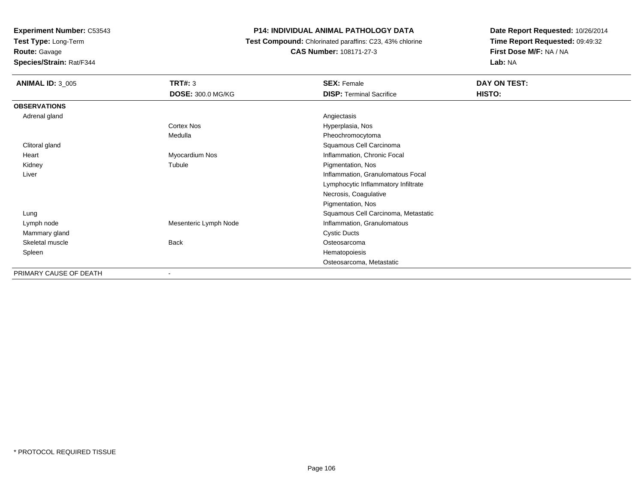**Test Type:** Long-Term

## **Route:** Gavage

**Species/Strain:** Rat/F344

### **P14: INDIVIDUAL ANIMAL PATHOLOGY DATA**

### **Test Compound:** Chlorinated paraffins: C23, 43% chlorine**CAS Number:** 108171-27-3

| <b>ANIMAL ID: 3_005</b> | <b>TRT#: 3</b>           | <b>SEX: Female</b>                  | DAY ON TEST: |
|-------------------------|--------------------------|-------------------------------------|--------------|
|                         | <b>DOSE: 300.0 MG/KG</b> | <b>DISP: Terminal Sacrifice</b>     | HISTO:       |
| <b>OBSERVATIONS</b>     |                          |                                     |              |
| Adrenal gland           |                          | Angiectasis                         |              |
|                         | <b>Cortex Nos</b>        | Hyperplasia, Nos                    |              |
|                         | Medulla                  | Pheochromocytoma                    |              |
| Clitoral gland          |                          | Squamous Cell Carcinoma             |              |
| Heart                   | Myocardium Nos           | Inflammation, Chronic Focal         |              |
| Kidney                  | Tubule                   | Pigmentation, Nos                   |              |
| Liver                   |                          | Inflammation, Granulomatous Focal   |              |
|                         |                          | Lymphocytic Inflammatory Infiltrate |              |
|                         |                          | Necrosis, Coagulative               |              |
|                         |                          | Pigmentation, Nos                   |              |
| Lung                    |                          | Squamous Cell Carcinoma, Metastatic |              |
| Lymph node              | Mesenteric Lymph Node    | Inflammation, Granulomatous         |              |
| Mammary gland           |                          | <b>Cystic Ducts</b>                 |              |
| Skeletal muscle         | <b>Back</b>              | Osteosarcoma                        |              |
| Spleen                  |                          | Hematopoiesis                       |              |
|                         |                          | Osteosarcoma, Metastatic            |              |
| PRIMARY CAUSE OF DEATH  |                          |                                     |              |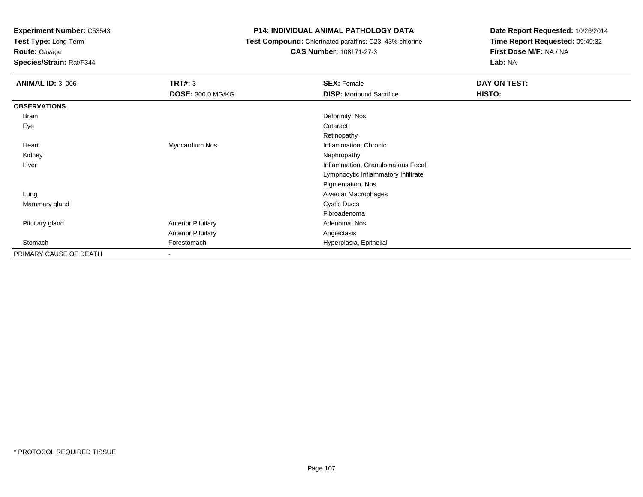**Test Type:** Long-Term

## **Route:** Gavage

**Species/Strain:** Rat/F344

### **P14: INDIVIDUAL ANIMAL PATHOLOGY DATA**

### **Test Compound:** Chlorinated paraffins: C23, 43% chlorine**CAS Number:** 108171-27-3

| <b>ANIMAL ID: 3_006</b> | <b>TRT#: 3</b>            | <b>SEX: Female</b>                  | DAY ON TEST:  |
|-------------------------|---------------------------|-------------------------------------|---------------|
|                         | <b>DOSE: 300.0 MG/KG</b>  | <b>DISP:</b> Moribund Sacrifice     | <b>HISTO:</b> |
| <b>OBSERVATIONS</b>     |                           |                                     |               |
| Brain                   |                           | Deformity, Nos                      |               |
| Eye                     |                           | Cataract                            |               |
|                         |                           | Retinopathy                         |               |
| Heart                   | Myocardium Nos            | Inflammation, Chronic               |               |
| Kidney                  |                           | Nephropathy                         |               |
| Liver                   |                           | Inflammation, Granulomatous Focal   |               |
|                         |                           | Lymphocytic Inflammatory Infiltrate |               |
|                         |                           | Pigmentation, Nos                   |               |
| Lung                    |                           | Alveolar Macrophages                |               |
| Mammary gland           |                           | <b>Cystic Ducts</b>                 |               |
|                         |                           | Fibroadenoma                        |               |
| Pituitary gland         | <b>Anterior Pituitary</b> | Adenoma, Nos                        |               |
|                         | <b>Anterior Pituitary</b> | Angiectasis                         |               |
| Stomach                 | Forestomach               | Hyperplasia, Epithelial             |               |
| PRIMARY CAUSE OF DEATH  | $\,$                      |                                     |               |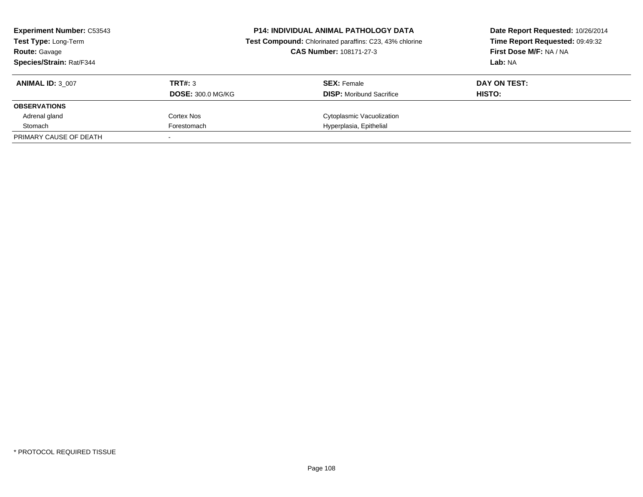| <b>Experiment Number: C53543</b><br>Test Type: Long-Term<br><b>Route: Gavage</b><br><b>Species/Strain: Rat/F344</b> |                          | <b>P14: INDIVIDUAL ANIMAL PATHOLOGY DATA</b><br>Test Compound: Chlorinated paraffins: C23, 43% chlorine<br><b>CAS Number: 108171-27-3</b> | Date Report Requested: 10/26/2014<br>Time Report Requested: 09:49:32<br><b>First Dose M/F: NA / NA</b><br>Lab: NA |
|---------------------------------------------------------------------------------------------------------------------|--------------------------|-------------------------------------------------------------------------------------------------------------------------------------------|-------------------------------------------------------------------------------------------------------------------|
| <b>ANIMAL ID: 3 007</b>                                                                                             | TRT#: 3                  | <b>SEX:</b> Female                                                                                                                        | DAY ON TEST:                                                                                                      |
|                                                                                                                     | <b>DOSE: 300.0 MG/KG</b> | <b>DISP:</b> Moribund Sacrifice                                                                                                           | HISTO:                                                                                                            |
| <b>OBSERVATIONS</b>                                                                                                 |                          |                                                                                                                                           |                                                                                                                   |
| Adrenal gland                                                                                                       | Cortex Nos               | Cytoplasmic Vacuolization                                                                                                                 |                                                                                                                   |
| Stomach                                                                                                             | Forestomach              | Hyperplasia, Epithelial                                                                                                                   |                                                                                                                   |
| PRIMARY CAUSE OF DEATH                                                                                              |                          |                                                                                                                                           |                                                                                                                   |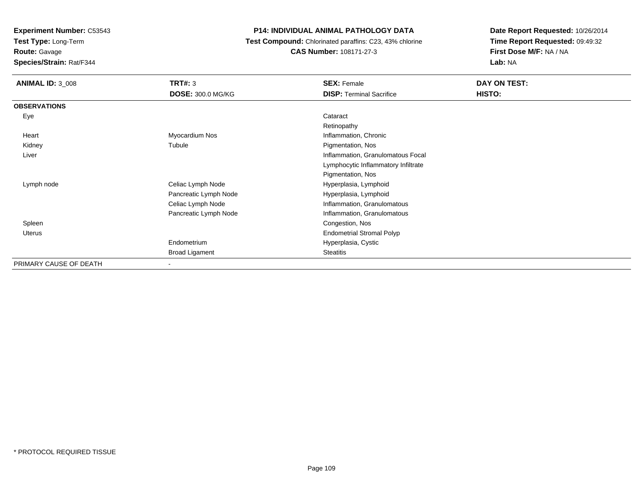**Test Type:** Long-Term

**Route:** Gavage

**Species/Strain:** Rat/F344

# **P14: INDIVIDUAL ANIMAL PATHOLOGY DATA**

 **Test Compound:** Chlorinated paraffins: C23, 43% chlorine**CAS Number:** 108171-27-3

| <b>ANIMAL ID: 3 008</b> | <b>TRT#: 3</b>           | <b>SEX: Female</b>                  | DAY ON TEST: |
|-------------------------|--------------------------|-------------------------------------|--------------|
|                         | <b>DOSE: 300.0 MG/KG</b> | <b>DISP: Terminal Sacrifice</b>     | HISTO:       |
| <b>OBSERVATIONS</b>     |                          |                                     |              |
| Eye                     |                          | Cataract                            |              |
|                         |                          | Retinopathy                         |              |
| Heart                   | Myocardium Nos           | Inflammation, Chronic               |              |
| Kidney                  | Tubule                   | Pigmentation, Nos                   |              |
| Liver                   |                          | Inflammation, Granulomatous Focal   |              |
|                         |                          | Lymphocytic Inflammatory Infiltrate |              |
|                         |                          | Pigmentation, Nos                   |              |
| Lymph node              | Celiac Lymph Node        | Hyperplasia, Lymphoid               |              |
|                         | Pancreatic Lymph Node    | Hyperplasia, Lymphoid               |              |
|                         | Celiac Lymph Node        | Inflammation, Granulomatous         |              |
|                         | Pancreatic Lymph Node    | Inflammation, Granulomatous         |              |
| Spleen                  |                          | Congestion, Nos                     |              |
| Uterus                  |                          | <b>Endometrial Stromal Polyp</b>    |              |
|                         | Endometrium              | Hyperplasia, Cystic                 |              |
|                         | <b>Broad Ligament</b>    | <b>Steatitis</b>                    |              |
| PRIMARY CAUSE OF DEATH  | ۰                        |                                     |              |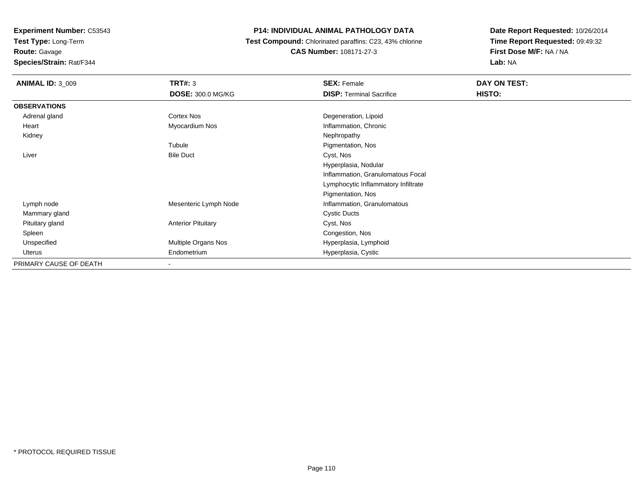**Test Type:** Long-Term

**Route:** Gavage

**Species/Strain:** Rat/F344

# **P14: INDIVIDUAL ANIMAL PATHOLOGY DATA**

 **Test Compound:** Chlorinated paraffins: C23, 43% chlorine**CAS Number:** 108171-27-3

| <b>ANIMAL ID: 3 009</b> | TRT#: 3                   | <b>SEX: Female</b>                  | DAY ON TEST: |  |
|-------------------------|---------------------------|-------------------------------------|--------------|--|
|                         | <b>DOSE: 300.0 MG/KG</b>  | <b>DISP: Terminal Sacrifice</b>     | HISTO:       |  |
| <b>OBSERVATIONS</b>     |                           |                                     |              |  |
| Adrenal gland           | Cortex Nos                | Degeneration, Lipoid                |              |  |
| Heart                   | Myocardium Nos            | Inflammation, Chronic               |              |  |
| Kidney                  |                           | Nephropathy                         |              |  |
|                         | Tubule                    | Pigmentation, Nos                   |              |  |
| Liver                   | <b>Bile Duct</b>          | Cyst, Nos                           |              |  |
|                         |                           | Hyperplasia, Nodular                |              |  |
|                         |                           | Inflammation, Granulomatous Focal   |              |  |
|                         |                           | Lymphocytic Inflammatory Infiltrate |              |  |
|                         |                           | Pigmentation, Nos                   |              |  |
| Lymph node              | Mesenteric Lymph Node     | Inflammation, Granulomatous         |              |  |
| Mammary gland           |                           | <b>Cystic Ducts</b>                 |              |  |
| Pituitary gland         | <b>Anterior Pituitary</b> | Cyst, Nos                           |              |  |
| Spleen                  |                           | Congestion, Nos                     |              |  |
| Unspecified             | Multiple Organs Nos       | Hyperplasia, Lymphoid               |              |  |
| Uterus                  | Endometrium               | Hyperplasia, Cystic                 |              |  |
| PRIMARY CAUSE OF DEATH  |                           |                                     |              |  |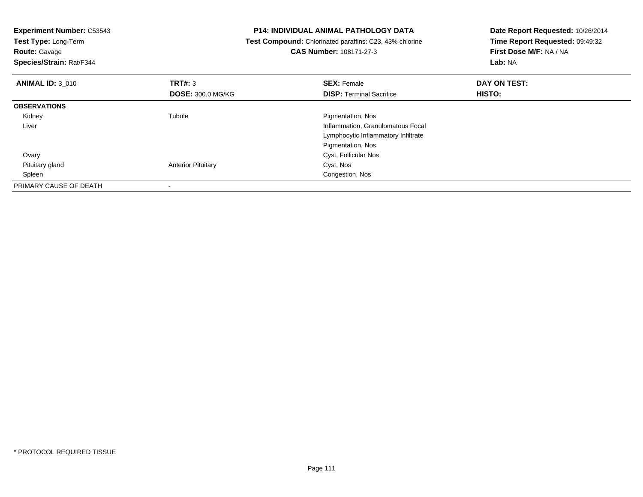| <b>Experiment Number: C53543</b><br>Test Type: Long-Term<br><b>Route: Gavage</b><br>Species/Strain: Rat/F344 |                           | <b>P14: INDIVIDUAL ANIMAL PATHOLOGY DATA</b><br>Test Compound: Chlorinated paraffins: C23, 43% chlorine<br><b>CAS Number: 108171-27-3</b> | Date Report Requested: 10/26/2014<br>Time Report Requested: 09:49:32<br>First Dose M/F: NA / NA<br>Lab: NA |
|--------------------------------------------------------------------------------------------------------------|---------------------------|-------------------------------------------------------------------------------------------------------------------------------------------|------------------------------------------------------------------------------------------------------------|
| <b>ANIMAL ID: 3 010</b>                                                                                      | <b>TRT#: 3</b>            | <b>SEX: Female</b>                                                                                                                        | DAY ON TEST:                                                                                               |
|                                                                                                              | <b>DOSE: 300.0 MG/KG</b>  | <b>DISP:</b> Terminal Sacrifice                                                                                                           | HISTO:                                                                                                     |
| <b>OBSERVATIONS</b>                                                                                          |                           |                                                                                                                                           |                                                                                                            |
| Kidney                                                                                                       | Tubule                    | Pigmentation, Nos                                                                                                                         |                                                                                                            |
| Liver                                                                                                        |                           | Inflammation, Granulomatous Focal                                                                                                         |                                                                                                            |
|                                                                                                              |                           | Lymphocytic Inflammatory Infiltrate                                                                                                       |                                                                                                            |
|                                                                                                              |                           | Pigmentation, Nos                                                                                                                         |                                                                                                            |
| Ovary                                                                                                        |                           | Cyst, Follicular Nos                                                                                                                      |                                                                                                            |
| Pituitary gland                                                                                              | <b>Anterior Pituitary</b> | Cyst, Nos                                                                                                                                 |                                                                                                            |
| Spleen                                                                                                       |                           | Congestion, Nos                                                                                                                           |                                                                                                            |
| PRIMARY CAUSE OF DEATH                                                                                       |                           |                                                                                                                                           |                                                                                                            |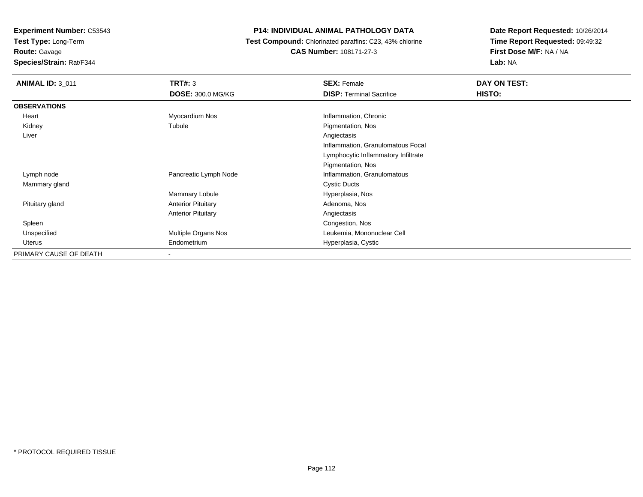**Test Type:** Long-Term**Route:** Gavage

**Species/Strain:** Rat/F344

# **P14: INDIVIDUAL ANIMAL PATHOLOGY DATA**

 **Test Compound:** Chlorinated paraffins: C23, 43% chlorine**CAS Number:** 108171-27-3

| <b>ANIMAL ID: 3 011</b> | TRT#: 3                   | <b>SEX: Female</b>                  | DAY ON TEST: |
|-------------------------|---------------------------|-------------------------------------|--------------|
|                         | <b>DOSE: 300.0 MG/KG</b>  | <b>DISP: Terminal Sacrifice</b>     | HISTO:       |
| <b>OBSERVATIONS</b>     |                           |                                     |              |
| Heart                   | Myocardium Nos            | Inflammation, Chronic               |              |
| Kidney                  | Tubule                    | Pigmentation, Nos                   |              |
| Liver                   |                           | Angiectasis                         |              |
|                         |                           | Inflammation, Granulomatous Focal   |              |
|                         |                           | Lymphocytic Inflammatory Infiltrate |              |
|                         |                           | Pigmentation, Nos                   |              |
| Lymph node              | Pancreatic Lymph Node     | Inflammation, Granulomatous         |              |
| Mammary gland           |                           | <b>Cystic Ducts</b>                 |              |
|                         | Mammary Lobule            | Hyperplasia, Nos                    |              |
| Pituitary gland         | <b>Anterior Pituitary</b> | Adenoma, Nos                        |              |
|                         | <b>Anterior Pituitary</b> | Angiectasis                         |              |
| Spleen                  |                           | Congestion, Nos                     |              |
| Unspecified             | Multiple Organs Nos       | Leukemia, Mononuclear Cell          |              |
| Uterus                  | Endometrium               | Hyperplasia, Cystic                 |              |
| PRIMARY CAUSE OF DEATH  | $\,$                      |                                     |              |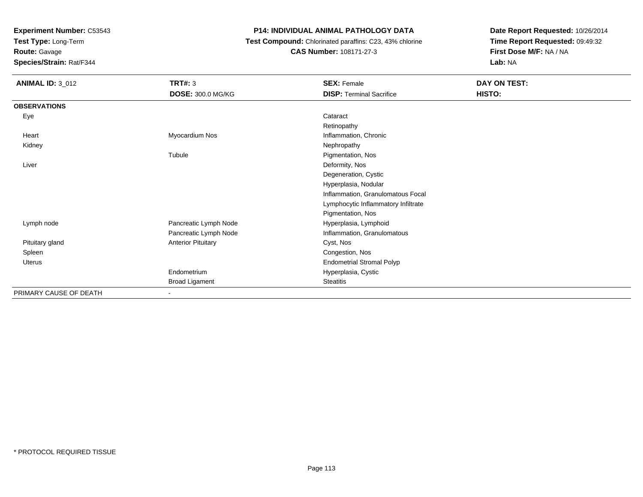**Test Type:** Long-Term

# **Route:** Gavage

**Species/Strain:** Rat/F344

# **P14: INDIVIDUAL ANIMAL PATHOLOGY DATA**

# **Test Compound:** Chlorinated paraffins: C23, 43% chlorine**CAS Number:** 108171-27-3

| <b>ANIMAL ID: 3_012</b> | <b>TRT#: 3</b>            | <b>SEX: Female</b>                  | DAY ON TEST: |
|-------------------------|---------------------------|-------------------------------------|--------------|
|                         | DOSE: 300.0 MG/KG         | <b>DISP: Terminal Sacrifice</b>     | HISTO:       |
| <b>OBSERVATIONS</b>     |                           |                                     |              |
| Eye                     |                           | Cataract                            |              |
|                         |                           | Retinopathy                         |              |
| Heart                   | Myocardium Nos            | Inflammation, Chronic               |              |
| Kidney                  |                           | Nephropathy                         |              |
|                         | Tubule                    | Pigmentation, Nos                   |              |
| Liver                   |                           | Deformity, Nos                      |              |
|                         |                           | Degeneration, Cystic                |              |
|                         |                           | Hyperplasia, Nodular                |              |
|                         |                           | Inflammation, Granulomatous Focal   |              |
|                         |                           | Lymphocytic Inflammatory Infiltrate |              |
|                         |                           | Pigmentation, Nos                   |              |
| Lymph node              | Pancreatic Lymph Node     | Hyperplasia, Lymphoid               |              |
|                         | Pancreatic Lymph Node     | Inflammation, Granulomatous         |              |
| Pituitary gland         | <b>Anterior Pituitary</b> | Cyst, Nos                           |              |
| Spleen                  |                           | Congestion, Nos                     |              |
| Uterus                  |                           | <b>Endometrial Stromal Polyp</b>    |              |
|                         | Endometrium               | Hyperplasia, Cystic                 |              |
|                         | <b>Broad Ligament</b>     | <b>Steatitis</b>                    |              |
| PRIMARY CAUSE OF DEATH  |                           |                                     |              |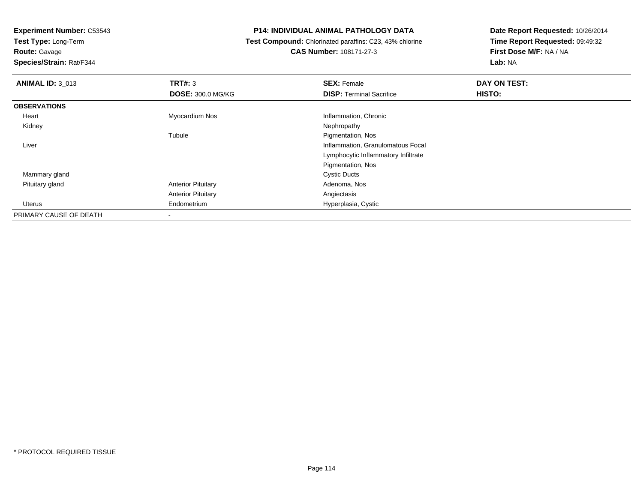**Test Type:** Long-Term

**Route:** Gavage

**Species/Strain:** Rat/F344

# **P14: INDIVIDUAL ANIMAL PATHOLOGY DATA**

 **Test Compound:** Chlorinated paraffins: C23, 43% chlorine**CAS Number:** 108171-27-3

| <b>ANIMAL ID: 3_013</b> | TRT#: 3                   | <b>SEX: Female</b>                  | DAY ON TEST: |  |
|-------------------------|---------------------------|-------------------------------------|--------------|--|
|                         | <b>DOSE: 300.0 MG/KG</b>  | <b>DISP: Terminal Sacrifice</b>     | HISTO:       |  |
| <b>OBSERVATIONS</b>     |                           |                                     |              |  |
| Heart                   | Myocardium Nos            | Inflammation, Chronic               |              |  |
| Kidney                  |                           | Nephropathy                         |              |  |
|                         | Tubule                    | Pigmentation, Nos                   |              |  |
| Liver                   |                           | Inflammation, Granulomatous Focal   |              |  |
|                         |                           | Lymphocytic Inflammatory Infiltrate |              |  |
|                         |                           | Pigmentation, Nos                   |              |  |
| Mammary gland           |                           | <b>Cystic Ducts</b>                 |              |  |
| Pituitary gland         | <b>Anterior Pituitary</b> | Adenoma, Nos                        |              |  |
|                         | <b>Anterior Pituitary</b> | Angiectasis                         |              |  |
| Uterus                  | Endometrium               | Hyperplasia, Cystic                 |              |  |
| PRIMARY CAUSE OF DEATH  | $\overline{\phantom{a}}$  |                                     |              |  |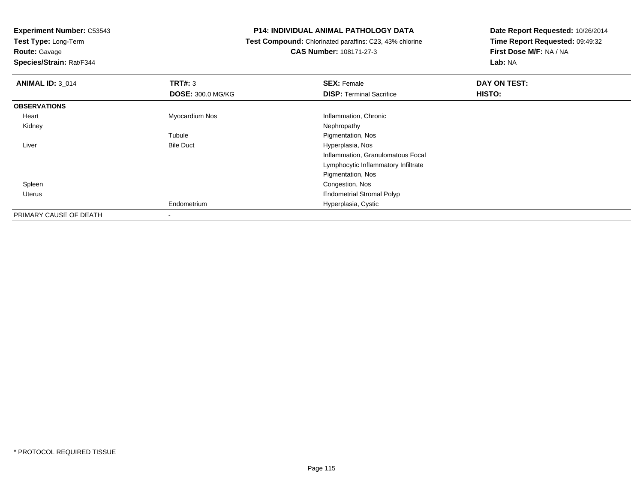**Test Type:** Long-Term

# **Route:** Gavage

**Species/Strain:** Rat/F344

# **P14: INDIVIDUAL ANIMAL PATHOLOGY DATA**

# **Test Compound:** Chlorinated paraffins: C23, 43% chlorine**CAS Number:** 108171-27-3

| <b>ANIMAL ID: 3_014</b> | TRT#: 3                  | <b>SEX: Female</b>                  | DAY ON TEST: |  |
|-------------------------|--------------------------|-------------------------------------|--------------|--|
|                         | <b>DOSE: 300.0 MG/KG</b> | <b>DISP: Terminal Sacrifice</b>     | HISTO:       |  |
| <b>OBSERVATIONS</b>     |                          |                                     |              |  |
| Heart                   | Myocardium Nos           | Inflammation, Chronic               |              |  |
| Kidney                  |                          | Nephropathy                         |              |  |
|                         | Tubule                   | Pigmentation, Nos                   |              |  |
| Liver                   | <b>Bile Duct</b>         | Hyperplasia, Nos                    |              |  |
|                         |                          | Inflammation, Granulomatous Focal   |              |  |
|                         |                          | Lymphocytic Inflammatory Infiltrate |              |  |
|                         |                          | Pigmentation, Nos                   |              |  |
| Spleen                  |                          | Congestion, Nos                     |              |  |
| Uterus                  |                          | <b>Endometrial Stromal Polyp</b>    |              |  |
|                         | Endometrium              | Hyperplasia, Cystic                 |              |  |
| PRIMARY CAUSE OF DEATH  |                          |                                     |              |  |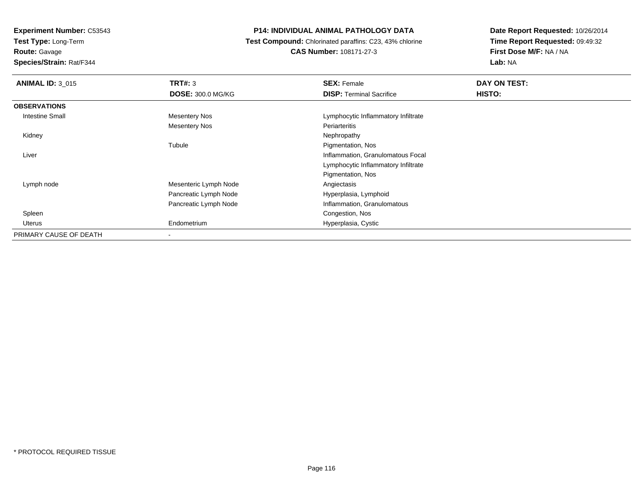**Test Type:** Long-Term

**Route:** Gavage

**Species/Strain:** Rat/F344

# **P14: INDIVIDUAL ANIMAL PATHOLOGY DATA**

 **Test Compound:** Chlorinated paraffins: C23, 43% chlorine**CAS Number:** 108171-27-3

| <b>ANIMAL ID: 3_015</b> | TRT#: 3                  | <b>SEX: Female</b>                  | DAY ON TEST: |  |
|-------------------------|--------------------------|-------------------------------------|--------------|--|
|                         | <b>DOSE: 300.0 MG/KG</b> | <b>DISP: Terminal Sacrifice</b>     | HISTO:       |  |
| <b>OBSERVATIONS</b>     |                          |                                     |              |  |
| <b>Intestine Small</b>  | <b>Mesentery Nos</b>     | Lymphocytic Inflammatory Infiltrate |              |  |
|                         | Mesentery Nos            | Periarteritis                       |              |  |
| Kidney                  |                          | Nephropathy                         |              |  |
|                         | Tubule                   | Pigmentation, Nos                   |              |  |
| Liver                   |                          | Inflammation, Granulomatous Focal   |              |  |
|                         |                          | Lymphocytic Inflammatory Infiltrate |              |  |
|                         |                          | Pigmentation, Nos                   |              |  |
| Lymph node              | Mesenteric Lymph Node    | Angiectasis                         |              |  |
|                         | Pancreatic Lymph Node    | Hyperplasia, Lymphoid               |              |  |
|                         | Pancreatic Lymph Node    | Inflammation, Granulomatous         |              |  |
| Spleen                  |                          | Congestion, Nos                     |              |  |
| Uterus                  | Endometrium              | Hyperplasia, Cystic                 |              |  |
| PRIMARY CAUSE OF DEATH  |                          |                                     |              |  |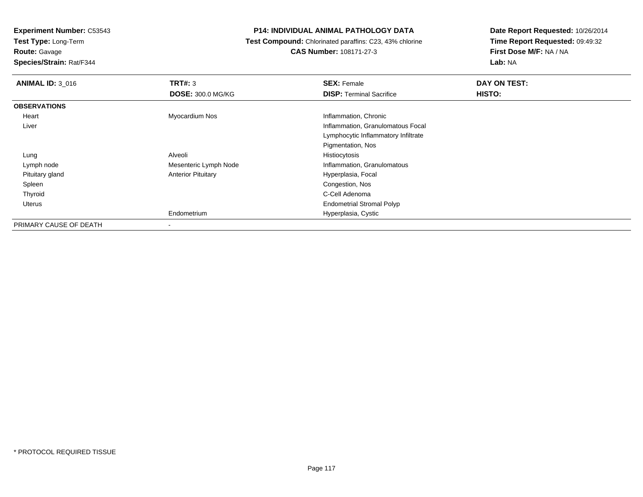**Test Type:** Long-Term

**Route:** Gavage

**Species/Strain:** Rat/F344

# **P14: INDIVIDUAL ANIMAL PATHOLOGY DATA**

 **Test Compound:** Chlorinated paraffins: C23, 43% chlorine**CAS Number:** 108171-27-3

| <b>ANIMAL ID: 3 016</b> | TRT#: 3                   | <b>SEX: Female</b>                  | DAY ON TEST: |
|-------------------------|---------------------------|-------------------------------------|--------------|
|                         | <b>DOSE: 300.0 MG/KG</b>  | <b>DISP: Terminal Sacrifice</b>     | HISTO:       |
| <b>OBSERVATIONS</b>     |                           |                                     |              |
| Heart                   | Myocardium Nos            | Inflammation, Chronic               |              |
| Liver                   |                           | Inflammation, Granulomatous Focal   |              |
|                         |                           | Lymphocytic Inflammatory Infiltrate |              |
|                         |                           | Pigmentation, Nos                   |              |
| Lung                    | Alveoli                   | Histiocytosis                       |              |
| Lymph node              | Mesenteric Lymph Node     | Inflammation, Granulomatous         |              |
| Pituitary gland         | <b>Anterior Pituitary</b> | Hyperplasia, Focal                  |              |
| Spleen                  |                           | Congestion, Nos                     |              |
| Thyroid                 |                           | C-Cell Adenoma                      |              |
| Uterus                  |                           | <b>Endometrial Stromal Polyp</b>    |              |
|                         | Endometrium               | Hyperplasia, Cystic                 |              |
| PRIMARY CAUSE OF DEATH  |                           |                                     |              |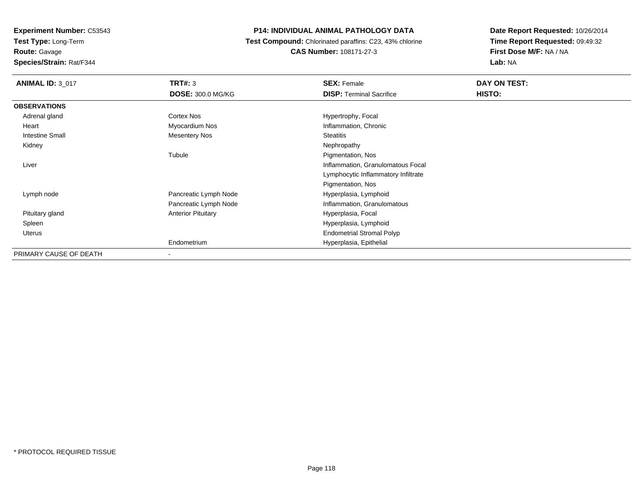**Experiment Number:** C53543**Test Type:** Long-Term

**Route:** Gavage

**Species/Strain:** Rat/F344

# **P14: INDIVIDUAL ANIMAL PATHOLOGY DATA**

 **Test Compound:** Chlorinated paraffins: C23, 43% chlorine**CAS Number:** 108171-27-3

| <b>ANIMAL ID: 3 017</b> | <b>TRT#: 3</b>            | <b>SEX: Female</b>                  | DAY ON TEST: |
|-------------------------|---------------------------|-------------------------------------|--------------|
|                         | <b>DOSE: 300.0 MG/KG</b>  | <b>DISP:</b> Terminal Sacrifice     | HISTO:       |
| <b>OBSERVATIONS</b>     |                           |                                     |              |
| Adrenal gland           | Cortex Nos                | Hypertrophy, Focal                  |              |
| Heart                   | Myocardium Nos            | Inflammation, Chronic               |              |
| Intestine Small         | <b>Mesentery Nos</b>      | <b>Steatitis</b>                    |              |
| Kidney                  |                           | Nephropathy                         |              |
|                         | Tubule                    | Pigmentation, Nos                   |              |
| Liver                   |                           | Inflammation, Granulomatous Focal   |              |
|                         |                           | Lymphocytic Inflammatory Infiltrate |              |
|                         |                           | Pigmentation, Nos                   |              |
| Lymph node              | Pancreatic Lymph Node     | Hyperplasia, Lymphoid               |              |
|                         | Pancreatic Lymph Node     | Inflammation, Granulomatous         |              |
| Pituitary gland         | <b>Anterior Pituitary</b> | Hyperplasia, Focal                  |              |
| Spleen                  |                           | Hyperplasia, Lymphoid               |              |
| Uterus                  |                           | <b>Endometrial Stromal Polyp</b>    |              |
|                         | Endometrium               | Hyperplasia, Epithelial             |              |
| PRIMARY CAUSE OF DEATH  | $\blacksquare$            |                                     |              |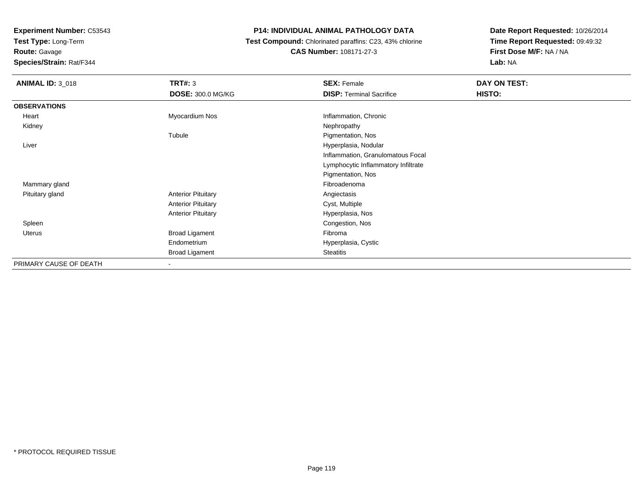**Test Type:** Long-Term

**Route:** Gavage

**Species/Strain:** Rat/F344

# **P14: INDIVIDUAL ANIMAL PATHOLOGY DATA**

 **Test Compound:** Chlorinated paraffins: C23, 43% chlorine**CAS Number:** 108171-27-3

| <b>ANIMAL ID: 3_018</b> | <b>TRT#: 3</b>            | <b>SEX: Female</b>                  | DAY ON TEST: |
|-------------------------|---------------------------|-------------------------------------|--------------|
|                         | <b>DOSE: 300.0 MG/KG</b>  | <b>DISP: Terminal Sacrifice</b>     | HISTO:       |
| <b>OBSERVATIONS</b>     |                           |                                     |              |
| Heart                   | Myocardium Nos            | Inflammation, Chronic               |              |
| Kidney                  |                           | Nephropathy                         |              |
|                         | Tubule                    | Pigmentation, Nos                   |              |
| Liver                   |                           | Hyperplasia, Nodular                |              |
|                         |                           | Inflammation, Granulomatous Focal   |              |
|                         |                           | Lymphocytic Inflammatory Infiltrate |              |
|                         |                           | Pigmentation, Nos                   |              |
| Mammary gland           |                           | Fibroadenoma                        |              |
| Pituitary gland         | <b>Anterior Pituitary</b> | Angiectasis                         |              |
|                         | <b>Anterior Pituitary</b> | Cyst, Multiple                      |              |
|                         | <b>Anterior Pituitary</b> | Hyperplasia, Nos                    |              |
| Spleen                  |                           | Congestion, Nos                     |              |
| Uterus                  | <b>Broad Ligament</b>     | Fibroma                             |              |
|                         | Endometrium               | Hyperplasia, Cystic                 |              |
|                         | Broad Ligament            | <b>Steatitis</b>                    |              |
| PRIMARY CAUSE OF DEATH  | $\blacksquare$            |                                     |              |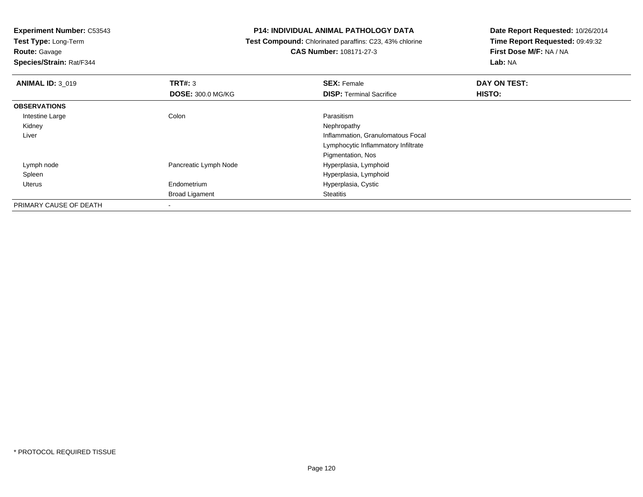**Test Type:** Long-Term

**Route:** Gavage

**Species/Strain:** Rat/F344

#### **P14: INDIVIDUAL ANIMAL PATHOLOGY DATA**

 **Test Compound:** Chlorinated paraffins: C23, 43% chlorine**CAS Number:** 108171-27-3

| <b>ANIMAL ID: 3 019</b> | TRT#: 3                  | <b>SEX: Female</b>                  | DAY ON TEST: |  |
|-------------------------|--------------------------|-------------------------------------|--------------|--|
|                         | <b>DOSE: 300.0 MG/KG</b> | <b>DISP: Terminal Sacrifice</b>     | HISTO:       |  |
| <b>OBSERVATIONS</b>     |                          |                                     |              |  |
| Intestine Large         | Colon                    | Parasitism                          |              |  |
| Kidney                  |                          | Nephropathy                         |              |  |
| Liver                   |                          | Inflammation, Granulomatous Focal   |              |  |
|                         |                          | Lymphocytic Inflammatory Infiltrate |              |  |
|                         |                          | Pigmentation, Nos                   |              |  |
| Lymph node              | Pancreatic Lymph Node    | Hyperplasia, Lymphoid               |              |  |
| Spleen                  |                          | Hyperplasia, Lymphoid               |              |  |
| Uterus                  | Endometrium              | Hyperplasia, Cystic                 |              |  |
|                         | <b>Broad Ligament</b>    | <b>Steatitis</b>                    |              |  |
| PRIMARY CAUSE OF DEATH  |                          |                                     |              |  |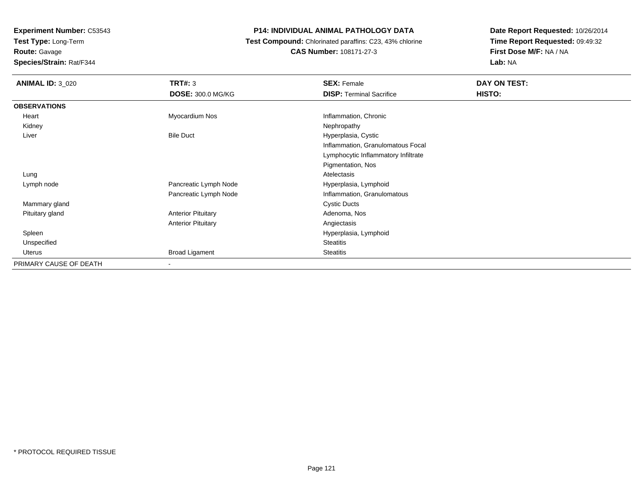**Test Type:** Long-Term

**Route:** Gavage

**Species/Strain:** Rat/F344

# **P14: INDIVIDUAL ANIMAL PATHOLOGY DATA**

 **Test Compound:** Chlorinated paraffins: C23, 43% chlorine**CAS Number:** 108171-27-3

| <b>ANIMAL ID: 3_020</b> | TRT#: 3                   | <b>SEX: Female</b>                  | DAY ON TEST: |
|-------------------------|---------------------------|-------------------------------------|--------------|
|                         | <b>DOSE: 300.0 MG/KG</b>  | <b>DISP: Terminal Sacrifice</b>     | HISTO:       |
| <b>OBSERVATIONS</b>     |                           |                                     |              |
| Heart                   | Myocardium Nos            | Inflammation, Chronic               |              |
| Kidney                  |                           | Nephropathy                         |              |
| Liver                   | <b>Bile Duct</b>          | Hyperplasia, Cystic                 |              |
|                         |                           | Inflammation, Granulomatous Focal   |              |
|                         |                           | Lymphocytic Inflammatory Infiltrate |              |
|                         |                           | Pigmentation, Nos                   |              |
| Lung                    |                           | Atelectasis                         |              |
| Lymph node              | Pancreatic Lymph Node     | Hyperplasia, Lymphoid               |              |
|                         | Pancreatic Lymph Node     | Inflammation, Granulomatous         |              |
| Mammary gland           |                           | <b>Cystic Ducts</b>                 |              |
| Pituitary gland         | <b>Anterior Pituitary</b> | Adenoma, Nos                        |              |
|                         | <b>Anterior Pituitary</b> | Angiectasis                         |              |
| Spleen                  |                           | Hyperplasia, Lymphoid               |              |
| Unspecified             |                           | <b>Steatitis</b>                    |              |
| Uterus                  | <b>Broad Ligament</b>     | <b>Steatitis</b>                    |              |
| PRIMARY CAUSE OF DEATH  |                           |                                     |              |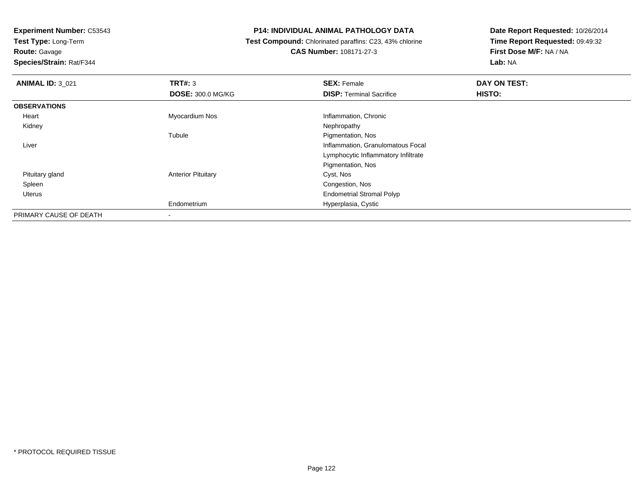**Test Type:** Long-Term

**Route:** Gavage

**Species/Strain:** Rat/F344

# **P14: INDIVIDUAL ANIMAL PATHOLOGY DATA**

 **Test Compound:** Chlorinated paraffins: C23, 43% chlorine**CAS Number:** 108171-27-3

| <b>ANIMAL ID: 3_021</b> | TRT#: 3                   | <b>SEX: Female</b>                  | DAY ON TEST: |  |
|-------------------------|---------------------------|-------------------------------------|--------------|--|
|                         | <b>DOSE: 300.0 MG/KG</b>  | <b>DISP: Terminal Sacrifice</b>     | HISTO:       |  |
| <b>OBSERVATIONS</b>     |                           |                                     |              |  |
| Heart                   | Myocardium Nos            | Inflammation, Chronic               |              |  |
| Kidney                  |                           | Nephropathy                         |              |  |
|                         | Tubule                    | Pigmentation, Nos                   |              |  |
| Liver                   |                           | Inflammation, Granulomatous Focal   |              |  |
|                         |                           | Lymphocytic Inflammatory Infiltrate |              |  |
|                         |                           | Pigmentation, Nos                   |              |  |
| Pituitary gland         | <b>Anterior Pituitary</b> | Cyst, Nos                           |              |  |
| Spleen                  |                           | Congestion, Nos                     |              |  |
| Uterus                  |                           | <b>Endometrial Stromal Polyp</b>    |              |  |
|                         | Endometrium               | Hyperplasia, Cystic                 |              |  |
| PRIMARY CAUSE OF DEATH  | -                         |                                     |              |  |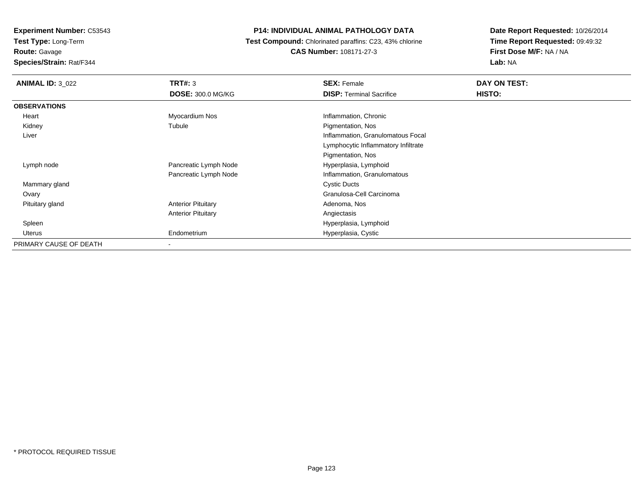**Test Type:** Long-Term**Route:** Gavage

**Species/Strain:** Rat/F344

# **P14: INDIVIDUAL ANIMAL PATHOLOGY DATA**

 **Test Compound:** Chlorinated paraffins: C23, 43% chlorine**CAS Number:** 108171-27-3

| <b>ANIMAL ID: 3_022</b> | TRT#: 3                   | <b>SEX: Female</b>                  | DAY ON TEST:  |
|-------------------------|---------------------------|-------------------------------------|---------------|
|                         | <b>DOSE: 300.0 MG/KG</b>  | <b>DISP: Terminal Sacrifice</b>     | <b>HISTO:</b> |
| <b>OBSERVATIONS</b>     |                           |                                     |               |
| Heart                   | Myocardium Nos            | Inflammation, Chronic               |               |
| Kidney                  | Tubule                    | Pigmentation, Nos                   |               |
| Liver                   |                           | Inflammation, Granulomatous Focal   |               |
|                         |                           | Lymphocytic Inflammatory Infiltrate |               |
|                         |                           | Pigmentation, Nos                   |               |
| Lymph node              | Pancreatic Lymph Node     | Hyperplasia, Lymphoid               |               |
|                         | Pancreatic Lymph Node     | Inflammation, Granulomatous         |               |
| Mammary gland           |                           | <b>Cystic Ducts</b>                 |               |
| Ovary                   |                           | Granulosa-Cell Carcinoma            |               |
| Pituitary gland         | <b>Anterior Pituitary</b> | Adenoma, Nos                        |               |
|                         | <b>Anterior Pituitary</b> | Angiectasis                         |               |
| Spleen                  |                           | Hyperplasia, Lymphoid               |               |
| Uterus                  | Endometrium               | Hyperplasia, Cystic                 |               |
| PRIMARY CAUSE OF DEATH  |                           |                                     |               |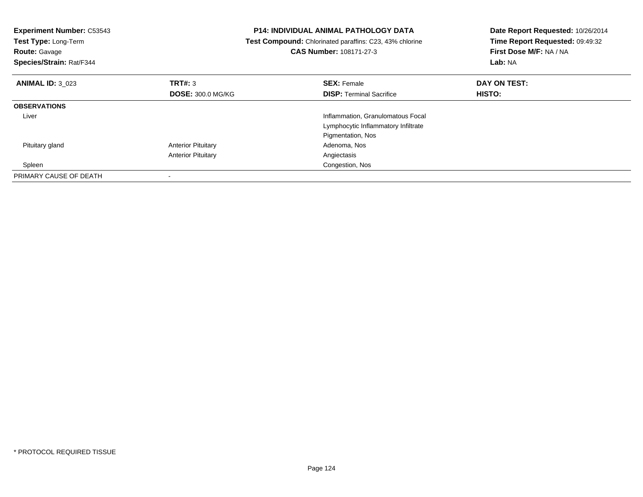| <b>Experiment Number: C53543</b><br>Test Type: Long-Term<br><b>Route: Gavage</b><br>Species/Strain: Rat/F344 |                           | <b>P14: INDIVIDUAL ANIMAL PATHOLOGY DATA</b><br><b>Test Compound:</b> Chlorinated paraffins: C23, 43% chlorine<br><b>CAS Number: 108171-27-3</b> | Date Report Requested: 10/26/2014<br>Time Report Requested: 09:49:32<br>First Dose M/F: NA / NA<br>Lab: NA |
|--------------------------------------------------------------------------------------------------------------|---------------------------|--------------------------------------------------------------------------------------------------------------------------------------------------|------------------------------------------------------------------------------------------------------------|
| <b>ANIMAL ID: 3 023</b>                                                                                      | TRT#: 3                   | <b>SEX: Female</b>                                                                                                                               | DAY ON TEST:                                                                                               |
|                                                                                                              | <b>DOSE: 300.0 MG/KG</b>  | <b>DISP:</b> Terminal Sacrifice                                                                                                                  | HISTO:                                                                                                     |
| <b>OBSERVATIONS</b>                                                                                          |                           |                                                                                                                                                  |                                                                                                            |
| Liver                                                                                                        |                           | Inflammation, Granulomatous Focal                                                                                                                |                                                                                                            |
|                                                                                                              |                           | Lymphocytic Inflammatory Infiltrate                                                                                                              |                                                                                                            |
|                                                                                                              |                           | Pigmentation, Nos                                                                                                                                |                                                                                                            |
| Pituitary gland                                                                                              | <b>Anterior Pituitary</b> | Adenoma, Nos                                                                                                                                     |                                                                                                            |
|                                                                                                              | <b>Anterior Pituitary</b> | Angiectasis                                                                                                                                      |                                                                                                            |
| Spleen                                                                                                       |                           | Congestion, Nos                                                                                                                                  |                                                                                                            |
| PRIMARY CAUSE OF DEATH                                                                                       |                           |                                                                                                                                                  |                                                                                                            |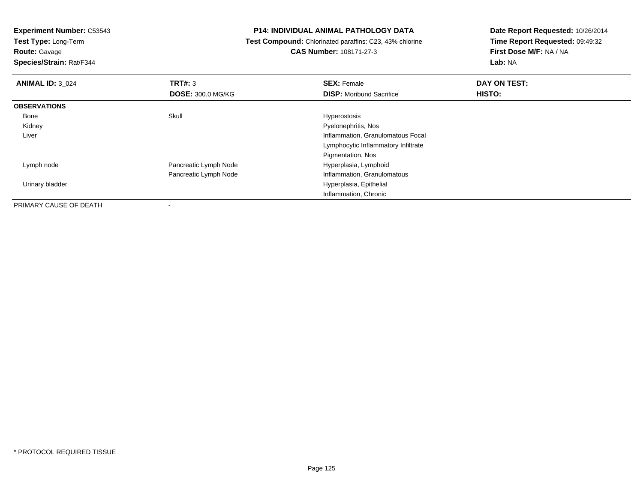**Test Type:** Long-Term

**Route:** Gavage

**Species/Strain:** Rat/F344

#### **P14: INDIVIDUAL ANIMAL PATHOLOGY DATA**

 **Test Compound:** Chlorinated paraffins: C23, 43% chlorine**CAS Number:** 108171-27-3

| <b>ANIMAL ID: 3_024</b> | <b>TRT#: 3</b>           | <b>SEX: Female</b>                  | DAY ON TEST: |
|-------------------------|--------------------------|-------------------------------------|--------------|
|                         | <b>DOSE: 300.0 MG/KG</b> | <b>DISP:</b> Moribund Sacrifice     | HISTO:       |
| <b>OBSERVATIONS</b>     |                          |                                     |              |
| Bone                    | Skull                    | Hyperostosis                        |              |
| Kidney                  |                          | Pyelonephritis, Nos                 |              |
| Liver                   |                          | Inflammation, Granulomatous Focal   |              |
|                         |                          | Lymphocytic Inflammatory Infiltrate |              |
|                         |                          | Pigmentation, Nos                   |              |
| Lymph node              | Pancreatic Lymph Node    | Hyperplasia, Lymphoid               |              |
|                         | Pancreatic Lymph Node    | Inflammation, Granulomatous         |              |
| Urinary bladder         |                          | Hyperplasia, Epithelial             |              |
|                         |                          | Inflammation, Chronic               |              |
| PRIMARY CAUSE OF DEATH  |                          |                                     |              |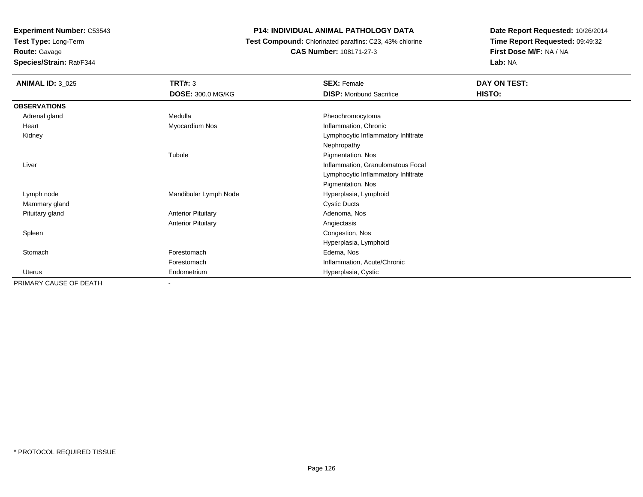**Test Type:** Long-Term

**Route:** Gavage

**Species/Strain:** Rat/F344

# **P14: INDIVIDUAL ANIMAL PATHOLOGY DATA**

 **Test Compound:** Chlorinated paraffins: C23, 43% chlorine**CAS Number:** 108171-27-3

| <b>ANIMAL ID: 3_025</b> | TRT#: 3<br><b>DOSE: 300.0 MG/KG</b> | <b>SEX: Female</b><br><b>DISP: Moribund Sacrifice</b> | DAY ON TEST:<br>HISTO: |
|-------------------------|-------------------------------------|-------------------------------------------------------|------------------------|
| <b>OBSERVATIONS</b>     |                                     |                                                       |                        |
|                         |                                     |                                                       |                        |
| Adrenal gland           | Medulla                             | Pheochromocytoma                                      |                        |
| Heart                   | Myocardium Nos                      | Inflammation, Chronic                                 |                        |
| Kidney                  |                                     | Lymphocytic Inflammatory Infiltrate                   |                        |
|                         |                                     | Nephropathy                                           |                        |
|                         | Tubule                              | Pigmentation, Nos                                     |                        |
| Liver                   |                                     | Inflammation, Granulomatous Focal                     |                        |
|                         |                                     | Lymphocytic Inflammatory Infiltrate                   |                        |
|                         |                                     | Pigmentation, Nos                                     |                        |
| Lymph node              | Mandibular Lymph Node               | Hyperplasia, Lymphoid                                 |                        |
| Mammary gland           |                                     | <b>Cystic Ducts</b>                                   |                        |
| Pituitary gland         | <b>Anterior Pituitary</b>           | Adenoma, Nos                                          |                        |
|                         | <b>Anterior Pituitary</b>           | Angiectasis                                           |                        |
| Spleen                  |                                     | Congestion, Nos                                       |                        |
|                         |                                     | Hyperplasia, Lymphoid                                 |                        |
| Stomach                 | Forestomach                         | Edema, Nos                                            |                        |
|                         | Forestomach                         | Inflammation, Acute/Chronic                           |                        |
| Uterus                  | Endometrium                         | Hyperplasia, Cystic                                   |                        |
| PRIMARY CAUSE OF DEATH  |                                     |                                                       |                        |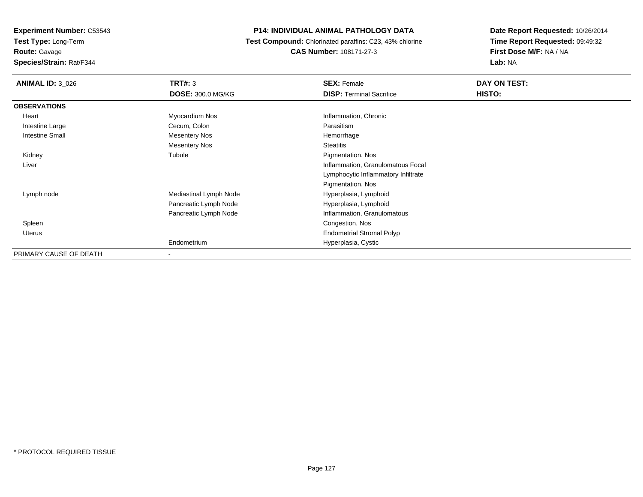**Experiment Number:** C53543**Test Type:** Long-Term

**Route:** Gavage

**Species/Strain:** Rat/F344

# **P14: INDIVIDUAL ANIMAL PATHOLOGY DATA**

 **Test Compound:** Chlorinated paraffins: C23, 43% chlorine**CAS Number:** 108171-27-3

| <b>ANIMAL ID: 3 026</b> | <b>TRT#: 3</b>           | <b>SEX: Female</b>                  | DAY ON TEST: |
|-------------------------|--------------------------|-------------------------------------|--------------|
|                         | <b>DOSE: 300.0 MG/KG</b> | <b>DISP:</b> Terminal Sacrifice     | HISTO:       |
| <b>OBSERVATIONS</b>     |                          |                                     |              |
| Heart                   | Myocardium Nos           | Inflammation, Chronic               |              |
| Intestine Large         | Cecum, Colon             | Parasitism                          |              |
| Intestine Small         | Mesentery Nos            | Hemorrhage                          |              |
|                         | <b>Mesentery Nos</b>     | <b>Steatitis</b>                    |              |
| Kidney                  | Tubule                   | Pigmentation, Nos                   |              |
| Liver                   |                          | Inflammation, Granulomatous Focal   |              |
|                         |                          | Lymphocytic Inflammatory Infiltrate |              |
|                         |                          | Pigmentation, Nos                   |              |
| Lymph node              | Mediastinal Lymph Node   | Hyperplasia, Lymphoid               |              |
|                         | Pancreatic Lymph Node    | Hyperplasia, Lymphoid               |              |
|                         | Pancreatic Lymph Node    | Inflammation, Granulomatous         |              |
| Spleen                  |                          | Congestion, Nos                     |              |
| Uterus                  |                          | <b>Endometrial Stromal Polyp</b>    |              |
|                         | Endometrium              | Hyperplasia, Cystic                 |              |
| PRIMARY CAUSE OF DEATH  | $\blacksquare$           |                                     |              |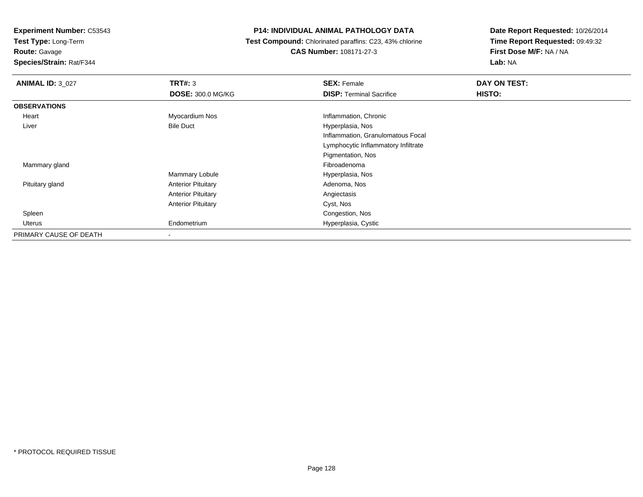**Test Type:** Long-Term

**Route:** Gavage

**Species/Strain:** Rat/F344

# **P14: INDIVIDUAL ANIMAL PATHOLOGY DATA**

 **Test Compound:** Chlorinated paraffins: C23, 43% chlorine**CAS Number:** 108171-27-3

| <b>ANIMAL ID: 3 027</b> | TRT#: 3                   | <b>SEX: Female</b>                  | DAY ON TEST: |
|-------------------------|---------------------------|-------------------------------------|--------------|
|                         | <b>DOSE: 300.0 MG/KG</b>  | <b>DISP: Terminal Sacrifice</b>     | HISTO:       |
| <b>OBSERVATIONS</b>     |                           |                                     |              |
| Heart                   | Myocardium Nos            | Inflammation, Chronic               |              |
| Liver                   | <b>Bile Duct</b>          | Hyperplasia, Nos                    |              |
|                         |                           | Inflammation, Granulomatous Focal   |              |
|                         |                           | Lymphocytic Inflammatory Infiltrate |              |
|                         |                           | Pigmentation, Nos                   |              |
| Mammary gland           |                           | Fibroadenoma                        |              |
|                         | Mammary Lobule            | Hyperplasia, Nos                    |              |
| Pituitary gland         | <b>Anterior Pituitary</b> | Adenoma, Nos                        |              |
|                         | <b>Anterior Pituitary</b> | Angiectasis                         |              |
|                         | <b>Anterior Pituitary</b> | Cyst, Nos                           |              |
| Spleen                  |                           | Congestion, Nos                     |              |
| Uterus                  | Endometrium               | Hyperplasia, Cystic                 |              |
| PRIMARY CAUSE OF DEATH  | ۰                         |                                     |              |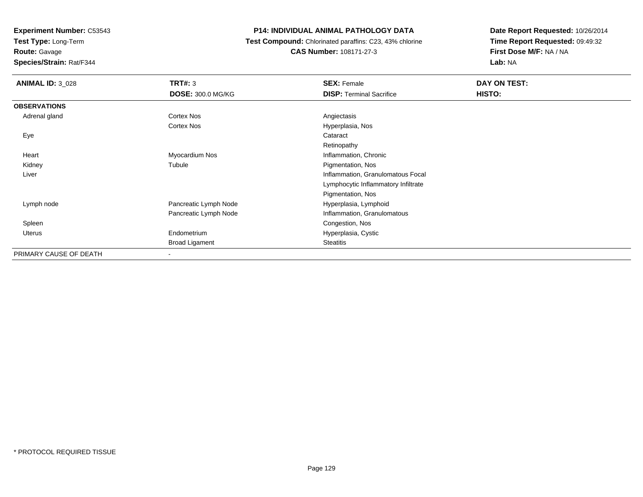**Test Type:** Long-Term

**Route:** Gavage

**Species/Strain:** Rat/F344

# **P14: INDIVIDUAL ANIMAL PATHOLOGY DATA**

 **Test Compound:** Chlorinated paraffins: C23, 43% chlorine**CAS Number:** 108171-27-3

| <b>ANIMAL ID: 3 028</b> | TRT#: 3                  | <b>SEX: Female</b>                  | DAY ON TEST: |
|-------------------------|--------------------------|-------------------------------------|--------------|
|                         | <b>DOSE: 300.0 MG/KG</b> | <b>DISP: Terminal Sacrifice</b>     | HISTO:       |
| <b>OBSERVATIONS</b>     |                          |                                     |              |
| Adrenal gland           | Cortex Nos               | Angiectasis                         |              |
|                         | Cortex Nos               | Hyperplasia, Nos                    |              |
| Eye                     |                          | Cataract                            |              |
|                         |                          | Retinopathy                         |              |
| Heart                   | Myocardium Nos           | Inflammation, Chronic               |              |
| Kidney                  | Tubule                   | Pigmentation, Nos                   |              |
| Liver                   |                          | Inflammation, Granulomatous Focal   |              |
|                         |                          | Lymphocytic Inflammatory Infiltrate |              |
|                         |                          | Pigmentation, Nos                   |              |
| Lymph node              | Pancreatic Lymph Node    | Hyperplasia, Lymphoid               |              |
|                         | Pancreatic Lymph Node    | Inflammation, Granulomatous         |              |
| Spleen                  |                          | Congestion, Nos                     |              |
| Uterus                  | Endometrium              | Hyperplasia, Cystic                 |              |
|                         | <b>Broad Ligament</b>    | Steatitis                           |              |
| PRIMARY CAUSE OF DEATH  | ٠                        |                                     |              |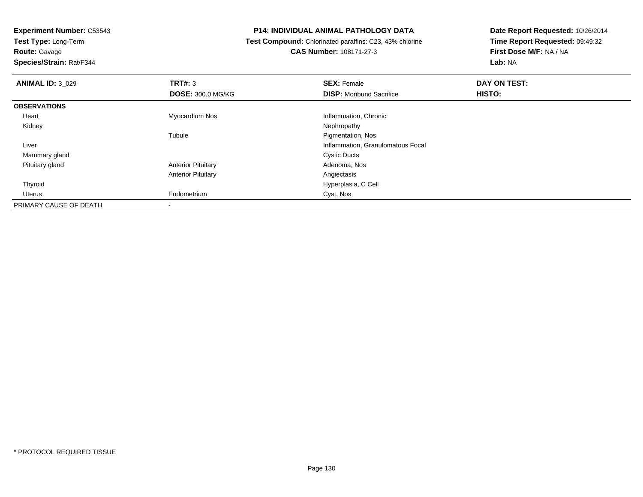**Test Type:** Long-Term

**Route:** Gavage

**Species/Strain:** Rat/F344

# **P14: INDIVIDUAL ANIMAL PATHOLOGY DATA**

 **Test Compound:** Chlorinated paraffins: C23, 43% chlorine**CAS Number:** 108171-27-3

| <b>ANIMAL ID: 3 029</b> | TRT#: 3                   | <b>SEX: Female</b>                | DAY ON TEST: |  |
|-------------------------|---------------------------|-----------------------------------|--------------|--|
|                         | <b>DOSE: 300.0 MG/KG</b>  | <b>DISP:</b> Moribund Sacrifice   | HISTO:       |  |
| <b>OBSERVATIONS</b>     |                           |                                   |              |  |
| Heart                   | Myocardium Nos            | Inflammation, Chronic             |              |  |
| Kidney                  |                           | Nephropathy                       |              |  |
|                         | Tubule                    | Pigmentation, Nos                 |              |  |
| Liver                   |                           | Inflammation, Granulomatous Focal |              |  |
| Mammary gland           |                           | <b>Cystic Ducts</b>               |              |  |
| Pituitary gland         | <b>Anterior Pituitary</b> | Adenoma, Nos                      |              |  |
|                         | <b>Anterior Pituitary</b> | Angiectasis                       |              |  |
| Thyroid                 |                           | Hyperplasia, C Cell               |              |  |
| Uterus                  | Endometrium               | Cyst, Nos                         |              |  |
| PRIMARY CAUSE OF DEATH  | $\,$                      |                                   |              |  |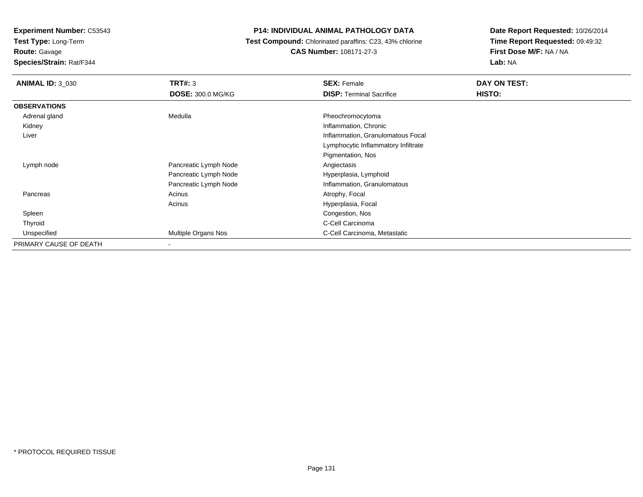**Test Type:** Long-Term

**Route:** Gavage

**Species/Strain:** Rat/F344

# **P14: INDIVIDUAL ANIMAL PATHOLOGY DATA**

 **Test Compound:** Chlorinated paraffins: C23, 43% chlorine**CAS Number:** 108171-27-3

| <b>ANIMAL ID: 3 030</b> | <b>TRT#: 3</b><br><b>DOSE: 300.0 MG/KG</b> | <b>SEX: Female</b><br><b>DISP:</b> Terminal Sacrifice | DAY ON TEST:<br>HISTO: |
|-------------------------|--------------------------------------------|-------------------------------------------------------|------------------------|
| <b>OBSERVATIONS</b>     |                                            |                                                       |                        |
| Adrenal gland           | Medulla                                    | Pheochromocytoma                                      |                        |
| Kidney                  |                                            | Inflammation, Chronic                                 |                        |
| Liver                   |                                            | Inflammation, Granulomatous Focal                     |                        |
|                         |                                            | Lymphocytic Inflammatory Infiltrate                   |                        |
|                         |                                            | Pigmentation, Nos                                     |                        |
| Lymph node              | Pancreatic Lymph Node                      | Angiectasis                                           |                        |
|                         | Pancreatic Lymph Node                      | Hyperplasia, Lymphoid                                 |                        |
|                         | Pancreatic Lymph Node                      | Inflammation, Granulomatous                           |                        |
| Pancreas                | Acinus                                     | Atrophy, Focal                                        |                        |
|                         | Acinus                                     | Hyperplasia, Focal                                    |                        |
| Spleen                  |                                            | Congestion, Nos                                       |                        |
| Thyroid                 |                                            | C-Cell Carcinoma                                      |                        |
| Unspecified             | Multiple Organs Nos                        | C-Cell Carcinoma, Metastatic                          |                        |
| PRIMARY CAUSE OF DEATH  | ۰                                          |                                                       |                        |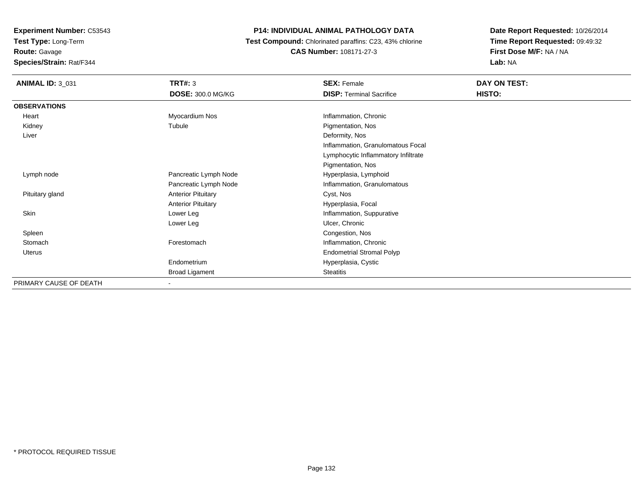**Test Type:** Long-Term**Route:** Gavage

**Species/Strain:** Rat/F344

# **P14: INDIVIDUAL ANIMAL PATHOLOGY DATA**

 **Test Compound:** Chlorinated paraffins: C23, 43% chlorine**CAS Number:** 108171-27-3

| <b>ANIMAL ID: 3_031</b> | <b>TRT#: 3</b>            | <b>SEX: Female</b>                  | DAY ON TEST: |  |
|-------------------------|---------------------------|-------------------------------------|--------------|--|
|                         | <b>DOSE: 300.0 MG/KG</b>  | <b>DISP: Terminal Sacrifice</b>     | HISTO:       |  |
| <b>OBSERVATIONS</b>     |                           |                                     |              |  |
| Heart                   | Myocardium Nos            | Inflammation, Chronic               |              |  |
| Kidney                  | Tubule                    | Pigmentation, Nos                   |              |  |
| Liver                   |                           | Deformity, Nos                      |              |  |
|                         |                           | Inflammation, Granulomatous Focal   |              |  |
|                         |                           | Lymphocytic Inflammatory Infiltrate |              |  |
|                         |                           | Pigmentation, Nos                   |              |  |
| Lymph node              | Pancreatic Lymph Node     | Hyperplasia, Lymphoid               |              |  |
|                         | Pancreatic Lymph Node     | Inflammation, Granulomatous         |              |  |
| Pituitary gland         | <b>Anterior Pituitary</b> | Cyst, Nos                           |              |  |
|                         | <b>Anterior Pituitary</b> | Hyperplasia, Focal                  |              |  |
| Skin                    | Lower Leg                 | Inflammation, Suppurative           |              |  |
|                         | Lower Leg                 | Ulcer, Chronic                      |              |  |
| Spleen                  |                           | Congestion, Nos                     |              |  |
| Stomach                 | Forestomach               | Inflammation, Chronic               |              |  |
| Uterus                  |                           | <b>Endometrial Stromal Polyp</b>    |              |  |
|                         | Endometrium               | Hyperplasia, Cystic                 |              |  |
|                         | <b>Broad Ligament</b>     | <b>Steatitis</b>                    |              |  |
| PRIMARY CAUSE OF DEATH  |                           |                                     |              |  |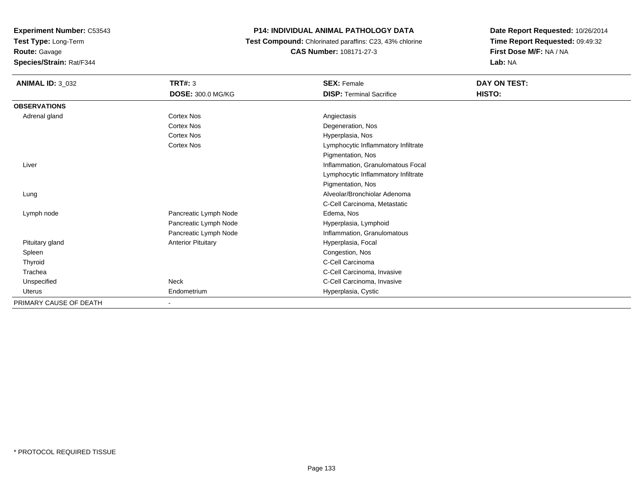**Test Type:** Long-Term

**Route:** Gavage

**Species/Strain:** Rat/F344

# **P14: INDIVIDUAL ANIMAL PATHOLOGY DATA**

 **Test Compound:** Chlorinated paraffins: C23, 43% chlorine**CAS Number:** 108171-27-3

| <b>ANIMAL ID: 3_032</b> | TRT#: 3                   | <b>SEX: Female</b>                  | DAY ON TEST: |
|-------------------------|---------------------------|-------------------------------------|--------------|
|                         | <b>DOSE: 300.0 MG/KG</b>  | <b>DISP: Terminal Sacrifice</b>     | HISTO:       |
| <b>OBSERVATIONS</b>     |                           |                                     |              |
| Adrenal gland           | Cortex Nos                | Angiectasis                         |              |
|                         | <b>Cortex Nos</b>         | Degeneration, Nos                   |              |
|                         | <b>Cortex Nos</b>         | Hyperplasia, Nos                    |              |
|                         | <b>Cortex Nos</b>         | Lymphocytic Inflammatory Infiltrate |              |
|                         |                           | Pigmentation, Nos                   |              |
| Liver                   |                           | Inflammation, Granulomatous Focal   |              |
|                         |                           | Lymphocytic Inflammatory Infiltrate |              |
|                         |                           | Pigmentation, Nos                   |              |
| Lung                    |                           | Alveolar/Bronchiolar Adenoma        |              |
|                         |                           | C-Cell Carcinoma, Metastatic        |              |
| Lymph node              | Pancreatic Lymph Node     | Edema, Nos                          |              |
|                         | Pancreatic Lymph Node     | Hyperplasia, Lymphoid               |              |
|                         | Pancreatic Lymph Node     | Inflammation, Granulomatous         |              |
| Pituitary gland         | <b>Anterior Pituitary</b> | Hyperplasia, Focal                  |              |
| Spleen                  |                           | Congestion, Nos                     |              |
| Thyroid                 |                           | C-Cell Carcinoma                    |              |
| Trachea                 |                           | C-Cell Carcinoma, Invasive          |              |
| Unspecified             | Neck                      | C-Cell Carcinoma, Invasive          |              |
| Uterus                  | Endometrium               | Hyperplasia, Cystic                 |              |
| PRIMARY CAUSE OF DEATH  | Ξ.                        |                                     |              |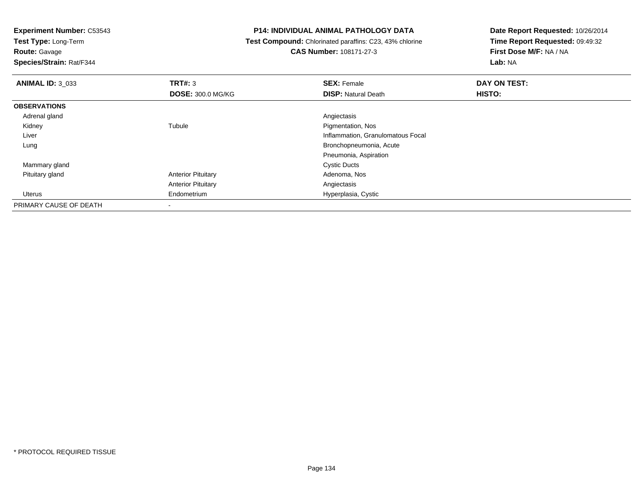**Test Type:** Long-Term

**Route:** Gavage

**Species/Strain:** Rat/F344

# **P14: INDIVIDUAL ANIMAL PATHOLOGY DATA**

 **Test Compound:** Chlorinated paraffins: C23, 43% chlorine**CAS Number:** 108171-27-3

| <b>ANIMAL ID: 3 033</b> | TRT#: 3                   | <b>SEX: Female</b>                | DAY ON TEST: |  |
|-------------------------|---------------------------|-----------------------------------|--------------|--|
|                         | <b>DOSE: 300.0 MG/KG</b>  | <b>DISP: Natural Death</b>        | HISTO:       |  |
| <b>OBSERVATIONS</b>     |                           |                                   |              |  |
| Adrenal gland           |                           | Angiectasis                       |              |  |
| Kidney                  | Tubule                    | Pigmentation, Nos                 |              |  |
| Liver                   |                           | Inflammation, Granulomatous Focal |              |  |
| Lung                    |                           | Bronchopneumonia, Acute           |              |  |
|                         |                           | Pneumonia, Aspiration             |              |  |
| Mammary gland           |                           | <b>Cystic Ducts</b>               |              |  |
| Pituitary gland         | <b>Anterior Pituitary</b> | Adenoma, Nos                      |              |  |
|                         | <b>Anterior Pituitary</b> | Angiectasis                       |              |  |
| Uterus                  | Endometrium               | Hyperplasia, Cystic               |              |  |
| PRIMARY CAUSE OF DEATH  | $\overline{\phantom{a}}$  |                                   |              |  |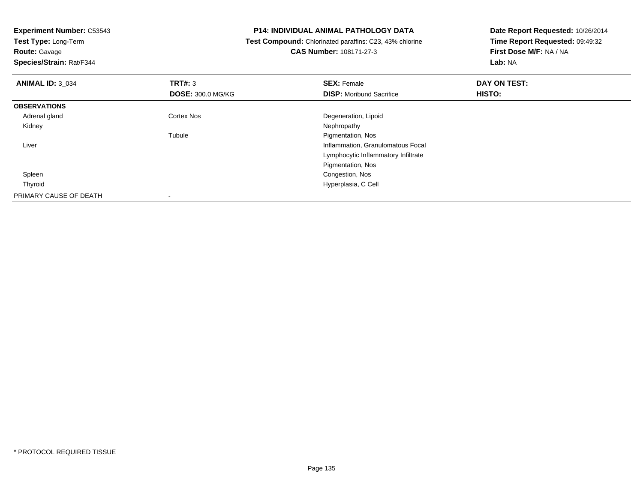| <b>Experiment Number: C53543</b> | <b>P14: INDIVIDUAL ANIMAL PATHOLOGY DATA</b> |                                                         | Date Report Requested: 10/26/2014 |  |
|----------------------------------|----------------------------------------------|---------------------------------------------------------|-----------------------------------|--|
| Test Type: Long-Term             |                                              | Test Compound: Chlorinated paraffins: C23, 43% chlorine | Time Report Requested: 09:49:32   |  |
| <b>Route: Gavage</b>             |                                              | <b>CAS Number: 108171-27-3</b>                          | First Dose M/F: NA / NA           |  |
| Species/Strain: Rat/F344         |                                              |                                                         | Lab: NA                           |  |
| <b>ANIMAL ID: 3_034</b>          | TRT#: 3                                      | <b>SEX: Female</b>                                      | DAY ON TEST:                      |  |
|                                  | <b>DOSE: 300.0 MG/KG</b>                     | <b>DISP:</b> Moribund Sacrifice                         | HISTO:                            |  |
| <b>OBSERVATIONS</b>              |                                              |                                                         |                                   |  |
| Adrenal gland                    | Cortex Nos                                   | Degeneration, Lipoid                                    |                                   |  |
| Kidney                           |                                              | Nephropathy                                             |                                   |  |
|                                  | Tubule                                       | Pigmentation, Nos                                       |                                   |  |
| Liver                            |                                              | Inflammation, Granulomatous Focal                       |                                   |  |
|                                  |                                              | Lymphocytic Inflammatory Infiltrate                     |                                   |  |
|                                  |                                              | Pigmentation, Nos                                       |                                   |  |
| Spleen                           |                                              | Congestion, Nos                                         |                                   |  |
| Thyroid                          |                                              | Hyperplasia, C Cell                                     |                                   |  |
| PRIMARY CAUSE OF DEATH           |                                              |                                                         |                                   |  |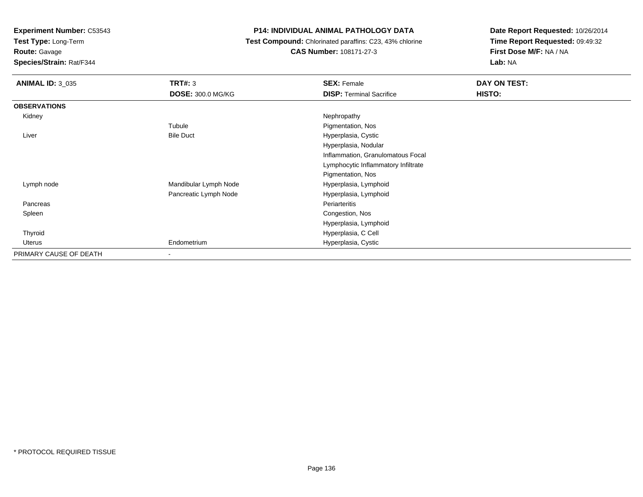**Test Type:** Long-Term

**Route:** Gavage

**Species/Strain:** Rat/F344

# **P14: INDIVIDUAL ANIMAL PATHOLOGY DATA**

 **Test Compound:** Chlorinated paraffins: C23, 43% chlorine**CAS Number:** 108171-27-3

| <b>ANIMAL ID: 3_035</b> | <b>TRT#: 3</b>           | <b>SEX: Female</b>                  | DAY ON TEST: |
|-------------------------|--------------------------|-------------------------------------|--------------|
|                         | <b>DOSE: 300.0 MG/KG</b> | <b>DISP: Terminal Sacrifice</b>     | HISTO:       |
| <b>OBSERVATIONS</b>     |                          |                                     |              |
| Kidney                  |                          | Nephropathy                         |              |
|                         | Tubule                   | Pigmentation, Nos                   |              |
| Liver                   | <b>Bile Duct</b>         | Hyperplasia, Cystic                 |              |
|                         |                          | Hyperplasia, Nodular                |              |
|                         |                          | Inflammation, Granulomatous Focal   |              |
|                         |                          | Lymphocytic Inflammatory Infiltrate |              |
|                         |                          | Pigmentation, Nos                   |              |
| Lymph node              | Mandibular Lymph Node    | Hyperplasia, Lymphoid               |              |
|                         | Pancreatic Lymph Node    | Hyperplasia, Lymphoid               |              |
| Pancreas                |                          | Periarteritis                       |              |
| Spleen                  |                          | Congestion, Nos                     |              |
|                         |                          | Hyperplasia, Lymphoid               |              |
| Thyroid                 |                          | Hyperplasia, C Cell                 |              |
| Uterus                  | Endometrium              | Hyperplasia, Cystic                 |              |
| PRIMARY CAUSE OF DEATH  | -                        |                                     |              |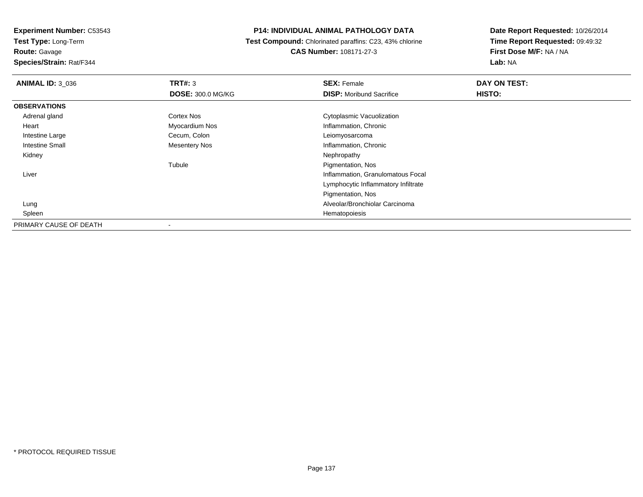**Experiment Number:** C53543**Test Type:** Long-Term

**Route:** Gavage

**Species/Strain:** Rat/F344

# **P14: INDIVIDUAL ANIMAL PATHOLOGY DATA**

 **Test Compound:** Chlorinated paraffins: C23, 43% chlorine**CAS Number:** 108171-27-3

| <b>ANIMAL ID: 3_036</b> | TRT#: 3                  | <b>SEX: Female</b>                  | DAY ON TEST: |  |
|-------------------------|--------------------------|-------------------------------------|--------------|--|
|                         | <b>DOSE: 300.0 MG/KG</b> | <b>DISP:</b> Moribund Sacrifice     | HISTO:       |  |
| <b>OBSERVATIONS</b>     |                          |                                     |              |  |
| Adrenal gland           | <b>Cortex Nos</b>        | Cytoplasmic Vacuolization           |              |  |
| Heart                   | Myocardium Nos           | Inflammation, Chronic               |              |  |
| Intestine Large         | Cecum, Colon             | Leiomyosarcoma                      |              |  |
| <b>Intestine Small</b>  | <b>Mesentery Nos</b>     | Inflammation, Chronic               |              |  |
| Kidney                  |                          | Nephropathy                         |              |  |
|                         | Tubule                   | Pigmentation, Nos                   |              |  |
| Liver                   |                          | Inflammation, Granulomatous Focal   |              |  |
|                         |                          | Lymphocytic Inflammatory Infiltrate |              |  |
|                         |                          | Pigmentation, Nos                   |              |  |
| Lung                    |                          | Alveolar/Bronchiolar Carcinoma      |              |  |
| Spleen                  |                          | Hematopoiesis                       |              |  |
| PRIMARY CAUSE OF DEATH  |                          |                                     |              |  |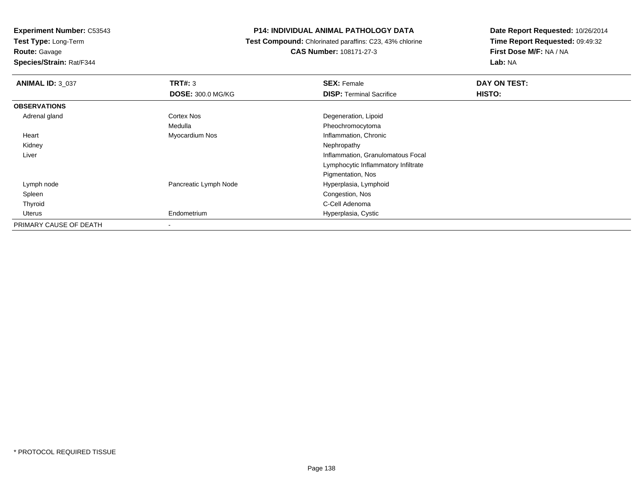**Test Type:** Long-Term

**Route:** Gavage

**Species/Strain:** Rat/F344

# **P14: INDIVIDUAL ANIMAL PATHOLOGY DATA**

 **Test Compound:** Chlorinated paraffins: C23, 43% chlorine**CAS Number:** 108171-27-3

| <b>ANIMAL ID: 3_037</b> | TRT#: 3                  | <b>SEX: Female</b>                  | DAY ON TEST: |
|-------------------------|--------------------------|-------------------------------------|--------------|
|                         | <b>DOSE: 300.0 MG/KG</b> | <b>DISP: Terminal Sacrifice</b>     | HISTO:       |
| <b>OBSERVATIONS</b>     |                          |                                     |              |
| Adrenal gland           | Cortex Nos               | Degeneration, Lipoid                |              |
|                         | Medulla                  | Pheochromocytoma                    |              |
| Heart                   | Myocardium Nos           | Inflammation, Chronic               |              |
| Kidney                  |                          | Nephropathy                         |              |
| Liver                   |                          | Inflammation, Granulomatous Focal   |              |
|                         |                          | Lymphocytic Inflammatory Infiltrate |              |
|                         |                          | Pigmentation, Nos                   |              |
| Lymph node              | Pancreatic Lymph Node    | Hyperplasia, Lymphoid               |              |
| Spleen                  |                          | Congestion, Nos                     |              |
| Thyroid                 |                          | C-Cell Adenoma                      |              |
| Uterus                  | Endometrium              | Hyperplasia, Cystic                 |              |
| PRIMARY CAUSE OF DEATH  |                          |                                     |              |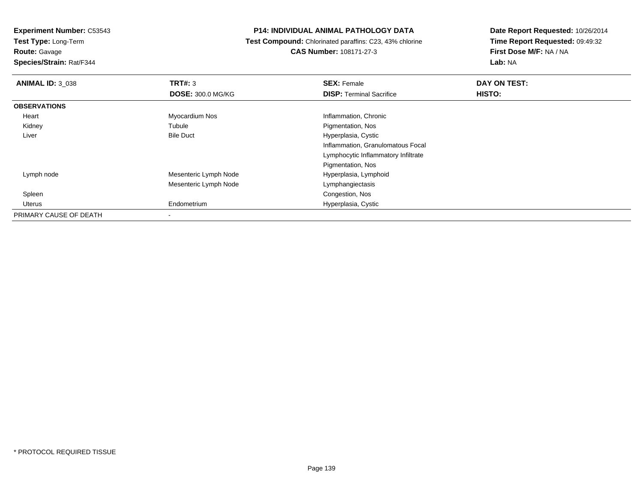**Test Type:** Long-Term**Route:** Gavage

**Species/Strain:** Rat/F344

# **P14: INDIVIDUAL ANIMAL PATHOLOGY DATA**

 **Test Compound:** Chlorinated paraffins: C23, 43% chlorine**CAS Number:** 108171-27-3

| <b>ANIMAL ID: 3_038</b> | TRT#: 3                  | <b>SEX: Female</b>                  | DAY ON TEST: |  |
|-------------------------|--------------------------|-------------------------------------|--------------|--|
|                         | <b>DOSE: 300.0 MG/KG</b> | <b>DISP: Terminal Sacrifice</b>     | HISTO:       |  |
| <b>OBSERVATIONS</b>     |                          |                                     |              |  |
| Heart                   | Myocardium Nos           | Inflammation, Chronic               |              |  |
| Kidney                  | Tubule                   | Pigmentation, Nos                   |              |  |
| Liver                   | <b>Bile Duct</b>         | Hyperplasia, Cystic                 |              |  |
|                         |                          | Inflammation, Granulomatous Focal   |              |  |
|                         |                          | Lymphocytic Inflammatory Infiltrate |              |  |
|                         |                          | Pigmentation, Nos                   |              |  |
| Lymph node              | Mesenteric Lymph Node    | Hyperplasia, Lymphoid               |              |  |
|                         | Mesenteric Lymph Node    | Lymphangiectasis                    |              |  |
| Spleen                  |                          | Congestion, Nos                     |              |  |
| Uterus                  | Endometrium              | Hyperplasia, Cystic                 |              |  |
| PRIMARY CAUSE OF DEATH  |                          |                                     |              |  |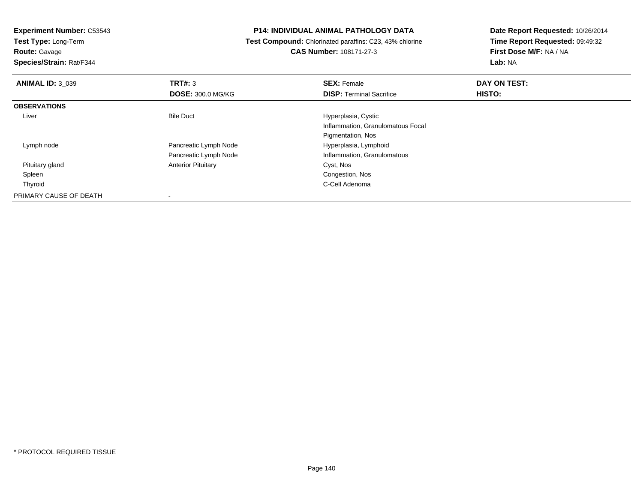**Test Type:** Long-Term

**Route:** Gavage

**Species/Strain:** Rat/F344

# **P14: INDIVIDUAL ANIMAL PATHOLOGY DATA**

 **Test Compound:** Chlorinated paraffins: C23, 43% chlorine**CAS Number:** 108171-27-3

| <b>ANIMAL ID: 3 039</b> | TRT#: 3                   | <b>SEX: Female</b>                | DAY ON TEST: |  |
|-------------------------|---------------------------|-----------------------------------|--------------|--|
|                         | <b>DOSE: 300.0 MG/KG</b>  | <b>DISP: Terminal Sacrifice</b>   | HISTO:       |  |
| <b>OBSERVATIONS</b>     |                           |                                   |              |  |
| Liver                   | <b>Bile Duct</b>          | Hyperplasia, Cystic               |              |  |
|                         |                           | Inflammation, Granulomatous Focal |              |  |
|                         |                           | Pigmentation, Nos                 |              |  |
| Lymph node              | Pancreatic Lymph Node     | Hyperplasia, Lymphoid             |              |  |
|                         | Pancreatic Lymph Node     | Inflammation, Granulomatous       |              |  |
| Pituitary gland         | <b>Anterior Pituitary</b> | Cyst, Nos                         |              |  |
| Spleen                  |                           | Congestion, Nos                   |              |  |
| Thyroid                 |                           | C-Cell Adenoma                    |              |  |
| PRIMARY CAUSE OF DEATH  |                           |                                   |              |  |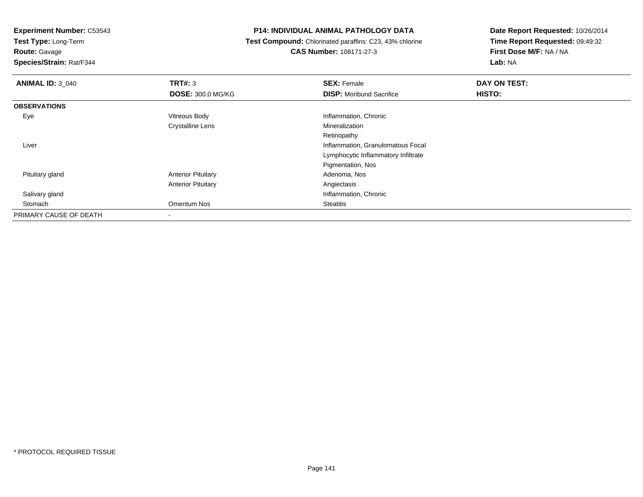**Test Type:** Long-Term

**Route:** Gavage

**Species/Strain:** Rat/F344

# **P14: INDIVIDUAL ANIMAL PATHOLOGY DATA**

 **Test Compound:** Chlorinated paraffins: C23, 43% chlorine**CAS Number:** 108171-27-3

| <b>ANIMAL ID: 3 040</b> | TRT#: 3                   | <b>SEX: Female</b>                  | DAY ON TEST: |  |
|-------------------------|---------------------------|-------------------------------------|--------------|--|
|                         | <b>DOSE: 300.0 MG/KG</b>  | <b>DISP:</b> Moribund Sacrifice     | HISTO:       |  |
| <b>OBSERVATIONS</b>     |                           |                                     |              |  |
| Eye                     | Vitreous Body             | Inflammation, Chronic               |              |  |
|                         | <b>Crystalline Lens</b>   | Mineralization                      |              |  |
|                         |                           | Retinopathy                         |              |  |
| Liver                   |                           | Inflammation, Granulomatous Focal   |              |  |
|                         |                           | Lymphocytic Inflammatory Infiltrate |              |  |
|                         |                           | Pigmentation, Nos                   |              |  |
| Pituitary gland         | <b>Anterior Pituitary</b> | Adenoma, Nos                        |              |  |
|                         | <b>Anterior Pituitary</b> | Angiectasis                         |              |  |
| Salivary gland          |                           | Inflammation, Chronic               |              |  |
| Stomach                 | Omentum Nos               | <b>Steatitis</b>                    |              |  |
| PRIMARY CAUSE OF DEATH  | ٠                         |                                     |              |  |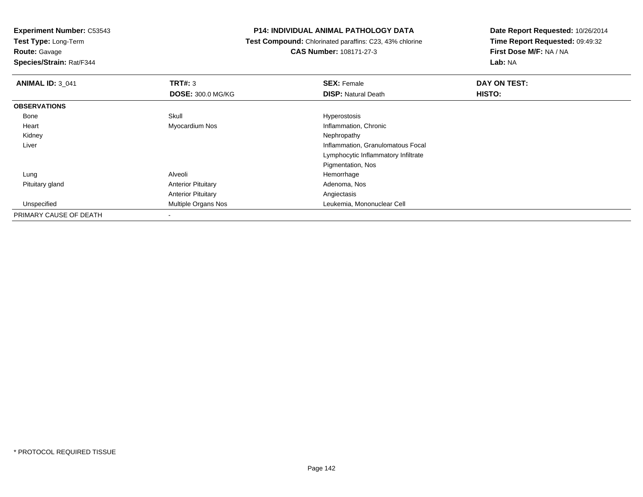**Test Type:** Long-Term

**Route:** Gavage

**Species/Strain:** Rat/F344

# **P14: INDIVIDUAL ANIMAL PATHOLOGY DATA**

 **Test Compound:** Chlorinated paraffins: C23, 43% chlorine**CAS Number:** 108171-27-3

| <b>ANIMAL ID: 3 041</b> | TRT#: 3                   | <b>SEX: Female</b>                  | DAY ON TEST: |
|-------------------------|---------------------------|-------------------------------------|--------------|
|                         | <b>DOSE: 300.0 MG/KG</b>  | <b>DISP:</b> Natural Death          | HISTO:       |
| <b>OBSERVATIONS</b>     |                           |                                     |              |
| Bone                    | Skull                     | Hyperostosis                        |              |
| Heart                   | Myocardium Nos            | Inflammation, Chronic               |              |
| Kidney                  |                           | Nephropathy                         |              |
| Liver                   |                           | Inflammation, Granulomatous Focal   |              |
|                         |                           | Lymphocytic Inflammatory Infiltrate |              |
|                         |                           | Pigmentation, Nos                   |              |
| Lung                    | Alveoli                   | Hemorrhage                          |              |
| Pituitary gland         | <b>Anterior Pituitary</b> | Adenoma, Nos                        |              |
|                         | <b>Anterior Pituitary</b> | Angiectasis                         |              |
| Unspecified             | Multiple Organs Nos       | Leukemia, Mononuclear Cell          |              |
| PRIMARY CAUSE OF DEATH  |                           |                                     |              |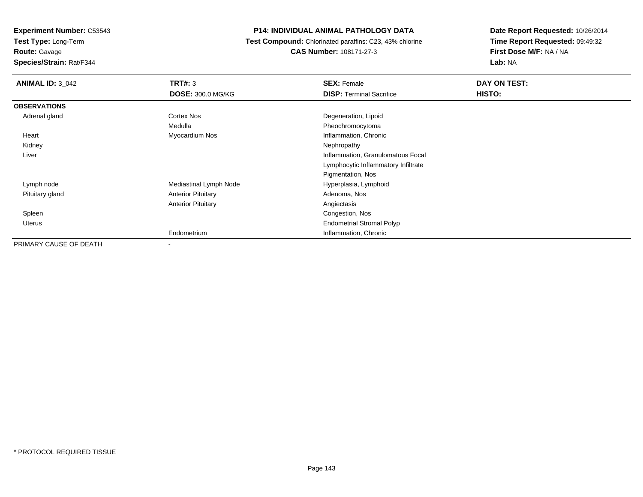**Test Type:** Long-Term

**Route:** Gavage

**Species/Strain:** Rat/F344

# **P14: INDIVIDUAL ANIMAL PATHOLOGY DATA**

 **Test Compound:** Chlorinated paraffins: C23, 43% chlorine**CAS Number:** 108171-27-3

| <b>ANIMAL ID: 3_042</b> | <b>TRT#: 3</b>            | <b>SEX: Female</b>                  | DAY ON TEST: |
|-------------------------|---------------------------|-------------------------------------|--------------|
|                         | <b>DOSE: 300.0 MG/KG</b>  | <b>DISP: Terminal Sacrifice</b>     | HISTO:       |
| <b>OBSERVATIONS</b>     |                           |                                     |              |
| Adrenal gland           | Cortex Nos                | Degeneration, Lipoid                |              |
|                         | Medulla                   | Pheochromocytoma                    |              |
| Heart                   | Myocardium Nos            | Inflammation, Chronic               |              |
| Kidney                  |                           | Nephropathy                         |              |
| Liver                   |                           | Inflammation, Granulomatous Focal   |              |
|                         |                           | Lymphocytic Inflammatory Infiltrate |              |
|                         |                           | Pigmentation, Nos                   |              |
| Lymph node              | Mediastinal Lymph Node    | Hyperplasia, Lymphoid               |              |
| Pituitary gland         | <b>Anterior Pituitary</b> | Adenoma, Nos                        |              |
|                         | <b>Anterior Pituitary</b> | Angiectasis                         |              |
| Spleen                  |                           | Congestion, Nos                     |              |
| Uterus                  |                           | <b>Endometrial Stromal Polyp</b>    |              |
|                         | Endometrium               | Inflammation, Chronic               |              |
| PRIMARY CAUSE OF DEATH  | ۰                         |                                     |              |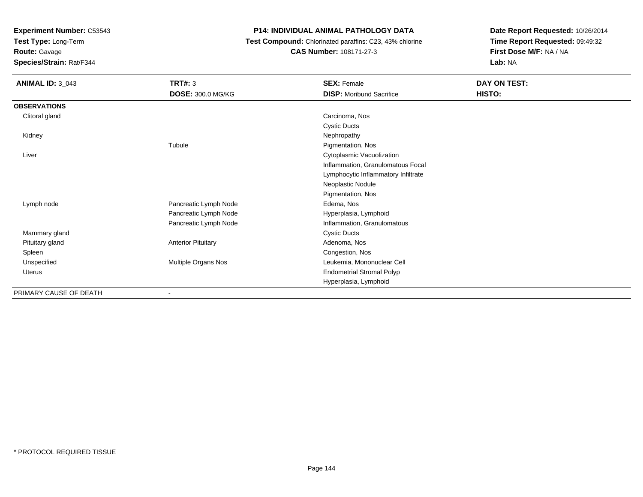**Test Type:** Long-Term

**Route:** Gavage

**Species/Strain:** Rat/F344

# **P14: INDIVIDUAL ANIMAL PATHOLOGY DATA**

 **Test Compound:** Chlorinated paraffins: C23, 43% chlorine**CAS Number:** 108171-27-3

| <b>ANIMAL ID: 3_043</b> | TRT#: 3                   | <b>SEX: Female</b>                  | <b>DAY ON TEST:</b> |
|-------------------------|---------------------------|-------------------------------------|---------------------|
|                         | DOSE: 300.0 MG/KG         | <b>DISP:</b> Moribund Sacrifice     | HISTO:              |
| <b>OBSERVATIONS</b>     |                           |                                     |                     |
| Clitoral gland          |                           | Carcinoma, Nos                      |                     |
|                         |                           | <b>Cystic Ducts</b>                 |                     |
| Kidney                  |                           | Nephropathy                         |                     |
|                         | Tubule                    | Pigmentation, Nos                   |                     |
| Liver                   |                           | Cytoplasmic Vacuolization           |                     |
|                         |                           | Inflammation, Granulomatous Focal   |                     |
|                         |                           | Lymphocytic Inflammatory Infiltrate |                     |
|                         |                           | Neoplastic Nodule                   |                     |
|                         |                           | Pigmentation, Nos                   |                     |
| Lymph node              | Pancreatic Lymph Node     | Edema, Nos                          |                     |
|                         | Pancreatic Lymph Node     | Hyperplasia, Lymphoid               |                     |
|                         | Pancreatic Lymph Node     | Inflammation, Granulomatous         |                     |
| Mammary gland           |                           | <b>Cystic Ducts</b>                 |                     |
| Pituitary gland         | <b>Anterior Pituitary</b> | Adenoma, Nos                        |                     |
| Spleen                  |                           | Congestion, Nos                     |                     |
| Unspecified             | Multiple Organs Nos       | Leukemia, Mononuclear Cell          |                     |
| Uterus                  |                           | <b>Endometrial Stromal Polyp</b>    |                     |
|                         |                           | Hyperplasia, Lymphoid               |                     |
| PRIMARY CAUSE OF DEATH  | $\overline{\phantom{a}}$  |                                     |                     |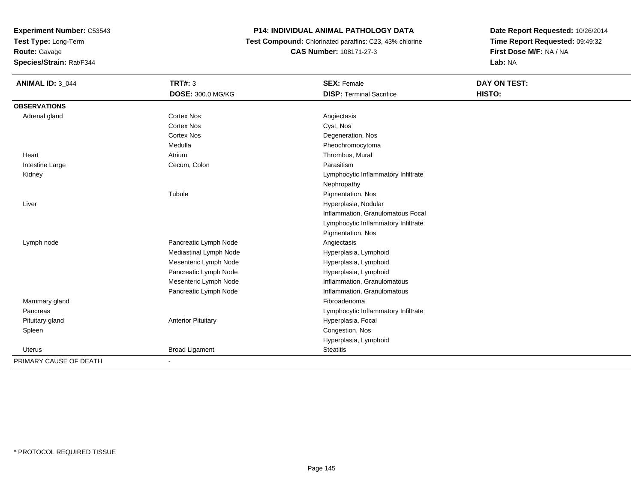**Test Type:** Long-Term

**Route:** Gavage

**Species/Strain:** Rat/F344

## **P14: INDIVIDUAL ANIMAL PATHOLOGY DATA**

 **Test Compound:** Chlorinated paraffins: C23, 43% chlorine**CAS Number:** 108171-27-3

| <b>ANIMAL ID: 3_044</b> | <b>TRT#: 3</b>            | <b>SEX: Female</b>                  | DAY ON TEST: |  |
|-------------------------|---------------------------|-------------------------------------|--------------|--|
|                         | DOSE: 300.0 MG/KG         | <b>DISP: Terminal Sacrifice</b>     | HISTO:       |  |
| <b>OBSERVATIONS</b>     |                           |                                     |              |  |
| Adrenal gland           | <b>Cortex Nos</b>         | Angiectasis                         |              |  |
|                         | <b>Cortex Nos</b>         | Cyst, Nos                           |              |  |
|                         | <b>Cortex Nos</b>         | Degeneration, Nos                   |              |  |
|                         | Medulla                   | Pheochromocytoma                    |              |  |
| Heart                   | Atrium                    | Thrombus, Mural                     |              |  |
| Intestine Large         | Cecum, Colon              | Parasitism                          |              |  |
| Kidney                  |                           | Lymphocytic Inflammatory Infiltrate |              |  |
|                         |                           | Nephropathy                         |              |  |
|                         | Tubule                    | Pigmentation, Nos                   |              |  |
| Liver                   |                           | Hyperplasia, Nodular                |              |  |
|                         |                           | Inflammation, Granulomatous Focal   |              |  |
|                         |                           | Lymphocytic Inflammatory Infiltrate |              |  |
|                         |                           | Pigmentation, Nos                   |              |  |
| Lymph node              | Pancreatic Lymph Node     | Angiectasis                         |              |  |
|                         | Mediastinal Lymph Node    | Hyperplasia, Lymphoid               |              |  |
|                         | Mesenteric Lymph Node     | Hyperplasia, Lymphoid               |              |  |
|                         | Pancreatic Lymph Node     | Hyperplasia, Lymphoid               |              |  |
|                         | Mesenteric Lymph Node     | Inflammation, Granulomatous         |              |  |
|                         | Pancreatic Lymph Node     | Inflammation, Granulomatous         |              |  |
| Mammary gland           |                           | Fibroadenoma                        |              |  |
| Pancreas                |                           | Lymphocytic Inflammatory Infiltrate |              |  |
| Pituitary gland         | <b>Anterior Pituitary</b> | Hyperplasia, Focal                  |              |  |
| Spleen                  |                           | Congestion, Nos                     |              |  |
|                         |                           | Hyperplasia, Lymphoid               |              |  |
| Uterus                  | <b>Broad Ligament</b>     | <b>Steatitis</b>                    |              |  |
| PRIMARY CAUSE OF DEATH  | $\blacksquare$            |                                     |              |  |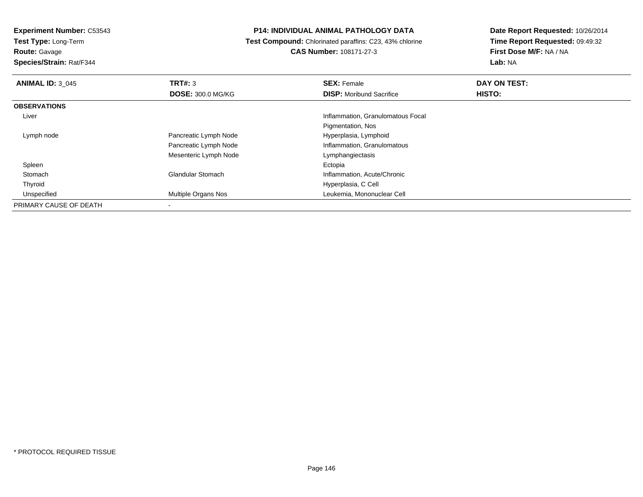**Test Type:** Long-Term

## **Route:** Gavage

**Species/Strain:** Rat/F344

### **P14: INDIVIDUAL ANIMAL PATHOLOGY DATA**

 **Test Compound:** Chlorinated paraffins: C23, 43% chlorine**CAS Number:** 108171-27-3

| <b>ANIMAL ID: 3_045</b> | TRT#: 3                    | <b>SEX: Female</b>                | DAY ON TEST: |  |
|-------------------------|----------------------------|-----------------------------------|--------------|--|
|                         | <b>DOSE: 300.0 MG/KG</b>   | <b>DISP:</b> Moribund Sacrifice   | HISTO:       |  |
| <b>OBSERVATIONS</b>     |                            |                                   |              |  |
| Liver                   |                            | Inflammation, Granulomatous Focal |              |  |
|                         |                            | Pigmentation, Nos                 |              |  |
| Lymph node              | Pancreatic Lymph Node      | Hyperplasia, Lymphoid             |              |  |
|                         | Pancreatic Lymph Node      | Inflammation, Granulomatous       |              |  |
|                         | Mesenteric Lymph Node      | Lymphangiectasis                  |              |  |
| Spleen                  |                            | Ectopia                           |              |  |
| Stomach                 | <b>Glandular Stomach</b>   | Inflammation, Acute/Chronic       |              |  |
| Thyroid                 |                            | Hyperplasia, C Cell               |              |  |
| Unspecified             | <b>Multiple Organs Nos</b> | Leukemia, Mononuclear Cell        |              |  |
| PRIMARY CAUSE OF DEATH  |                            |                                   |              |  |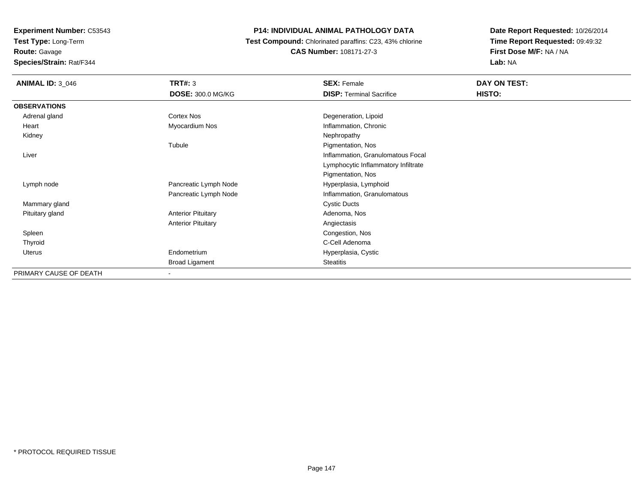**Test Type:** Long-Term**Route:** Gavage

**Species/Strain:** Rat/F344

## **P14: INDIVIDUAL ANIMAL PATHOLOGY DATA**

 **Test Compound:** Chlorinated paraffins: C23, 43% chlorine**CAS Number:** 108171-27-3

| <b>ANIMAL ID: 3_046</b> | <b>TRT#: 3</b>            | <b>SEX: Female</b>                  | DAY ON TEST: |
|-------------------------|---------------------------|-------------------------------------|--------------|
|                         | <b>DOSE: 300.0 MG/KG</b>  | <b>DISP: Terminal Sacrifice</b>     | HISTO:       |
| <b>OBSERVATIONS</b>     |                           |                                     |              |
| Adrenal gland           | Cortex Nos                | Degeneration, Lipoid                |              |
| Heart                   | Myocardium Nos            | Inflammation, Chronic               |              |
| Kidney                  |                           | Nephropathy                         |              |
|                         | Tubule                    | Pigmentation, Nos                   |              |
| Liver                   |                           | Inflammation, Granulomatous Focal   |              |
|                         |                           | Lymphocytic Inflammatory Infiltrate |              |
|                         |                           | Pigmentation, Nos                   |              |
| Lymph node              | Pancreatic Lymph Node     | Hyperplasia, Lymphoid               |              |
|                         | Pancreatic Lymph Node     | Inflammation, Granulomatous         |              |
| Mammary gland           |                           | <b>Cystic Ducts</b>                 |              |
| Pituitary gland         | <b>Anterior Pituitary</b> | Adenoma, Nos                        |              |
|                         | <b>Anterior Pituitary</b> | Angiectasis                         |              |
| Spleen                  |                           | Congestion, Nos                     |              |
| Thyroid                 |                           | C-Cell Adenoma                      |              |
| Uterus                  | Endometrium               | Hyperplasia, Cystic                 |              |
|                         | <b>Broad Ligament</b>     | <b>Steatitis</b>                    |              |
| PRIMARY CAUSE OF DEATH  | $\overline{\phantom{0}}$  |                                     |              |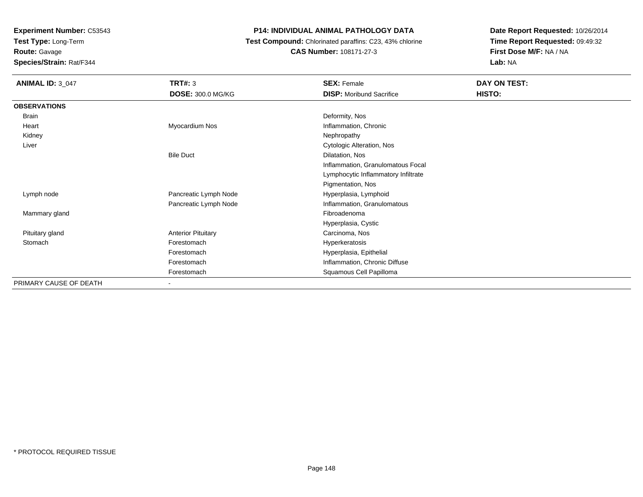**Test Type:** Long-Term

**Route:** Gavage

**Species/Strain:** Rat/F344

## **P14: INDIVIDUAL ANIMAL PATHOLOGY DATA**

 **Test Compound:** Chlorinated paraffins: C23, 43% chlorine**CAS Number:** 108171-27-3

| <b>ANIMAL ID: 3_047</b> | TRT#: 3                   | <b>SEX: Female</b>                  | DAY ON TEST:  |
|-------------------------|---------------------------|-------------------------------------|---------------|
|                         | DOSE: 300.0 MG/KG         | <b>DISP:</b> Moribund Sacrifice     | <b>HISTO:</b> |
| <b>OBSERVATIONS</b>     |                           |                                     |               |
| Brain                   |                           | Deformity, Nos                      |               |
| Heart                   | Myocardium Nos            | Inflammation, Chronic               |               |
| Kidney                  |                           | Nephropathy                         |               |
| Liver                   |                           | Cytologic Alteration, Nos           |               |
|                         | <b>Bile Duct</b>          | Dilatation, Nos                     |               |
|                         |                           | Inflammation, Granulomatous Focal   |               |
|                         |                           | Lymphocytic Inflammatory Infiltrate |               |
|                         |                           | Pigmentation, Nos                   |               |
| Lymph node              | Pancreatic Lymph Node     | Hyperplasia, Lymphoid               |               |
|                         | Pancreatic Lymph Node     | Inflammation, Granulomatous         |               |
| Mammary gland           |                           | Fibroadenoma                        |               |
|                         |                           | Hyperplasia, Cystic                 |               |
| Pituitary gland         | <b>Anterior Pituitary</b> | Carcinoma, Nos                      |               |
| Stomach                 | Forestomach               | Hyperkeratosis                      |               |
|                         | Forestomach               | Hyperplasia, Epithelial             |               |
|                         | Forestomach               | Inflammation, Chronic Diffuse       |               |
|                         | Forestomach               | Squamous Cell Papilloma             |               |
| PRIMARY CAUSE OF DEATH  | $\sim$                    |                                     |               |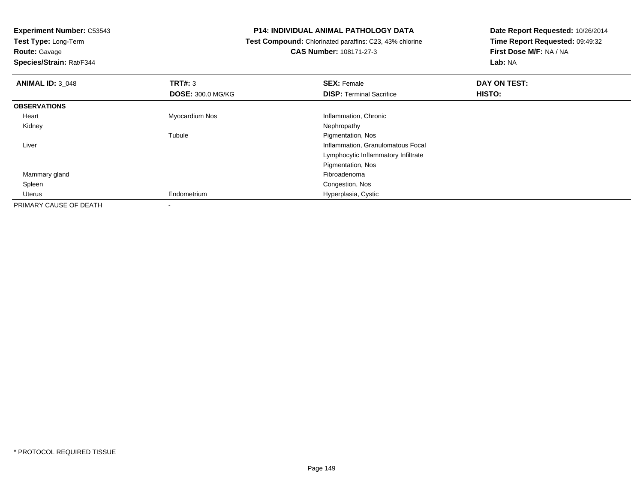**Test Type:** Long-Term

**Route:** Gavage

**Species/Strain:** Rat/F344

### **P14: INDIVIDUAL ANIMAL PATHOLOGY DATA**

 **Test Compound:** Chlorinated paraffins: C23, 43% chlorine**CAS Number:** 108171-27-3

| <b>ANIMAL ID: 3 048</b> | TRT#: 3                  | <b>SEX: Female</b>                  | DAY ON TEST: |  |
|-------------------------|--------------------------|-------------------------------------|--------------|--|
|                         | <b>DOSE: 300.0 MG/KG</b> | <b>DISP: Terminal Sacrifice</b>     | HISTO:       |  |
| <b>OBSERVATIONS</b>     |                          |                                     |              |  |
| Heart                   | Myocardium Nos           | Inflammation, Chronic               |              |  |
| Kidney                  |                          | Nephropathy                         |              |  |
|                         | Tubule                   | Pigmentation, Nos                   |              |  |
| Liver                   |                          | Inflammation, Granulomatous Focal   |              |  |
|                         |                          | Lymphocytic Inflammatory Infiltrate |              |  |
|                         |                          | Pigmentation, Nos                   |              |  |
| Mammary gland           |                          | Fibroadenoma                        |              |  |
| Spleen                  |                          | Congestion, Nos                     |              |  |
| Uterus                  | Endometrium              | Hyperplasia, Cystic                 |              |  |
| PRIMARY CAUSE OF DEATH  |                          |                                     |              |  |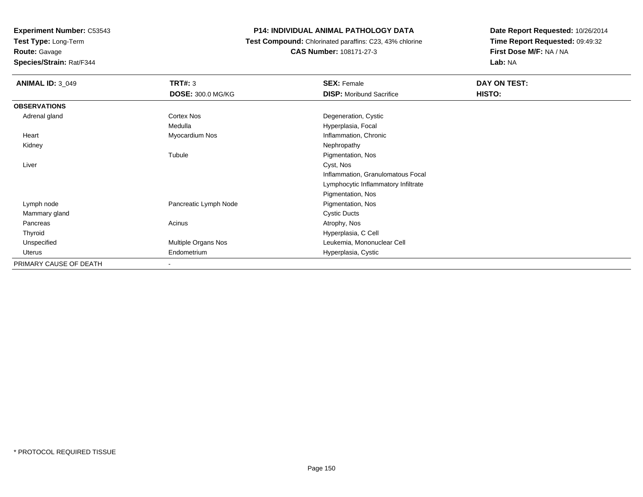**Test Type:** Long-Term

**Route:** Gavage

**Species/Strain:** Rat/F344

## **P14: INDIVIDUAL ANIMAL PATHOLOGY DATA**

 **Test Compound:** Chlorinated paraffins: C23, 43% chlorine**CAS Number:** 108171-27-3

| <b>ANIMAL ID: 3_049</b> | <b>TRT#: 3</b>           | <b>SEX: Female</b>                  | DAY ON TEST: |
|-------------------------|--------------------------|-------------------------------------|--------------|
|                         | <b>DOSE: 300.0 MG/KG</b> | <b>DISP:</b> Moribund Sacrifice     | HISTO:       |
| <b>OBSERVATIONS</b>     |                          |                                     |              |
| Adrenal gland           | Cortex Nos               | Degeneration, Cystic                |              |
|                         | Medulla                  | Hyperplasia, Focal                  |              |
| Heart                   | Myocardium Nos           | Inflammation, Chronic               |              |
| Kidney                  |                          | Nephropathy                         |              |
|                         | Tubule                   | Pigmentation, Nos                   |              |
| Liver                   |                          | Cyst, Nos                           |              |
|                         |                          | Inflammation, Granulomatous Focal   |              |
|                         |                          | Lymphocytic Inflammatory Infiltrate |              |
|                         |                          | Pigmentation, Nos                   |              |
| Lymph node              | Pancreatic Lymph Node    | Pigmentation, Nos                   |              |
| Mammary gland           |                          | <b>Cystic Ducts</b>                 |              |
| Pancreas                | Acinus                   | Atrophy, Nos                        |              |
| Thyroid                 |                          | Hyperplasia, C Cell                 |              |
| Unspecified             | Multiple Organs Nos      | Leukemia, Mononuclear Cell          |              |
| Uterus                  | Endometrium              | Hyperplasia, Cystic                 |              |
| PRIMARY CAUSE OF DEATH  | $\overline{\phantom{a}}$ |                                     |              |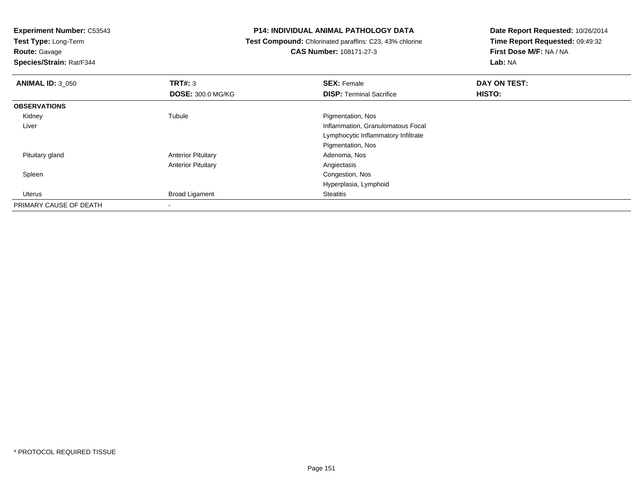**Test Type:** Long-Term

**Route:** Gavage

**Species/Strain:** Rat/F344

### **P14: INDIVIDUAL ANIMAL PATHOLOGY DATA**

 **Test Compound:** Chlorinated paraffins: C23, 43% chlorine**CAS Number:** 108171-27-3

| <b>ANIMAL ID: 3_050</b> | TRT#: 3                   | <b>SEX: Female</b>                  | DAY ON TEST:  |  |
|-------------------------|---------------------------|-------------------------------------|---------------|--|
|                         | <b>DOSE: 300.0 MG/KG</b>  | <b>DISP: Terminal Sacrifice</b>     | <b>HISTO:</b> |  |
| <b>OBSERVATIONS</b>     |                           |                                     |               |  |
| Kidney                  | Tubule                    | Pigmentation, Nos                   |               |  |
| Liver                   |                           | Inflammation, Granulomatous Focal   |               |  |
|                         |                           | Lymphocytic Inflammatory Infiltrate |               |  |
|                         |                           | Pigmentation, Nos                   |               |  |
| Pituitary gland         | <b>Anterior Pituitary</b> | Adenoma, Nos                        |               |  |
|                         | <b>Anterior Pituitary</b> | Angiectasis                         |               |  |
| Spleen                  |                           | Congestion, Nos                     |               |  |
|                         |                           | Hyperplasia, Lymphoid               |               |  |
| Uterus                  | <b>Broad Ligament</b>     | <b>Steatitis</b>                    |               |  |
| PRIMARY CAUSE OF DEATH  |                           |                                     |               |  |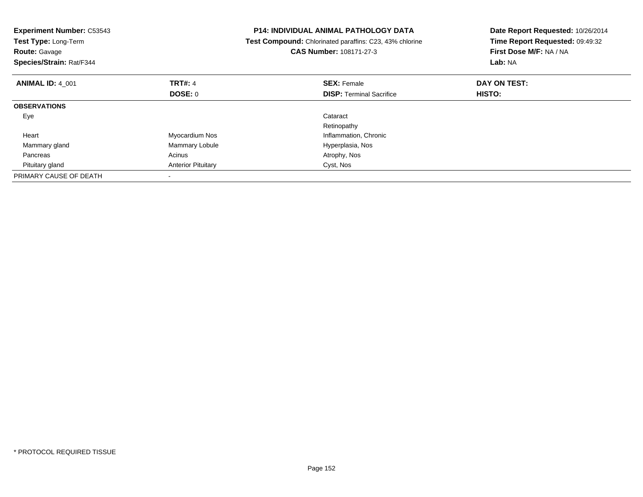| <b>Experiment Number: C53543</b><br>Test Type: Long-Term<br><b>Route: Gavage</b><br>Species/Strain: Rat/F344 |                           | <b>P14: INDIVIDUAL ANIMAL PATHOLOGY DATA</b><br>Test Compound: Chlorinated paraffins: C23, 43% chlorine<br><b>CAS Number: 108171-27-3</b> | Date Report Requested: 10/26/2014<br>Time Report Requested: 09:49:32<br><b>First Dose M/F: NA / NA</b><br>Lab: NA |
|--------------------------------------------------------------------------------------------------------------|---------------------------|-------------------------------------------------------------------------------------------------------------------------------------------|-------------------------------------------------------------------------------------------------------------------|
| <b>ANIMAL ID: 4 001</b>                                                                                      | <b>TRT#: 4</b>            | <b>SEX: Female</b>                                                                                                                        | DAY ON TEST:                                                                                                      |
|                                                                                                              | DOSE: 0                   | <b>DISP:</b> Terminal Sacrifice                                                                                                           | <b>HISTO:</b>                                                                                                     |
| <b>OBSERVATIONS</b>                                                                                          |                           |                                                                                                                                           |                                                                                                                   |
| Eye                                                                                                          |                           | Cataract                                                                                                                                  |                                                                                                                   |
|                                                                                                              |                           | Retinopathy                                                                                                                               |                                                                                                                   |
| Heart                                                                                                        | Myocardium Nos            | Inflammation, Chronic                                                                                                                     |                                                                                                                   |
| Mammary gland                                                                                                | Mammary Lobule            | Hyperplasia, Nos                                                                                                                          |                                                                                                                   |
| Pancreas                                                                                                     | Acinus                    | Atrophy, Nos                                                                                                                              |                                                                                                                   |
| Pituitary gland                                                                                              | <b>Anterior Pituitary</b> | Cyst, Nos                                                                                                                                 |                                                                                                                   |
| PRIMARY CAUSE OF DEATH                                                                                       |                           |                                                                                                                                           |                                                                                                                   |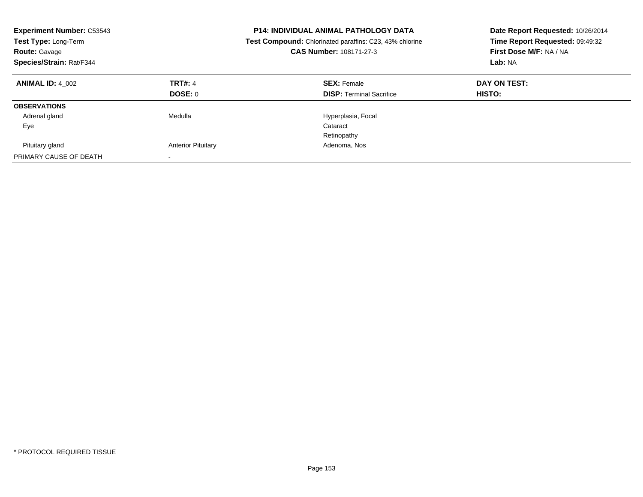| <b>Experiment Number: C53543</b><br>Test Type: Long-Term<br><b>Route: Gavage</b><br>Species/Strain: Rat/F344 |                           | <b>P14: INDIVIDUAL ANIMAL PATHOLOGY DATA</b><br>Test Compound: Chlorinated paraffins: C23, 43% chlorine<br>CAS Number: 108171-27-3 | Date Report Requested: 10/26/2014<br>Time Report Requested: 09:49:32<br>First Dose M/F: NA / NA<br>Lab: NA |
|--------------------------------------------------------------------------------------------------------------|---------------------------|------------------------------------------------------------------------------------------------------------------------------------|------------------------------------------------------------------------------------------------------------|
| <b>ANIMAL ID: 4 002</b>                                                                                      | <b>TRT#: 4</b>            | <b>SEX: Female</b>                                                                                                                 | DAY ON TEST:                                                                                               |
|                                                                                                              | DOSE: 0                   | <b>DISP:</b> Terminal Sacrifice                                                                                                    | HISTO:                                                                                                     |
| <b>OBSERVATIONS</b>                                                                                          |                           |                                                                                                                                    |                                                                                                            |
| Adrenal gland                                                                                                | Medulla                   | Hyperplasia, Focal                                                                                                                 |                                                                                                            |
| Eye                                                                                                          |                           | Cataract                                                                                                                           |                                                                                                            |
|                                                                                                              |                           | Retinopathy                                                                                                                        |                                                                                                            |
| Pituitary gland                                                                                              | <b>Anterior Pituitary</b> | Adenoma, Nos                                                                                                                       |                                                                                                            |
| PRIMARY CAUSE OF DEATH                                                                                       |                           |                                                                                                                                    |                                                                                                            |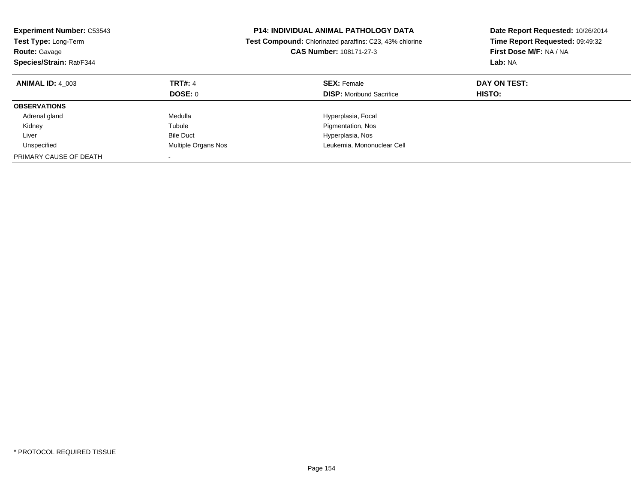| <b>Experiment Number: C53543</b><br><b>Test Type: Long-Term</b><br><b>Route: Gavage</b><br>Species/Strain: Rat/F344 |                           | <b>P14: INDIVIDUAL ANIMAL PATHOLOGY DATA</b><br><b>Test Compound:</b> Chlorinated paraffins: C23, 43% chlorine<br><b>CAS Number: 108171-27-3</b> | Date Report Requested: 10/26/2014<br>Time Report Requested: 09:49:32<br>First Dose M/F: NA / NA<br>Lab: NA |
|---------------------------------------------------------------------------------------------------------------------|---------------------------|--------------------------------------------------------------------------------------------------------------------------------------------------|------------------------------------------------------------------------------------------------------------|
| <b>ANIMAL ID: 4 003</b>                                                                                             | <b>TRT#: 4</b><br>DOSE: 0 | <b>SEX: Female</b><br><b>DISP:</b> Moribund Sacrifice                                                                                            | DAY ON TEST:<br><b>HISTO:</b>                                                                              |
| <b>OBSERVATIONS</b>                                                                                                 |                           |                                                                                                                                                  |                                                                                                            |
|                                                                                                                     |                           |                                                                                                                                                  |                                                                                                            |
| Adrenal gland                                                                                                       | Medulla                   | Hyperplasia, Focal                                                                                                                               |                                                                                                            |
| Kidney                                                                                                              | Tubule                    | Pigmentation, Nos                                                                                                                                |                                                                                                            |
| Liver                                                                                                               | <b>Bile Duct</b>          | Hyperplasia, Nos                                                                                                                                 |                                                                                                            |
| Unspecified                                                                                                         | Multiple Organs Nos       | Leukemia, Mononuclear Cell                                                                                                                       |                                                                                                            |
| PRIMARY CAUSE OF DEATH                                                                                              |                           |                                                                                                                                                  |                                                                                                            |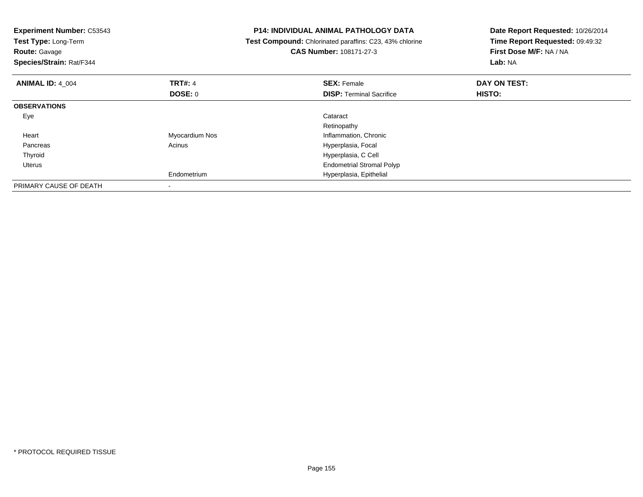| <b>Experiment Number: C53543</b><br>Test Type: Long-Term<br><b>Route: Gavage</b><br>Species/Strain: Rat/F344 |                | <b>P14: INDIVIDUAL ANIMAL PATHOLOGY DATA</b><br>Test Compound: Chlorinated paraffins: C23, 43% chlorine<br>CAS Number: 108171-27-3 | Date Report Requested: 10/26/2014<br>Time Report Requested: 09:49:32<br>First Dose M/F: NA / NA<br>Lab: NA |
|--------------------------------------------------------------------------------------------------------------|----------------|------------------------------------------------------------------------------------------------------------------------------------|------------------------------------------------------------------------------------------------------------|
| <b>ANIMAL ID: 4 004</b>                                                                                      | <b>TRT#: 4</b> | <b>SEX: Female</b>                                                                                                                 | DAY ON TEST:                                                                                               |
|                                                                                                              | DOSE: 0        | <b>DISP:</b> Terminal Sacrifice                                                                                                    | HISTO:                                                                                                     |
| <b>OBSERVATIONS</b>                                                                                          |                |                                                                                                                                    |                                                                                                            |
| Eye                                                                                                          |                | Cataract                                                                                                                           |                                                                                                            |
|                                                                                                              |                | Retinopathy                                                                                                                        |                                                                                                            |
| Heart                                                                                                        | Myocardium Nos | Inflammation, Chronic                                                                                                              |                                                                                                            |
| Pancreas                                                                                                     | Acinus         | Hyperplasia, Focal                                                                                                                 |                                                                                                            |
| Thyroid                                                                                                      |                | Hyperplasia, C Cell                                                                                                                |                                                                                                            |
| Uterus                                                                                                       |                | <b>Endometrial Stromal Polyp</b>                                                                                                   |                                                                                                            |
|                                                                                                              | Endometrium    | Hyperplasia, Epithelial                                                                                                            |                                                                                                            |
| PRIMARY CAUSE OF DEATH                                                                                       |                |                                                                                                                                    |                                                                                                            |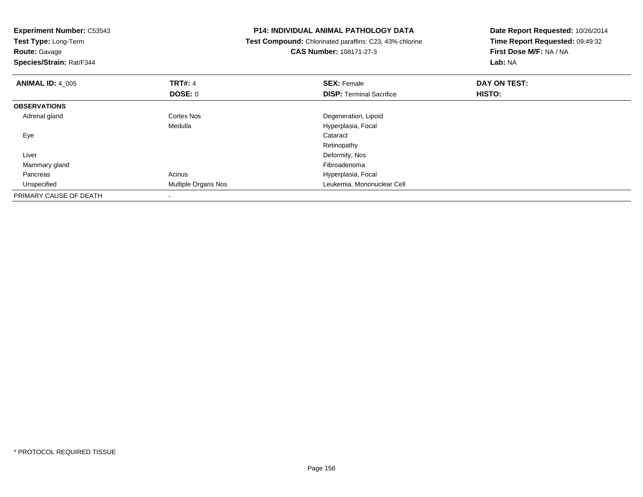| <b>Experiment Number: C53543</b><br>Test Type: Long-Term<br><b>Route: Gavage</b><br>Species/Strain: Rat/F344 |                     | <b>P14: INDIVIDUAL ANIMAL PATHOLOGY DATA</b><br>Test Compound: Chlorinated paraffins: C23, 43% chlorine<br><b>CAS Number: 108171-27-3</b> | Date Report Requested: 10/26/2014<br>Time Report Requested: 09:49:32<br>First Dose M/F: NA / NA<br>Lab: NA |
|--------------------------------------------------------------------------------------------------------------|---------------------|-------------------------------------------------------------------------------------------------------------------------------------------|------------------------------------------------------------------------------------------------------------|
| <b>ANIMAL ID: 4_005</b>                                                                                      | <b>TRT#: 4</b>      | <b>SEX: Female</b>                                                                                                                        | DAY ON TEST:                                                                                               |
|                                                                                                              | DOSE: 0             | <b>DISP:</b> Terminal Sacrifice                                                                                                           | HISTO:                                                                                                     |
| <b>OBSERVATIONS</b>                                                                                          |                     |                                                                                                                                           |                                                                                                            |
| Adrenal gland                                                                                                | Cortex Nos          | Degeneration, Lipoid                                                                                                                      |                                                                                                            |
|                                                                                                              | Medulla             | Hyperplasia, Focal                                                                                                                        |                                                                                                            |
| Eye                                                                                                          |                     | Cataract                                                                                                                                  |                                                                                                            |
|                                                                                                              |                     | Retinopathy                                                                                                                               |                                                                                                            |
| Liver                                                                                                        |                     | Deformity, Nos                                                                                                                            |                                                                                                            |
| Mammary gland                                                                                                |                     | Fibroadenoma                                                                                                                              |                                                                                                            |
| Pancreas                                                                                                     | Acinus              | Hyperplasia, Focal                                                                                                                        |                                                                                                            |
| Unspecified                                                                                                  | Multiple Organs Nos | Leukemia, Mononuclear Cell                                                                                                                |                                                                                                            |
| PRIMARY CAUSE OF DEATH                                                                                       |                     |                                                                                                                                           |                                                                                                            |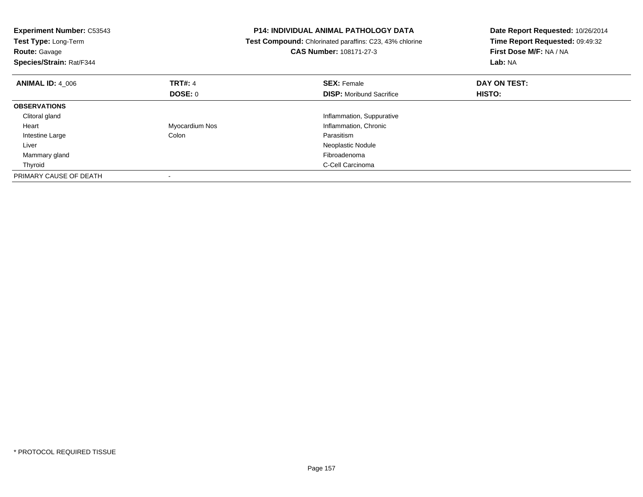| <b>Experiment Number: C53543</b><br>Test Type: Long-Term<br><b>Route: Gavage</b><br>Species/Strain: Rat/F344 |                | <b>P14: INDIVIDUAL ANIMAL PATHOLOGY DATA</b><br>Test Compound: Chlorinated paraffins: C23, 43% chlorine<br><b>CAS Number: 108171-27-3</b> | Date Report Requested: 10/26/2014<br>Time Report Requested: 09:49:32<br>First Dose M/F: NA / NA<br>Lab: NA |
|--------------------------------------------------------------------------------------------------------------|----------------|-------------------------------------------------------------------------------------------------------------------------------------------|------------------------------------------------------------------------------------------------------------|
| <b>ANIMAL ID: 4 006</b>                                                                                      | <b>TRT#: 4</b> | <b>SEX: Female</b>                                                                                                                        | DAY ON TEST:                                                                                               |
|                                                                                                              | <b>DOSE: 0</b> | <b>DISP:</b> Moribund Sacrifice                                                                                                           | HISTO:                                                                                                     |
| <b>OBSERVATIONS</b>                                                                                          |                |                                                                                                                                           |                                                                                                            |
| Clitoral gland                                                                                               |                | Inflammation, Suppurative                                                                                                                 |                                                                                                            |
| Heart                                                                                                        | Myocardium Nos | Inflammation, Chronic                                                                                                                     |                                                                                                            |
| Intestine Large                                                                                              | Colon          | Parasitism                                                                                                                                |                                                                                                            |
| Liver                                                                                                        |                | Neoplastic Nodule                                                                                                                         |                                                                                                            |
| Mammary gland                                                                                                |                | Fibroadenoma                                                                                                                              |                                                                                                            |
| Thyroid                                                                                                      |                | C-Cell Carcinoma                                                                                                                          |                                                                                                            |
| PRIMARY CAUSE OF DEATH                                                                                       |                |                                                                                                                                           |                                                                                                            |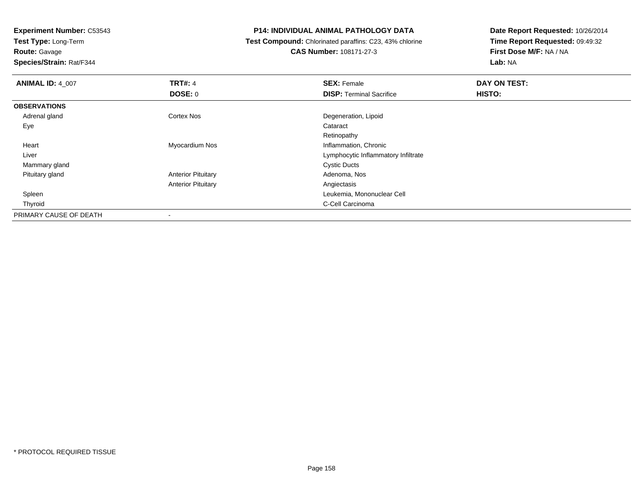**Test Type:** Long-Term

**Route:** Gavage

**Species/Strain:** Rat/F344

### **P14: INDIVIDUAL ANIMAL PATHOLOGY DATA**

 **Test Compound:** Chlorinated paraffins: C23, 43% chlorine**CAS Number:** 108171-27-3

| <b>ANIMAL ID: 4_007</b> | <b>TRT#: 4</b>            | <b>SEX: Female</b>                  | DAY ON TEST: |
|-------------------------|---------------------------|-------------------------------------|--------------|
|                         | <b>DOSE: 0</b>            | <b>DISP: Terminal Sacrifice</b>     | HISTO:       |
| <b>OBSERVATIONS</b>     |                           |                                     |              |
| Adrenal gland           | <b>Cortex Nos</b>         | Degeneration, Lipoid                |              |
| Eye                     |                           | Cataract                            |              |
|                         |                           | Retinopathy                         |              |
| Heart                   | Myocardium Nos            | Inflammation, Chronic               |              |
| Liver                   |                           | Lymphocytic Inflammatory Infiltrate |              |
| Mammary gland           |                           | <b>Cystic Ducts</b>                 |              |
| Pituitary gland         | <b>Anterior Pituitary</b> | Adenoma, Nos                        |              |
|                         | <b>Anterior Pituitary</b> | Angiectasis                         |              |
| Spleen                  |                           | Leukemia, Mononuclear Cell          |              |
| Thyroid                 |                           | C-Cell Carcinoma                    |              |
| PRIMARY CAUSE OF DEATH  |                           |                                     |              |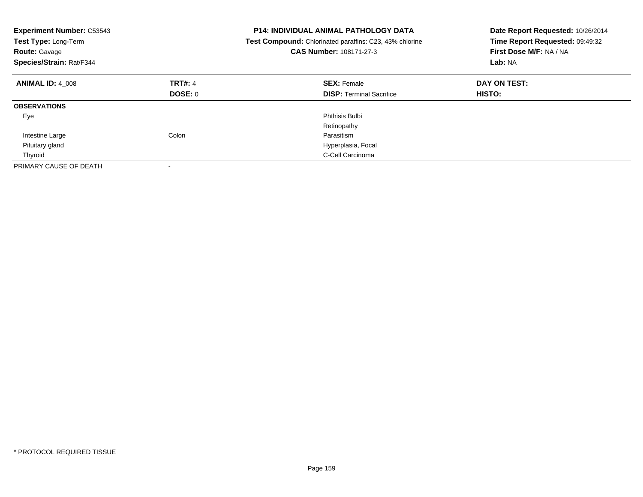| <b>Experiment Number: C53543</b><br>Test Type: Long-Term<br><b>Route: Gavage</b><br>Species/Strain: Rat/F344 |                | <b>P14: INDIVIDUAL ANIMAL PATHOLOGY DATA</b><br>Test Compound: Chlorinated paraffins: C23, 43% chlorine<br><b>CAS Number: 108171-27-3</b> | Date Report Requested: 10/26/2014<br>Time Report Requested: 09:49:32<br>First Dose M/F: NA / NA<br>Lab: NA |
|--------------------------------------------------------------------------------------------------------------|----------------|-------------------------------------------------------------------------------------------------------------------------------------------|------------------------------------------------------------------------------------------------------------|
| <b>ANIMAL ID: 4 008</b>                                                                                      | <b>TRT#: 4</b> | <b>SEX: Female</b>                                                                                                                        | DAY ON TEST:                                                                                               |
|                                                                                                              | <b>DOSE: 0</b> | <b>DISP:</b> Terminal Sacrifice                                                                                                           | <b>HISTO:</b>                                                                                              |
| <b>OBSERVATIONS</b>                                                                                          |                |                                                                                                                                           |                                                                                                            |
| Eye                                                                                                          |                | Phthisis Bulbi                                                                                                                            |                                                                                                            |
|                                                                                                              |                | Retinopathy                                                                                                                               |                                                                                                            |
| Intestine Large                                                                                              | Colon          | Parasitism                                                                                                                                |                                                                                                            |
| Pituitary gland                                                                                              |                | Hyperplasia, Focal                                                                                                                        |                                                                                                            |
| Thyroid                                                                                                      |                | C-Cell Carcinoma                                                                                                                          |                                                                                                            |
| PRIMARY CAUSE OF DEATH                                                                                       |                |                                                                                                                                           |                                                                                                            |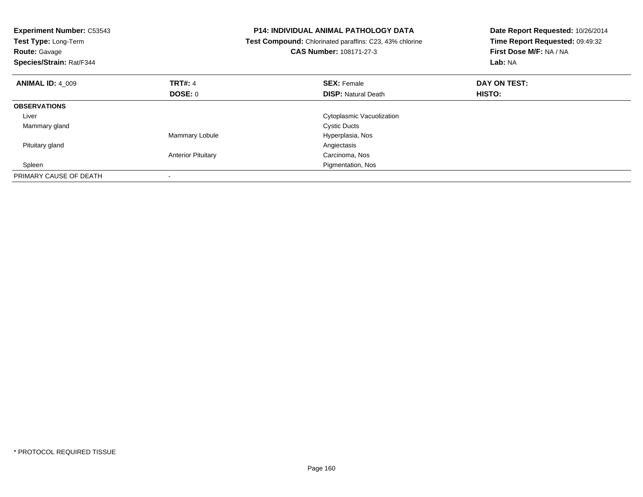| <b>Experiment Number: C53543</b><br>Test Type: Long-Term<br><b>Route: Gavage</b><br>Species/Strain: Rat/F344 |                           | <b>P14: INDIVIDUAL ANIMAL PATHOLOGY DATA</b><br>Test Compound: Chlorinated paraffins: C23, 43% chlorine<br><b>CAS Number: 108171-27-3</b> | Date Report Requested: 10/26/2014<br>Time Report Requested: 09:49:32<br>First Dose M/F: NA / NA<br>Lab: NA |
|--------------------------------------------------------------------------------------------------------------|---------------------------|-------------------------------------------------------------------------------------------------------------------------------------------|------------------------------------------------------------------------------------------------------------|
| <b>ANIMAL ID: 4 009</b>                                                                                      | <b>TRT#: 4</b>            | <b>SEX: Female</b>                                                                                                                        | DAY ON TEST:                                                                                               |
|                                                                                                              | DOSE: 0                   | <b>DISP:</b> Natural Death                                                                                                                | HISTO:                                                                                                     |
| <b>OBSERVATIONS</b>                                                                                          |                           |                                                                                                                                           |                                                                                                            |
| Liver                                                                                                        |                           | Cytoplasmic Vacuolization                                                                                                                 |                                                                                                            |
| Mammary gland                                                                                                |                           | <b>Cystic Ducts</b>                                                                                                                       |                                                                                                            |
|                                                                                                              | Mammary Lobule            | Hyperplasia, Nos                                                                                                                          |                                                                                                            |
| Pituitary gland                                                                                              |                           | Angiectasis                                                                                                                               |                                                                                                            |
|                                                                                                              | <b>Anterior Pituitary</b> | Carcinoma, Nos                                                                                                                            |                                                                                                            |
| Spleen                                                                                                       |                           | Pigmentation, Nos                                                                                                                         |                                                                                                            |
| PRIMARY CAUSE OF DEATH                                                                                       |                           |                                                                                                                                           |                                                                                                            |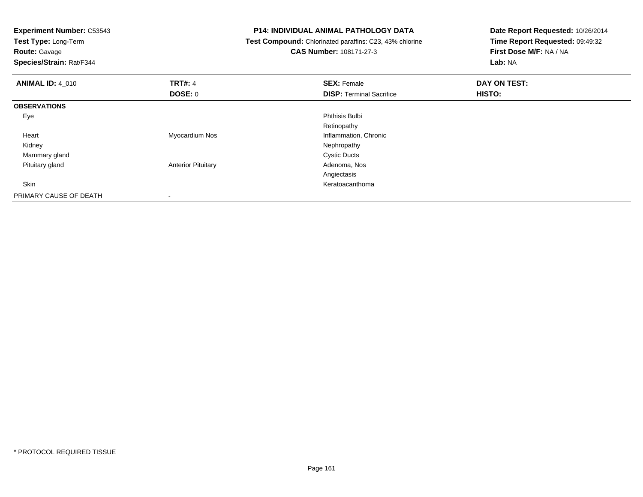| <b>Experiment Number: C53543</b><br>Test Type: Long-Term<br><b>Route: Gavage</b> |                           | <b>P14: INDIVIDUAL ANIMAL PATHOLOGY DATA</b><br>Test Compound: Chlorinated paraffins: C23, 43% chlorine<br><b>CAS Number: 108171-27-3</b> | Date Report Requested: 10/26/2014<br>Time Report Requested: 09:49:32<br>First Dose M/F: NA / NA |  |
|----------------------------------------------------------------------------------|---------------------------|-------------------------------------------------------------------------------------------------------------------------------------------|-------------------------------------------------------------------------------------------------|--|
| Species/Strain: Rat/F344                                                         |                           |                                                                                                                                           | Lab: NA                                                                                         |  |
| <b>ANIMAL ID: 4 010</b>                                                          | <b>TRT#: 4</b>            | <b>SEX: Female</b>                                                                                                                        | DAY ON TEST:                                                                                    |  |
|                                                                                  | DOSE: 0                   | <b>DISP: Terminal Sacrifice</b>                                                                                                           | HISTO:                                                                                          |  |
| <b>OBSERVATIONS</b>                                                              |                           |                                                                                                                                           |                                                                                                 |  |
| Eye                                                                              |                           | <b>Phthisis Bulbi</b>                                                                                                                     |                                                                                                 |  |
|                                                                                  |                           | Retinopathy                                                                                                                               |                                                                                                 |  |
| Heart                                                                            | Myocardium Nos            | Inflammation, Chronic                                                                                                                     |                                                                                                 |  |
| Kidney                                                                           |                           | Nephropathy                                                                                                                               |                                                                                                 |  |
| Mammary gland                                                                    |                           | <b>Cystic Ducts</b>                                                                                                                       |                                                                                                 |  |
| Pituitary gland                                                                  | <b>Anterior Pituitary</b> | Adenoma, Nos                                                                                                                              |                                                                                                 |  |
|                                                                                  |                           | Angiectasis                                                                                                                               |                                                                                                 |  |
| Skin                                                                             |                           | Keratoacanthoma                                                                                                                           |                                                                                                 |  |
| PRIMARY CAUSE OF DEATH                                                           |                           |                                                                                                                                           |                                                                                                 |  |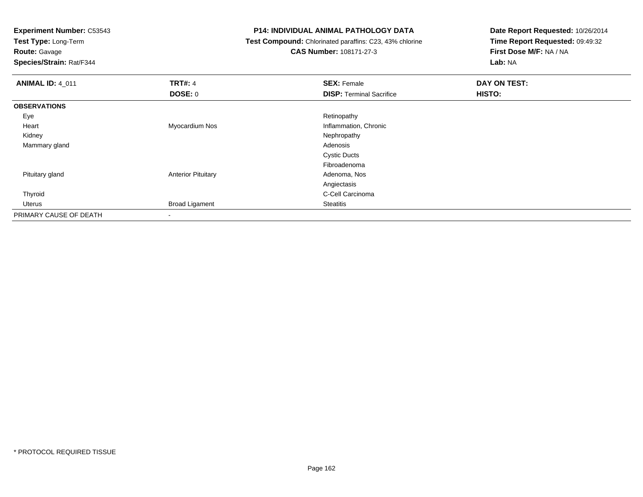**Test Type:** Long-Term

# **Route:** Gavage

**Species/Strain:** Rat/F344

### **P14: INDIVIDUAL ANIMAL PATHOLOGY DATA**

### **Test Compound:** Chlorinated paraffins: C23, 43% chlorine**CAS Number:** 108171-27-3

| <b>ANIMAL ID: 4_011</b> | <b>TRT#: 4</b>            | <b>SEX: Female</b>              | DAY ON TEST: |  |
|-------------------------|---------------------------|---------------------------------|--------------|--|
|                         | <b>DOSE: 0</b>            | <b>DISP: Terminal Sacrifice</b> | HISTO:       |  |
| <b>OBSERVATIONS</b>     |                           |                                 |              |  |
| Eye                     |                           | Retinopathy                     |              |  |
| Heart                   | Myocardium Nos            | Inflammation, Chronic           |              |  |
| Kidney                  |                           | Nephropathy                     |              |  |
| Mammary gland           |                           | Adenosis                        |              |  |
|                         |                           | <b>Cystic Ducts</b>             |              |  |
|                         |                           | Fibroadenoma                    |              |  |
| Pituitary gland         | <b>Anterior Pituitary</b> | Adenoma, Nos                    |              |  |
|                         |                           | Angiectasis                     |              |  |
| Thyroid                 |                           | C-Cell Carcinoma                |              |  |
| Uterus                  | <b>Broad Ligament</b>     | Steatitis                       |              |  |
| PRIMARY CAUSE OF DEATH  | ۰                         |                                 |              |  |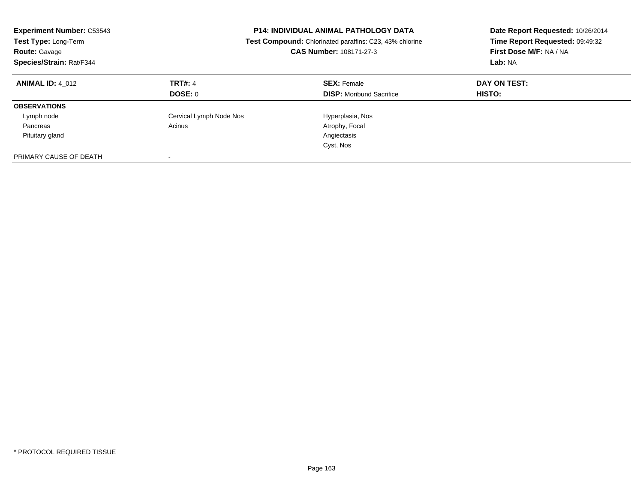| <b>Experiment Number: C53543</b><br>Test Type: Long-Term<br><b>Route: Gavage</b><br>Species/Strain: Rat/F344 | <b>P14: INDIVIDUAL ANIMAL PATHOLOGY DATA</b><br>Test Compound: Chlorinated paraffins: C23, 43% chlorine<br>CAS Number: 108171-27-3 |                                                       | Date Report Requested: 10/26/2014<br>Time Report Requested: 09:49:32<br>First Dose M/F: NA / NA<br>Lab: NA |
|--------------------------------------------------------------------------------------------------------------|------------------------------------------------------------------------------------------------------------------------------------|-------------------------------------------------------|------------------------------------------------------------------------------------------------------------|
| <b>ANIMAL ID: 4 012</b>                                                                                      | <b>TRT#: 4</b><br>DOSE: 0                                                                                                          | <b>SEX: Female</b><br><b>DISP:</b> Moribund Sacrifice | DAY ON TEST:<br><b>HISTO:</b>                                                                              |
|                                                                                                              |                                                                                                                                    |                                                       |                                                                                                            |
| <b>OBSERVATIONS</b>                                                                                          |                                                                                                                                    |                                                       |                                                                                                            |
| Lymph node                                                                                                   | Cervical Lymph Node Nos                                                                                                            | Hyperplasia, Nos                                      |                                                                                                            |
| Pancreas                                                                                                     | Acinus                                                                                                                             | Atrophy, Focal                                        |                                                                                                            |
| Pituitary gland                                                                                              |                                                                                                                                    | Angiectasis                                           |                                                                                                            |
|                                                                                                              |                                                                                                                                    | Cyst, Nos                                             |                                                                                                            |
| PRIMARY CAUSE OF DEATH                                                                                       |                                                                                                                                    |                                                       |                                                                                                            |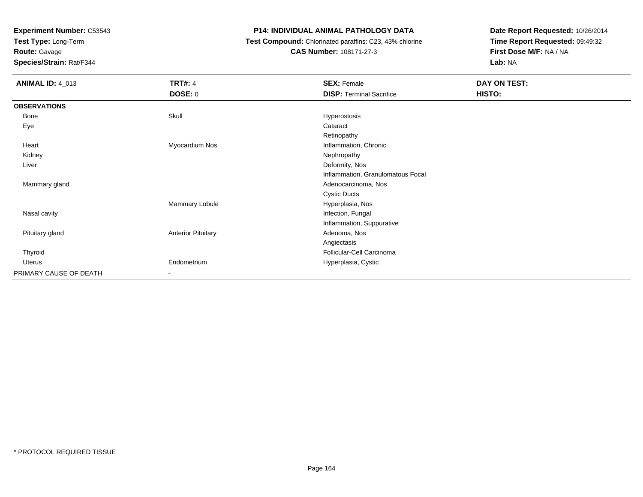**Test Type:** Long-Term

**Route:** Gavage

**Species/Strain:** Rat/F344

## **P14: INDIVIDUAL ANIMAL PATHOLOGY DATA**

 **Test Compound:** Chlorinated paraffins: C23, 43% chlorine**CAS Number:** 108171-27-3

| <b>ANIMAL ID: 4_013</b> | <b>TRT#: 4</b>            | <b>SEX: Female</b>                | DAY ON TEST: |  |
|-------------------------|---------------------------|-----------------------------------|--------------|--|
|                         | <b>DOSE: 0</b>            | <b>DISP: Terminal Sacrifice</b>   | HISTO:       |  |
| <b>OBSERVATIONS</b>     |                           |                                   |              |  |
| Bone                    | Skull                     | Hyperostosis                      |              |  |
| Eye                     |                           | Cataract                          |              |  |
|                         |                           | Retinopathy                       |              |  |
| Heart                   | Myocardium Nos            | Inflammation, Chronic             |              |  |
| Kidney                  |                           | Nephropathy                       |              |  |
| Liver                   |                           | Deformity, Nos                    |              |  |
|                         |                           | Inflammation, Granulomatous Focal |              |  |
| Mammary gland           |                           | Adenocarcinoma, Nos               |              |  |
|                         |                           | <b>Cystic Ducts</b>               |              |  |
|                         | Mammary Lobule            | Hyperplasia, Nos                  |              |  |
| Nasal cavity            |                           | Infection, Fungal                 |              |  |
|                         |                           | Inflammation, Suppurative         |              |  |
| Pituitary gland         | <b>Anterior Pituitary</b> | Adenoma, Nos                      |              |  |
|                         |                           | Angiectasis                       |              |  |
| Thyroid                 |                           | Follicular-Cell Carcinoma         |              |  |
| Uterus                  | Endometrium               | Hyperplasia, Cystic               |              |  |
| PRIMARY CAUSE OF DEATH  | ٠                         |                                   |              |  |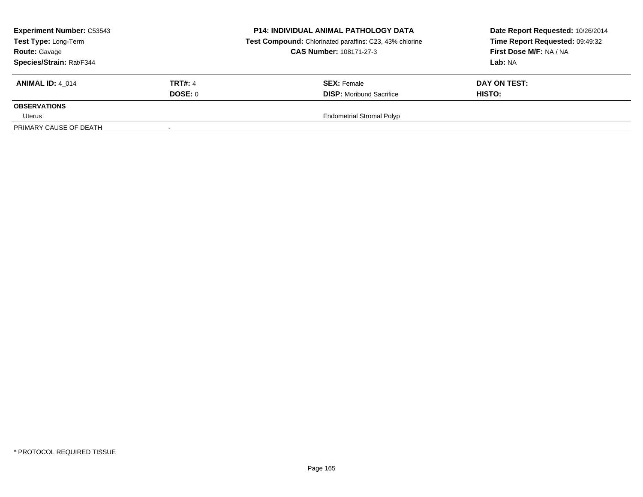| <b>Experiment Number: C53543</b><br>Test Type: Long-Term<br><b>Route: Gavage</b><br>Species/Strain: Rat/F344 |                           | <b>P14: INDIVIDUAL ANIMAL PATHOLOGY DATA</b><br>Test Compound: Chlorinated paraffins: C23, 43% chlorine<br><b>CAS Number: 108171-27-3</b> | Date Report Requested: 10/26/2014<br>Time Report Requested: 09:49:32<br>First Dose M/F: NA / NA<br><b>Lab: NA</b> |
|--------------------------------------------------------------------------------------------------------------|---------------------------|-------------------------------------------------------------------------------------------------------------------------------------------|-------------------------------------------------------------------------------------------------------------------|
| <b>ANIMAL ID: 4 014</b>                                                                                      | <b>TRT#: 4</b><br>DOSE: 0 | <b>SEX: Female</b><br><b>DISP:</b> Moribund Sacrifice                                                                                     | DAY ON TEST:<br><b>HISTO:</b>                                                                                     |
| <b>OBSERVATIONS</b><br>Uterus                                                                                |                           | <b>Endometrial Stromal Polyp</b>                                                                                                          |                                                                                                                   |
| PRIMARY CAUSE OF DEATH                                                                                       |                           |                                                                                                                                           |                                                                                                                   |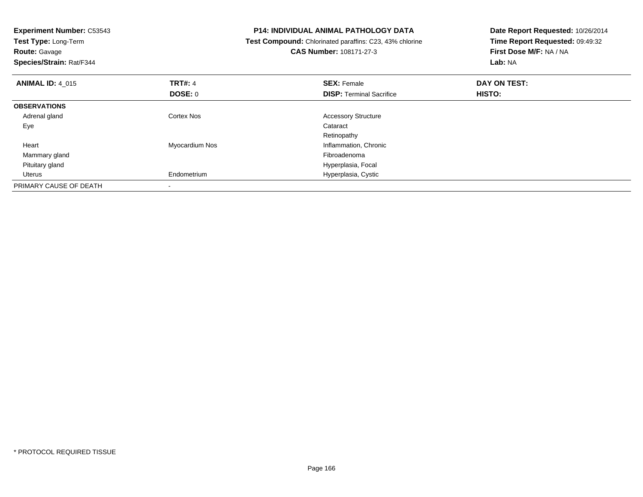| <b>Experiment Number: C53543</b><br>Test Type: Long-Term<br><b>Route: Gavage</b><br>Species/Strain: Rat/F344 |                | <b>P14: INDIVIDUAL ANIMAL PATHOLOGY DATA</b><br>Test Compound: Chlorinated paraffins: C23, 43% chlorine<br><b>CAS Number: 108171-27-3</b> | Date Report Requested: 10/26/2014<br>Time Report Requested: 09:49:32<br>First Dose M/F: NA / NA<br>Lab: NA |
|--------------------------------------------------------------------------------------------------------------|----------------|-------------------------------------------------------------------------------------------------------------------------------------------|------------------------------------------------------------------------------------------------------------|
| <b>ANIMAL ID: 4_015</b>                                                                                      | <b>TRT#: 4</b> | <b>SEX: Female</b>                                                                                                                        | DAY ON TEST:                                                                                               |
|                                                                                                              | DOSE: 0        | <b>DISP:</b> Terminal Sacrifice                                                                                                           | HISTO:                                                                                                     |
| <b>OBSERVATIONS</b>                                                                                          |                |                                                                                                                                           |                                                                                                            |
| Adrenal gland                                                                                                | Cortex Nos     | <b>Accessory Structure</b>                                                                                                                |                                                                                                            |
| Eye                                                                                                          |                | Cataract                                                                                                                                  |                                                                                                            |
|                                                                                                              |                | Retinopathy                                                                                                                               |                                                                                                            |
| Heart                                                                                                        | Myocardium Nos | Inflammation, Chronic                                                                                                                     |                                                                                                            |
| Mammary gland                                                                                                |                | Fibroadenoma                                                                                                                              |                                                                                                            |
| Pituitary gland                                                                                              |                | Hyperplasia, Focal                                                                                                                        |                                                                                                            |
| Uterus                                                                                                       | Endometrium    | Hyperplasia, Cystic                                                                                                                       |                                                                                                            |
| PRIMARY CAUSE OF DEATH                                                                                       |                |                                                                                                                                           |                                                                                                            |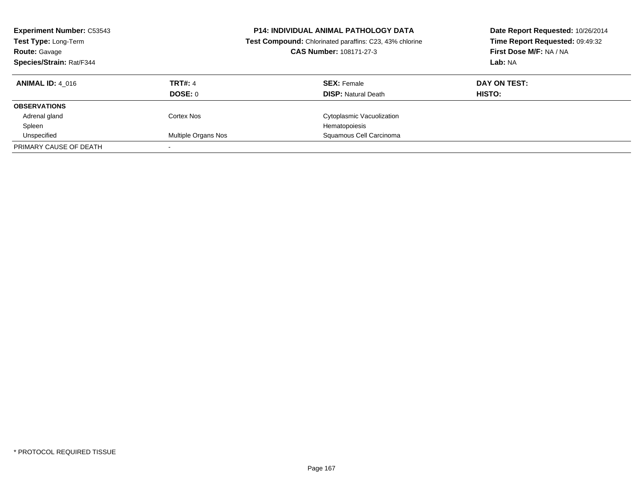| <b>Experiment Number: C53543</b><br>Test Type: Long-Term<br><b>Route: Gavage</b><br>Species/Strain: Rat/F344 |                     | <b>P14: INDIVIDUAL ANIMAL PATHOLOGY DATA</b><br>Date Report Requested: 10/26/2014<br>Time Report Requested: 09:49:32<br>Test Compound: Chlorinated paraffins: C23, 43% chlorine<br>CAS Number: 108171-27-3<br>First Dose M/F: NA / NA<br>Lab: NA |              |
|--------------------------------------------------------------------------------------------------------------|---------------------|--------------------------------------------------------------------------------------------------------------------------------------------------------------------------------------------------------------------------------------------------|--------------|
| <b>ANIMAL ID: 4 016</b>                                                                                      | <b>TRT#: 4</b>      | <b>SEX: Female</b>                                                                                                                                                                                                                               | DAY ON TEST: |
|                                                                                                              | DOSE: 0             | <b>DISP:</b> Natural Death                                                                                                                                                                                                                       | HISTO:       |
| <b>OBSERVATIONS</b>                                                                                          |                     |                                                                                                                                                                                                                                                  |              |
| Adrenal gland                                                                                                | Cortex Nos          | Cytoplasmic Vacuolization                                                                                                                                                                                                                        |              |
| Spleen                                                                                                       |                     | Hematopoiesis                                                                                                                                                                                                                                    |              |
| Unspecified                                                                                                  | Multiple Organs Nos | Squamous Cell Carcinoma                                                                                                                                                                                                                          |              |
| PRIMARY CAUSE OF DEATH                                                                                       |                     |                                                                                                                                                                                                                                                  |              |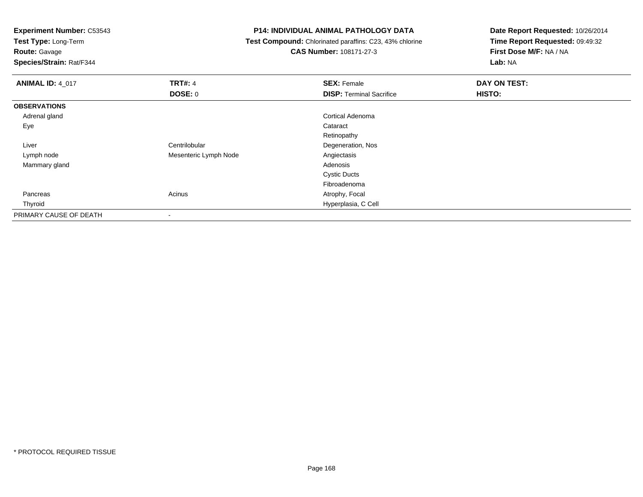**Test Type:** Long-Term

**Route:** Gavage

**Species/Strain:** Rat/F344

### **P14: INDIVIDUAL ANIMAL PATHOLOGY DATA**

 **Test Compound:** Chlorinated paraffins: C23, 43% chlorine**CAS Number:** 108171-27-3

| <b>ANIMAL ID: 4_017</b> | <b>TRT#: 4</b>           | <b>SEX: Female</b>              | DAY ON TEST: |  |
|-------------------------|--------------------------|---------------------------------|--------------|--|
|                         | <b>DOSE: 0</b>           | <b>DISP: Terminal Sacrifice</b> | HISTO:       |  |
| <b>OBSERVATIONS</b>     |                          |                                 |              |  |
| Adrenal gland           |                          | Cortical Adenoma                |              |  |
| Eye                     |                          | Cataract                        |              |  |
|                         |                          | Retinopathy                     |              |  |
| Liver                   | Centrilobular            | Degeneration, Nos               |              |  |
| Lymph node              | Mesenteric Lymph Node    | Angiectasis                     |              |  |
| Mammary gland           |                          | Adenosis                        |              |  |
|                         |                          | <b>Cystic Ducts</b>             |              |  |
|                         |                          | Fibroadenoma                    |              |  |
| Pancreas                | Acinus                   | Atrophy, Focal                  |              |  |
| Thyroid                 |                          | Hyperplasia, C Cell             |              |  |
| PRIMARY CAUSE OF DEATH  | $\overline{\phantom{a}}$ |                                 |              |  |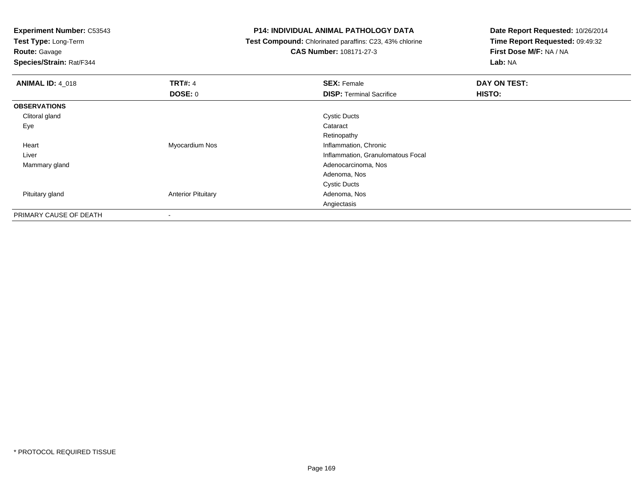**Test Type:** Long-Term

**Route:** Gavage

**Species/Strain:** Rat/F344

### **P14: INDIVIDUAL ANIMAL PATHOLOGY DATA**

 **Test Compound:** Chlorinated paraffins: C23, 43% chlorine**CAS Number:** 108171-27-3

| <b>ANIMAL ID: 4_018</b> | <b>TRT#: 4</b>            | <b>SEX: Female</b>                | DAY ON TEST: |  |
|-------------------------|---------------------------|-----------------------------------|--------------|--|
|                         | <b>DOSE: 0</b>            | <b>DISP:</b> Terminal Sacrifice   | HISTO:       |  |
| <b>OBSERVATIONS</b>     |                           |                                   |              |  |
| Clitoral gland          |                           | <b>Cystic Ducts</b>               |              |  |
| Eye                     |                           | Cataract                          |              |  |
|                         |                           | Retinopathy                       |              |  |
| Heart                   | Myocardium Nos            | Inflammation, Chronic             |              |  |
| Liver                   |                           | Inflammation, Granulomatous Focal |              |  |
| Mammary gland           |                           | Adenocarcinoma, Nos               |              |  |
|                         |                           | Adenoma, Nos                      |              |  |
|                         |                           | <b>Cystic Ducts</b>               |              |  |
| Pituitary gland         | <b>Anterior Pituitary</b> | Adenoma, Nos                      |              |  |
|                         |                           | Angiectasis                       |              |  |
| PRIMARY CAUSE OF DEATH  | $\,$                      |                                   |              |  |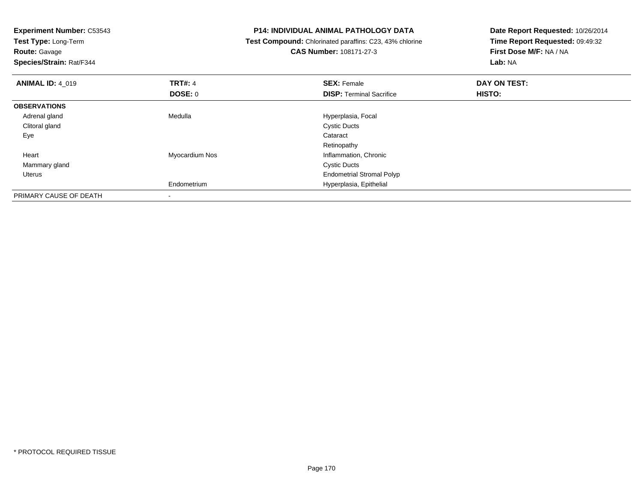| <b>Experiment Number: C53543</b><br>Test Type: Long-Term |                | <b>P14: INDIVIDUAL ANIMAL PATHOLOGY DATA</b>            | Date Report Requested: 10/26/2014<br>Time Report Requested: 09:49:32 |  |
|----------------------------------------------------------|----------------|---------------------------------------------------------|----------------------------------------------------------------------|--|
|                                                          |                | Test Compound: Chlorinated paraffins: C23, 43% chlorine |                                                                      |  |
| <b>Route: Gavage</b>                                     |                | <b>CAS Number: 108171-27-3</b>                          | First Dose M/F: NA / NA                                              |  |
| Species/Strain: Rat/F344                                 |                |                                                         | <b>Lab: NA</b>                                                       |  |
| <b>ANIMAL ID: 4 019</b>                                  | <b>TRT#: 4</b> | <b>SEX: Female</b>                                      | DAY ON TEST:                                                         |  |
|                                                          | DOSE: 0        | <b>DISP:</b> Terminal Sacrifice                         | HISTO:                                                               |  |
| <b>OBSERVATIONS</b>                                      |                |                                                         |                                                                      |  |
| Adrenal gland                                            | Medulla        | Hyperplasia, Focal                                      |                                                                      |  |
| Clitoral gland                                           |                | <b>Cystic Ducts</b>                                     |                                                                      |  |
| Eye                                                      |                | Cataract                                                |                                                                      |  |
|                                                          |                | Retinopathy                                             |                                                                      |  |
| Heart                                                    | Myocardium Nos | Inflammation, Chronic                                   |                                                                      |  |
| Mammary gland                                            |                | <b>Cystic Ducts</b>                                     |                                                                      |  |
| Uterus                                                   |                | <b>Endometrial Stromal Polyp</b>                        |                                                                      |  |
|                                                          | Endometrium    | Hyperplasia, Epithelial                                 |                                                                      |  |
| PRIMARY CAUSE OF DEATH                                   |                |                                                         |                                                                      |  |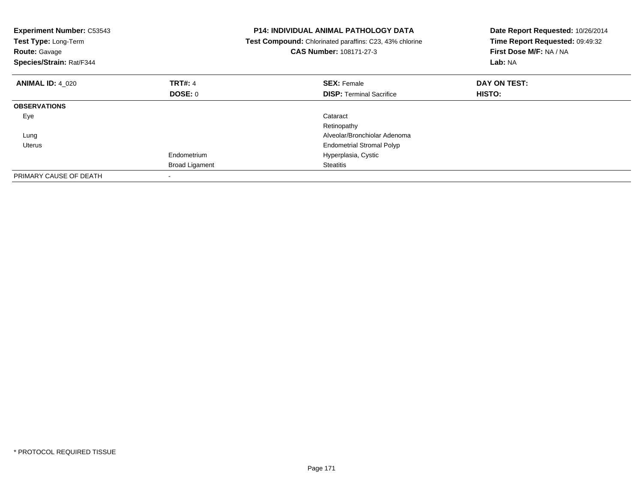| <b>Experiment Number: C53543</b><br>Test Type: Long-Term<br><b>Route: Gavage</b><br>Species/Strain: Rat/F344 |                       | <b>P14: INDIVIDUAL ANIMAL PATHOLOGY DATA</b><br>Test Compound: Chlorinated paraffins: C23, 43% chlorine<br><b>CAS Number: 108171-27-3</b> | Date Report Requested: 10/26/2014<br>Time Report Requested: 09:49:32<br>First Dose M/F: NA / NA<br>Lab: NA |
|--------------------------------------------------------------------------------------------------------------|-----------------------|-------------------------------------------------------------------------------------------------------------------------------------------|------------------------------------------------------------------------------------------------------------|
| <b>ANIMAL ID: 4 020</b>                                                                                      | <b>TRT#: 4</b>        | <b>SEX: Female</b>                                                                                                                        | DAY ON TEST:                                                                                               |
|                                                                                                              | DOSE: 0               | <b>DISP:</b> Terminal Sacrifice                                                                                                           | HISTO:                                                                                                     |
| <b>OBSERVATIONS</b>                                                                                          |                       |                                                                                                                                           |                                                                                                            |
| Eye                                                                                                          |                       | Cataract                                                                                                                                  |                                                                                                            |
|                                                                                                              |                       | Retinopathy                                                                                                                               |                                                                                                            |
| Lung                                                                                                         |                       | Alveolar/Bronchiolar Adenoma                                                                                                              |                                                                                                            |
| Uterus                                                                                                       |                       | <b>Endometrial Stromal Polyp</b>                                                                                                          |                                                                                                            |
|                                                                                                              | Endometrium           | Hyperplasia, Cystic                                                                                                                       |                                                                                                            |
|                                                                                                              | <b>Broad Ligament</b> | <b>Steatitis</b>                                                                                                                          |                                                                                                            |
| PRIMARY CAUSE OF DEATH                                                                                       |                       |                                                                                                                                           |                                                                                                            |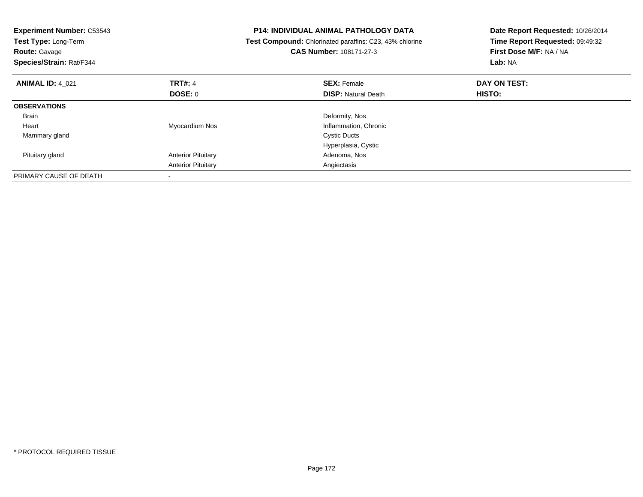| <b>Experiment Number: C53543</b><br>Test Type: Long-Term<br><b>Route: Gavage</b><br>Species/Strain: Rat/F344 |                           | <b>P14: INDIVIDUAL ANIMAL PATHOLOGY DATA</b><br>Test Compound: Chlorinated paraffins: C23, 43% chlorine<br><b>CAS Number: 108171-27-3</b> | Date Report Requested: 10/26/2014<br>Time Report Requested: 09:49:32<br>First Dose M/F: NA / NA<br>Lab: NA |
|--------------------------------------------------------------------------------------------------------------|---------------------------|-------------------------------------------------------------------------------------------------------------------------------------------|------------------------------------------------------------------------------------------------------------|
| <b>ANIMAL ID: 4 021</b>                                                                                      | <b>TRT#: 4</b>            | <b>SEX: Female</b>                                                                                                                        | DAY ON TEST:                                                                                               |
|                                                                                                              | <b>DOSE: 0</b>            | <b>DISP:</b> Natural Death                                                                                                                | HISTO:                                                                                                     |
| <b>OBSERVATIONS</b>                                                                                          |                           |                                                                                                                                           |                                                                                                            |
| <b>Brain</b>                                                                                                 |                           | Deformity, Nos                                                                                                                            |                                                                                                            |
| Heart                                                                                                        | Myocardium Nos            | Inflammation, Chronic                                                                                                                     |                                                                                                            |
| Mammary gland                                                                                                |                           | <b>Cystic Ducts</b>                                                                                                                       |                                                                                                            |
|                                                                                                              |                           | Hyperplasia, Cystic                                                                                                                       |                                                                                                            |
| Pituitary gland                                                                                              | <b>Anterior Pituitary</b> | Adenoma, Nos                                                                                                                              |                                                                                                            |
|                                                                                                              | <b>Anterior Pituitary</b> | Angiectasis                                                                                                                               |                                                                                                            |
| PRIMARY CAUSE OF DEATH                                                                                       |                           |                                                                                                                                           |                                                                                                            |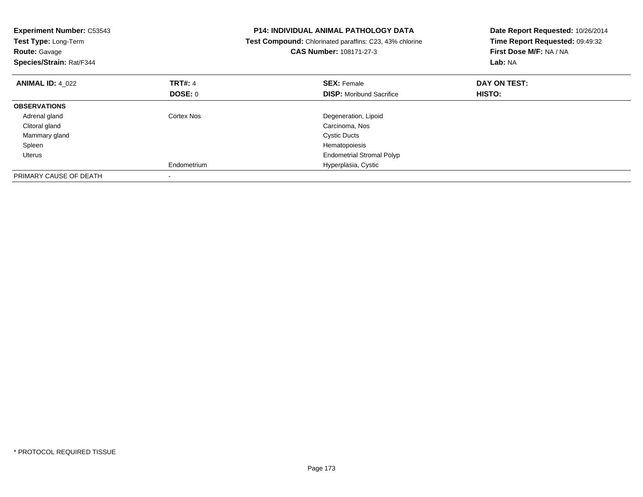| <b>Experiment Number: C53543</b><br>Test Type: Long-Term<br><b>Route: Gavage</b><br>Species/Strain: Rat/F344 |                | <b>P14: INDIVIDUAL ANIMAL PATHOLOGY DATA</b><br>Test Compound: Chlorinated paraffins: C23, 43% chlorine<br>CAS Number: 108171-27-3 | Date Report Requested: 10/26/2014<br>Time Report Requested: 09:49:32<br>First Dose M/F: NA / NA<br>Lab: NA |
|--------------------------------------------------------------------------------------------------------------|----------------|------------------------------------------------------------------------------------------------------------------------------------|------------------------------------------------------------------------------------------------------------|
| <b>ANIMAL ID: 4 022</b>                                                                                      | <b>TRT#: 4</b> | <b>SEX: Female</b>                                                                                                                 | DAY ON TEST:                                                                                               |
|                                                                                                              | DOSE: 0        | <b>DISP:</b> Moribund Sacrifice                                                                                                    | <b>HISTO:</b>                                                                                              |
| <b>OBSERVATIONS</b>                                                                                          |                |                                                                                                                                    |                                                                                                            |
| Adrenal gland                                                                                                | Cortex Nos     | Degeneration, Lipoid                                                                                                               |                                                                                                            |
| Clitoral gland                                                                                               |                | Carcinoma, Nos                                                                                                                     |                                                                                                            |
| Mammary gland                                                                                                |                | <b>Cystic Ducts</b>                                                                                                                |                                                                                                            |
| Spleen                                                                                                       |                | Hematopoiesis                                                                                                                      |                                                                                                            |
| Uterus                                                                                                       |                | <b>Endometrial Stromal Polyp</b>                                                                                                   |                                                                                                            |
|                                                                                                              | Endometrium    | Hyperplasia, Cystic                                                                                                                |                                                                                                            |
| PRIMARY CAUSE OF DEATH                                                                                       |                |                                                                                                                                    |                                                                                                            |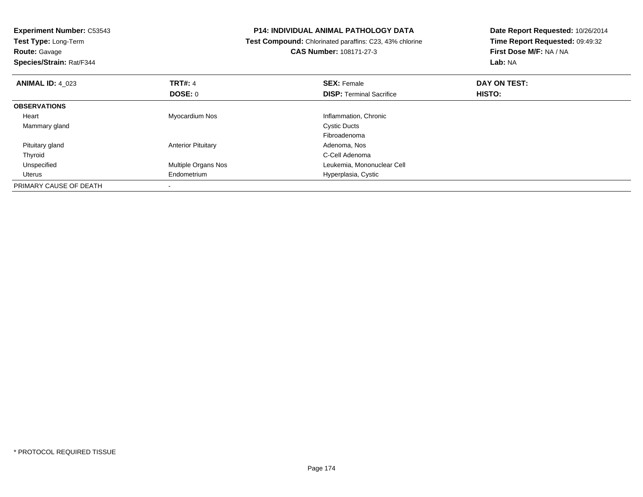| <b>Experiment Number: C53543</b> |                            | P14: INDIVIDUAL ANIMAL PATHOLOGY DATA                          | Date Report Requested: 10/26/2014 |  |
|----------------------------------|----------------------------|----------------------------------------------------------------|-----------------------------------|--|
| Test Type: Long-Term             |                            | <b>Test Compound:</b> Chlorinated paraffins: C23, 43% chlorine | Time Report Requested: 09:49:32   |  |
| <b>Route: Gavage</b>             |                            | <b>CAS Number: 108171-27-3</b>                                 | First Dose M/F: NA / NA           |  |
| Species/Strain: Rat/F344         |                            |                                                                | <b>Lab: NA</b>                    |  |
| <b>ANIMAL ID: 4 023</b>          | <b>TRT#: 4</b>             | <b>SEX: Female</b>                                             | DAY ON TEST:                      |  |
|                                  | <b>DOSE: 0</b>             | <b>DISP:</b> Terminal Sacrifice                                | <b>HISTO:</b>                     |  |
| <b>OBSERVATIONS</b>              |                            |                                                                |                                   |  |
| Heart                            | Myocardium Nos             | Inflammation, Chronic                                          |                                   |  |
| Mammary gland                    |                            | <b>Cystic Ducts</b>                                            |                                   |  |
|                                  |                            | Fibroadenoma                                                   |                                   |  |
| Pituitary gland                  | <b>Anterior Pituitary</b>  | Adenoma, Nos                                                   |                                   |  |
| Thyroid                          |                            | C-Cell Adenoma                                                 |                                   |  |
| Unspecified                      | <b>Multiple Organs Nos</b> | Leukemia, Mononuclear Cell                                     |                                   |  |
| Uterus                           | Endometrium                | Hyperplasia, Cystic                                            |                                   |  |
| PRIMARY CAUSE OF DEATH           |                            |                                                                |                                   |  |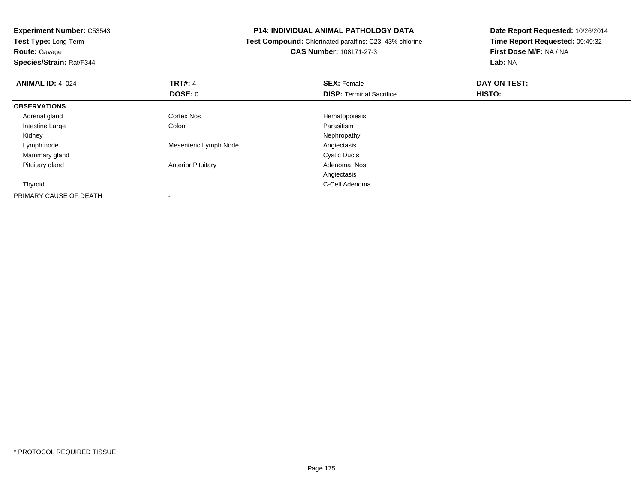**Experiment Number:** C53543**Test Type:** Long-Term**Route:** Gavage **Species/Strain:** Rat/F344**P14: INDIVIDUAL ANIMAL PATHOLOGY DATA Test Compound:** Chlorinated paraffins: C23, 43% chlorine**CAS Number:** 108171-27-3**Date Report Requested:** 10/26/2014**Time Report Requested:** 09:49:32**First Dose M/F:** NA / NA**Lab:** NA**ANIMAL ID:** 4\_024**TRT#:** 4 **SEX:** Female **DAY ON TEST: DOSE:** 0**DISP:** Terminal Sacrifice **HISTO: OBSERVATIONS** Adrenal glandCortex Nos **Exercía Exercía Exercía Exercía Exercía Exercía Exercía Exercía Exercía Exercía Exercía Exercía Exercía Exercía Exercía Exercía Exercía Exercía Exercía Exercía Exercía Exercía Exercía Exercía Exercía Exercía Ex**  Intestine Largee and the Colon Colon Colon Colon and the Parasitism Nephropathy Kidneyy the control of the control of the control of the control of the control of the control of the control of the control of the control of the control of the control of the control of the control of the control of the contro Lymph nodeMesenteric Lymph Node<br>
Cystic Ducts<br>
Cystic Ducts Mammary glandd Cystic Ducts Pituitary glandAnterior Pituitary **Adenoma, Nos** Adenoma, Nos AngiectasisC-Cell Adenoma Thyroidd **C-Cell Adenoma** and the control of the control of the control of the control of the control of the control of the control of the control of the control of the control of the control of the control of the control of the PRIMARY CAUSE OF DEATH-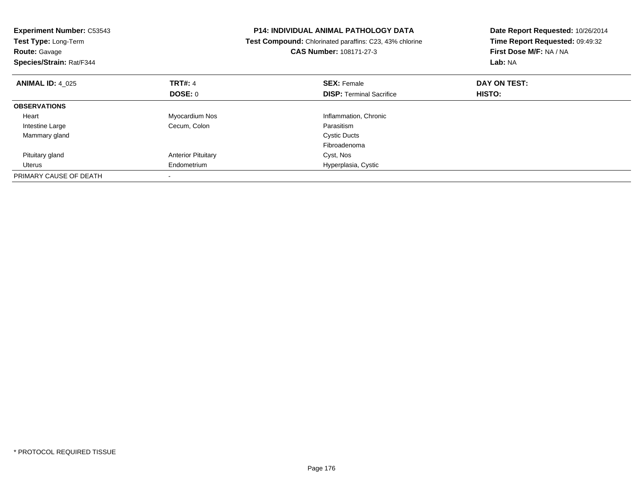| <b>Experiment Number: C53543</b><br>Test Type: Long-Term<br><b>Route: Gavage</b><br>Species/Strain: Rat/F344 |                           | <b>P14: INDIVIDUAL ANIMAL PATHOLOGY DATA</b><br>Test Compound: Chlorinated paraffins: C23, 43% chlorine<br><b>CAS Number: 108171-27-3</b> | Date Report Requested: 10/26/2014<br>Time Report Requested: 09:49:32<br>First Dose M/F: NA / NA<br>Lab: NA |
|--------------------------------------------------------------------------------------------------------------|---------------------------|-------------------------------------------------------------------------------------------------------------------------------------------|------------------------------------------------------------------------------------------------------------|
| <b>ANIMAL ID: 4 025</b>                                                                                      | TRT#: 4                   | <b>SEX: Female</b>                                                                                                                        | DAY ON TEST:                                                                                               |
|                                                                                                              | DOSE: 0                   | <b>DISP:</b> Terminal Sacrifice                                                                                                           | <b>HISTO:</b>                                                                                              |
| <b>OBSERVATIONS</b>                                                                                          |                           |                                                                                                                                           |                                                                                                            |
| Heart                                                                                                        | Myocardium Nos            | Inflammation, Chronic                                                                                                                     |                                                                                                            |
| Intestine Large                                                                                              | Cecum, Colon              | Parasitism                                                                                                                                |                                                                                                            |
| Mammary gland                                                                                                |                           | <b>Cystic Ducts</b>                                                                                                                       |                                                                                                            |
|                                                                                                              |                           | Fibroadenoma                                                                                                                              |                                                                                                            |
| Pituitary gland                                                                                              | <b>Anterior Pituitary</b> | Cyst, Nos                                                                                                                                 |                                                                                                            |
| Uterus                                                                                                       | Endometrium               | Hyperplasia, Cystic                                                                                                                       |                                                                                                            |
| PRIMARY CAUSE OF DEATH                                                                                       |                           |                                                                                                                                           |                                                                                                            |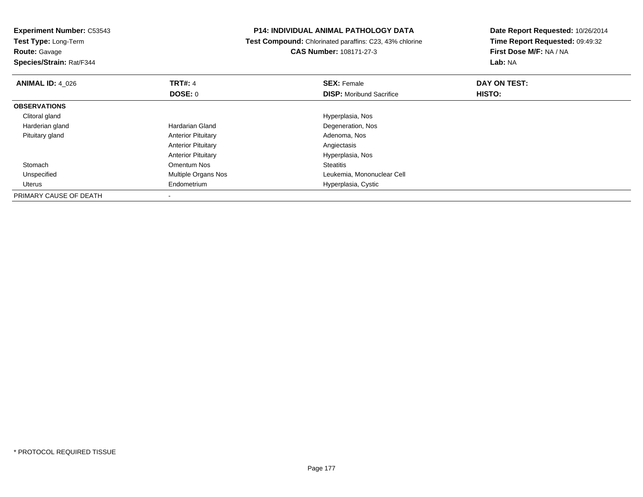| <b>Experiment Number: C53543</b> |                           | <b>P14: INDIVIDUAL ANIMAL PATHOLOGY DATA</b>            | Date Report Requested: 10/26/2014 |  |
|----------------------------------|---------------------------|---------------------------------------------------------|-----------------------------------|--|
| <b>Test Type: Long-Term</b>      |                           | Test Compound: Chlorinated paraffins: C23, 43% chlorine | Time Report Requested: 09:49:32   |  |
| <b>Route: Gavage</b>             |                           | <b>CAS Number: 108171-27-3</b>                          | First Dose M/F: NA / NA           |  |
| Species/Strain: Rat/F344         |                           |                                                         | Lab: NA                           |  |
| <b>ANIMAL ID: 4 026</b>          | <b>TRT#: 4</b>            | <b>SEX: Female</b>                                      | DAY ON TEST:                      |  |
|                                  | DOSE: 0                   | <b>DISP:</b> Moribund Sacrifice                         | HISTO:                            |  |
| <b>OBSERVATIONS</b>              |                           |                                                         |                                   |  |
| Clitoral gland                   |                           | Hyperplasia, Nos                                        |                                   |  |
| Harderian gland                  | Hardarian Gland           | Degeneration, Nos                                       |                                   |  |
| Pituitary gland                  | <b>Anterior Pituitary</b> | Adenoma, Nos                                            |                                   |  |
|                                  | <b>Anterior Pituitary</b> | Angiectasis                                             |                                   |  |
|                                  | <b>Anterior Pituitary</b> | Hyperplasia, Nos                                        |                                   |  |
| Stomach                          | Omentum Nos               | <b>Steatitis</b>                                        |                                   |  |
| Unspecified                      | Multiple Organs Nos       | Leukemia, Mononuclear Cell                              |                                   |  |
| Uterus                           | Endometrium               | Hyperplasia, Cystic                                     |                                   |  |
| PRIMARY CAUSE OF DEATH           |                           |                                                         |                                   |  |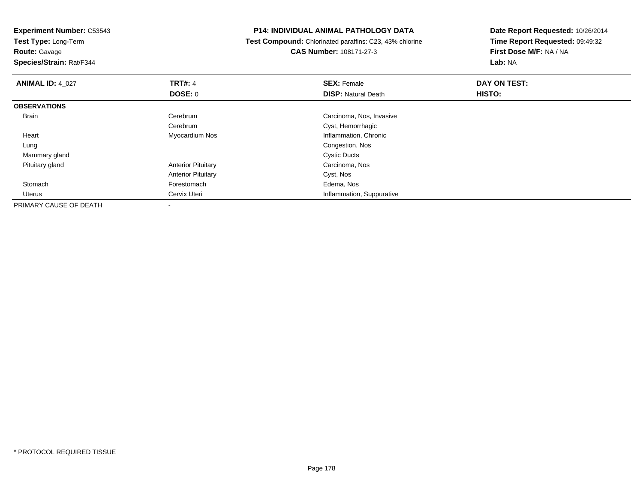**Test Type:** Long-Term

**Route:** Gavage

**Species/Strain:** Rat/F344

### **P14: INDIVIDUAL ANIMAL PATHOLOGY DATA**

 **Test Compound:** Chlorinated paraffins: C23, 43% chlorine**CAS Number:** 108171-27-3

| <b>ANIMAL ID: 4_027</b> | <b>TRT#: 4</b>            | <b>SEX: Female</b>         | DAY ON TEST: |  |
|-------------------------|---------------------------|----------------------------|--------------|--|
|                         | DOSE: 0                   | <b>DISP: Natural Death</b> | HISTO:       |  |
| <b>OBSERVATIONS</b>     |                           |                            |              |  |
| Brain                   | Cerebrum                  | Carcinoma, Nos, Invasive   |              |  |
|                         | Cerebrum                  | Cyst, Hemorrhagic          |              |  |
| Heart                   | Myocardium Nos            | Inflammation, Chronic      |              |  |
| Lung                    |                           | Congestion, Nos            |              |  |
| Mammary gland           |                           | <b>Cystic Ducts</b>        |              |  |
| Pituitary gland         | <b>Anterior Pituitary</b> | Carcinoma, Nos             |              |  |
|                         | <b>Anterior Pituitary</b> | Cyst, Nos                  |              |  |
| Stomach                 | Forestomach               | Edema, Nos                 |              |  |
| Uterus                  | Cervix Uteri              | Inflammation, Suppurative  |              |  |
| PRIMARY CAUSE OF DEATH  | $\overline{\phantom{a}}$  |                            |              |  |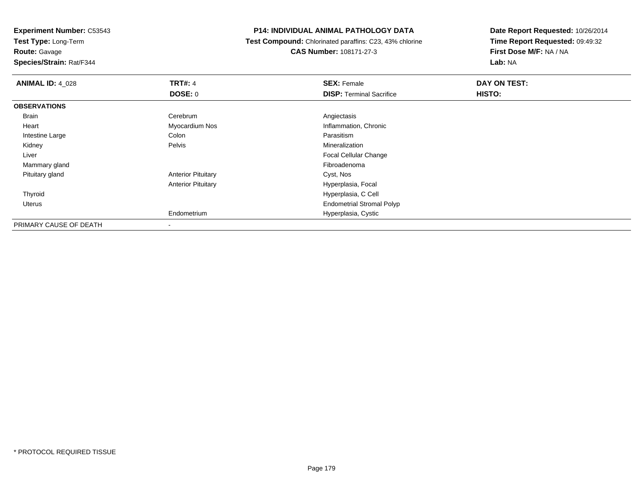**Experiment Number:** C53543**Test Type:** Long-Term

**Route:** Gavage

**Species/Strain:** Rat/F344

### **P14: INDIVIDUAL ANIMAL PATHOLOGY DATA**

 **Test Compound:** Chlorinated paraffins: C23, 43% chlorine**CAS Number:** 108171-27-3

| <b>ANIMAL ID: 4_028</b> | <b>TRT#: 4</b>            | <b>SEX: Female</b>               | DAY ON TEST: |
|-------------------------|---------------------------|----------------------------------|--------------|
|                         | <b>DOSE: 0</b>            | <b>DISP: Terminal Sacrifice</b>  | HISTO:       |
| <b>OBSERVATIONS</b>     |                           |                                  |              |
| Brain                   | Cerebrum                  | Angiectasis                      |              |
| Heart                   | Myocardium Nos            | Inflammation, Chronic            |              |
| Intestine Large         | Colon                     | Parasitism                       |              |
| Kidney                  | Pelvis                    | Mineralization                   |              |
| Liver                   |                           | <b>Focal Cellular Change</b>     |              |
| Mammary gland           |                           | Fibroadenoma                     |              |
| Pituitary gland         | <b>Anterior Pituitary</b> | Cyst, Nos                        |              |
|                         | <b>Anterior Pituitary</b> | Hyperplasia, Focal               |              |
| Thyroid                 |                           | Hyperplasia, C Cell              |              |
| Uterus                  |                           | <b>Endometrial Stromal Polyp</b> |              |
|                         | Endometrium               | Hyperplasia, Cystic              |              |
| PRIMARY CAUSE OF DEATH  |                           |                                  |              |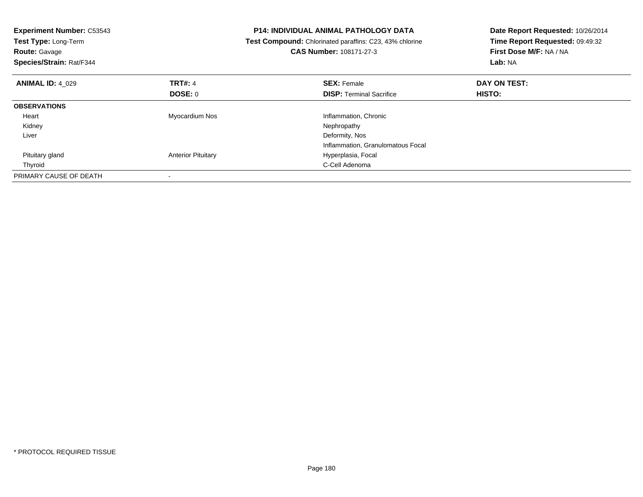| <b>Experiment Number: C53543</b><br>Test Type: Long-Term<br><b>Route: Gavage</b><br>Species/Strain: Rat/F344 |                           | <b>P14: INDIVIDUAL ANIMAL PATHOLOGY DATA</b><br>Test Compound: Chlorinated paraffins: C23, 43% chlorine<br><b>CAS Number: 108171-27-3</b> | Date Report Requested: 10/26/2014<br>Time Report Requested: 09:49:32<br>First Dose M/F: NA / NA<br>Lab: NA |
|--------------------------------------------------------------------------------------------------------------|---------------------------|-------------------------------------------------------------------------------------------------------------------------------------------|------------------------------------------------------------------------------------------------------------|
| <b>ANIMAL ID: 4 029</b>                                                                                      | <b>TRT#: 4</b>            | <b>SEX: Female</b>                                                                                                                        | DAY ON TEST:                                                                                               |
|                                                                                                              | <b>DOSE: 0</b>            | <b>DISP:</b> Terminal Sacrifice                                                                                                           | HISTO:                                                                                                     |
| <b>OBSERVATIONS</b>                                                                                          |                           |                                                                                                                                           |                                                                                                            |
| Heart                                                                                                        | Myocardium Nos            | Inflammation, Chronic                                                                                                                     |                                                                                                            |
| Kidney                                                                                                       |                           | Nephropathy                                                                                                                               |                                                                                                            |
| Liver                                                                                                        |                           | Deformity, Nos                                                                                                                            |                                                                                                            |
|                                                                                                              |                           | Inflammation, Granulomatous Focal                                                                                                         |                                                                                                            |
| Pituitary gland                                                                                              | <b>Anterior Pituitary</b> | Hyperplasia, Focal                                                                                                                        |                                                                                                            |
| Thyroid                                                                                                      |                           | C-Cell Adenoma                                                                                                                            |                                                                                                            |
| PRIMARY CAUSE OF DEATH                                                                                       |                           |                                                                                                                                           |                                                                                                            |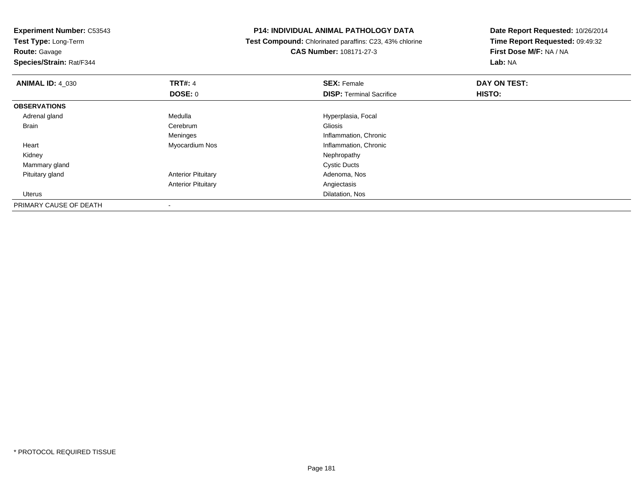**Test Type:** Long-Term

**Route:** Gavage

**Species/Strain:** Rat/F344

## **P14: INDIVIDUAL ANIMAL PATHOLOGY DATA**

 **Test Compound:** Chlorinated paraffins: C23, 43% chlorine**CAS Number:** 108171-27-3

**Date Report Requested:** 10/26/2014 **Time Report Requested:** 09:49:32**First Dose M/F:** NA / NA**Lab:** NA

| <b>ANIMAL ID: 4 030</b> | <b>TRT#: 4</b>            | <b>SEX: Female</b>              | DAY ON TEST: |  |
|-------------------------|---------------------------|---------------------------------|--------------|--|
|                         | <b>DOSE: 0</b>            | <b>DISP: Terminal Sacrifice</b> | HISTO:       |  |
| <b>OBSERVATIONS</b>     |                           |                                 |              |  |
| Adrenal gland           | Medulla                   | Hyperplasia, Focal              |              |  |
| <b>Brain</b>            | Cerebrum                  | Gliosis                         |              |  |
|                         | Meninges                  | Inflammation, Chronic           |              |  |
| Heart                   | Myocardium Nos            | Inflammation, Chronic           |              |  |
| Kidney                  |                           | Nephropathy                     |              |  |
| Mammary gland           |                           | <b>Cystic Ducts</b>             |              |  |
| Pituitary gland         | <b>Anterior Pituitary</b> | Adenoma, Nos                    |              |  |
|                         | <b>Anterior Pituitary</b> | Angiectasis                     |              |  |
| Uterus                  |                           | Dilatation, Nos                 |              |  |
| PRIMARY CAUSE OF DEATH  |                           |                                 |              |  |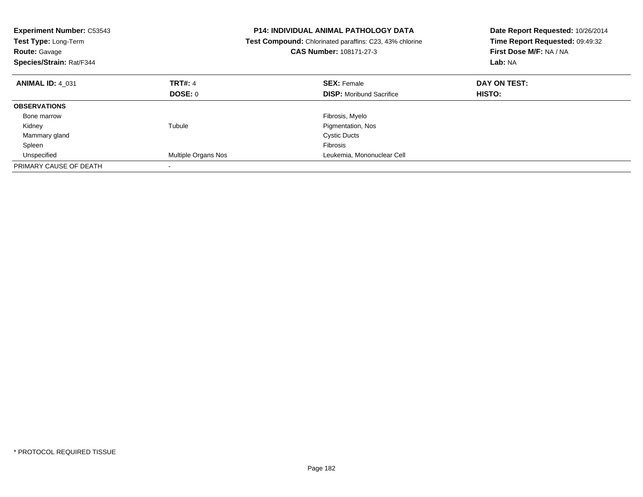| <b>Experiment Number: C53543</b><br>Test Type: Long-Term<br><b>Route: Gavage</b><br>Species/Strain: Rat/F344 |                     | <b>P14: INDIVIDUAL ANIMAL PATHOLOGY DATA</b><br>Test Compound: Chlorinated paraffins: C23, 43% chlorine<br><b>CAS Number: 108171-27-3</b> | Date Report Requested: 10/26/2014<br>Time Report Requested: 09:49:32<br>First Dose M/F: NA / NA<br>Lab: NA |
|--------------------------------------------------------------------------------------------------------------|---------------------|-------------------------------------------------------------------------------------------------------------------------------------------|------------------------------------------------------------------------------------------------------------|
| <b>ANIMAL ID: 4 031</b>                                                                                      | <b>TRT#: 4</b>      | <b>SEX: Female</b>                                                                                                                        | DAY ON TEST:                                                                                               |
|                                                                                                              | DOSE: 0             | <b>DISP:</b> Moribund Sacrifice                                                                                                           | <b>HISTO:</b>                                                                                              |
| <b>OBSERVATIONS</b>                                                                                          |                     |                                                                                                                                           |                                                                                                            |
| Bone marrow                                                                                                  |                     | Fibrosis, Myelo                                                                                                                           |                                                                                                            |
| Kidney                                                                                                       | Tubule              | Pigmentation, Nos                                                                                                                         |                                                                                                            |
| Mammary gland                                                                                                |                     | <b>Cystic Ducts</b>                                                                                                                       |                                                                                                            |
| Spleen                                                                                                       |                     | <b>Fibrosis</b>                                                                                                                           |                                                                                                            |
| Unspecified                                                                                                  | Multiple Organs Nos | Leukemia, Mononuclear Cell                                                                                                                |                                                                                                            |
| PRIMARY CAUSE OF DEATH                                                                                       |                     |                                                                                                                                           |                                                                                                            |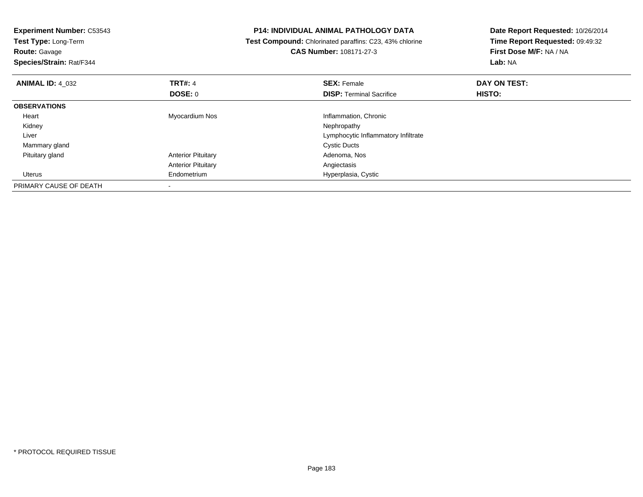| <b>Experiment Number: C53543</b><br>Test Type: Long-Term<br><b>Route: Gavage</b><br>Species/Strain: Rat/F344 |                                  | <b>P14: INDIVIDUAL ANIMAL PATHOLOGY DATA</b><br><b>Test Compound:</b> Chlorinated paraffins: C23, 43% chlorine<br><b>CAS Number: 108171-27-3</b> | Date Report Requested: 10/26/2014<br>Time Report Requested: 09:49:32<br>First Dose M/F: NA / NA<br>Lab: NA |  |
|--------------------------------------------------------------------------------------------------------------|----------------------------------|--------------------------------------------------------------------------------------------------------------------------------------------------|------------------------------------------------------------------------------------------------------------|--|
| <b>ANIMAL ID: 4 032</b>                                                                                      | <b>TRT#: 4</b><br><b>DOSE: 0</b> | <b>SEX: Female</b><br><b>DISP:</b> Terminal Sacrifice                                                                                            | DAY ON TEST:<br>HISTO:                                                                                     |  |
| <b>OBSERVATIONS</b>                                                                                          |                                  |                                                                                                                                                  |                                                                                                            |  |
| Heart                                                                                                        | Myocardium Nos                   | Inflammation, Chronic                                                                                                                            |                                                                                                            |  |
| Kidney                                                                                                       |                                  | Nephropathy                                                                                                                                      |                                                                                                            |  |
| Liver                                                                                                        |                                  | Lymphocytic Inflammatory Infiltrate                                                                                                              |                                                                                                            |  |
| Mammary gland                                                                                                |                                  | <b>Cystic Ducts</b>                                                                                                                              |                                                                                                            |  |
| Pituitary gland                                                                                              | <b>Anterior Pituitary</b>        | Adenoma, Nos                                                                                                                                     |                                                                                                            |  |
|                                                                                                              | <b>Anterior Pituitary</b>        | Angiectasis                                                                                                                                      |                                                                                                            |  |
| Uterus                                                                                                       | Endometrium                      | Hyperplasia, Cystic                                                                                                                              |                                                                                                            |  |
| PRIMARY CAUSE OF DEATH                                                                                       | $\overline{\phantom{a}}$         |                                                                                                                                                  |                                                                                                            |  |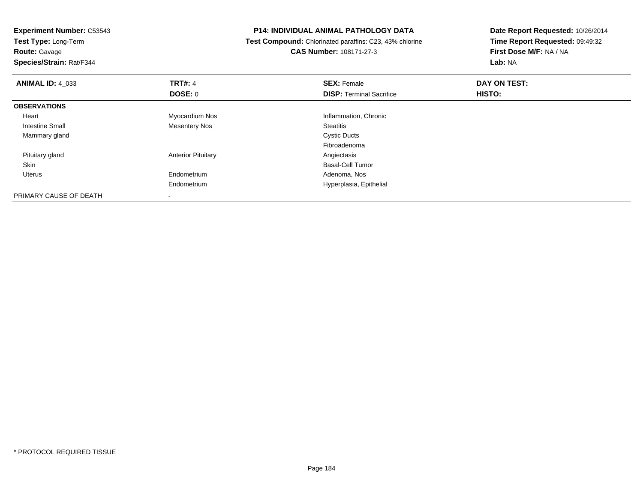| <b>Experiment Number: C53543</b><br>Test Type: Long-Term |                           | <b>P14: INDIVIDUAL ANIMAL PATHOLOGY DATA</b>            | Date Report Requested: 10/26/2014<br>Time Report Requested: 09:49:32 |  |
|----------------------------------------------------------|---------------------------|---------------------------------------------------------|----------------------------------------------------------------------|--|
|                                                          |                           | Test Compound: Chlorinated paraffins: C23, 43% chlorine |                                                                      |  |
| <b>Route: Gavage</b>                                     |                           | <b>CAS Number: 108171-27-3</b>                          | First Dose M/F: NA / NA                                              |  |
| Species/Strain: Rat/F344                                 |                           |                                                         | Lab: NA                                                              |  |
| <b>ANIMAL ID: 4_033</b>                                  | <b>TRT#: 4</b>            | <b>SEX: Female</b>                                      | DAY ON TEST:                                                         |  |
|                                                          | <b>DOSE: 0</b>            | <b>DISP: Terminal Sacrifice</b>                         | HISTO:                                                               |  |
| <b>OBSERVATIONS</b>                                      |                           |                                                         |                                                                      |  |
| Heart                                                    | Myocardium Nos            | Inflammation, Chronic                                   |                                                                      |  |
| Intestine Small                                          | <b>Mesentery Nos</b>      | <b>Steatitis</b>                                        |                                                                      |  |
| Mammary gland                                            |                           | <b>Cystic Ducts</b>                                     |                                                                      |  |
|                                                          |                           | Fibroadenoma                                            |                                                                      |  |
| Pituitary gland                                          | <b>Anterior Pituitary</b> | Angiectasis                                             |                                                                      |  |
| Skin                                                     |                           | <b>Basal-Cell Tumor</b>                                 |                                                                      |  |
| Uterus                                                   | Endometrium               | Adenoma, Nos                                            |                                                                      |  |
|                                                          | Endometrium               | Hyperplasia, Epithelial                                 |                                                                      |  |
| PRIMARY CAUSE OF DEATH                                   |                           |                                                         |                                                                      |  |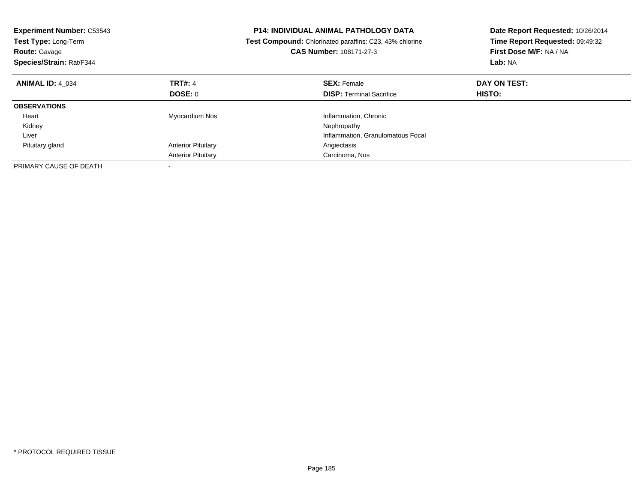| <b>Experiment Number: C53543</b><br>Test Type: Long-Term<br><b>Route: Gavage</b><br>Species/Strain: Rat/F344 |                           | <b>P14: INDIVIDUAL ANIMAL PATHOLOGY DATA</b><br>Test Compound: Chlorinated paraffins: C23, 43% chlorine<br><b>CAS Number: 108171-27-3</b> | Date Report Requested: 10/26/2014<br>Time Report Requested: 09:49:32<br>First Dose M/F: NA / NA<br>Lab: NA |
|--------------------------------------------------------------------------------------------------------------|---------------------------|-------------------------------------------------------------------------------------------------------------------------------------------|------------------------------------------------------------------------------------------------------------|
| <b>ANIMAL ID: 4 034</b>                                                                                      | <b>TRT#: 4</b>            | <b>SEX: Female</b>                                                                                                                        | DAY ON TEST:                                                                                               |
|                                                                                                              | DOSE: 0                   | <b>DISP:</b> Terminal Sacrifice                                                                                                           | <b>HISTO:</b>                                                                                              |
| <b>OBSERVATIONS</b>                                                                                          |                           |                                                                                                                                           |                                                                                                            |
| Heart                                                                                                        | Myocardium Nos            | Inflammation, Chronic                                                                                                                     |                                                                                                            |
| Kidney                                                                                                       |                           | Nephropathy                                                                                                                               |                                                                                                            |
| Liver                                                                                                        |                           | Inflammation, Granulomatous Focal                                                                                                         |                                                                                                            |
| Pituitary gland                                                                                              | <b>Anterior Pituitary</b> | Angiectasis                                                                                                                               |                                                                                                            |
|                                                                                                              | <b>Anterior Pituitary</b> | Carcinoma, Nos                                                                                                                            |                                                                                                            |
| PRIMARY CAUSE OF DEATH                                                                                       |                           |                                                                                                                                           |                                                                                                            |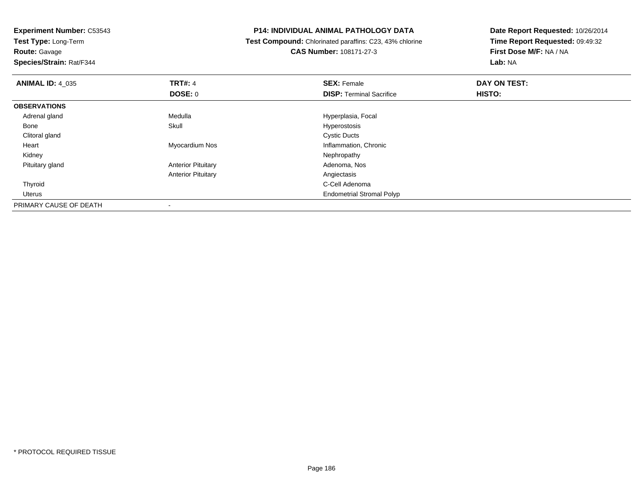**Test Type:** Long-Term

**Route:** Gavage

**Species/Strain:** Rat/F344

## **P14: INDIVIDUAL ANIMAL PATHOLOGY DATA**

 **Test Compound:** Chlorinated paraffins: C23, 43% chlorine**CAS Number:** 108171-27-3

**Date Report Requested:** 10/26/2014 **Time Report Requested:** 09:49:32**First Dose M/F:** NA / NA**Lab:** NA

| <b>ANIMAL ID: 4_035</b> | <b>TRT#: 4</b>            | <b>SEX: Female</b>               | DAY ON TEST: |  |
|-------------------------|---------------------------|----------------------------------|--------------|--|
|                         | <b>DOSE: 0</b>            | <b>DISP: Terminal Sacrifice</b>  | HISTO:       |  |
| <b>OBSERVATIONS</b>     |                           |                                  |              |  |
| Adrenal gland           | Medulla                   | Hyperplasia, Focal               |              |  |
| Bone                    | Skull                     | Hyperostosis                     |              |  |
| Clitoral gland          |                           | <b>Cystic Ducts</b>              |              |  |
| Heart                   | Myocardium Nos            | Inflammation, Chronic            |              |  |
| Kidney                  |                           | Nephropathy                      |              |  |
| Pituitary gland         | <b>Anterior Pituitary</b> | Adenoma, Nos                     |              |  |
|                         | <b>Anterior Pituitary</b> | Angiectasis                      |              |  |
| Thyroid                 |                           | C-Cell Adenoma                   |              |  |
| Uterus                  |                           | <b>Endometrial Stromal Polyp</b> |              |  |
| PRIMARY CAUSE OF DEATH  |                           |                                  |              |  |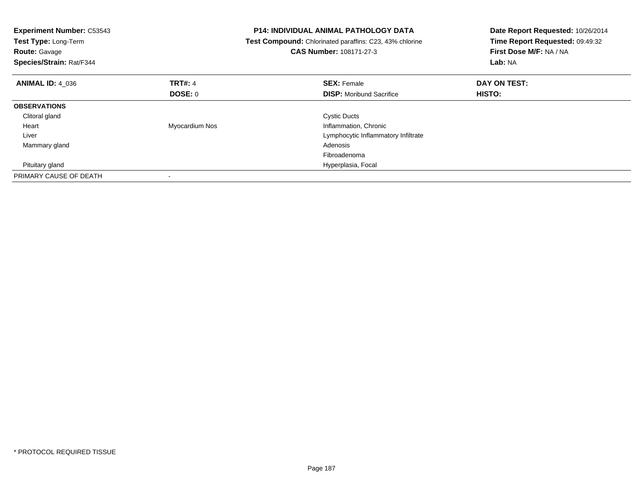| <b>Experiment Number: C53543</b><br>Test Type: Long-Term<br><b>Route: Gavage</b><br>Species/Strain: Rat/F344 |                | <b>P14: INDIVIDUAL ANIMAL PATHOLOGY DATA</b><br>Test Compound: Chlorinated paraffins: C23, 43% chlorine<br>CAS Number: 108171-27-3 | Date Report Requested: 10/26/2014<br>Time Report Requested: 09:49:32<br>First Dose M/F: NA / NA<br>Lab: NA |
|--------------------------------------------------------------------------------------------------------------|----------------|------------------------------------------------------------------------------------------------------------------------------------|------------------------------------------------------------------------------------------------------------|
| <b>ANIMAL ID: 4 036</b>                                                                                      | TRT#: 4        | <b>SEX: Female</b>                                                                                                                 | DAY ON TEST:                                                                                               |
|                                                                                                              | DOSE: 0        | <b>DISP:</b> Moribund Sacrifice                                                                                                    | HISTO:                                                                                                     |
| <b>OBSERVATIONS</b>                                                                                          |                |                                                                                                                                    |                                                                                                            |
| Clitoral gland                                                                                               |                | <b>Cystic Ducts</b>                                                                                                                |                                                                                                            |
| Heart                                                                                                        | Myocardium Nos | Inflammation, Chronic                                                                                                              |                                                                                                            |
| Liver                                                                                                        |                | Lymphocytic Inflammatory Infiltrate                                                                                                |                                                                                                            |
| Mammary gland                                                                                                |                | Adenosis                                                                                                                           |                                                                                                            |
|                                                                                                              |                | Fibroadenoma                                                                                                                       |                                                                                                            |
| Pituitary gland                                                                                              |                | Hyperplasia, Focal                                                                                                                 |                                                                                                            |
| PRIMARY CAUSE OF DEATH                                                                                       |                |                                                                                                                                    |                                                                                                            |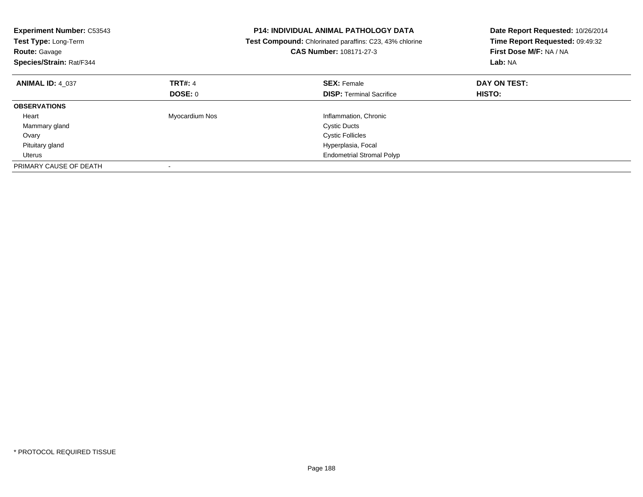| <b>Experiment Number: C53543</b><br>Test Type: Long-Term<br><b>Route: Gavage</b><br>Species/Strain: Rat/F344 |                | <b>P14: INDIVIDUAL ANIMAL PATHOLOGY DATA</b><br>Test Compound: Chlorinated paraffins: C23, 43% chlorine<br>CAS Number: 108171-27-3 | Date Report Requested: 10/26/2014<br>Time Report Requested: 09:49:32<br>First Dose M/F: NA / NA<br>Lab: NA |
|--------------------------------------------------------------------------------------------------------------|----------------|------------------------------------------------------------------------------------------------------------------------------------|------------------------------------------------------------------------------------------------------------|
| <b>ANIMAL ID: 4 037</b>                                                                                      | <b>TRT#: 4</b> | <b>SEX: Female</b>                                                                                                                 | DAY ON TEST:                                                                                               |
|                                                                                                              | DOSE: 0        | <b>DISP: Terminal Sacrifice</b>                                                                                                    | HISTO:                                                                                                     |
| <b>OBSERVATIONS</b>                                                                                          |                |                                                                                                                                    |                                                                                                            |
| Heart                                                                                                        | Myocardium Nos | Inflammation, Chronic                                                                                                              |                                                                                                            |
| Mammary gland                                                                                                |                | <b>Cystic Ducts</b>                                                                                                                |                                                                                                            |
| Ovary                                                                                                        |                | <b>Cystic Follicles</b>                                                                                                            |                                                                                                            |
| Pituitary gland                                                                                              |                | Hyperplasia, Focal                                                                                                                 |                                                                                                            |
| Uterus                                                                                                       |                | <b>Endometrial Stromal Polyp</b>                                                                                                   |                                                                                                            |
| PRIMARY CAUSE OF DEATH                                                                                       |                |                                                                                                                                    |                                                                                                            |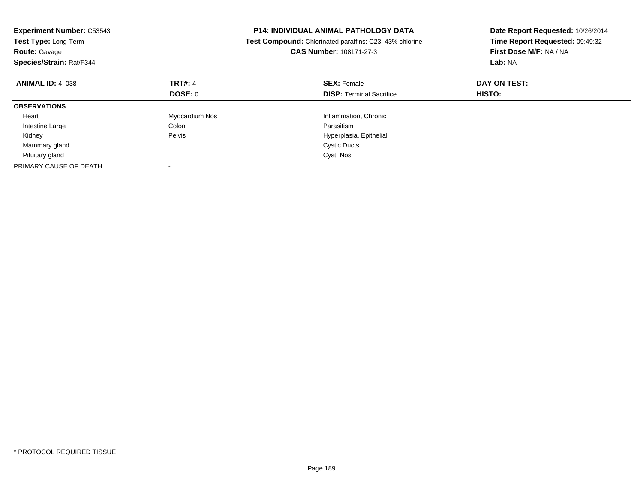| <b>Experiment Number: C53543</b><br>Test Type: Long-Term<br><b>Route: Gavage</b><br>Species/Strain: Rat/F344 |                | <b>P14: INDIVIDUAL ANIMAL PATHOLOGY DATA</b><br>Test Compound: Chlorinated paraffins: C23, 43% chlorine<br>CAS Number: 108171-27-3 | Date Report Requested: 10/26/2014<br>Time Report Requested: 09:49:32<br>First Dose M/F: NA / NA<br>Lab: NA |
|--------------------------------------------------------------------------------------------------------------|----------------|------------------------------------------------------------------------------------------------------------------------------------|------------------------------------------------------------------------------------------------------------|
| <b>ANIMAL ID: 4 038</b>                                                                                      | <b>TRT#: 4</b> | <b>SEX: Female</b>                                                                                                                 | DAY ON TEST:                                                                                               |
|                                                                                                              | DOSE: 0        | <b>DISP:</b> Terminal Sacrifice                                                                                                    | HISTO:                                                                                                     |
| <b>OBSERVATIONS</b>                                                                                          |                |                                                                                                                                    |                                                                                                            |
| Heart                                                                                                        | Myocardium Nos | Inflammation, Chronic                                                                                                              |                                                                                                            |
| Intestine Large                                                                                              | Colon          | Parasitism                                                                                                                         |                                                                                                            |
| Kidney                                                                                                       | Pelvis         | Hyperplasia, Epithelial                                                                                                            |                                                                                                            |
| Mammary gland                                                                                                |                | <b>Cystic Ducts</b>                                                                                                                |                                                                                                            |
| Pituitary gland                                                                                              |                | Cyst, Nos                                                                                                                          |                                                                                                            |
| PRIMARY CAUSE OF DEATH                                                                                       |                |                                                                                                                                    |                                                                                                            |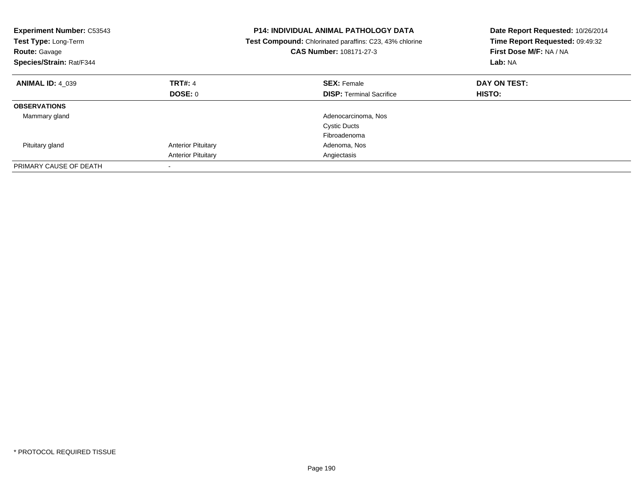| <b>Experiment Number: C53543</b><br>Test Type: Long-Term<br><b>Route: Gavage</b><br>Species/Strain: Rat/F344 |                           | <b>P14: INDIVIDUAL ANIMAL PATHOLOGY DATA</b><br>Test Compound: Chlorinated paraffins: C23, 43% chlorine<br>CAS Number: 108171-27-3 | Date Report Requested: 10/26/2014<br>Time Report Requested: 09:49:32<br>First Dose M/F: NA / NA<br>Lab: NA |
|--------------------------------------------------------------------------------------------------------------|---------------------------|------------------------------------------------------------------------------------------------------------------------------------|------------------------------------------------------------------------------------------------------------|
| <b>ANIMAL ID: 4 039</b>                                                                                      | TRT#: 4                   | <b>SEX: Female</b>                                                                                                                 | DAY ON TEST:                                                                                               |
|                                                                                                              | DOSE: 0                   | <b>DISP:</b> Terminal Sacrifice                                                                                                    | HISTO:                                                                                                     |
| <b>OBSERVATIONS</b>                                                                                          |                           |                                                                                                                                    |                                                                                                            |
| Mammary gland                                                                                                |                           | Adenocarcinoma, Nos                                                                                                                |                                                                                                            |
|                                                                                                              |                           | <b>Cystic Ducts</b>                                                                                                                |                                                                                                            |
|                                                                                                              |                           | Fibroadenoma                                                                                                                       |                                                                                                            |
| Pituitary gland                                                                                              | <b>Anterior Pituitary</b> | Adenoma, Nos                                                                                                                       |                                                                                                            |
|                                                                                                              | <b>Anterior Pituitary</b> | Angiectasis                                                                                                                        |                                                                                                            |
| PRIMARY CAUSE OF DEATH                                                                                       |                           |                                                                                                                                    |                                                                                                            |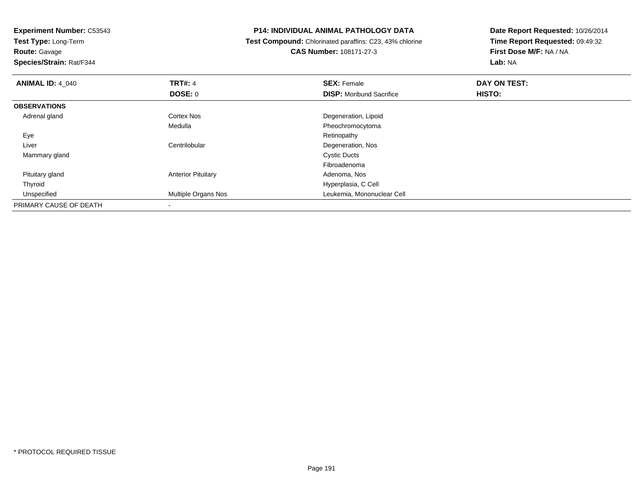**Test Type:** Long-Term

**Route:** Gavage

**Species/Strain:** Rat/F344

## **P14: INDIVIDUAL ANIMAL PATHOLOGY DATA**

 **Test Compound:** Chlorinated paraffins: C23, 43% chlorine**CAS Number:** 108171-27-3

**Date Report Requested:** 10/26/2014 **Time Report Requested:** 09:49:32**First Dose M/F:** NA / NA**Lab:** NA

| <b>ANIMAL ID: 4_040</b> | <b>TRT#: 4</b>            | <b>SEX: Female</b>              | DAY ON TEST: |  |
|-------------------------|---------------------------|---------------------------------|--------------|--|
|                         | DOSE: 0                   | <b>DISP:</b> Moribund Sacrifice | HISTO:       |  |
| <b>OBSERVATIONS</b>     |                           |                                 |              |  |
| Adrenal gland           | <b>Cortex Nos</b>         | Degeneration, Lipoid            |              |  |
|                         | Medulla                   | Pheochromocytoma                |              |  |
| Eye                     |                           | Retinopathy                     |              |  |
| Liver                   | Centrilobular             | Degeneration, Nos               |              |  |
| Mammary gland           |                           | <b>Cystic Ducts</b>             |              |  |
|                         |                           | Fibroadenoma                    |              |  |
| Pituitary gland         | <b>Anterior Pituitary</b> | Adenoma, Nos                    |              |  |
| Thyroid                 |                           | Hyperplasia, C Cell             |              |  |
| Unspecified             | Multiple Organs Nos       | Leukemia, Mononuclear Cell      |              |  |
| PRIMARY CAUSE OF DEATH  | $\overline{\phantom{a}}$  |                                 |              |  |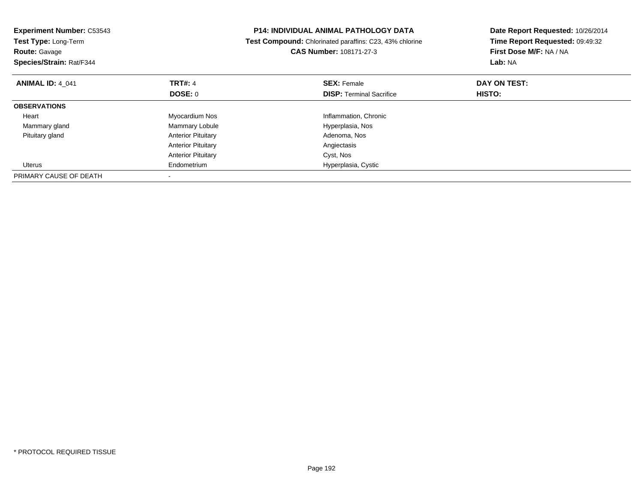| <b>Experiment Number: C53543</b><br>Test Type: Long-Term<br><b>Route: Gavage</b><br>Species/Strain: Rat/F344 |                           | <b>P14: INDIVIDUAL ANIMAL PATHOLOGY DATA</b><br>Test Compound: Chlorinated paraffins: C23, 43% chlorine<br><b>CAS Number: 108171-27-3</b> | Date Report Requested: 10/26/2014<br>Time Report Requested: 09:49:32<br>First Dose M/F: NA / NA<br>Lab: NA |
|--------------------------------------------------------------------------------------------------------------|---------------------------|-------------------------------------------------------------------------------------------------------------------------------------------|------------------------------------------------------------------------------------------------------------|
| <b>ANIMAL ID: 4 041</b>                                                                                      | <b>TRT#: 4</b>            | <b>SEX: Female</b>                                                                                                                        | DAY ON TEST:                                                                                               |
|                                                                                                              | DOSE: 0                   | <b>DISP:</b> Terminal Sacrifice                                                                                                           | <b>HISTO:</b>                                                                                              |
| <b>OBSERVATIONS</b>                                                                                          |                           |                                                                                                                                           |                                                                                                            |
| Heart                                                                                                        | Myocardium Nos            | Inflammation, Chronic                                                                                                                     |                                                                                                            |
| Mammary gland                                                                                                | Mammary Lobule            | Hyperplasia, Nos                                                                                                                          |                                                                                                            |
| Pituitary gland                                                                                              | <b>Anterior Pituitary</b> | Adenoma, Nos                                                                                                                              |                                                                                                            |
|                                                                                                              | <b>Anterior Pituitary</b> | Angiectasis                                                                                                                               |                                                                                                            |
|                                                                                                              | <b>Anterior Pituitary</b> | Cyst, Nos                                                                                                                                 |                                                                                                            |
| Uterus                                                                                                       | Endometrium               | Hyperplasia, Cystic                                                                                                                       |                                                                                                            |
| PRIMARY CAUSE OF DEATH                                                                                       |                           |                                                                                                                                           |                                                                                                            |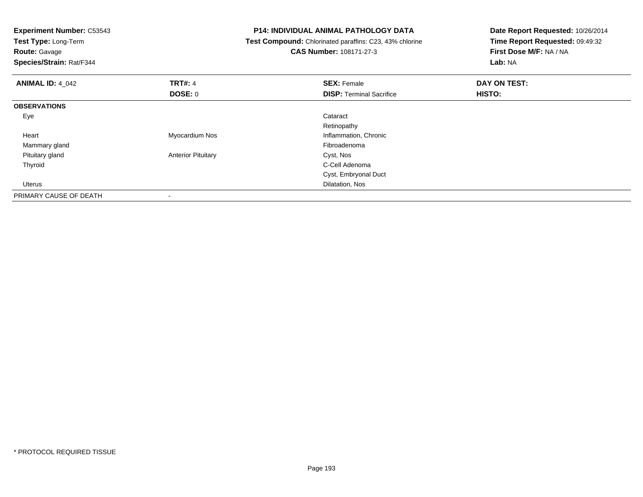| <b>Experiment Number: C53543</b><br>Test Type: Long-Term |                           | <b>P14: INDIVIDUAL ANIMAL PATHOLOGY DATA</b>            | Date Report Requested: 10/26/2014<br>Time Report Requested: 09:49:32 |  |
|----------------------------------------------------------|---------------------------|---------------------------------------------------------|----------------------------------------------------------------------|--|
|                                                          |                           | Test Compound: Chlorinated paraffins: C23, 43% chlorine |                                                                      |  |
| <b>Route: Gavage</b>                                     |                           | <b>CAS Number: 108171-27-3</b>                          | First Dose M/F: NA / NA                                              |  |
| Species/Strain: Rat/F344                                 |                           |                                                         | Lab: NA                                                              |  |
| <b>ANIMAL ID: 4 042</b>                                  | <b>TRT#: 4</b>            | <b>SEX: Female</b>                                      | DAY ON TEST:                                                         |  |
|                                                          | DOSE: 0                   | <b>DISP:</b> Terminal Sacrifice                         | <b>HISTO:</b>                                                        |  |
| <b>OBSERVATIONS</b>                                      |                           |                                                         |                                                                      |  |
| Eye                                                      |                           | Cataract                                                |                                                                      |  |
|                                                          |                           | Retinopathy                                             |                                                                      |  |
| Heart                                                    | Myocardium Nos            | Inflammation, Chronic                                   |                                                                      |  |
| Mammary gland                                            |                           | Fibroadenoma                                            |                                                                      |  |
| Pituitary gland                                          | <b>Anterior Pituitary</b> | Cyst, Nos                                               |                                                                      |  |
| Thyroid                                                  |                           | C-Cell Adenoma                                          |                                                                      |  |
|                                                          |                           | Cyst, Embryonal Duct                                    |                                                                      |  |
| <b>Uterus</b>                                            |                           | Dilatation, Nos                                         |                                                                      |  |
| PRIMARY CAUSE OF DEATH                                   |                           |                                                         |                                                                      |  |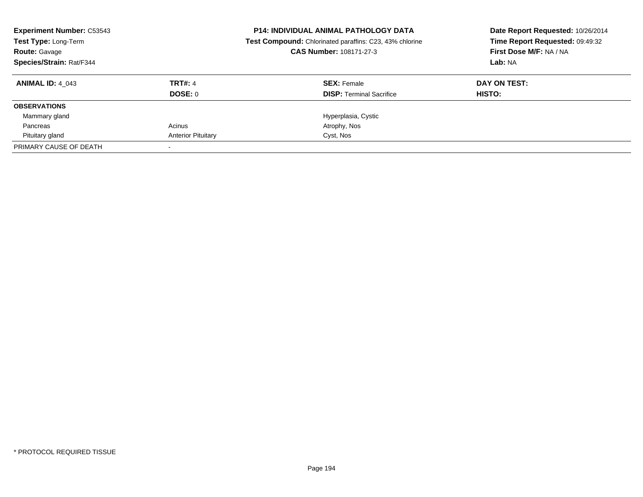| <b>Experiment Number: C53543</b><br><b>Test Type: Long-Term</b><br><b>Route: Gavage</b><br><b>Species/Strain: Rat/F344</b> |                           | <b>P14: INDIVIDUAL ANIMAL PATHOLOGY DATA</b><br><b>Test Compound:</b> Chlorinated paraffins: C23, 43% chlorine<br>CAS Number: 108171-27-3 | Date Report Requested: 10/26/2014<br>Time Report Requested: 09:49:32<br>First Dose M/F: NA / NA<br>Lab: NA |  |
|----------------------------------------------------------------------------------------------------------------------------|---------------------------|-------------------------------------------------------------------------------------------------------------------------------------------|------------------------------------------------------------------------------------------------------------|--|
| <b>ANIMAL ID: 4 043</b>                                                                                                    | <b>TRT#: 4</b><br>DOSE: 0 | <b>SEX: Female</b><br><b>DISP: Terminal Sacrifice</b>                                                                                     | DAY ON TEST:<br>HISTO:                                                                                     |  |
| <b>OBSERVATIONS</b>                                                                                                        |                           |                                                                                                                                           |                                                                                                            |  |
| Mammary gland                                                                                                              |                           | Hyperplasia, Cystic                                                                                                                       |                                                                                                            |  |
| Pancreas                                                                                                                   | Acinus                    | Atrophy, Nos                                                                                                                              |                                                                                                            |  |
| Pituitary gland                                                                                                            | <b>Anterior Pituitary</b> | Cyst, Nos                                                                                                                                 |                                                                                                            |  |
| PRIMARY CAUSE OF DEATH                                                                                                     |                           |                                                                                                                                           |                                                                                                            |  |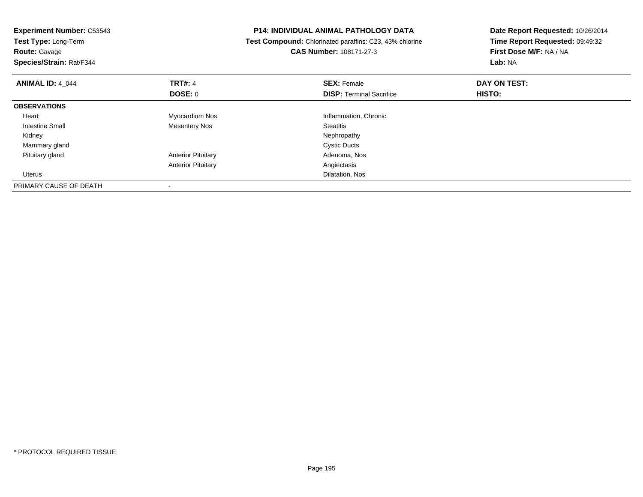| <b>Experiment Number: C53543</b><br>Test Type: Long-Term<br><b>Route: Gavage</b><br>Species/Strain: Rat/F344 |                           | <b>P14: INDIVIDUAL ANIMAL PATHOLOGY DATA</b><br>Test Compound: Chlorinated paraffins: C23, 43% chlorine<br><b>CAS Number: 108171-27-3</b> | Date Report Requested: 10/26/2014<br>Time Report Requested: 09:49:32<br>First Dose M/F: NA / NA<br>Lab: NA |  |
|--------------------------------------------------------------------------------------------------------------|---------------------------|-------------------------------------------------------------------------------------------------------------------------------------------|------------------------------------------------------------------------------------------------------------|--|
| <b>ANIMAL ID: 4_044</b>                                                                                      | <b>TRT#: 4</b>            | <b>SEX: Female</b>                                                                                                                        | DAY ON TEST:                                                                                               |  |
|                                                                                                              | DOSE: 0                   | <b>DISP:</b> Terminal Sacrifice                                                                                                           | HISTO:                                                                                                     |  |
| <b>OBSERVATIONS</b>                                                                                          |                           |                                                                                                                                           |                                                                                                            |  |
| Heart                                                                                                        | Myocardium Nos            | Inflammation, Chronic                                                                                                                     |                                                                                                            |  |
| <b>Intestine Small</b>                                                                                       | Mesentery Nos             | <b>Steatitis</b>                                                                                                                          |                                                                                                            |  |
| Kidney                                                                                                       |                           | Nephropathy                                                                                                                               |                                                                                                            |  |
| Mammary gland                                                                                                |                           | <b>Cystic Ducts</b>                                                                                                                       |                                                                                                            |  |
| Pituitary gland                                                                                              | <b>Anterior Pituitary</b> | Adenoma, Nos                                                                                                                              |                                                                                                            |  |
|                                                                                                              | <b>Anterior Pituitary</b> | Angiectasis                                                                                                                               |                                                                                                            |  |
| Uterus                                                                                                       |                           | Dilatation, Nos                                                                                                                           |                                                                                                            |  |
| PRIMARY CAUSE OF DEATH                                                                                       |                           |                                                                                                                                           |                                                                                                            |  |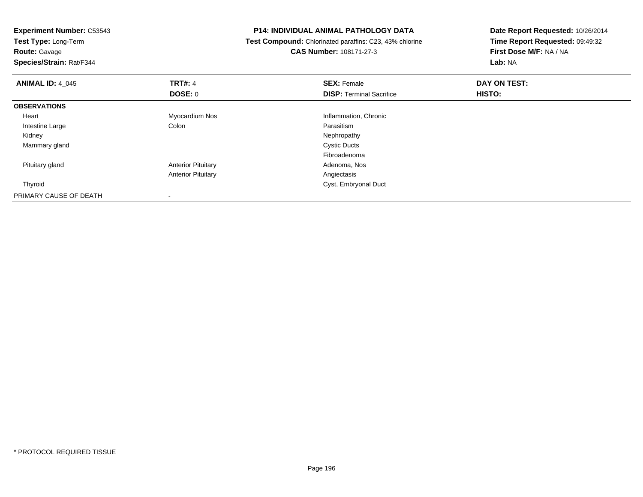| <b>Experiment Number: C53543</b><br>Test Type: Long-Term |                           | <b>P14: INDIVIDUAL ANIMAL PATHOLOGY DATA</b>            | Date Report Requested: 10/26/2014<br>Time Report Requested: 09:49:32 |  |
|----------------------------------------------------------|---------------------------|---------------------------------------------------------|----------------------------------------------------------------------|--|
|                                                          |                           | Test Compound: Chlorinated paraffins: C23, 43% chlorine |                                                                      |  |
| <b>Route: Gavage</b>                                     |                           | <b>CAS Number: 108171-27-3</b>                          | First Dose M/F: NA / NA                                              |  |
| Species/Strain: Rat/F344                                 |                           |                                                         | Lab: NA                                                              |  |
| <b>ANIMAL ID: 4 045</b>                                  | <b>TRT#: 4</b>            | <b>SEX: Female</b>                                      | DAY ON TEST:                                                         |  |
|                                                          | DOSE: 0                   | <b>DISP:</b> Terminal Sacrifice                         | <b>HISTO:</b>                                                        |  |
| <b>OBSERVATIONS</b>                                      |                           |                                                         |                                                                      |  |
| Heart                                                    | Myocardium Nos            | Inflammation, Chronic                                   |                                                                      |  |
| Intestine Large                                          | Colon                     | Parasitism                                              |                                                                      |  |
| Kidney                                                   |                           | Nephropathy                                             |                                                                      |  |
| Mammary gland                                            |                           | <b>Cystic Ducts</b>                                     |                                                                      |  |
|                                                          |                           | Fibroadenoma                                            |                                                                      |  |
| Pituitary gland                                          | <b>Anterior Pituitary</b> | Adenoma, Nos                                            |                                                                      |  |
|                                                          | <b>Anterior Pituitary</b> | Angiectasis                                             |                                                                      |  |
| Thyroid                                                  |                           | Cyst, Embryonal Duct                                    |                                                                      |  |
| PRIMARY CAUSE OF DEATH                                   |                           |                                                         |                                                                      |  |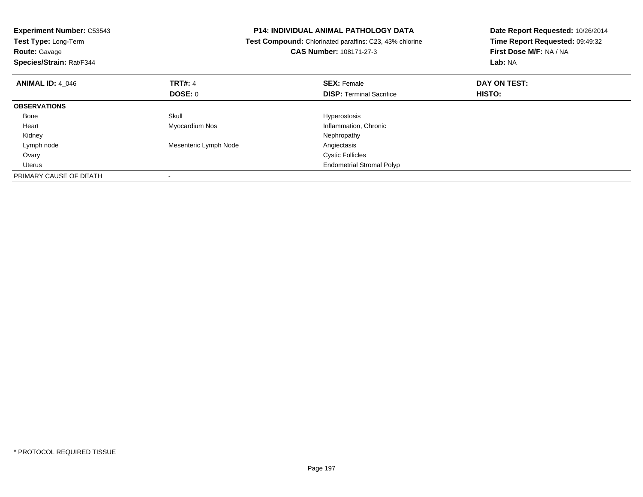| <b>Experiment Number: C53543</b><br>Test Type: Long-Term<br><b>Route: Gavage</b><br>Species/Strain: Rat/F344 | <b>P14: INDIVIDUAL ANIMAL PATHOLOGY DATA</b><br>Test Compound: Chlorinated paraffins: C23, 43% chlorine<br><b>CAS Number: 108171-27-3</b> |                                  | Date Report Requested: 10/26/2014<br>Time Report Requested: 09:49:32<br>First Dose M/F: NA / NA<br>Lab: NA |
|--------------------------------------------------------------------------------------------------------------|-------------------------------------------------------------------------------------------------------------------------------------------|----------------------------------|------------------------------------------------------------------------------------------------------------|
| <b>ANIMAL ID: 4_046</b>                                                                                      | <b>TRT#: 4</b>                                                                                                                            | <b>SEX: Female</b>               | DAY ON TEST:                                                                                               |
|                                                                                                              | DOSE: 0                                                                                                                                   | <b>DISP:</b> Terminal Sacrifice  | HISTO:                                                                                                     |
| <b>OBSERVATIONS</b>                                                                                          |                                                                                                                                           |                                  |                                                                                                            |
| Bone                                                                                                         | Skull                                                                                                                                     | Hyperostosis                     |                                                                                                            |
| Heart                                                                                                        | Myocardium Nos                                                                                                                            | Inflammation, Chronic            |                                                                                                            |
| Kidney                                                                                                       |                                                                                                                                           | Nephropathy                      |                                                                                                            |
| Lymph node                                                                                                   | Mesenteric Lymph Node                                                                                                                     | Angiectasis                      |                                                                                                            |
| Ovary                                                                                                        |                                                                                                                                           | <b>Cystic Follicles</b>          |                                                                                                            |
| <b>Uterus</b>                                                                                                |                                                                                                                                           | <b>Endometrial Stromal Polyp</b> |                                                                                                            |
| PRIMARY CAUSE OF DEATH                                                                                       |                                                                                                                                           |                                  |                                                                                                            |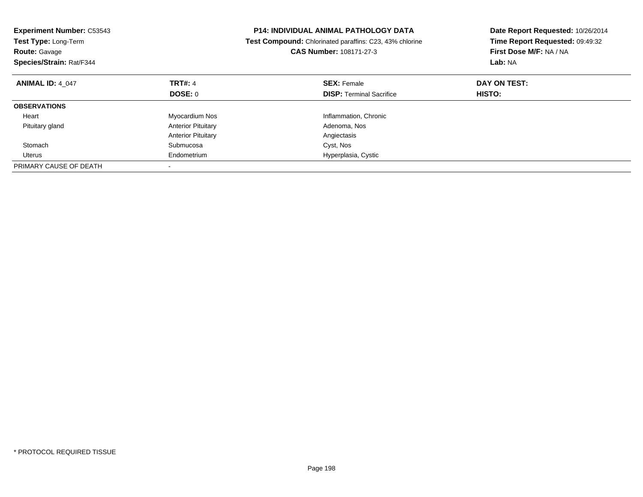| <b>Experiment Number: C53543</b><br>Test Type: Long-Term<br><b>Route: Gavage</b><br>Species/Strain: Rat/F344 |                           | <b>P14: INDIVIDUAL ANIMAL PATHOLOGY DATA</b><br>Test Compound: Chlorinated paraffins: C23, 43% chlorine<br>CAS Number: 108171-27-3 | Date Report Requested: 10/26/2014<br>Time Report Requested: 09:49:32<br>First Dose M/F: NA / NA<br>Lab: NA |  |
|--------------------------------------------------------------------------------------------------------------|---------------------------|------------------------------------------------------------------------------------------------------------------------------------|------------------------------------------------------------------------------------------------------------|--|
| <b>ANIMAL ID: 4 047</b>                                                                                      | <b>TRT#: 4</b>            | <b>SEX: Female</b>                                                                                                                 | DAY ON TEST:                                                                                               |  |
|                                                                                                              | DOSE: 0                   | <b>DISP:</b> Terminal Sacrifice                                                                                                    | HISTO:                                                                                                     |  |
| <b>OBSERVATIONS</b>                                                                                          |                           |                                                                                                                                    |                                                                                                            |  |
| Heart                                                                                                        | Myocardium Nos            | Inflammation, Chronic                                                                                                              |                                                                                                            |  |
| Pituitary gland                                                                                              | <b>Anterior Pituitary</b> | Adenoma, Nos                                                                                                                       |                                                                                                            |  |
|                                                                                                              | <b>Anterior Pituitary</b> | Angiectasis                                                                                                                        |                                                                                                            |  |
| Stomach                                                                                                      | Submucosa                 | Cyst, Nos                                                                                                                          |                                                                                                            |  |
| Uterus                                                                                                       | Endometrium               | Hyperplasia, Cystic                                                                                                                |                                                                                                            |  |
| PRIMARY CAUSE OF DEATH                                                                                       |                           |                                                                                                                                    |                                                                                                            |  |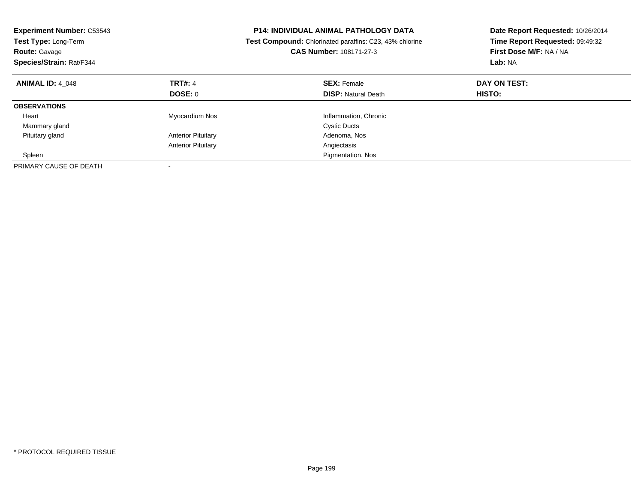| <b>Experiment Number: C53543</b><br><b>Test Type: Long-Term</b><br><b>Route: Gavage</b><br>Species/Strain: Rat/F344 |                           | <b>P14: INDIVIDUAL ANIMAL PATHOLOGY DATA</b><br>Test Compound: Chlorinated paraffins: C23, 43% chlorine<br>CAS Number: 108171-27-3 | Date Report Requested: 10/26/2014<br>Time Report Requested: 09:49:32<br>First Dose M/F: NA / NA<br>Lab: NA |  |
|---------------------------------------------------------------------------------------------------------------------|---------------------------|------------------------------------------------------------------------------------------------------------------------------------|------------------------------------------------------------------------------------------------------------|--|
| <b>ANIMAL ID: 4 048</b>                                                                                             | <b>TRT#: 4</b>            | <b>SEX: Female</b>                                                                                                                 | DAY ON TEST:                                                                                               |  |
|                                                                                                                     | DOSE: 0                   | <b>DISP:</b> Natural Death                                                                                                         | HISTO:                                                                                                     |  |
| <b>OBSERVATIONS</b>                                                                                                 |                           |                                                                                                                                    |                                                                                                            |  |
| Heart                                                                                                               | Myocardium Nos            | Inflammation, Chronic                                                                                                              |                                                                                                            |  |
| Mammary gland                                                                                                       |                           | <b>Cystic Ducts</b>                                                                                                                |                                                                                                            |  |
| Pituitary gland                                                                                                     | <b>Anterior Pituitary</b> | Adenoma, Nos                                                                                                                       |                                                                                                            |  |
|                                                                                                                     | <b>Anterior Pituitary</b> | Angiectasis                                                                                                                        |                                                                                                            |  |
| Spleen                                                                                                              |                           | Pigmentation, Nos                                                                                                                  |                                                                                                            |  |
| PRIMARY CAUSE OF DEATH                                                                                              |                           |                                                                                                                                    |                                                                                                            |  |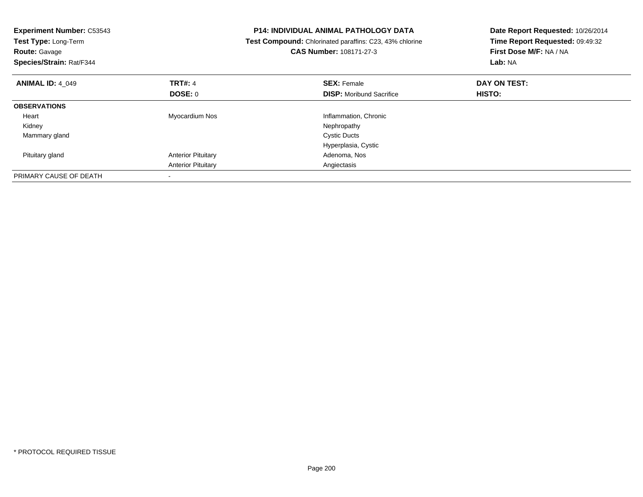| <b>Experiment Number: C53543</b><br>Test Type: Long-Term<br><b>Route: Gavage</b><br>Species/Strain: Rat/F344 |                           | <b>P14: INDIVIDUAL ANIMAL PATHOLOGY DATA</b><br>Test Compound: Chlorinated paraffins: C23, 43% chlorine<br><b>CAS Number: 108171-27-3</b> | Date Report Requested: 10/26/2014<br>Time Report Requested: 09:49:32<br>First Dose M/F: NA / NA<br>Lab: NA |  |
|--------------------------------------------------------------------------------------------------------------|---------------------------|-------------------------------------------------------------------------------------------------------------------------------------------|------------------------------------------------------------------------------------------------------------|--|
| <b>ANIMAL ID: 4_049</b>                                                                                      | <b>TRT#: 4</b>            | <b>SEX: Female</b>                                                                                                                        | DAY ON TEST:                                                                                               |  |
|                                                                                                              | DOSE: 0                   | <b>DISP:</b> Moribund Sacrifice                                                                                                           | HISTO:                                                                                                     |  |
| <b>OBSERVATIONS</b>                                                                                          |                           |                                                                                                                                           |                                                                                                            |  |
| Heart                                                                                                        | Myocardium Nos            | Inflammation, Chronic                                                                                                                     |                                                                                                            |  |
| Kidney                                                                                                       |                           | Nephropathy                                                                                                                               |                                                                                                            |  |
| Mammary gland                                                                                                |                           | <b>Cystic Ducts</b>                                                                                                                       |                                                                                                            |  |
|                                                                                                              |                           | Hyperplasia, Cystic                                                                                                                       |                                                                                                            |  |
| Pituitary gland                                                                                              | <b>Anterior Pituitary</b> | Adenoma, Nos                                                                                                                              |                                                                                                            |  |
|                                                                                                              | <b>Anterior Pituitary</b> | Angiectasis                                                                                                                               |                                                                                                            |  |
| PRIMARY CAUSE OF DEATH                                                                                       |                           |                                                                                                                                           |                                                                                                            |  |